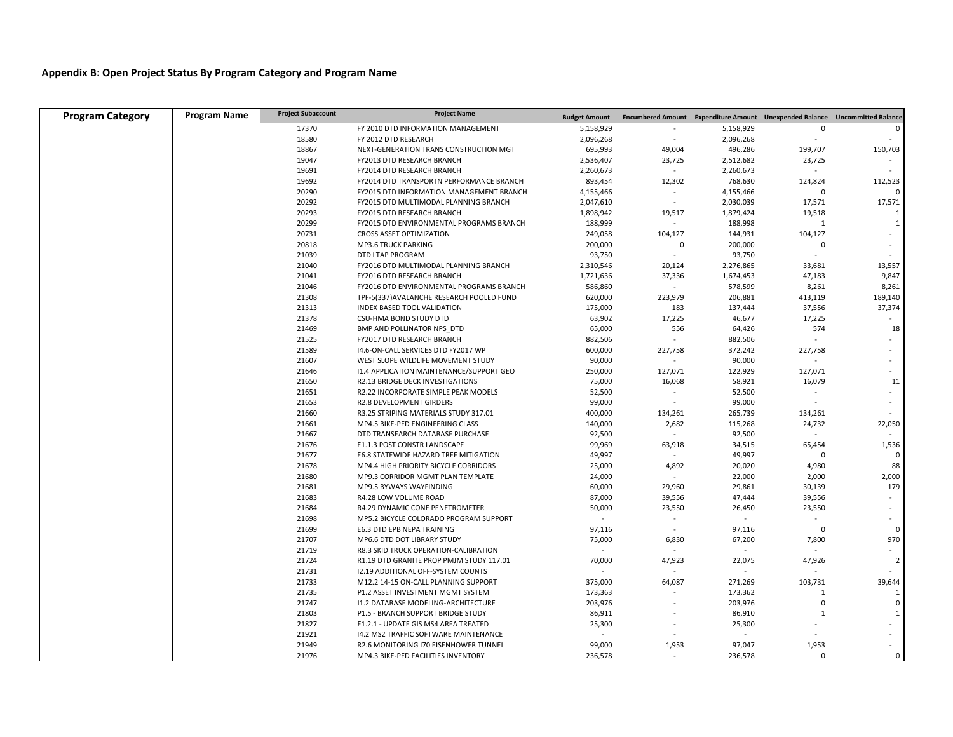## **Appendix B: Open Project Status By Program Category and Program Name**

| <b>Program Category</b> | <b>Program Name</b> | <b>Project Subaccount</b> | <b>Project Name</b>                       | <b>Budget Amount</b> |             |           | Encumbered Amount Expenditure Amount Unexpended Balance Uncommitted Balance |                |
|-------------------------|---------------------|---------------------------|-------------------------------------------|----------------------|-------------|-----------|-----------------------------------------------------------------------------|----------------|
|                         |                     | 17370                     | FY 2010 DTD INFORMATION MANAGEMENT        | 5,158,929            |             | 5,158,929 | $\Omega$                                                                    |                |
|                         |                     | 18580                     | FY 2012 DTD RESEARCH                      | 2,096,268            | $\sim$      | 2,096,268 | $\blacksquare$                                                              |                |
|                         |                     | 18867                     | NEXT-GENERATION TRANS CONSTRUCTION MGT    | 695,993              | 49,004      | 496,286   | 199,707                                                                     | 150,703        |
|                         |                     | 19047                     | FY2013 DTD RESEARCH BRANCH                | 2,536,407            | 23,725      | 2,512,682 | 23,725                                                                      |                |
|                         |                     | 19691                     | FY2014 DTD RESEARCH BRANCH                | 2,260,673            | $\omega$    | 2,260,673 | $\blacksquare$                                                              |                |
|                         |                     | 19692                     | FY2014 DTD TRANSPORTN PERFORMANCE BRANCH  | 893,454              | 12,302      | 768,630   | 124,824                                                                     | 112,523        |
|                         |                     | 20290                     | FY2015 DTD INFORMATION MANAGEMENT BRANCH  | 4,155,466            |             | 4,155,466 | $\Omega$                                                                    |                |
|                         |                     | 20292                     | FY2015 DTD MULTIMODAL PLANNING BRANCH     | 2,047,610            |             | 2,030,039 | 17,571                                                                      | 17,571         |
|                         |                     | 20293                     | FY2015 DTD RESEARCH BRANCH                | 1,898,942            | 19,517      | 1,879,424 | 19,518                                                                      | $\mathbf{1}$   |
|                         |                     | 20299                     | FY2015 DTD ENVIRONMENTAL PROGRAMS BRANCH  | 188,999              |             | 188,998   | 1                                                                           | $\mathbf{1}$   |
|                         |                     | 20731                     | CROSS ASSET OPTIMIZATION                  | 249,058              | 104,127     | 144,931   | 104,127                                                                     |                |
|                         |                     | 20818                     | <b>MP3.6 TRUCK PARKING</b>                | 200,000              | $\mathbf 0$ | 200,000   | $\Omega$                                                                    |                |
|                         |                     | 21039                     | DTD LTAP PROGRAM                          | 93,750               | $\sim$      | 93,750    |                                                                             |                |
|                         |                     | 21040                     | FY2016 DTD MULTIMODAL PLANNING BRANCH     | 2,310,546            | 20,124      | 2,276,865 | 33,681                                                                      | 13,557         |
|                         |                     | 21041                     | FY2016 DTD RESEARCH BRANCH                | 1,721,636            | 37,336      | 1,674,453 | 47,183                                                                      | 9,847          |
|                         |                     | 21046                     | FY2016 DTD ENVIRONMENTAL PROGRAMS BRANCH  | 586,860              | $\sim$      | 578,599   | 8,261                                                                       | 8,261          |
|                         |                     | 21308                     | TPF-5(337) AVALANCHE RESEARCH POOLED FUND | 620,000              | 223,979     | 206,881   | 413,119                                                                     | 189,140        |
|                         |                     | 21313                     | INDEX BASED TOOL VALIDATION               | 175,000              | 183         | 137,444   | 37,556                                                                      | 37,374         |
|                         |                     | 21378                     | CSU-HMA BOND STUDY DTD                    | 63,902               | 17,225      | 46,677    | 17,225                                                                      | $\sim$         |
|                         |                     | 21469                     | BMP AND POLLINATOR NPS DTD                | 65,000               | 556         | 64,426    | 574                                                                         | 18             |
|                         |                     | 21525                     | FY2017 DTD RESEARCH BRANCH                | 882,506              |             | 882,506   |                                                                             |                |
|                         |                     | 21589                     | 14.6-ON-CALL SERVICES DTD FY2017 WP       | 600,000              | 227,758     | 372,242   | 227,758                                                                     |                |
|                         |                     | 21607                     | WEST SLOPE WILDLIFE MOVEMENT STUDY        | 90,000               |             | 90,000    | $\sim$                                                                      |                |
|                         |                     | 21646                     | 11.4 APPLICATION MAINTENANCE/SUPPORT GEO  | 250,000              | 127,071     | 122,929   | 127,071                                                                     |                |
|                         |                     | 21650                     | R2.13 BRIDGE DECK INVESTIGATIONS          | 75,000               | 16,068      | 58,921    | 16,079                                                                      | 11             |
|                         |                     | 21651                     | R2.22 INCORPORATE SIMPLE PEAK MODELS      | 52,500               | $\sim$      | 52,500    |                                                                             |                |
|                         |                     | 21653                     | R2.8 DEVELOPMENT GIRDERS                  | 99,000               |             | 99,000    |                                                                             |                |
|                         |                     | 21660                     | R3.25 STRIPING MATERIALS STUDY 317.01     | 400,000              | 134,261     | 265,739   | 134,261                                                                     |                |
|                         |                     | 21661                     | MP4.5 BIKE-PED ENGINEERING CLASS          | 140,000              | 2,682       | 115,268   | 24,732                                                                      | 22,050         |
|                         |                     | 21667                     | DTD TRANSEARCH DATABASE PURCHASE          | 92,500               |             | 92,500    | $\sim$                                                                      |                |
|                         |                     | 21676                     | E1.1.3 POST CONSTR LANDSCAPE              | 99,969               | 63,918      | 34,515    | 65,454                                                                      | 1,536          |
|                         |                     | 21677                     | E6.8 STATEWIDE HAZARD TREE MITIGATION     | 49,997               |             | 49,997    | $\Omega$                                                                    | $\Omega$       |
|                         |                     | 21678                     | MP4.4 HIGH PRIORITY BICYCLE CORRIDORS     | 25,000               | 4,892       | 20,020    | 4,980                                                                       | 88             |
|                         |                     | 21680                     | MP9.3 CORRIDOR MGMT PLAN TEMPLATE         | 24,000               |             | 22,000    | 2,000                                                                       | 2,000          |
|                         |                     | 21681                     | MP9.5 BYWAYS WAYFINDING                   | 60,000               | 29,960      | 29,861    | 30,139                                                                      | 179            |
|                         |                     | 21683                     | R4.28 LOW VOLUME ROAD                     | 87,000               | 39,556      | 47,444    | 39,556                                                                      |                |
|                         |                     | 21684                     | R4.29 DYNAMIC CONE PENETROMETER           | 50,000               | 23,550      | 26,450    | 23,550                                                                      |                |
|                         |                     | 21698                     | MP5.2 BICYCLE COLORADO PROGRAM SUPPORT    | $\sim$               | $\sim$      |           |                                                                             |                |
|                         |                     | 21699                     | E6.3 DTD EPB NEPA TRAINING                | 97,116               |             | 97,116    | $\Omega$                                                                    | $\mathbf 0$    |
|                         |                     | 21707                     | MP6.6 DTD DOT LIBRARY STUDY               | 75,000               | 6,830       | 67,200    | 7,800                                                                       | 970            |
|                         |                     | 21719                     | R8.3 SKID TRUCK OPERATION-CALIBRATION     |                      |             |           |                                                                             |                |
|                         |                     | 21724                     | R1.19 DTD GRANITE PROP PMJM STUDY 117.01  | 70,000               | 47,923      | 22,075    | 47,926                                                                      | $\overline{2}$ |
|                         |                     | 21731                     | 12.19 ADDITIONAL OFF-SYSTEM COUNTS        |                      |             |           |                                                                             |                |
|                         |                     | 21733                     | M12.2 14-15 ON-CALL PLANNING SUPPORT      | 375,000              | 64,087      | 271,269   | 103,731                                                                     | 39,644         |
|                         |                     | 21735                     | P1.2 ASSET INVESTMENT MGMT SYSTEM         | 173,363              |             | 173,362   | 1                                                                           | 1              |
|                         |                     | 21747                     | 11.2 DATABASE MODELING-ARCHITECTURE       | 203,976              |             | 203,976   | $\Omega$                                                                    | $\mathsf 0$    |
|                         |                     | 21803                     | P1.5 - BRANCH SUPPORT BRIDGE STUDY        | 86,911               |             | 86,910    | $\mathbf{1}$                                                                | $\mathbf{1}$   |
|                         |                     | 21827                     | E1.2.1 - UPDATE GIS MS4 AREA TREATED      | 25,300               |             | 25,300    |                                                                             |                |
|                         |                     | 21921                     | 14.2 MS2 TRAFFIC SOFTWARE MAINTENANCE     |                      |             |           |                                                                             |                |
|                         |                     | 21949                     | R2.6 MONITORING 170 EISENHOWER TUNNEL     | 99,000               | 1,953       | 97,047    | 1,953                                                                       |                |
|                         |                     | 21976                     | MP4.3 BIKE-PED FACILITIES INVENTORY       | 236,578              |             | 236,578   | $\Omega$                                                                    | 0              |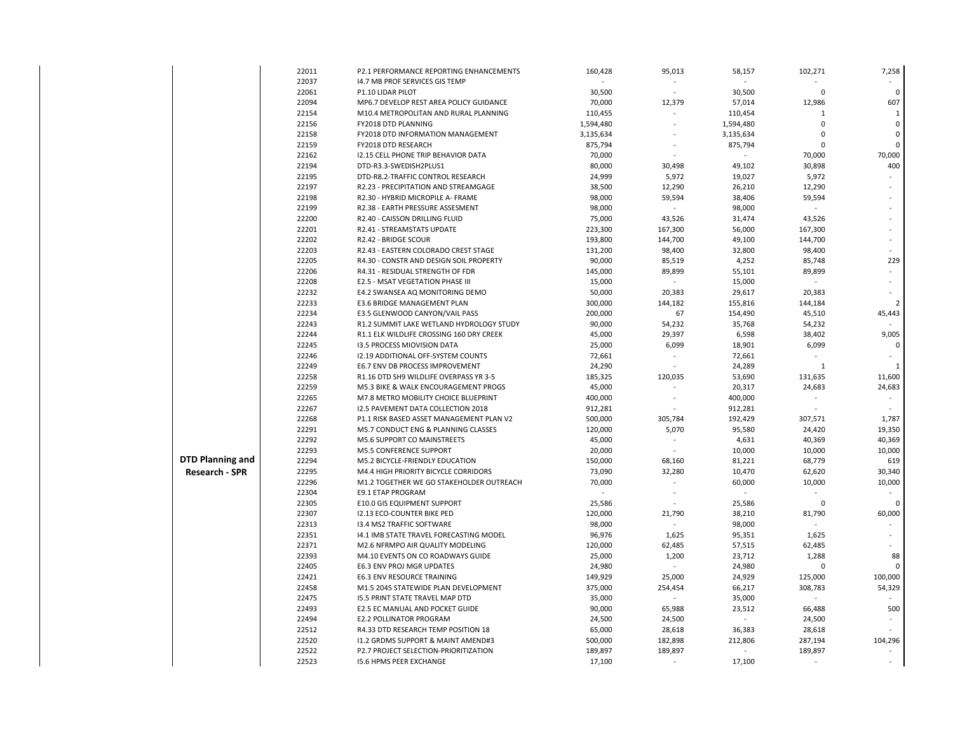|                         | 22011 | P2.1 PERFORMANCE REPORTING ENHANCEMENTS    | 160,428   | 95,013                   | 58,157    | 102,271      | 7,258          |
|-------------------------|-------|--------------------------------------------|-----------|--------------------------|-----------|--------------|----------------|
|                         | 22037 | 14.7 MB PROF SERVICES GIS TEMP             |           | $\sim$                   |           |              |                |
|                         | 22061 | P1.10 LIDAR PILOT                          | 30,500    | $\sim$                   | 30,500    | $\Omega$     | $\pmb{0}$      |
|                         | 22094 | MP6.7 DEVELOP REST AREA POLICY GUIDANCE    | 70,000    | 12,379                   | 57,014    | 12,986       | 607            |
|                         | 22154 | M10.4 METROPOLITAN AND RURAL PLANNING      | 110,455   |                          | 110,454   | 1            | 1              |
|                         | 22156 | FY2018 DTD PLANNING                        | 1,594,480 | $\sim$                   | 1,594,480 | $\Omega$     | $\pmb{0}$      |
|                         | 22158 | FY2018 DTD INFORMATION MANAGEMENT          | 3,135,634 |                          | 3,135,634 | $\Omega$     | 0              |
|                         | 22159 | FY2018 DTD RESEARCH                        | 875,794   |                          | 875,794   | $\Omega$     | $\mathbf 0$    |
|                         | 22162 | <b>I2.15 CELL PHONE TRIP BEHAVIOR DATA</b> | 70,000    |                          |           | 70,000       | 70,000         |
|                         | 22194 | DTD-R3.3-SWEDISH2PLUS1                     | 80,000    | 30,498                   | 49,102    | 30,898       | 400            |
|                         | 22195 | DTD-R8.2-TRAFFIC CONTROL RESEARCH          | 24,999    | 5,972                    | 19,027    | 5,972        |                |
|                         | 22197 | R2.23 - PRECIPITATION AND STREAMGAGE       | 38,500    | 12,290                   | 26,210    | 12,290       |                |
|                         | 22198 | R2.30 - HYBRID MICROPILE A- FRAME          | 98,000    | 59,594                   | 38,406    | 59,594       |                |
|                         | 22199 | R2.38 - EARTH PRESSURE ASSESMENT           | 98,000    |                          | 98,000    |              |                |
|                         | 22200 | R2.40 - CAISSON DRILLING FLUID             | 75,000    | 43,526                   | 31,474    | 43,526       |                |
|                         | 22201 | R2.41 - STREAMSTATS UPDATE                 | 223,300   | 167,300                  | 56,000    | 167,300      |                |
|                         | 22202 | R2.42 - BRIDGE SCOUR                       | 193,800   | 144,700                  | 49,100    | 144,700      |                |
|                         | 22203 | R2.43 - EASTERN COLORADO CREST STAGE       | 131,200   | 98,400                   | 32,800    | 98,400       |                |
|                         | 22205 | R4.30 - CONSTR AND DESIGN SOIL PROPERTY    | 90,000    | 85,519                   | 4,252     | 85,748       | 229            |
|                         | 22206 | R4.31 - RESIDUAL STRENGTH OF FDR           | 145,000   | 89,899                   | 55,101    | 89,899       | $\omega$       |
|                         | 22208 | E2.5 - MSAT VEGETATION PHASE III           | 15,000    |                          | 15,000    |              |                |
|                         | 22232 | E4.2 SWANSEA AQ MONITORING DEMO            | 50,000    | 20,383                   | 29,617    | 20,383       |                |
|                         | 22233 | E3.6 BRIDGE MANAGEMENT PLAN                | 300,000   | 144,182                  | 155,816   | 144,184      | $\overline{2}$ |
|                         | 22234 | E3.5 GLENWOOD CANYON/VAIL PASS             | 200,000   | 67                       | 154,490   | 45,510       | 45,443         |
|                         | 22243 | R1.2 SUMMIT LAKE WETLAND HYDROLOGY STUDY   | 90,000    | 54,232                   | 35,768    | 54,232       |                |
|                         | 22244 | R1.1 ELK WILDLIFE CROSSING 160 DRY CREEK   | 45,000    | 29,397                   | 6,598     | 38,402       | 9,005          |
|                         | 22245 | 13.5 PROCESS MIOVISION DATA                | 25,000    | 6,099                    | 18,901    | 6,099        | $\pmb{0}$      |
|                         | 22246 | <b>I2.19 ADDITIONAL OFF-SYSTEM COUNTS</b>  | 72,661    | $\sim$                   | 72,661    |              |                |
|                         | 22249 | E6.7 ENV DB PROCESS IMPROVEMENT            | 24,290    |                          | 24,289    | $\mathbf{1}$ | $\mathbf{1}$   |
|                         | 22258 | R1.16 DTD SH9 WILDLIFE OVERPASS YR 3-5     | 185,325   | 120,035                  | 53,690    | 131,635      | 11,600         |
|                         | 22259 | M5.3 BIKE & WALK ENCOURAGEMENT PROGS       | 45,000    |                          | 20,317    | 24,683       | 24,683         |
|                         | 22265 | M7.8 METRO MOBILITY CHOICE BLUEPRINT       | 400,000   | $\sim$                   | 400,000   |              |                |
|                         | 22267 | <b>12.5 PAVEMENT DATA COLLECTION 2018</b>  | 912,281   |                          | 912,281   |              |                |
|                         | 22268 | P1.1 RISK BASED ASSET MANAGEMENT PLAN V2   | 500,000   | 305,784                  | 192,429   | 307,571      | 1,787          |
|                         | 22291 | M5.7 CONDUCT ENG & PLANNING CLASSES        | 120,000   | 5,070                    | 95,580    | 24,420       | 19,350         |
|                         | 22292 | M5.6 SUPPORT CO MAINSTREETS                | 45,000    | $\overline{\phantom{a}}$ | 4,631     | 40,369       | 40,369         |
|                         | 22293 | <b>M5.5 CONFERENCE SUPPORT</b>             | 20,000    |                          | 10,000    | 10,000       | 10,000         |
| <b>DTD Planning and</b> | 22294 | M5.2 BICYCLE-FRIENDLY EDUCATION            | 150,000   | 68,160                   | 81,221    | 68,779       | 619            |
| <b>Research - SPR</b>   | 22295 | M4.4 HIGH PRIORITY BICYCLE CORRIDORS       | 73,090    | 32,280                   | 10,470    | 62,620       | 30,340         |
|                         | 22296 | M1.2 TOGETHER WE GO STAKEHOLDER OUTREACH   | 70,000    | $\overline{\phantom{a}}$ | 60,000    | 10,000       | 10,000         |
|                         | 22304 | <b>E9.1 ETAP PROGRAM</b>                   |           | $\overline{\phantom{a}}$ |           |              |                |
|                         | 22305 | E10.0 GIS EQUIPMENT SUPPORT                | 25,586    |                          | 25,586    | $\Omega$     | $\mathbf 0$    |
|                         | 22307 | 12.13 ECO-COUNTER BIKE PED                 | 120,000   | 21,790                   | 38,210    | 81,790       | 60,000         |
|                         | 22313 | 13.4 MS2 TRAFFIC SOFTWARE                  | 98,000    | ÷.                       | 98,000    |              | $\overline{a}$ |
|                         | 22351 | 14.1 IMB STATE TRAVEL FORECASTING MODEL    | 96,976    | 1,625                    | 95,351    | 1,625        |                |
|                         | 22371 | M2.6 NFRMPO AIR QUALITY MODELING           | 120,000   | 62,485                   | 57,515    | 62,485       |                |
|                         | 22393 | M4.10 EVENTS ON CO ROADWAYS GUIDE          | 25,000    | 1,200                    | 23,712    | 1,288        | 88             |
|                         | 22405 | E6.3 ENV PROJ MGR UPDATES                  | 24,980    | $\omega$                 | 24,980    | $\Omega$     | 0              |
|                         | 22421 | <b>E6.3 ENV RESOURCE TRAINING</b>          | 149,929   | 25,000                   | 24,929    | 125,000      | 100,000        |
|                         | 22458 | M1.5 2045 STATEWIDE PLAN DEVELOPMENT       | 375,000   | 254,454                  | 66,217    | 308,783      | 54,329         |
|                         | 22475 | <b>I5.5 PRINT STATE TRAVEL MAP DTD</b>     | 35,000    | $\sim$                   | 35,000    |              |                |
|                         | 22493 | E2.5 EC MANUAL AND POCKET GUIDE            | 90,000    | 65,988                   | 23,512    | 66,488       | 500            |
|                         | 22494 | <b>E2.2 POLLINATOR PROGRAM</b>             | 24,500    | 24,500                   |           | 24,500       |                |
|                         | 22512 | R4.33 DTD RESEARCH TEMP POSITION 18        | 65,000    | 28,618                   | 36,383    | 28,618       |                |
|                         | 22520 | 11.2 GRDMS SUPPORT & MAINT AMEND#3         | 500,000   | 182,898                  | 212,806   | 287,194      | 104,296        |
|                         | 22522 | P2.7 PROJECT SELECTION-PRIORITIZATION      | 189,897   | 189,897                  |           | 189,897      |                |
|                         | 22523 | <b>15.6 HPMS PEER EXCHANGE</b>             | 17,100    | $\sim$                   | 17,100    |              |                |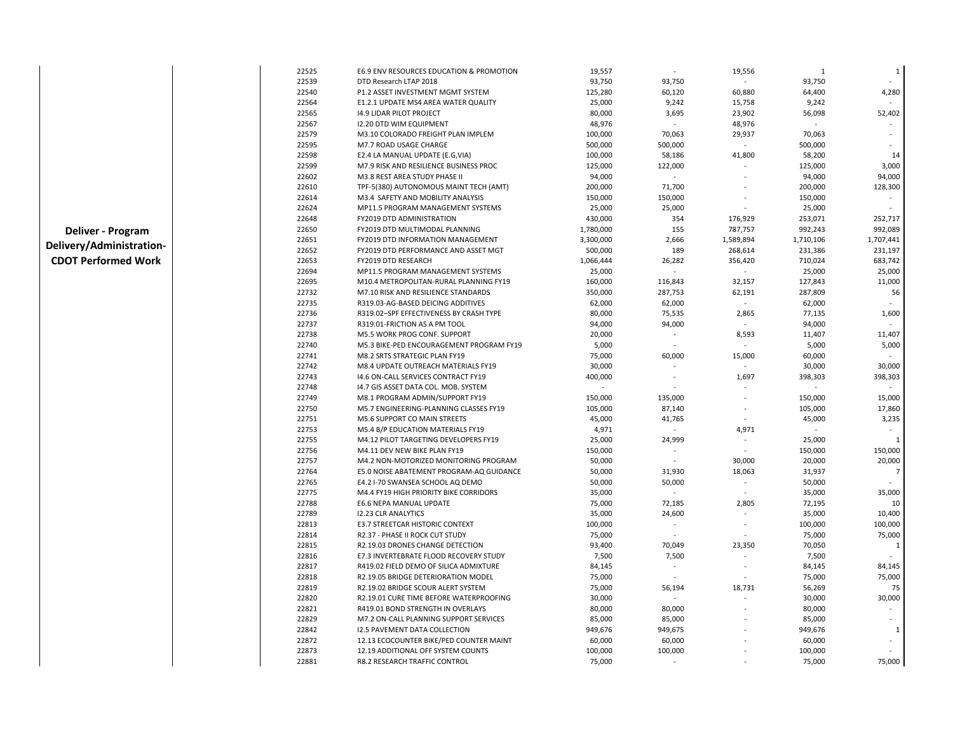| 22525 | E6.9 ENV RESOURCES EDUCATION & PROMOTION | 19,557    |         | 19,556         | 1                  | 1            |
|-------|------------------------------------------|-----------|---------|----------------|--------------------|--------------|
| 22539 | DTD Research LTAP 2018                   | 93,750    | 93,750  |                | 93,750             |              |
| 22540 | P1.2 ASSET INVESTMENT MGMT SYSTEM        | 125,280   | 60,120  | 60,880         | 64,400             | 4,280        |
| 22564 | E1.2.1 UPDATE MS4 AREA WATER QUALITY     | 25,000    | 9,242   | 15,758         | 9,242              |              |
| 22565 | 14.9 LIDAR PILOT PROJECT                 | 80,000    | 3,695   | 23,902         | 56,098             | 52,402       |
| 22567 | <b>I2.20 DTD WIM EQUIPMENT</b>           | 48,976    |         | 48,976         |                    |              |
| 22579 | M3.10 COLORADO FREIGHT PLAN IMPLEM       | 100,000   | 70,063  | 29,937         | 70,063             |              |
| 22595 | M7.7 ROAD USAGE CHARGE                   | 500,000   | 500,000 |                | 500,000            |              |
| 22598 | E2.4 LA MANUAL UPDATE (E.G, VIA)         | 100,000   | 58,186  | 41,800         | 58,200             | 14           |
| 22599 | M7.9 RISK AND RESILIENCE BUSINESS PROC   | 125,000   | 122,000 |                | 125,000            | 3,000        |
| 22602 | M3.8 REST AREA STUDY PHASE II            | 94,000    |         |                | 94,000             | 94,000       |
| 22610 | TPF-5(380) AUTONOMOUS MAINT TECH (AMT)   | 200,000   | 71,700  |                | 200,000            | 128,300      |
| 22614 | M3.4 SAFETY AND MOBILITY ANALYSIS        | 150,000   | 150,000 |                | 150,000            |              |
| 22624 | MP11.5 PROGRAM MANAGEMENT SYSTEMS        | 25,000    | 25,000  |                | 25,000             |              |
| 22648 | <b>FY2019 DTD ADMINISTRATION</b>         | 430,000   | 354     | 176,929        | 253,071            | 252,717      |
| 22650 | FY2019 DTD MULTIMODAL PLANNING           | 1,780,000 | 155     | 787,757        | 992,243            | 992,089      |
| 22651 | <b>FY2019 DTD INFORMATION MANAGEMENT</b> | 3,300,000 | 2,666   | 1,589,894      | 1,710,106          | 1,707,441    |
| 22652 | FY2019 DTD PERFORMANCE AND ASSET MGT     | 500,000   | 189     | 268,614        | 231,386            | 231,197      |
| 22653 | FY2019 DTD RESEARCH                      | 1,066,444 | 26,282  | 356,420        | 710,024            | 683,742      |
| 22694 | MP11.5 PROGRAM MANAGEMENT SYSTEMS        | 25,000    |         |                | 25,000             | 25,000       |
| 22695 | M10.4 METROPOLITAN-RURAL PLANNING FY19   | 160,000   | 116,843 | 32,157         |                    | 11,000       |
| 22732 |                                          | 350,000   | 287,753 | 62,191         | 127,843<br>287,809 |              |
|       | M7.10 RISK AND RESILIENCE STANDARDS      |           |         |                |                    | 56           |
| 22735 | R319.03-AG-BASED DEICING ADDITIVES       | 62,000    | 62,000  | $\omega$       | 62,000             |              |
| 22736 | R319.02-SPF EFFECTIVENESS BY CRASH TYPE  | 80,000    | 75,535  | 2,865          | 77,135             | 1,600        |
| 22737 | R319.01-FRICTION AS A PM TOOL            | 94,000    | 94,000  |                | 94,000             |              |
| 22738 | M5.5 WORK PROG CONF. SUPPORT             | 20,000    |         | 8,593          | 11,407             | 11,407       |
| 22740 | M5.3 BIKE-PED ENCOURAGEMENT PROGRAM FY19 | 5,000     |         |                | 5,000              | 5,000        |
| 22741 | M8.2 SRTS STRATEGIC PLAN FY19            | 75,000    | 60,000  | 15,000         | 60,000             |              |
| 22742 | M8.4 UPDATE OUTREACH MATERIALS FY19      | 30,000    |         |                | 30,000             | 30,000       |
| 22743 | 14.6 ON-CALL SERVICES CONTRACT FY19      | 400,000   |         | 1,697          | 398,303            | 398,303      |
| 22748 | 14.7 GIS ASSET DATA COL. MOB. SYSTEM     |           |         |                |                    |              |
| 22749 | M8.1 PROGRAM ADMIN/SUPPORT FY19          | 150,000   | 135,000 |                | 150,000            | 15,000       |
| 22750 | M5.7 ENGINEERING-PLANNING CLASSES FY19   | 105,000   | 87,140  |                | 105,000            | 17,860       |
| 22751 | M5.6 SUPPORT CO MAIN STREETS             | 45,000    | 41,765  |                | 45,000             | 3,235        |
| 22753 | M5.4 B/P EDUCATION MATERIALS FY19        | 4,971     |         | 4,971          |                    |              |
| 22755 | M4.12 PILOT TARGETING DEVELOPERS FY19    | 25,000    | 24,999  |                | 25,000             | $\mathbf{1}$ |
| 22756 | M4.11 DEV NEW BIKE PLAN FY19             | 150,000   |         |                | 150,000            | 150,000      |
| 22757 | M4.2 NON-MOTORIZED MONITORING PROGRAM    | 50,000    |         | 30,000         | 20,000             | 20,000       |
| 22764 | E5.0 NOISE ABATEMENT PROGRAM-AQ GUIDANCE | 50,000    | 31,930  | 18,063         | 31,937             | 7            |
| 22765 | E4.2 I-70 SWANSEA SCHOOL AQ DEMO         | 50,000    | 50,000  |                | 50,000             |              |
| 22775 | M4.4 FY19 HIGH PRIORITY BIKE CORRIDORS   | 35,000    |         | $\overline{a}$ | 35,000             | 35,000       |
| 22788 | E6.6 NEPA MANUAL UPDATE                  | 75,000    | 72,185  | 2,805          | 72,195             | 10           |
| 22789 | <b>12.23 CLR ANALYTICS</b>               | 35,000    | 24,600  |                | 35,000             | 10,400       |
| 22813 | E3.7 STREETCAR HISTORIC CONTEXT          | 100,000   |         |                | 100,000            | 100,000      |
| 22814 | R2.37 - PHASE II ROCK CUT STUDY          | 75,000    |         |                | 75,000             | 75,000       |
| 22815 | R2.19.03 DRONES CHANGE DETECTION         | 93,400    | 70,049  | 23,350         | 70,050             | $\mathbf{1}$ |
| 22816 | E7.3 INVERTEBRATE FLOOD RECOVERY STUDY   | 7,500     | 7,500   |                | 7,500              |              |
| 22817 | R419.02 FIELD DEMO OF SILICA ADMIXTURE   | 84,145    |         |                | 84,145             | 84,145       |
| 22818 | R2.19.05 BRIDGE DETERIORATION MODEL      | 75,000    |         |                | 75,000             | 75,000       |
| 22819 | R2.19.02 BRIDGE SCOUR ALERT SYSTEM       | 75,000    | 56,194  | 18,731         | 56,269             | 75           |
| 22820 | R2.19.01 CURE TIME BEFORE WATERPROOFING  | 30,000    |         |                | 30,000             | 30,000       |
| 22821 | R419.01 BOND STRENGTH IN OVERLAYS        | 80,000    | 80,000  |                | 80,000             |              |
| 22829 | M7.2 ON-CALL PLANNING SUPPORT SERVICES   | 85,000    | 85,000  |                | 85,000             |              |
| 22842 | <b>12.5 PAVEMENT DATA COLLECTION</b>     | 949,676   | 949,675 |                | 949,676            | 1            |
| 22872 | 12.13 ECOCOUNTER BIKE/PED COUNTER MAINT  | 60,000    | 60,000  |                | 60,000             |              |
| 22873 | 12.19 ADDITIONAL OFF SYSTEM COUNTS       | 100,000   | 100,000 |                | 100,000            |              |
| 22881 | R8.2 RESEARCH TRAFFIC CONTROL            | 75,000    |         |                | 75,000             | 75,000       |
|       |                                          |           |         |                |                    |              |

 **Deliver - Program Delivery/Administration-CDOT Performed Work**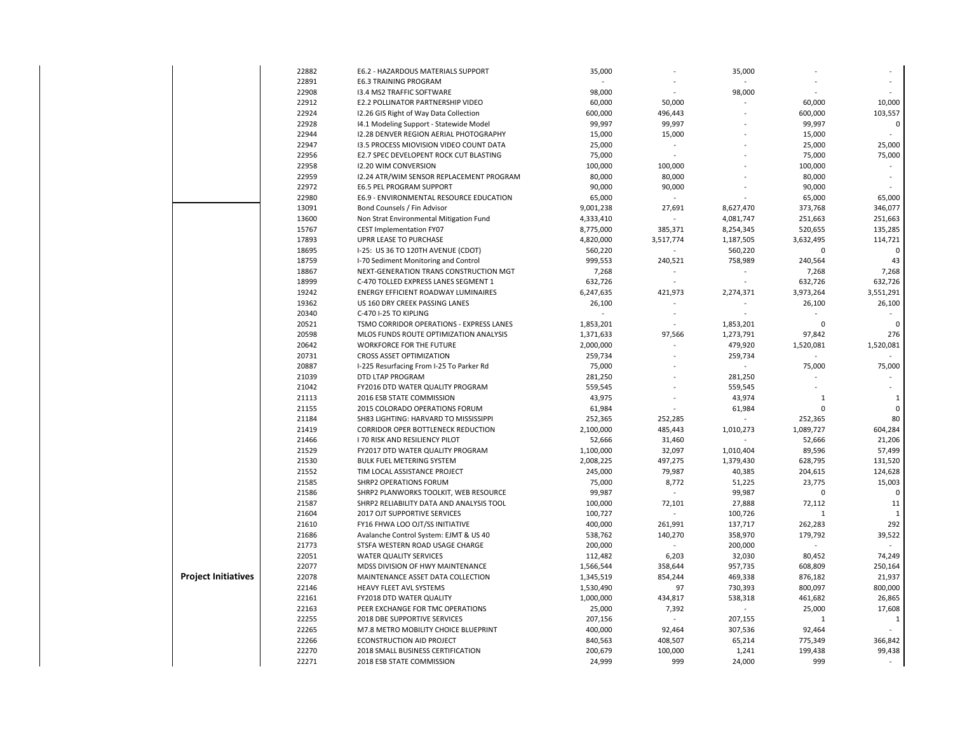|                            | 22882          | E6.2 - HAZARDOUS MATERIALS SUPPORT                                   | 35,000                 |                          | 35,000           |                   |                   |
|----------------------------|----------------|----------------------------------------------------------------------|------------------------|--------------------------|------------------|-------------------|-------------------|
|                            | 22891          | <b>E6.3 TRAINING PROGRAM</b>                                         |                        |                          |                  |                   |                   |
|                            | 22908          | 13.4 MS2 TRAFFIC SOFTWARE                                            | 98,000                 |                          | 98,000           |                   |                   |
|                            | 22912          | E2.2 POLLINATOR PARTNERSHIP VIDEO                                    | 60,000                 | 50,000                   |                  | 60,000            | 10,000            |
|                            | 22924          | 12.26 GIS Right of Way Data Collection                               | 600,000                | 496,443                  |                  | 600,000           | 103,557           |
|                            | 22928          | 14.1 Modeling Support - Statewide Model                              | 99,997                 | 99,997                   |                  | 99,997            | 0                 |
|                            | 22944          | 12.28 DENVER REGION AERIAL PHOTOGRAPHY                               | 15,000                 | 15,000                   |                  | 15,000            | $\mathbf{r}$      |
|                            | 22947          | 13.5 PROCESS MIOVISION VIDEO COUNT DATA                              | 25,000                 | $\sim$                   |                  | 25,000            | 25,000            |
|                            | 22956          | E2.7 SPEC DEVELOPENT ROCK CUT BLASTING                               | 75,000                 | $\overline{\phantom{a}}$ |                  | 75,000            | 75,000            |
|                            | 22958          | <b>12.20 WIM CONVERSION</b>                                          | 100,000                | 100,000                  |                  | 100,000           |                   |
|                            | 22959          | 12.24 ATR/WIM SENSOR REPLACEMENT PROGRAM                             | 80,000                 | 80,000                   |                  | 80,000            |                   |
|                            | 22972          | E6.5 PEL PROGRAM SUPPORT                                             | 90,000                 | 90,000                   |                  | 90,000            |                   |
|                            | 22980          | E6.9 - ENVIRONMENTAL RESOURCE EDUCATION                              | 65,000                 | $\sim$                   |                  | 65,000            | 65,000            |
|                            | 13091          | Bond Counsels / Fin Advisor                                          | 9,001,238              | 27,691                   | 8,627,470        | 373,768           | 346,077           |
|                            | 13600          | Non Strat Environmental Mitigation Fund                              | 4,333,410              |                          | 4,081,747        | 251,663           | 251,663           |
|                            | 15767          | CEST Implementation FY07                                             | 8,775,000              | 385,371                  | 8,254,345        | 520,655           | 135,285           |
|                            | 17893          | UPRR LEASE TO PURCHASE                                               | 4,820,000              | 3,517,774                | 1,187,505        | 3,632,495         | 114,721           |
|                            | 18695          | I-25: US 36 TO 120TH AVENUE (CDOT)                                   | 560,220                |                          | 560,220          | $\Omega$          | $\Omega$          |
|                            | 18759          | I-70 Sediment Monitoring and Control                                 | 999,553                | 240,521                  | 758,989          | 240,564           | 43                |
|                            | 18867          | NEXT-GENERATION TRANS CONSTRUCTION MGT                               | 7,268                  | $\sim$                   | ÷.               | 7,268             | 7,268             |
|                            | 18999          | C-470 TOLLED EXPRESS LANES SEGMENT 1                                 | 632,726                | $\sim$                   | $\overline{a}$   | 632,726           | 632,726           |
|                            | 19242          | ENERGY EFFICIENT ROADWAY LUMINAIRES                                  | 6,247,635              | 421,973                  | 2,274,371        | 3,973,264         | 3,551,291         |
|                            | 19362          | US 160 DRY CREEK PASSING LANES                                       | 26,100                 |                          |                  | 26,100            | 26,100            |
|                            | 20340          | C-470 I-25 TO KIPLING                                                |                        | $\sim$                   | $\sim$           |                   |                   |
|                            | 20521          | TSMO CORRIDOR OPERATIONS - EXPRESS LANES                             | 1,853,201              |                          | 1,853,201        | $\Omega$          | $\mathbf 0$       |
|                            | 20598          | MLOS FUNDS ROUTE OPTIMIZATION ANALYSIS                               | 1,371,633              | 97,566                   | 1,273,791        | 97,842            | 276               |
|                            | 20642          | <b>WORKFORCE FOR THE FUTURE</b>                                      | 2,000,000              |                          | 479,920          | 1,520,081         | 1,520,081         |
|                            | 20731          | <b>CROSS ASSET OPTIMIZATION</b>                                      | 259,734                |                          | 259,734          |                   |                   |
|                            | 20887          | I-225 Resurfacing From I-25 To Parker Rd                             | 75,000                 |                          |                  | 75,000            | 75,000            |
|                            | 21039          | DTD LTAP PROGRAM                                                     | 281,250                |                          | 281,250          |                   |                   |
|                            | 21042          | FY2016 DTD WATER QUALITY PROGRAM                                     | 559,545                |                          | 559,545          |                   |                   |
|                            | 21113          | 2016 ESB STATE COMMISSION                                            | 43,975                 |                          | 43,974           | 1                 | 1                 |
|                            | 21155          | 2015 COLORADO OPERATIONS FORUM                                       | 61,984                 |                          | 61,984           | $\mathbf 0$       | $\mathsf 0$       |
|                            | 21184          | SH83 LIGHTING: HARVARD TO MISSISSIPPI                                | 252,365                | 252,285                  |                  | 252,365           | 80                |
|                            | 21419          | <b>CORRIDOR OPER BOTTLENECK REDUCTION</b>                            | 2,100,000              | 485,443                  | 1,010,273        | 1,089,727         | 604,284           |
|                            | 21466          | I 70 RISK AND RESILIENCY PILOT                                       | 52,666                 | 31,460                   |                  | 52,666            | 21,206            |
|                            | 21529<br>21530 | FY2017 DTD WATER QUALITY PROGRAM<br><b>BULK FUEL METERING SYSTEM</b> | 1,100,000<br>2,008,225 | 32,097<br>497,275        | 1,010,404        | 89,596<br>628,795 | 57,499<br>131,520 |
|                            | 21552          | TIM LOCAL ASSISTANCE PROJECT                                         | 245,000                | 79,987                   | 1,379,430        | 204,615           | 124,628           |
|                            | 21585          | SHRP2 OPERATIONS FORUM                                               | 75,000                 | 8,772                    | 40,385<br>51,225 | 23,775            | 15,003            |
|                            | 21586          | SHRP2 PLANWORKS TOOLKIT, WEB RESOURCE                                | 99,987                 |                          | 99,987           | 0                 | $\mathbf 0$       |
|                            | 21587          | SHRP2 RELIABILITY DATA AND ANALYSIS TOOL                             | 100,000                | 72,101                   | 27,888           | 72,112            | 11                |
|                            | 21604          | <b>2017 OJT SUPPORTIVE SERVICES</b>                                  | 100,727                |                          | 100,726          | $\mathbf{1}$      | 1                 |
|                            | 21610          | FY16 FHWA LOO OJT/SS INITIATIVE                                      | 400,000                | 261,991                  | 137,717          | 262,283           | 292               |
|                            | 21686          | Avalanche Control System: EJMT & US 40                               | 538,762                | 140,270                  | 358,970          | 179,792           | 39,522            |
|                            | 21773          | STSFA WESTERN ROAD USAGE CHARGE                                      | 200,000                |                          | 200,000          |                   |                   |
|                            | 22051          | <b>WATER QUALITY SERVICES</b>                                        | 112,482                | 6,203                    | 32,030           | 80,452            | 74,249            |
|                            | 22077          | MDSS DIVISION OF HWY MAINTENANCE                                     | 1,566,544              | 358,644                  | 957,735          | 608,809           | 250,164           |
| <b>Project Initiatives</b> | 22078          | MAINTENANCE ASSET DATA COLLECTION                                    | 1,345,519              | 854,244                  | 469,338          | 876,182           | 21,937            |
|                            | 22146          | HEAVY FLEET AVL SYSTEMS                                              | 1,530,490              | 97                       | 730,393          | 800,097           | 800,000           |
|                            | 22161          | FY2018 DTD WATER QUALITY                                             | 1,000,000              | 434,817                  | 538,318          | 461,682           | 26,865            |
|                            | 22163          | PEER EXCHANGE FOR TMC OPERATIONS                                     | 25,000                 | 7,392                    |                  | 25,000            | 17,608            |
|                            | 22255          | 2018 DBE SUPPORTIVE SERVICES                                         | 207,156                |                          | 207,155          | 1                 | 1                 |
|                            | 22265          | M7.8 METRO MOBILITY CHOICE BLUEPRINT                                 | 400,000                | 92,464                   | 307,536          | 92,464            |                   |
|                            | 22266          | <b>ECONSTRUCTION AID PROJECT</b>                                     | 840,563                | 408,507                  | 65,214           | 775,349           | 366,842           |
|                            | 22270          | 2018 SMALL BUSINESS CERTIFICATION                                    | 200,679                | 100,000                  | 1,241            | 199,438           | 99,438            |
|                            | 22271          | 2018 ESB STATE COMMISSION                                            | 24,999                 | 999                      | 24,000           | 999               |                   |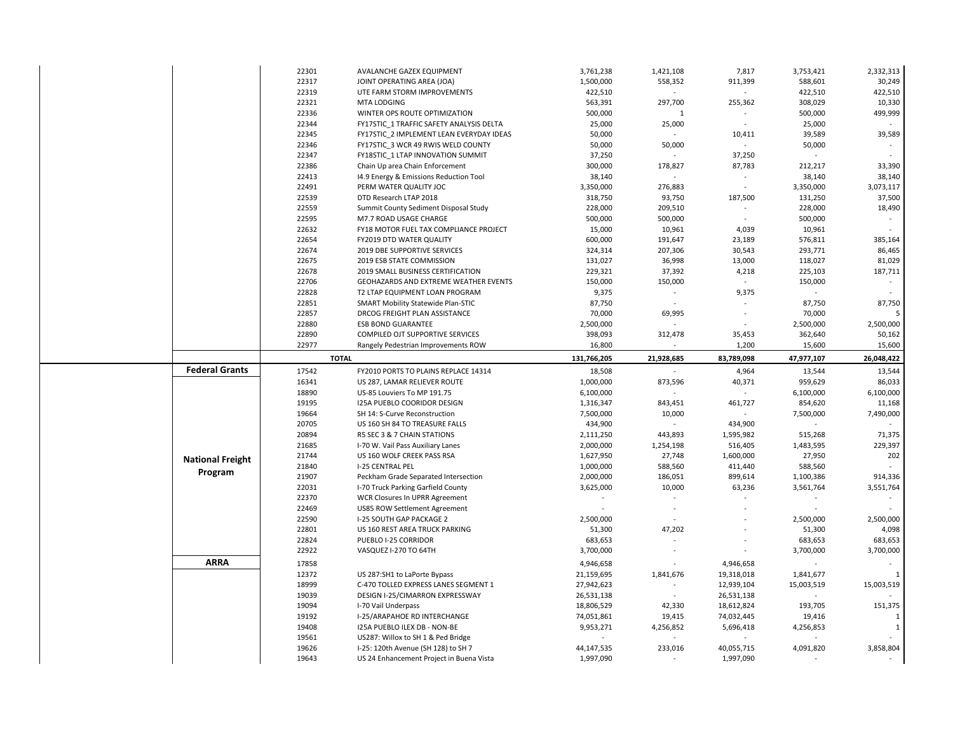|                         | 22301 | AVALANCHE GAZEX EQUIPMENT                | 3,761,238   | 1,421,108                | 7,817                           | 3,753,421           | 2,332,313  |
|-------------------------|-------|------------------------------------------|-------------|--------------------------|---------------------------------|---------------------|------------|
|                         | 22317 | JOINT OPERATING AREA (JOA)               | 1,500,000   | 558,352                  | 911,399                         | 588,601             | 30,249     |
|                         | 22319 | UTE FARM STORM IMPROVEMENTS              | 422,510     |                          | $\sim$                          | 422,510             | 422,510    |
|                         | 22321 | MTA LODGING                              | 563,391     | 297,700                  | 255,362                         | 308,029             | 10,330     |
|                         | 22336 | WINTER OPS ROUTE OPTIMIZATION            | 500,000     | 1                        |                                 | 500,000             | 499,999    |
|                         | 22344 | FY17STIC 1 TRAFFIC SAFETY ANALYSIS DELTA | 25,000      | 25,000                   | $\sim$                          | 25,000              | $\sim$     |
|                         | 22345 | FY17STIC 2 IMPLEMENT LEAN EVERYDAY IDEAS | 50,000      |                          | 10,411                          | 39,589              | 39,589     |
|                         | 22346 | FY17STIC 3 WCR 49 RWIS WELD COUNTY       | 50,000      | 50,000                   | $\sim$                          | 50,000              | $\sim$     |
|                         | 22347 | FY18STIC 1 LTAP INNOVATION SUMMIT        | 37,250      |                          | 37,250                          |                     | $\sim$     |
|                         | 22386 | Chain Up area Chain Enforcement          | 300,000     | 178,827                  | 87,783                          | 212,217             | 33,390     |
|                         |       |                                          |             | $\overline{\phantom{a}}$ | $\sim$                          |                     | 38,140     |
|                         | 22413 | 14.9 Energy & Emissions Reduction Tool   | 38,140      |                          |                                 | 38,140              |            |
|                         | 22491 | PERM WATER QUALITY JOC                   | 3,350,000   | 276,883                  | $\sim$                          | 3,350,000           | 3,073,117  |
|                         | 22539 | DTD Research LTAP 2018                   | 318,750     | 93,750                   | 187,500                         | 131,250             | 37,500     |
|                         | 22559 | Summit County Sediment Disposal Study    | 228,000     | 209,510                  | $\sim$                          | 228,000             | 18,490     |
|                         | 22595 | M7.7 ROAD USAGE CHARGE                   | 500,000     | 500,000                  | $\sim$                          | 500,000             |            |
|                         | 22632 | FY18 MOTOR FUEL TAX COMPLIANCE PROJECT   | 15,000      | 10,961                   | 4,039                           | 10,961              | $\sim$     |
|                         | 22654 | FY2019 DTD WATER QUALITY                 | 600,000     | 191,647                  | 23,189                          | 576,811             | 385,164    |
|                         | 22674 | 2019 DBE SUPPORTIVE SERVICES             | 324,314     | 207,306                  | 30,543                          | 293,771             | 86,465     |
|                         | 22675 | 2019 ESB STATE COMMISSION                | 131,027     | 36,998                   | 13,000                          | 118,027             | 81,029     |
|                         | 22678 | 2019 SMALL BUSINESS CERTIFICATION        | 229,321     | 37,392                   | 4,218                           | 225,103             | 187,711    |
|                         | 22706 | GEOHAZARDS AND EXTREME WEATHER EVENTS    | 150,000     | 150,000                  | $\sim$                          | 150,000             |            |
|                         | 22828 | T2 LTAP EQUIPMENT LOAN PROGRAM           | 9,375       | $\sim$                   | 9,375                           | $\sim$              |            |
|                         | 22851 | SMART Mobility Statewide Plan-STIC       | 87,750      |                          |                                 | 87,750              | 87,750     |
|                         | 22857 | DRCOG FREIGHT PLAN ASSISTANCE            | 70,000      | 69,995                   | $\sim$                          | 70,000              |            |
|                         | 22880 | <b>ESB BOND GUARANTEE</b>                | 2,500,000   |                          | $\blacksquare$                  | 2,500,000           | 2,500,000  |
|                         | 22890 | COMPILED OJT SUPPORTIVE SERVICES         | 398,093     | 312,478                  | 35,453                          | 362,640             | 50,162     |
|                         | 22977 | Rangely Pedestrian Improvements ROW      | 16,800      |                          | 1,200                           | 15,600              | 15,600     |
|                         |       | <b>TOTAL</b>                             |             |                          |                                 |                     |            |
|                         |       |                                          | 131,766,205 | 21,928,685               | 83,789,098                      | 47,977,107          | 26,048,422 |
|                         |       |                                          |             |                          |                                 |                     |            |
| <b>Federal Grants</b>   | 17542 | FY2010 PORTS TO PLAINS REPLACE 14314     | 18,508      |                          | 4,964                           | 13,544              | 13,544     |
|                         | 16341 | US 287, LAMAR RELIEVER ROUTE             | 1,000,000   | 873,596                  | 40,371                          | 959,629             | 86,033     |
|                         | 18890 | US-85 Louviers To MP 191.75              | 6,100,000   |                          |                                 | 6,100,000           | 6,100,000  |
|                         | 19195 | <b>I25A PUEBLO COORIDOR DESIGN</b>       | 1,316,347   | 843,451                  | 461,727                         | 854,620             | 11,168     |
|                         | 19664 | SH 14: S-Curve Reconstruction            | 7,500,000   | 10,000                   |                                 | 7,500,000           | 7,490,000  |
|                         | 20705 | US 160 SH 84 TO TREASURE FALLS           | 434,900     |                          | 434,900                         |                     |            |
|                         | 20894 | R5 SEC 3 & 7 CHAIN STATIONS              | 2,111,250   | 443,893                  | 1,595,982                       | 515,268             | 71,375     |
|                         | 21685 | I-70 W. Vail Pass Auxiliary Lanes        |             |                          |                                 |                     | 229,397    |
|                         |       |                                          | 2,000,000   | 1,254,198                | 516,405                         | 1,483,595           |            |
| <b>National Freight</b> | 21744 | US 160 WOLF CREEK PASS RSA               | 1,627,950   | 27,748                   | 1,600,000                       | 27,950              | 202        |
| Program                 | 21840 | <b>I-25 CENTRAL PEL</b>                  | 1,000,000   | 588,560                  | 411,440                         | 588,560             |            |
|                         | 21907 | Peckham Grade Separated Intersection     | 2,000,000   | 186,051                  | 899,614                         | 1,100,386           | 914,336    |
|                         | 22031 | I-70 Truck Parking Garfield County       | 3,625,000   | 10,000                   | 63,236<br>$\tilde{\phantom{a}}$ | 3,561,764<br>$\sim$ | 3,551,764  |
|                         | 22370 | WCR Closures In UPRR Agreement           | $\sim$      |                          |                                 |                     | $\sim$     |
|                         | 22469 | US85 ROW Settlement Agreement            |             | ÷.                       |                                 |                     |            |
|                         | 22590 | I-25 SOUTH GAP PACKAGE 2                 | 2,500,000   |                          |                                 | 2,500,000           | 2,500,000  |
|                         | 22801 | US 160 REST AREA TRUCK PARKING           | 51,300      | 47,202                   |                                 | 51,300              | 4,098      |
|                         | 22824 | PUEBLO I-25 CORRIDOR                     | 683,653     |                          |                                 | 683,653             | 683,653    |
|                         | 22922 | VASQUEZ I-270 TO 64TH                    | 3,700,000   | $\sim$                   |                                 | 3,700,000           | 3,700,000  |
| <b>ARRA</b>             | 17858 |                                          | 4,946,658   |                          | 4,946,658                       |                     |            |
|                         | 12372 | US 287:SH1 to LaPorte Bypass             | 21,159,695  | 1,841,676                | 19,318,018                      | 1,841,677           |            |
|                         | 18999 | C-470 TOLLED EXPRESS LANES SEGMENT 1     | 27,942,623  |                          | 12,939,104                      | 15,003,519          | 15,003,519 |
|                         | 19039 | DESIGN I-25/CIMARRON EXPRESSWAY          | 26,531,138  | $\sim$                   | 26,531,138                      |                     |            |
|                         | 19094 | I-70 Vail Underpass                      | 18,806,529  | 42,330                   | 18,612,824                      | 193,705             | 151,375    |
|                         | 19192 | I-25/ARAPAHOE RD INTERCHANGE             | 74,051,861  | 19,415                   | 74,032,445                      | 19,416              | -1         |
|                         | 19408 | I25A PUEBLO ILEX DB - NON-BE             | 9,953,271   | 4,256,852                | 5,696,418                       | 4,256,853           | 1          |
|                         | 19561 | US287: Willox to SH 1 & Ped Bridge       |             |                          |                                 |                     |            |
|                         | 19626 | I-25: 120th Avenue (SH 128) to SH 7      | 44,147,535  | 233,016                  | 40,055,715                      | 4,091,820           | 3,858,804  |
|                         | 19643 | US 24 Enhancement Project in Buena Vista | 1,997,090   | $\sim$                   | 1,997,090                       |                     | $\sim$     |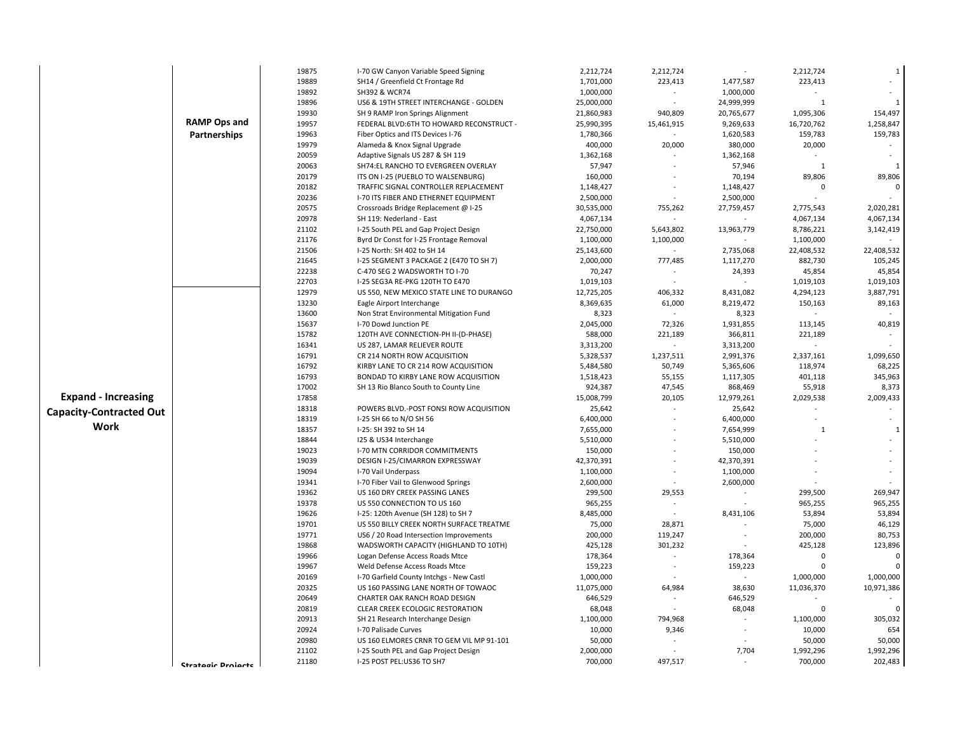|                                |                           | 19875 | I-70 GW Canyon Variable Speed Signing    | 2,212,724  | 2,212,724                |            | 2,212,724    | $\mathbf 1$  |
|--------------------------------|---------------------------|-------|------------------------------------------|------------|--------------------------|------------|--------------|--------------|
|                                |                           | 19889 | SH14 / Greenfield Ct Frontage Rd         | 1,701,000  | 223,413                  | 1,477,587  | 223,413      |              |
|                                |                           | 19892 | SH392 & WCR74                            | 1,000,000  |                          | 1,000,000  |              | ÷.           |
|                                |                           | 19896 | US6 & 19TH STREET INTERCHANGE - GOLDEN   | 25,000,000 |                          | 24,999,999 | $\mathbf{1}$ | $\mathbf{1}$ |
|                                |                           | 19930 | SH 9 RAMP Iron Springs Alignment         | 21,860,983 | 940,809                  | 20,765,677 | 1,095,306    | 154,497      |
|                                | <b>RAMP Ops and</b>       | 19957 | FEDERAL BLVD:6TH TO HOWARD RECONSTRUCT - | 25,990,395 | 15,461,915               | 9,269,633  | 16,720,762   | 1,258,847    |
|                                | Partnerships              | 19963 | Fiber Optics and ITS Devices I-76        | 1,780,366  | $\sim$                   | 1,620,583  | 159,783      | 159,783      |
|                                |                           | 19979 | Alameda & Knox Signal Upgrade            | 400,000    | 20,000                   | 380,000    | 20,000       |              |
|                                |                           | 20059 | Adaptive Signals US 287 & SH 119         | 1,362,168  |                          | 1,362,168  |              |              |
|                                |                           | 20063 | SH74:EL RANCHO TO EVERGREEN OVERLAY      | 57,947     |                          | 57,946     | 1            | 1            |
|                                |                           | 20179 | ITS ON I-25 (PUEBLO TO WALSENBURG)       | 160,000    |                          | 70,194     | 89,806       | 89,806       |
|                                |                           | 20182 | TRAFFIC SIGNAL CONTROLLER REPLACEMENT    | 1,148,427  |                          | 1,148,427  | $\Omega$     | $\mathbf 0$  |
|                                |                           | 20236 | I-70 ITS FIBER AND ETHERNET EQUIPMENT    | 2,500,000  |                          | 2,500,000  |              |              |
|                                |                           | 20575 | Crossroads Bridge Replacement @ I-25     | 30,535,000 | 755,262                  | 27,759,457 | 2,775,543    | 2,020,281    |
|                                |                           | 20978 | SH 119: Nederland - East                 | 4,067,134  |                          |            | 4,067,134    | 4,067,134    |
|                                |                           | 21102 | I-25 South PEL and Gap Project Design    | 22,750,000 | 5,643,802                | 13,963,779 | 8,786,221    | 3,142,419    |
|                                |                           | 21176 | Byrd Dr Const for I-25 Frontage Removal  | 1,100,000  | 1,100,000                |            | 1,100,000    |              |
|                                |                           | 21506 | I-25 North: SH 402 to SH 14              | 25,143,600 |                          | 2,735,068  | 22,408,532   | 22,408,532   |
|                                |                           | 21645 | I-25 SEGMENT 3 PACKAGE 2 (E470 TO SH 7)  | 2,000,000  | 777,485                  | 1,117,270  | 882,730      | 105,245      |
|                                |                           | 22238 | C-470 SEG 2 WADSWORTH TO I-70            | 70,247     |                          | 24,393     | 45,854       | 45,854       |
|                                |                           | 22703 | I-25 SEG3A RE-PKG 120TH TO E470          | 1,019,103  |                          |            | 1,019,103    | 1,019,103    |
|                                |                           | 12979 | US 550, NEW MEXICO STATE LINE TO DURANGO | 12,725,205 | 406,332                  | 8,431,082  | 4,294,123    | 3,887,791    |
|                                |                           | 13230 | Eagle Airport Interchange                | 8,369,635  | 61,000                   | 8,219,472  | 150,163      | 89,163       |
|                                |                           | 13600 | Non Strat Environmental Mitigation Fund  | 8,323      | $\sim$                   | 8,323      | $\omega$     |              |
|                                |                           | 15637 | I-70 Dowd Junction PE                    | 2,045,000  | 72,326                   | 1,931,855  | 113,145      | 40,819       |
|                                |                           | 15782 | 120TH AVE CONNECTION-PH II-(D-PHASE)     | 588,000    | 221,189                  | 366,811    | 221,189      |              |
|                                |                           | 16341 | US 287, LAMAR RELIEVER ROUTE             | 3,313,200  | $\sim$                   | 3,313,200  | $\sim$       |              |
|                                |                           | 16791 | CR 214 NORTH ROW ACQUISITION             | 5,328,537  | 1,237,511                | 2,991,376  | 2,337,161    | 1,099,650    |
|                                |                           | 16792 | KIRBY LANE TO CR 214 ROW ACQUISITION     | 5,484,580  | 50,749                   | 5,365,606  | 118,974      | 68,225       |
|                                |                           | 16793 | BONDAD TO KIRBY LANE ROW ACQUISITION     | 1,518,423  | 55,155                   | 1,117,305  | 401,118      | 345,963      |
|                                |                           | 17002 | SH 13 Rio Blanco South to County Line    | 924,387    | 47,545                   | 868,469    | 55,918       | 8,373        |
| <b>Expand - Increasing</b>     |                           | 17858 |                                          | 15,008,799 | 20,105                   | 12,979,261 | 2,029,538    | 2,009,433    |
| <b>Capacity-Contracted Out</b> |                           | 18318 | POWERS BLVD.-POST FONSI ROW ACQUISITION  | 25,642     |                          | 25,642     |              |              |
|                                |                           | 18319 | I-25 SH 66 to N/O SH 56                  | 6,400,000  |                          | 6,400,000  |              |              |
| Work                           |                           | 18357 | I-25: SH 392 to SH 14                    | 7,655,000  |                          | 7,654,999  | 1            | 1            |
|                                |                           | 18844 | 125 & US34 Interchange                   | 5,510,000  |                          | 5,510,000  |              |              |
|                                |                           | 19023 | <b>I-70 MTN CORRIDOR COMMITMENTS</b>     | 150,000    |                          | 150,000    |              |              |
|                                |                           | 19039 | DESIGN I-25/CIMARRON EXPRESSWAY          | 42,370,391 |                          | 42,370,391 |              |              |
|                                |                           | 19094 | I-70 Vail Underpass                      | 1,100,000  |                          | 1,100,000  |              |              |
|                                |                           | 19341 | I-70 Fiber Vail to Glenwood Springs      | 2,600,000  | $\sim$                   | 2,600,000  |              |              |
|                                |                           | 19362 | US 160 DRY CREEK PASSING LANES           | 299,500    | 29,553                   |            | 299,500      | 269,947      |
|                                |                           | 19378 | US 550 CONNECTION TO US 160              | 965,255    | $\sim$                   |            | 965,255      | 965,255      |
|                                |                           | 19626 | I-25: 120th Avenue (SH 128) to SH 7      | 8,485,000  | $\overline{\phantom{a}}$ | 8,431,106  | 53,894       | 53,894       |
|                                |                           | 19701 | US 550 BILLY CREEK NORTH SURFACE TREATME | 75,000     | 28,871                   |            | 75,000       | 46,129       |
|                                |                           | 19771 | US6 / 20 Road Intersection Improvements  | 200,000    | 119,247                  |            | 200,000      | 80,753       |
|                                |                           | 19868 | WADSWORTH CAPACITY (HIGHLAND TO 10TH)    | 425,128    | 301,232                  |            | 425,128      | 123,896      |
|                                |                           | 19966 | Logan Defense Access Roads Mtce          | 178,364    | $\sim$                   | 178,364    | $\Omega$     | 0            |
|                                |                           | 19967 | Weld Defense Access Roads Mtce           | 159,223    | $\sim$                   | 159,223    | $\Omega$     | $\Omega$     |
|                                |                           | 20169 | I-70 Garfield County Intchgs - New Castl | 1,000,000  |                          |            | 1,000,000    | 1,000,000    |
|                                |                           | 20325 | US 160 PASSING LANE NORTH OF TOWAOC      | 11,075,000 | 64,984                   | 38,630     | 11,036,370   | 10,971,386   |
|                                |                           | 20649 | CHARTER OAK RANCH ROAD DESIGN            | 646,529    |                          | 646,529    |              |              |
|                                |                           | 20819 | CLEAR CREEK ECOLOGIC RESTORATION         | 68,048     |                          | 68,048     | $\mathbf 0$  | $\Omega$     |
|                                |                           | 20913 | SH 21 Research Interchange Design        | 1,100,000  | 794,968                  |            | 1,100,000    | 305,032      |
|                                |                           | 20924 | I-70 Palisade Curves                     | 10,000     | 9,346                    |            | 10,000       | 654          |
|                                |                           | 20980 | US 160 ELMORES CRNR TO GEM VIL MP 91-101 | 50,000     |                          |            | 50,000       | 50,000       |
|                                |                           | 21102 | I-25 South PEL and Gap Project Design    | 2,000,000  |                          | 7,704      | 1,992,296    | 1,992,296    |
|                                | <b>Ctratogic Drojects</b> | 21180 | I-25 POST PEL:US36 TO SH7                | 700,000    | 497,517                  |            | 700,000      | 202,483      |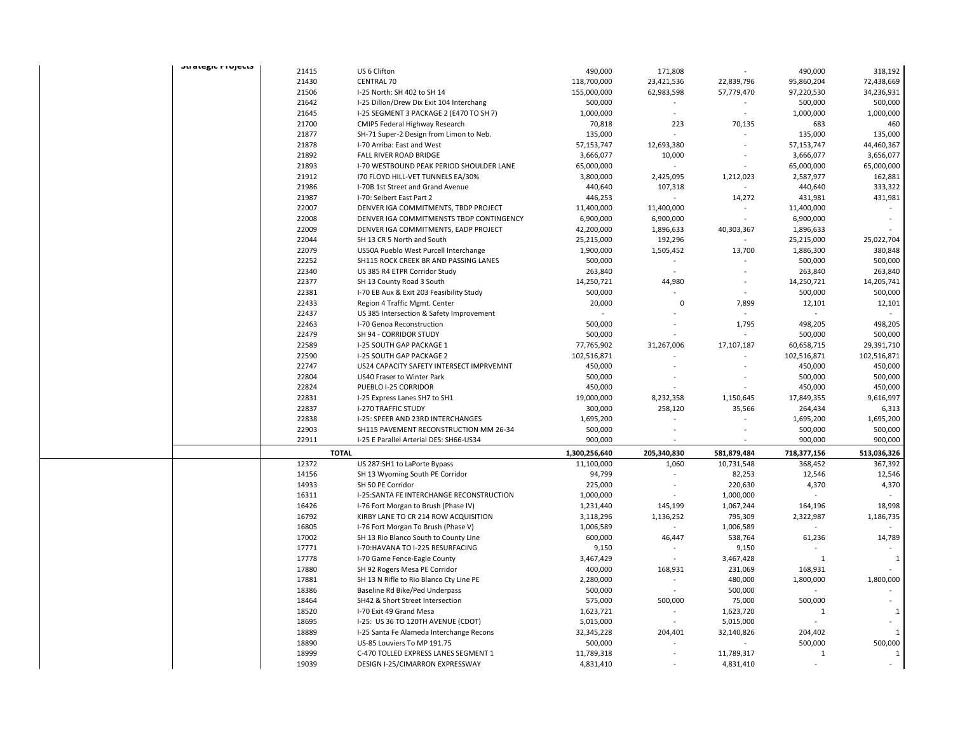| σιιαιτειν πιυμενισ |                |                                                                         |                         |                            |                         |              |              |
|--------------------|----------------|-------------------------------------------------------------------------|-------------------------|----------------------------|-------------------------|--------------|--------------|
|                    | 21415          | US 6 Clifton                                                            | 490,000                 | 171,808                    |                         | 490,000      | 318,192      |
|                    | 21430          | <b>CENTRAL 70</b>                                                       | 118,700,000             | 23,421,536                 | 22,839,796              | 95,860,204   | 72,438,669   |
|                    | 21506          | I-25 North: SH 402 to SH 14                                             | 155,000,000             | 62,983,598                 | 57,779,470              | 97,220,530   | 34,236,931   |
|                    | 21642          | I-25 Dillon/Drew Dix Exit 104 Interchang                                | 500,000                 |                            |                         | 500,000      | 500,000      |
|                    | 21645          | I-25 SEGMENT 3 PACKAGE 2 (E470 TO SH 7)                                 | 1,000,000               |                            |                         | 1,000,000    | 1,000,000    |
|                    | 21700          | CMIP5 Federal Highway Research                                          | 70,818                  | 223                        | 70,135                  | 683          | 460          |
|                    | 21877          | SH-71 Super-2 Design from Limon to Neb.                                 | 135,000                 |                            |                         | 135,000      | 135,000      |
|                    | 21878          | I-70 Arriba: East and West                                              | 57,153,747              | 12,693,380                 |                         | 57,153,747   | 44,460,367   |
|                    | 21892          | FALL RIVER ROAD BRIDGE                                                  | 3,666,077               | 10,000                     |                         | 3,666,077    | 3,656,077    |
|                    | 21893          | I-70 WESTBOUND PEAK PERIOD SHOULDER LANE                                | 65,000,000              | ä,                         |                         | 65,000,000   | 65,000,000   |
|                    | 21912          | 170 FLOYD HILL-VET TUNNELS EA/30%                                       | 3,800,000               | 2,425,095                  | 1,212,023               | 2,587,977    | 162,881      |
|                    | 21986          | I-70B 1st Street and Grand Avenue                                       | 440,640                 | 107,318                    |                         | 440,640      | 333,322      |
|                    | 21987          | I-70: Seibert East Part 2                                               | 446,253                 | ÷,                         | 14,272                  | 431,981      | 431,981      |
|                    | 22007          | DENVER IGA COMMITMENTS, TBDP PROJECT                                    | 11,400,000              | 11,400,000                 |                         | 11,400,000   |              |
|                    | 22008          | DENVER IGA COMMITMENSTS TBDP CONTINGENCY                                | 6,900,000               | 6,900,000                  |                         | 6,900,000    |              |
|                    | 22009          | DENVER IGA COMMITMENTS, EADP PROJECT                                    | 42,200,000              | 1,896,633                  | 40,303,367              | 1,896,633    |              |
|                    | 22044          | SH 13 CR 5 North and South                                              | 25,215,000              | 192,296                    |                         | 25,215,000   | 25,022,704   |
|                    | 22079          | US50A Pueblo West Purcell Interchange                                   | 1,900,000               | 1,505,452                  | 13,700                  | 1,886,300    | 380,848      |
|                    | 22252          | SH115 ROCK CREEK BR AND PASSING LANES                                   | 500,000                 | ÷,                         |                         | 500,000      | 500,000      |
|                    | 22340          | US 385 R4 ETPR Corridor Study                                           | 263,840                 |                            |                         | 263,840      | 263,840      |
|                    | 22377          | SH 13 County Road 3 South                                               | 14,250,721              | 44,980                     |                         | 14,250,721   | 14,205,741   |
|                    | 22381          | I-70 EB Aux & Exit 203 Feasibility Study                                | 500,000                 |                            |                         | 500,000      | 500,000      |
|                    | 22433          | Region 4 Traffic Mgmt. Center                                           | 20,000                  | $\Omega$                   | 7,899                   | 12,101       | 12,101       |
|                    | 22437          | US 385 Intersection & Safety Improvement                                |                         |                            |                         |              |              |
|                    | 22463          |                                                                         | 500,000                 |                            |                         | 498,205      | 498,205      |
|                    |                | I-70 Genoa Reconstruction                                               |                         |                            | 1,795                   |              |              |
|                    | 22479<br>22589 | SH 94 - CORRIDOR STUDY                                                  | 500,000                 |                            |                         | 500,000      | 500,000      |
|                    |                | I-25 SOUTH GAP PACKAGE 1                                                | 77,765,902              | 31,267,006                 | 17,107,187              | 60,658,715   | 29,391,710   |
|                    | 22590          | I-25 SOUTH GAP PACKAGE 2                                                | 102,516,871             |                            | $\sim$                  | 102,516,871  | 102,516,871  |
|                    | 22747          | US24 CAPACITY SAFETY INTERSECT IMPRVEMNT                                | 450,000                 |                            |                         | 450,000      | 450,000      |
|                    | 22804          | US40 Fraser to Winter Park                                              | 500,000                 |                            |                         | 500,000      | 500,000      |
|                    | 22824          | PUEBLO I-25 CORRIDOR                                                    | 450,000                 |                            |                         | 450,000      | 450,000      |
|                    | 22831          | I-25 Express Lanes SH7 to SH1                                           | 19,000,000              | 8,232,358                  | 1,150,645               | 17,849,355   | 9,616,997    |
|                    | 22837          | <b>I-270 TRAFFIC STUDY</b>                                              | 300,000                 | 258,120                    | 35,566                  | 264,434      | 6,313        |
|                    | 22838          | I-25: SPEER AND 23RD INTERCHANGES                                       | 1,695,200               |                            |                         | 1,695,200    | 1,695,200    |
|                    |                | SH115 PAVEMENT RECONSTRUCTION MM 26-34                                  |                         |                            |                         |              | 500,000      |
|                    | 22903          |                                                                         | 500,000                 |                            |                         | 500,000      |              |
|                    | 22911          | I-25 E Parallel Arterial DES: SH66-US34                                 | 900,000                 |                            |                         | 900,000      | 900,000      |
|                    |                | <b>TOTAL</b>                                                            | 1,300,256,640           | 205,340,830                | 581,879,484             | 718,377,156  | 513,036,326  |
|                    | 12372          | US 287:SH1 to LaPorte Bypass                                            | 11,100,000              | 1,060                      | 10,731,548              | 368,452      | 367,392      |
|                    | 14156          | SH 13 Wyoming South PE Corridor                                         | 94,799                  |                            | 82,253                  | 12,546       | 12,546       |
|                    | 14933          | SH 50 PE Corridor                                                       | 225,000                 |                            | 220,630                 | 4,370        | 4,370        |
|                    | 16311          | I-25:SANTA FE INTERCHANGE RECONSTRUCTION                                | 1,000,000               |                            | 1,000,000               |              |              |
|                    | 16426          | I-76 Fort Morgan to Brush (Phase IV)                                    | 1,231,440               | 145,199                    |                         | 164,196      | 18,998       |
|                    |                |                                                                         |                         |                            | 1,067,244               |              |              |
|                    | 16792          | KIRBY LANE TO CR 214 ROW ACQUISITION                                    | 3,118,296               | 1,136,252<br>$\mathcal{L}$ | 795,309                 | 2,322,987    | 1,186,735    |
|                    | 16805          | I-76 Fort Morgan To Brush (Phase V)                                     | 1,006,589               |                            | 1,006,589               |              |              |
|                    | 17002          | SH 13 Rio Blanco South to County Line                                   | 600,000                 | 46,447                     | 538,764                 | 61,236       | 14,789       |
|                    | 17771          | I-70: HAVANA TO I-225 RESURFACING                                       | 9,150                   |                            | 9,150                   |              |              |
|                    | 17778          | I-70 Game Fence-Eagle County                                            | 3,467,429               |                            | 3,467,428               | $\mathbf{1}$ | 1            |
|                    | 17880          | SH 92 Rogers Mesa PE Corridor                                           | 400,000                 | 168,931                    | 231,069                 | 168,931      |              |
|                    | 17881          | SH 13 N Rifle to Rio Blanco Cty Line PE                                 | 2,280,000               | ÷,                         | 480,000                 | 1,800,000    | 1,800,000    |
|                    | 18386          | Baseline Rd Bike/Ped Underpass                                          | 500,000                 | $\blacksquare$             | 500,000                 |              |              |
|                    | 18464          | SH42 & Short Street Intersection                                        | 575,000                 | 500,000                    | 75,000                  | 500,000      |              |
|                    | 18520          | I-70 Exit 49 Grand Mesa                                                 | 1,623,721               | $\frac{1}{2}$              | 1,623,720               | 1            | $\mathbf{1}$ |
|                    | 18695          | I-25: US 36 TO 120TH AVENUE (CDOT)                                      | 5,015,000               |                            | 5,015,000               |              |              |
|                    | 18889          | I-25 Santa Fe Alameda Interchange Recons                                | 32,345,228              | 204,401                    | 32,140,826              | 204,402      | $\mathbf{1}$ |
|                    | 18890          | US-85 Louviers To MP 191.75                                             | 500,000                 |                            |                         | 500,000      | 500,000      |
|                    | 18999<br>19039 | C-470 TOLLED EXPRESS LANES SEGMENT 1<br>DESIGN I-25/CIMARRON EXPRESSWAY | 11,789,318<br>4,831,410 |                            | 11,789,317<br>4,831,410 | $\mathbf{1}$ | $\mathbf{1}$ |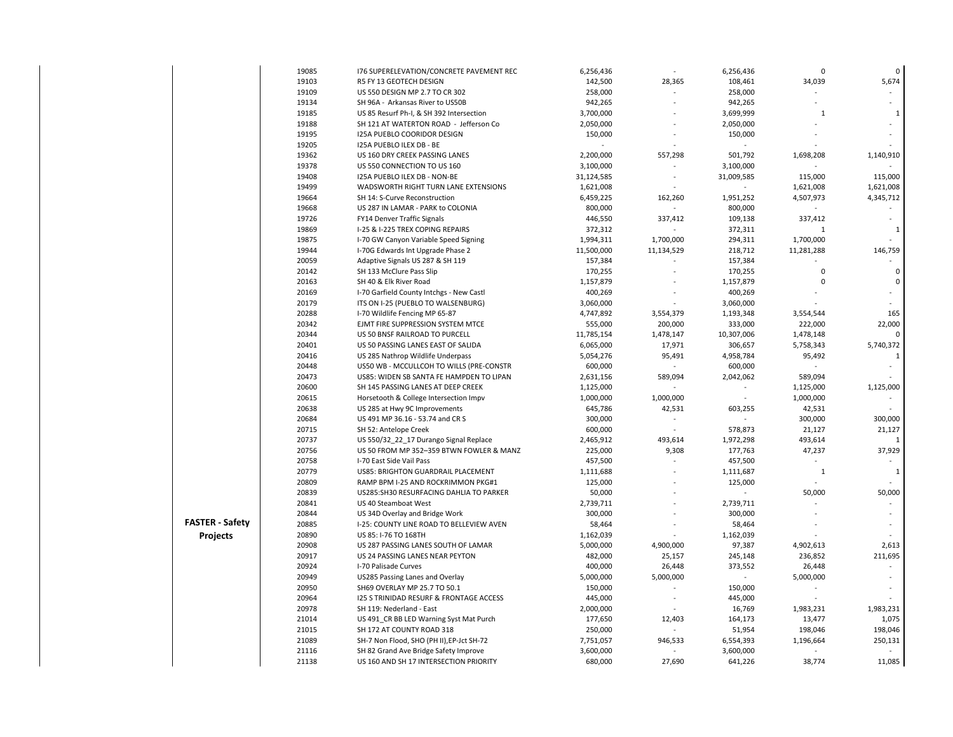|                        | 19085 | 176 SUPERELEVATION/CONCRETE PAVEMENT REC  | 6,256,436  |                          | 6,256,436  | $\mathbf 0$  | 0                        |
|------------------------|-------|-------------------------------------------|------------|--------------------------|------------|--------------|--------------------------|
|                        | 19103 | R5 FY 13 GEOTECH DESIGN                   | 142,500    | 28,365                   | 108,461    | 34,039       | 5,674                    |
|                        | 19109 | US 550 DESIGN MP 2.7 TO CR 302            | 258,000    |                          | 258,000    |              |                          |
|                        | 19134 | SH 96A - Arkansas River to US50B          | 942,265    |                          | 942,265    |              |                          |
|                        | 19185 | US 85 Resurf Ph-I, & SH 392 Intersection  | 3,700,000  |                          | 3,699,999  | $\mathbf{1}$ | 1                        |
|                        | 19188 | SH 121 AT WATERTON ROAD - Jefferson Co    | 2,050,000  |                          | 2,050,000  |              |                          |
|                        | 19195 | <b>I25A PUEBLO COORIDOR DESIGN</b>        | 150,000    |                          | 150,000    |              | $\sim$                   |
|                        | 19205 | <b>I25A PUEBLO ILEX DB - BE</b>           |            |                          |            |              |                          |
|                        | 19362 | US 160 DRY CREEK PASSING LANES            | 2,200,000  | 557,298                  | 501,792    | 1,698,208    | 1,140,910                |
|                        | 19378 | US 550 CONNECTION TO US 160               | 3,100,000  |                          | 3,100,000  |              |                          |
|                        | 19408 | I25A PUEBLO ILEX DB - NON-BE              | 31,124,585 | L.                       | 31,009,585 | 115,000      | 115,000                  |
|                        | 19499 | WADSWORTH RIGHT TURN LANE EXTENSIONS      | 1,621,008  |                          |            | 1,621,008    | 1,621,008                |
|                        | 19664 | SH 14: S-Curve Reconstruction             | 6,459,225  | 162,260                  | 1,951,252  | 4,507,973    | 4,345,712                |
|                        | 19668 | US 287 IN LAMAR - PARK to COLONIA         | 800,000    |                          | 800,000    |              |                          |
|                        | 19726 | FY14 Denver Traffic Signals               | 446,550    | 337,412                  | 109,138    | 337,412      | $\sim$                   |
|                        | 19869 | I-25 & I-225 TREX COPING REPAIRS          | 372,312    |                          | 372,311    | $\mathbf{1}$ | $\mathbf{1}$             |
|                        | 19875 | I-70 GW Canyon Variable Speed Signing     | 1,994,311  | 1,700,000                | 294,311    | 1,700,000    |                          |
|                        | 19944 | I-70G Edwards Int Upgrade Phase 2         | 11,500,000 | 11,134,529               | 218,712    | 11,281,288   | 146,759                  |
|                        | 20059 | Adaptive Signals US 287 & SH 119          | 157,384    |                          | 157,384    |              |                          |
|                        | 20142 | SH 133 McClure Pass Slip                  | 170,255    |                          | 170,255    | 0            | $\mathbf 0$              |
|                        | 20163 | SH 40 & Elk River Road                    | 1,157,879  |                          | 1,157,879  | $\mathbf 0$  | $\mathbf 0$              |
|                        | 20169 | I-70 Garfield County Intchgs - New Castl  | 400,269    |                          | 400,269    |              | $\bar{a}$                |
|                        | 20179 | ITS ON I-25 (PUEBLO TO WALSENBURG)        | 3,060,000  |                          | 3,060,000  |              |                          |
|                        | 20288 | I-70 Wildlife Fencing MP 65-87            | 4,747,892  | 3,554,379                | 1,193,348  | 3,554,544    | 165                      |
|                        | 20342 | EJMT FIRE SUPPRESSION SYSTEM MTCE         | 555,000    | 200,000                  | 333,000    | 222,000      | 22,000                   |
|                        | 20344 | US 50 BNSF RAILROAD TO PURCELL            | 11,785,154 | 1,478,147                | 10,307,006 | 1,478,148    | $\Omega$                 |
|                        | 20401 | US 50 PASSING LANES EAST OF SALIDA        | 6,065,000  | 17,971                   | 306,657    | 5,758,343    | 5,740,372                |
|                        | 20416 | US 285 Nathrop Wildlife Underpass         | 5,054,276  | 95,491                   | 4,958,784  | 95,492       | 1                        |
|                        | 20448 | US50 WB - MCCULLCOH TO WILLS (PRE-CONSTR  | 600,000    |                          | 600,000    |              |                          |
|                        | 20473 | US85: WIDEN SB SANTA FE HAMPDEN TO LIPAN  | 2,631,156  | 589,094                  | 2,042,062  | 589,094      |                          |
|                        | 20600 | SH 145 PASSING LANES AT DEEP CREEK        | 1,125,000  |                          |            | 1,125,000    | 1,125,000                |
|                        | 20615 | Horsetooth & College Intersection Impv    | 1,000,000  | 1,000,000                |            | 1,000,000    |                          |
|                        | 20638 | US 285 at Hwy 9C Improvements             | 645,786    | 42,531                   | 603,255    | 42,531       |                          |
|                        | 20684 | US 491 MP 36.16 - 53.74 and CR S          | 300,000    |                          |            | 300,000      | 300,000                  |
|                        | 20715 | SH 52: Antelope Creek                     | 600,000    | $\overline{\phantom{a}}$ | 578,873    | 21,127       | 21,127                   |
|                        | 20737 | US 550/32 22 17 Durango Signal Replace    | 2,465,912  | 493,614                  | 1,972,298  | 493,614      | $\mathbf{1}$             |
|                        | 20756 | US 50 FROM MP 352-359 BTWN FOWLER & MANZ  | 225,000    | 9,308                    | 177,763    | 47,237       | 37,929                   |
|                        | 20758 | I-70 East Side Vail Pass                  | 457,500    |                          | 457,500    |              |                          |
|                        | 20779 | US85: BRIGHTON GUARDRAIL PLACEMENT        | 1,111,688  | ÷,                       | 1,111,687  | $\mathbf{1}$ | 1                        |
|                        | 20809 | RAMP BPM I-25 AND ROCKRIMMON PKG#1        | 125,000    | L.                       | 125,000    |              |                          |
|                        | 20839 | US285:SH30 RESURFACING DAHLIA TO PARKER   | 50,000     |                          |            | 50,000       | 50,000                   |
|                        | 20841 | US 40 Steamboat West                      | 2,739,711  |                          | 2,739,711  |              |                          |
|                        | 20844 | US 34D Overlay and Bridge Work            | 300,000    |                          | 300,000    |              |                          |
| <b>FASTER - Safety</b> | 20885 | I-25: COUNTY LINE ROAD TO BELLEVIEW AVEN  | 58,464     |                          | 58,464     |              |                          |
| <b>Projects</b>        | 20890 | US 85: I-76 TO 168TH                      | 1,162,039  |                          | 1,162,039  |              |                          |
|                        | 20908 | US 287 PASSING LANES SOUTH OF LAMAR       | 5,000,000  | 4,900,000                | 97,387     | 4,902,613    | 2,613                    |
|                        | 20917 | US 24 PASSING LANES NEAR PEYTON           | 482,000    | 25,157                   | 245,148    | 236,852      | 211,695                  |
|                        | 20924 | I-70 Palisade Curves                      | 400,000    | 26,448                   | 373,552    | 26,448       | $\overline{\phantom{a}}$ |
|                        | 20949 | US285 Passing Lanes and Overlay           | 5,000,000  | 5,000,000                |            | 5,000,000    |                          |
|                        | 20950 | SH69 OVERLAY MP 25.7 TO 50.1              | 150,000    |                          | 150,000    |              |                          |
|                        | 20964 | 125 S TRINIDAD RESURF & FRONTAGE ACCESS   | 445,000    | ä,                       | 445,000    |              |                          |
|                        | 20978 | SH 119: Nederland - East                  | 2,000,000  |                          | 16,769     | 1,983,231    | 1,983,231                |
|                        | 21014 | US 491_CR BB LED Warning Syst Mat Purch   | 177,650    | 12,403                   | 164,173    | 13,477       | 1,075                    |
|                        | 21015 | SH 172 AT COUNTY ROAD 318                 | 250,000    |                          | 51,954     | 198,046      | 198,046                  |
|                        | 21089 | SH-7 Non Flood, SHO (PH II), EP-Jct SH-72 | 7,751,057  | 946,533                  | 6,554,393  | 1,196,664    | 250,131                  |
|                        | 21116 | SH 82 Grand Ave Bridge Safety Improve     | 3,600,000  |                          | 3,600,000  |              |                          |
|                        | 21138 | US 160 AND SH 17 INTERSECTION PRIORITY    | 680,000    | 27,690                   | 641,226    | 38,774       | 11,085                   |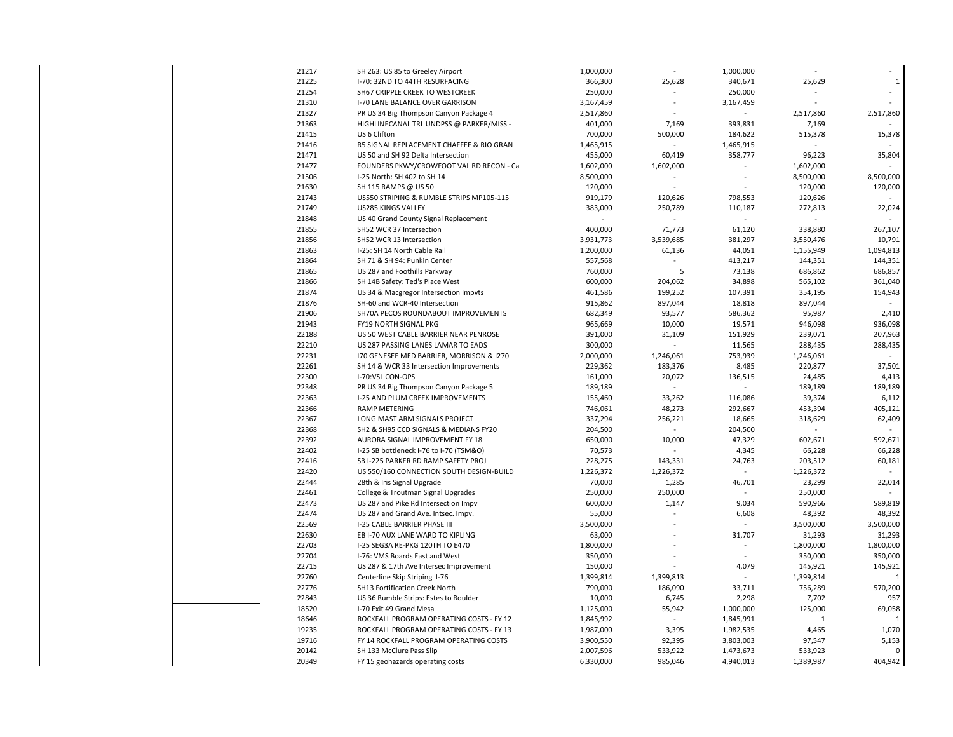| 21217 | SH 263: US 85 to Greeley Airport         | 1,000,000 |           | 1,000,000 |             |              |
|-------|------------------------------------------|-----------|-----------|-----------|-------------|--------------|
| 21225 | I-70: 32ND TO 44TH RESURFACING           | 366,300   | 25,628    | 340,671   | 25,629      | $\mathbf{1}$ |
| 21254 | SH67 CRIPPLE CREEK TO WESTCREEK          | 250,000   |           | 250,000   |             |              |
| 21310 | I-70 LANE BALANCE OVER GARRISON          | 3,167,459 | ä,        | 3,167,459 |             |              |
| 21327 | PR US 34 Big Thompson Canyon Package 4   | 2,517,860 |           |           | 2,517,860   | 2,517,860    |
| 21363 | HIGHLINECANAL TRL UNDPSS @ PARKER/MISS - | 401,000   | 7,169     | 393,831   | 7,169       |              |
| 21415 | US 6 Clifton                             | 700,000   | 500,000   | 184,622   | 515,378     | 15,378       |
| 21416 | R5 SIGNAL REPLACEMENT CHAFFEE & RIO GRAN | 1,465,915 |           | 1,465,915 |             |              |
| 21471 | US 50 and SH 92 Delta Intersection       | 455,000   | 60,419    | 358,777   | 96,223      | 35,804       |
| 21477 | FOUNDERS PKWY/CROWFOOT VAL RD RECON - Ca | 1,602,000 | 1,602,000 |           | 1,602,000   |              |
| 21506 | I-25 North: SH 402 to SH 14              | 8,500,000 |           |           | 8,500,000   | 8,500,000    |
| 21630 | SH 115 RAMPS @ US 50                     | 120,000   | L.        |           | 120,000     | 120,000      |
| 21743 | US550 STRIPING & RUMBLE STRIPS MP105-115 | 919,179   | 120,626   | 798,553   | 120,626     |              |
| 21749 | US285 KINGS VALLEY                       | 383,000   | 250,789   | 110,187   | 272,813     | 22,024       |
| 21848 | US 40 Grand County Signal Replacement    |           |           |           |             |              |
| 21855 | SH52 WCR 37 Intersection                 | 400,000   | 71,773    | 61,120    | 338,880     | 267,107      |
| 21856 | SH52 WCR 13 Intersection                 | 3,931,773 | 3,539,685 | 381,297   | 3,550,476   | 10,791       |
| 21863 | I-25: SH 14 North Cable Rail             | 1,200,000 | 61,136    | 44,051    | 1,155,949   | 1,094,813    |
| 21864 | SH 71 & SH 94: Punkin Center             | 557,568   |           | 413,217   | 144,351     | 144,351      |
| 21865 | US 287 and Foothills Parkway             | 760,000   | 5         | 73,138    | 686,862     | 686,857      |
| 21866 | SH 14B Safety: Ted's Place West          | 600,000   | 204,062   | 34,898    | 565,102     | 361,040      |
| 21874 | US 34 & Macgregor Intersection Impvts    | 461,586   | 199,252   | 107,391   | 354,195     | 154,943      |
| 21876 | SH-60 and WCR-40 Intersection            | 915,862   | 897,044   | 18,818    | 897,044     |              |
| 21906 | SH70A PECOS ROUNDABOUT IMPROVEMENTS      | 682,349   | 93,577    | 586,362   | 95,987      | 2,410        |
| 21943 | FY19 NORTH SIGNAL PKG                    | 965,669   | 10,000    | 19,571    | 946,098     | 936,098      |
| 22188 | US 50 WEST CABLE BARRIER NEAR PENROSE    | 391,000   | 31,109    | 151,929   | 239,071     | 207,963      |
| 22210 | US 287 PASSING LANES LAMAR TO EADS       | 300,000   |           | 11,565    | 288,435     | 288,435      |
| 22231 | 170 GENESEE MED BARRIER, MORRISON & 1270 | 2,000,000 | 1,246,061 | 753,939   | 1,246,061   |              |
| 22261 | SH 14 & WCR 33 Intersection Improvements | 229,362   | 183,376   | 8,485     | 220,877     | 37,501       |
| 22300 | I-70:VSL CON-OPS                         | 161,000   | 20,072    | 136,515   | 24,485      | 4,413        |
| 22348 | PR US 34 Big Thompson Canyon Package 5   | 189,189   |           |           | 189,189     | 189,189      |
| 22363 | I-25 AND PLUM CREEK IMPROVEMENTS         | 155,460   | 33,262    | 116,086   | 39,374      | 6,112        |
| 22366 | <b>RAMP METERING</b>                     | 746,061   | 48,273    | 292,667   | 453,394     | 405,121      |
| 22367 | LONG MAST ARM SIGNALS PROJECT            | 337,294   | 256,221   | 18,665    | 318,629     | 62,409       |
| 22368 | SH2 & SH95 CCD SIGNALS & MEDIANS FY20    | 204,500   |           | 204,500   |             |              |
| 22392 | AURORA SIGNAL IMPROVEMENT FY 18          | 650,000   | 10,000    | 47,329    | 602,671     | 592,671      |
| 22402 | I-25 SB bottleneck I-76 to I-70 (TSM&O)  | 70,573    |           | 4,345     | 66,228      | 66,228       |
| 22416 | SB I-225 PARKER RD RAMP SAFETY PROJ      | 228,275   | 143,331   | 24,763    | 203,512     | 60,181       |
| 22420 | US 550/160 CONNECTION SOUTH DESIGN-BUILD | 1,226,372 | 1,226,372 |           | 1,226,372   |              |
| 22444 | 28th & Iris Signal Upgrade               | 70,000    | 1,285     | 46,701    | 23,299      | 22,014       |
| 22461 | College & Troutman Signal Upgrades       | 250,000   | 250,000   |           | 250,000     |              |
| 22473 | US 287 and Pike Rd Intersection Impv     | 600,000   | 1,147     | 9,034     | 590,966     | 589,819      |
| 22474 | US 287 and Grand Ave. Intsec. Impv.      | 55,000    |           | 6,608     | 48,392      | 48,392       |
| 22569 | I-25 CABLE BARRIER PHASE III             | 3,500,000 |           |           | 3,500,000   | 3,500,000    |
| 22630 | EB I-70 AUX LANE WARD TO KIPLING         | 63,000    |           | 31,707    | 31,293      | 31,293       |
| 22703 | I-25 SEG3A RE-PKG 120TH TO E470          | 1,800,000 | L.        |           | 1,800,000   | 1,800,000    |
| 22704 | I-76: VMS Boards East and West           | 350,000   |           |           | 350,000     | 350,000      |
| 22715 | US 287 & 17th Ave Intersec Improvement   | 150,000   |           | 4,079     | 145,921     | 145,921      |
| 22760 | Centerline Skip Striping I-76            | 1,399,814 | 1,399,813 |           | 1,399,814   | 1            |
| 22776 | SH13 Fortification Creek North           | 790,000   | 186,090   | 33,711    | 756,289     | 570,200      |
| 22843 | US 36 Rumble Strips: Estes to Boulder    | 10,000    | 6,745     | 2,298     | 7,702       | 957          |
| 18520 | I-70 Exit 49 Grand Mesa                  | 1,125,000 | 55,942    | 1,000,000 | 125,000     | 69,058       |
| 18646 | ROCKFALL PROGRAM OPERATING COSTS - FY 12 | 1,845,992 |           | 1,845,991 | $\mathbf 1$ | $\mathbf{1}$ |
| 19235 | ROCKFALL PROGRAM OPERATING COSTS - FY 13 | 1,987,000 | 3,395     | 1,982,535 | 4,465       | 1,070        |
| 19716 | FY 14 ROCKFALL PROGRAM OPERATING COSTS   | 3,900,550 | 92,395    | 3,803,003 | 97,547      | 5,153        |
| 20142 | SH 133 McClure Pass Slip                 | 2,007,596 | 533,922   | 1,473,673 | 533,923     | 0            |
| 20349 | FY 15 geohazards operating costs         | 6,330,000 | 985,046   | 4,940,013 | 1,389,987   | 404,942      |
|       |                                          |           |           |           |             |              |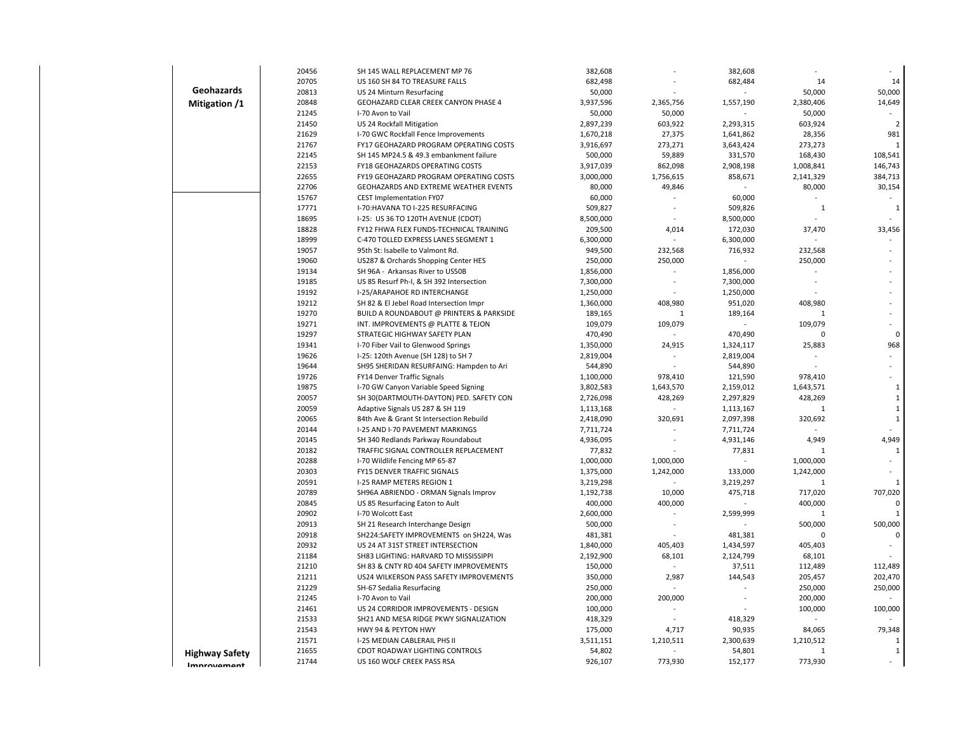|                       | 20456          | SH 145 WALL REPLACEMENT MP 76                                                    | 382,608                |                      | 382,608                |                      |                              |
|-----------------------|----------------|----------------------------------------------------------------------------------|------------------------|----------------------|------------------------|----------------------|------------------------------|
|                       | 20705          | US 160 SH 84 TO TREASURE FALLS                                                   | 682,498                |                      | 682,484                | 14                   | 14                           |
| Geohazards            | 20813          | US 24 Minturn Resurfacing                                                        | 50,000                 |                      |                        | 50,000               | 50,000                       |
| Mitigation /1         | 20848          | GEOHAZARD CLEAR CREEK CANYON PHASE 4                                             | 3,937,596              | 2,365,756            | 1,557,190              | 2,380,406            | 14,649                       |
|                       | 21245          | I-70 Avon to Vail                                                                | 50,000                 | 50,000               |                        | 50,000               |                              |
|                       | 21450          | US 24 Rockfall Mitigation                                                        | 2,897,239              | 603,922              | 2,293,315              | 603,924              | $\overline{2}$               |
|                       | 21629          | I-70 GWC Rockfall Fence Improvements                                             | 1,670,218              | 27,375               | 1,641,862              | 28,356               | 981                          |
|                       | 21767          | FY17 GEOHAZARD PROGRAM OPERATING COSTS                                           | 3,916,697              | 273,271              | 3,643,424              | 273,273              | $\mathbf{1}$                 |
|                       | 22145          | SH 145 MP24.5 & 49.3 embankment failure                                          | 500,000                | 59,889               | 331,570                | 168,430              | 108,541                      |
|                       | 22153          | FY18 GEOHAZARDS OPERATING COSTS                                                  | 3,917,039              | 862,098              | 2,908,198              | 1,008,841            | 146,743                      |
|                       | 22655          | FY19 GEOHAZARD PROGRAM OPERATING COSTS                                           | 3,000,000              | 1,756,615            | 858,671                | 2,141,329            | 384,713                      |
|                       | 22706          | GEOHAZARDS AND EXTREME WEATHER EVENTS                                            | 80,000                 | 49,846               |                        | 80,000               | 30,154                       |
|                       | 15767          | <b>CEST Implementation FY07</b>                                                  | 60,000                 |                      | 60,000                 |                      |                              |
|                       | 17771          | I-70: HAVANA TO I-225 RESURFACING                                                | 509,827                | $\overline{a}$       | 509,826                | $\mathbf{1}$         | $\mathbf{1}$                 |
|                       | 18695          | I-25: US 36 TO 120TH AVENUE (CDOT)                                               | 8,500,000              |                      | 8,500,000              |                      |                              |
|                       | 18828          | FY12 FHWA FLEX FUNDS-TECHNICAL TRAINING                                          | 209,500                | 4,014                | 172,030                | 37,470               | 33,456                       |
|                       | 18999          | C-470 TOLLED EXPRESS LANES SEGMENT 1                                             | 6,300,000              |                      | 6,300,000              |                      |                              |
|                       | 19057          | 95th St: Isabelle to Valmont Rd.                                                 | 949,500                | 232,568              | 716,932                | 232,568              |                              |
|                       | 19060          | US287 & Orchards Shopping Center HES                                             | 250,000                | 250,000              |                        | 250,000              |                              |
|                       | 19134          | SH 96A - Arkansas River to US50B                                                 | 1,856,000              |                      | 1,856,000              |                      |                              |
|                       | 19185          | US 85 Resurf Ph-I, & SH 392 Intersection                                         | 7,300,000              |                      | 7,300,000              |                      |                              |
|                       | 19192          | I-25/ARAPAHOE RD INTERCHANGE                                                     | 1,250,000              |                      | 1,250,000              |                      |                              |
|                       | 19212          | SH 82 & El Jebel Road Intersection Impr                                          | 1,360,000              | 408,980              | 951,020                | 408,980              |                              |
|                       | 19270          | BUILD A ROUNDABOUT @ PRINTERS & PARKSIDE                                         | 189,165                | $\mathbf{1}$         | 189,164                | $\mathbf{1}$         |                              |
|                       | 19271          | INT. IMPROVEMENTS @ PLATTE & TEJON                                               | 109,079                | 109,079              |                        | 109,079              |                              |
|                       | 19297          | STRATEGIC HIGHWAY SAFETY PLAN                                                    | 470,490                |                      | 470,490                | $\Omega$             | $\mathbf 0$                  |
|                       | 19341          | I-70 Fiber Vail to Glenwood Springs                                              | 1,350,000              | 24,915               | 1,324,117              | 25,883               | 968                          |
|                       | 19626          | I-25: 120th Avenue (SH 128) to SH 7                                              | 2,819,004              |                      | 2,819,004              |                      | ä,                           |
|                       | 19644          | SH95 SHERIDAN RESURFAING: Hampden to Ari                                         | 544,890                |                      | 544,890                |                      |                              |
|                       | 19726<br>19875 | FY14 Denver Traffic Signals                                                      | 1,100,000              | 978,410              | 121,590                | 978,410              |                              |
|                       | 20057          | I-70 GW Canyon Variable Speed Signing<br>SH 30(DARTMOUTH-DAYTON) PED. SAFETY CON | 3,802,583<br>2,726,098 | 1,643,570<br>428,269 | 2,159,012<br>2,297,829 | 1,643,571<br>428,269 | $\mathbf{1}$<br>$\mathbf{1}$ |
|                       | 20059          | Adaptive Signals US 287 & SH 119                                                 | 1,113,168              | $\blacksquare$       | 1,113,167              | $\mathbf{1}$         | $\mathbf 1$                  |
|                       | 20065          | 84th Ave & Grant St Intersection Rebuild                                         | 2,418,090              | 320,691              | 2,097,398              | 320,692              | $1\,$                        |
|                       | 20144          | I-25 AND I-70 PAVEMENT MARKINGS                                                  | 7,711,724              |                      | 7,711,724              |                      |                              |
|                       | 20145          | SH 340 Redlands Parkway Roundabout                                               | 4,936,095              |                      | 4,931,146              | 4,949                | 4,949                        |
|                       | 20182          | TRAFFIC SIGNAL CONTROLLER REPLACEMENT                                            | 77,832                 |                      | 77,831                 | $\mathbf{1}$         | $\mathbf{1}$                 |
|                       | 20288          | I-70 Wildlife Fencing MP 65-87                                                   | 1,000,000              | 1,000,000            |                        | 1,000,000            | ÷.                           |
|                       | 20303          | FY15 DENVER TRAFFIC SIGNALS                                                      | 1,375,000              | 1,242,000            | 133,000                | 1,242,000            |                              |
|                       | 20591          | I-25 RAMP METERS REGION 1                                                        | 3,219,298              |                      | 3,219,297              | $\mathbf{1}$         | $\mathbf{1}$                 |
|                       | 20789          | SH96A ABRIENDO - ORMAN Signals Improv                                            | 1,192,738              | 10,000               | 475,718                | 717,020              | 707,020                      |
|                       | 20845          | US 85 Resurfacing Eaton to Ault                                                  | 400,000                | 400,000              |                        | 400,000              | 0                            |
|                       | 20902          | I-70 Wolcott East                                                                | 2,600,000              |                      | 2,599,999              | 1                    | $\mathbf 1$                  |
|                       | 20913          | SH 21 Research Interchange Design                                                | 500,000                |                      |                        | 500,000              | 500,000                      |
|                       | 20918          | SH224:SAFETY IMPROVEMENTS on SH224, Was                                          | 481,381                |                      | 481,381                | 0                    | 0                            |
|                       | 20932          | US 24 AT 31ST STREET INTERSECTION                                                | 1,840,000              | 405,403              | 1,434,597              | 405,403              |                              |
|                       | 21184          | SH83 LIGHTING: HARVARD TO MISSISSIPPI                                            | 2,192,900              | 68,101               | 2,124,799              | 68,101               |                              |
|                       | 21210          | SH 83 & CNTY RD 404 SAFETY IMPROVEMENTS                                          | 150,000                |                      | 37,511                 | 112,489              | 112,489                      |
|                       | 21211          | US24 WILKERSON PASS SAFETY IMPROVEMENTS                                          | 350,000                | 2,987                | 144,543                | 205,457              | 202,470                      |
|                       | 21229          | SH-67 Sedalia Resurfacing                                                        | 250,000                |                      |                        | 250,000              | 250,000                      |
|                       | 21245          | I-70 Avon to Vail                                                                | 200,000                | 200,000              |                        | 200,000              |                              |
|                       | 21461          | US 24 CORRIDOR IMPROVEMENTS - DESIGN                                             | 100,000                |                      |                        | 100,000              | 100,000                      |
|                       | 21533          | SH21 AND MESA RIDGE PKWY SIGNALIZATION                                           | 418,329                | $\sim$               | 418,329                |                      |                              |
|                       | 21543          | HWY 94 & PEYTON HWY                                                              | 175,000                | 4,717                | 90,935                 | 84,065               | 79,348                       |
|                       | 21571          | I-25 MEDIAN CABLERAIL PHS II                                                     | 3,511,151              | 1,210,511            | 2,300,639              | 1,210,512            | $\mathbf{1}$                 |
| <b>Highway Safety</b> | 21655          | CDOT ROADWAY LIGHTING CONTROLS                                                   | 54,802                 |                      | 54,801                 | 1                    | $\mathbf{1}$                 |
| Imnrovamant           | 21744          | US 160 WOLF CREEK PASS RSA                                                       | 926,107                | 773,930              | 152,177                | 773,930              |                              |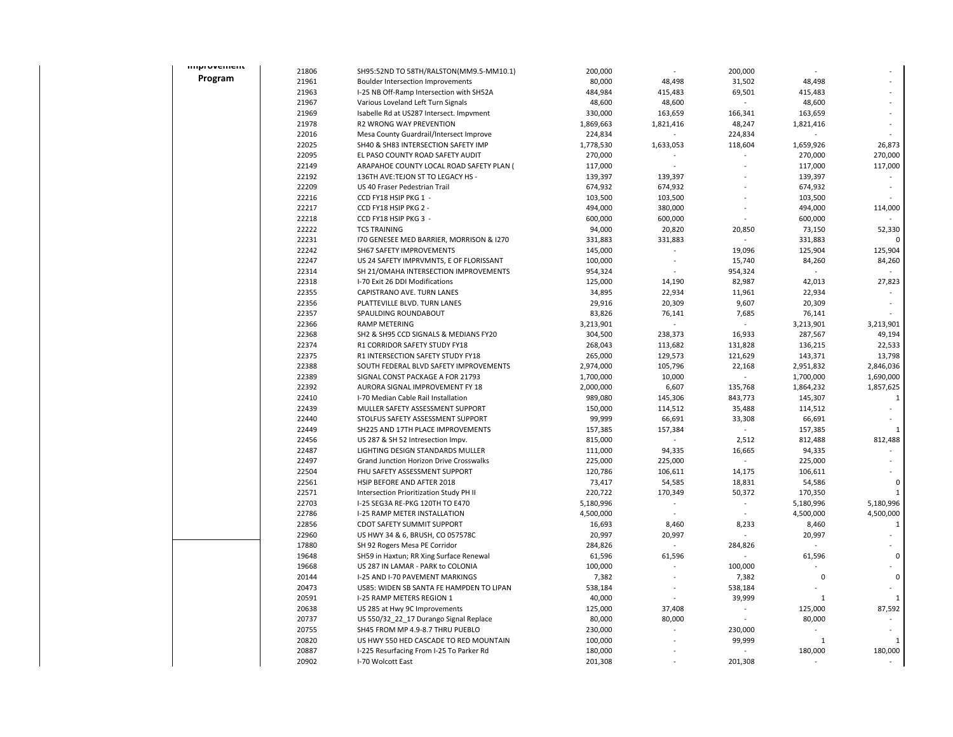| <b>ITIPIOVERIER</b> | 21806          | SH95:52ND TO 58TH/RALSTON(MM9.5-MM10.1)                              | 200,000            |                    | 200,000                  |                    |              |
|---------------------|----------------|----------------------------------------------------------------------|--------------------|--------------------|--------------------------|--------------------|--------------|
| Program             | 21961          | <b>Boulder Intersection Improvements</b>                             | 80,000             | 48,498             | 31,502                   | 48,498             |              |
|                     | 21963          | I-25 NB Off-Ramp Intersection with SH52A                             | 484,984            | 415,483            | 69,501                   | 415,483            |              |
|                     | 21967          | Various Loveland Left Turn Signals                                   | 48,600             | 48,600             |                          | 48,600             |              |
|                     | 21969          | Isabelle Rd at US287 Intersect. Impvment                             | 330,000            | 163,659            | 166,341                  | 163,659            |              |
|                     | 21978          | R2 WRONG WAY PREVENTION                                              | 1,869,663          | 1,821,416          | 48,247                   | 1,821,416          |              |
|                     | 22016          | Mesa County Guardrail/Intersect Improve                              | 224,834            |                    | 224,834                  |                    |              |
|                     | 22025          | SH40 & SH83 INTERSECTION SAFETY IMP                                  | 1,778,530          | 1,633,053          | 118,604                  | 1,659,926          | 26,873       |
|                     | 22095          | EL PASO COUNTY ROAD SAFETY AUDIT                                     | 270,000            |                    |                          | 270,000            | 270,000      |
|                     | 22149          | ARAPAHOE COUNTY LOCAL ROAD SAFETY PLAN (                             | 117,000            |                    |                          | 117,000            | 117,000      |
|                     | 22192          | 136TH AVE: TEJON ST TO LEGACY HS -                                   | 139,397            | 139,397            |                          | 139,397            |              |
|                     | 22209          |                                                                      |                    |                    |                          |                    |              |
|                     | 22216          | US 40 Fraser Pedestrian Trail                                        | 674,932            | 674,932            |                          | 674,932            |              |
|                     | 22217          | CCD FY18 HSIP PKG 1 -<br>CCD FY18 HSIP PKG 2 -                       | 103,500<br>494,000 | 103,500<br>380,000 |                          | 103,500<br>494,000 | 114,000      |
|                     |                |                                                                      |                    |                    |                          |                    |              |
|                     | 22218<br>22222 | CCD FY18 HSIP PKG 3 -                                                | 600,000            | 600,000            |                          | 600,000            |              |
|                     |                | <b>TCS TRAINING</b>                                                  | 94,000             | 20,820             | 20,850                   | 73,150             | 52,330       |
|                     | 22231          | 170 GENESEE MED BARRIER, MORRISON & 1270                             | 331,883            | 331,883            |                          | 331,883            |              |
|                     | 22242          | SH67 SAFETY IMPROVEMENTS                                             | 145,000            |                    | 19,096                   | 125,904            | 125,904      |
|                     | 22247          | US 24 SAFETY IMPRVMNTS, E OF FLORISSANT                              | 100,000            | $\overline{a}$     | 15,740                   | 84,260             | 84,260       |
|                     | 22314          | SH 21/OMAHA INTERSECTION IMPROVEMENTS                                | 954,324            |                    | 954,324                  |                    |              |
|                     | 22318          | I-70 Exit 26 DDI Modifications                                       | 125,000            | 14,190             | 82,987                   | 42,013             | 27,823       |
|                     | 22355          | CAPISTRANO AVE. TURN LANES                                           | 34,895             | 22,934             | 11,961                   | 22,934             |              |
|                     | 22356          | PLATTEVILLE BLVD. TURN LANES                                         | 29,916             | 20,309             | 9,607                    | 20,309             |              |
|                     | 22357          | SPAULDING ROUNDABOUT                                                 | 83,826             | 76,141             | 7,685                    | 76,141             |              |
|                     | 22366          | <b>RAMP METERING</b>                                                 | 3,213,901          | ä,                 | $\overline{a}$           | 3,213,901          | 3,213,901    |
|                     | 22368          | SH2 & SH95 CCD SIGNALS & MEDIANS FY20                                | 304,500            | 238,373            | 16,933                   | 287,567            | 49,194       |
|                     | 22374          | R1 CORRIDOR SAFETY STUDY FY18                                        | 268,043            | 113,682            | 131,828                  | 136,215            | 22,533       |
|                     | 22375          | R1 INTERSECTION SAFETY STUDY FY18                                    | 265,000            | 129,573            | 121,629                  | 143,371            | 13,798       |
|                     | 22388          | SOUTH FEDERAL BLVD SAFETY IMPROVEMENTS                               | 2,974,000          | 105,796            | 22,168                   | 2,951,832          | 2,846,036    |
|                     | 22389          | SIGNAL CONST PACKAGE A FOR 21793                                     | 1,700,000          | 10,000             |                          | 1,700,000          | 1,690,000    |
|                     | 22392          | AURORA SIGNAL IMPROVEMENT FY 18                                      | 2,000,000          | 6,607              | 135,768                  | 1,864,232          | 1,857,625    |
|                     | 22410          | I-70 Median Cable Rail Installation                                  | 989,080            | 145,306            | 843,773                  | 145,307            | 1            |
|                     | 22439          | MULLER SAFETY ASSESSMENT SUPPORT                                     | 150,000            | 114,512            | 35,488                   | 114,512            |              |
|                     | 22440          | STOLFUS SAFETY ASSESSMENT SUPPORT                                    | 99,999             | 66,691             | 33,308                   | 66,691             |              |
|                     | 22449          | SH225 AND 17TH PLACE IMPROVEMENTS                                    | 157,385            | 157,384            |                          | 157,385            | $\mathbf{1}$ |
|                     | 22456          | US 287 & SH 52 Intresection Impv.                                    | 815,000            | ÷,                 | 2,512                    | 812,488            | 812,488      |
|                     | 22487          | LIGHTING DESIGN STANDARDS MULLER                                     | 111,000            | 94,335             | 16,665                   | 94,335             |              |
|                     | 22497          | Grand Junction Horizon Drive Crosswalks                              | 225,000            | 225,000            |                          | 225,000            |              |
|                     | 22504          | FHU SAFETY ASSESSMENT SUPPORT                                        | 120,786            | 106,611            | 14,175                   | 106,611            |              |
|                     | 22561          | HSIP BEFORE AND AFTER 2018                                           | 73,417             | 54,585             | 18,831                   | 54,586             | 0            |
|                     | 22571          | Intersection Prioritization Study PH II                              | 220,722            | 170,349            | 50,372<br>$\blacksquare$ | 170,350            |              |
|                     | 22703          | I-25 SEG3A RE-PKG 120TH TO E470                                      | 5,180,996          |                    |                          | 5,180,996          | 5,180,996    |
|                     | 22786          | I-25 RAMP METER INSTALLATION                                         | 4,500,000          |                    |                          | 4,500,000          | 4,500,000    |
|                     | 22856          | <b>CDOT SAFETY SUMMIT SUPPORT</b>                                    | 16,693             | 8,460              | 8,233                    | 8,460              | $\mathbf{1}$ |
|                     | 22960<br>17880 | US HWY 34 & 6, BRUSH, CO 057578C                                     | 20,997<br>284,826  | 20,997             |                          | 20,997             |              |
|                     | 19648          | SH 92 Rogers Mesa PE Corridor                                        | 61,596             |                    | 284,826                  |                    | $\mathbf 0$  |
|                     | 19668          | SH59 in Haxtun; RR Xing Surface Renewal                              | 100,000            | 61,596             | 100,000                  | 61,596             |              |
|                     |                | US 287 IN LAMAR - PARK to COLONIA<br>I-25 AND I-70 PAVEMENT MARKINGS |                    |                    |                          | $\mathbf 0$        | $\mathbf 0$  |
|                     | 20144<br>20473 | US85: WIDEN SB SANTA FE HAMPDEN TO LIPAN                             | 7,382              |                    | 7,382                    |                    |              |
|                     |                |                                                                      | 538,184            |                    | 538,184                  |                    | $\mathbf{1}$ |
|                     | 20591          | I-25 RAMP METERS REGION 1                                            | 40,000             |                    | 39,999                   | 1                  |              |
|                     | 20638          | US 285 at Hwy 9C Improvements                                        | 125,000            | 37,408             |                          | 125,000            | 87,592       |
|                     | 20737          | US 550/32_22_17 Durango Signal Replace                               | 80,000             | 80,000             |                          | 80,000             |              |
|                     | 20755          | SH45 FROM MP 4.9-8.7 THRU PUEBLO                                     | 230,000            |                    | 230,000                  |                    |              |
|                     | 20820          | US HWY 550 HED CASCADE TO RED MOUNTAIN                               | 100,000            |                    | 99,999                   | 1                  | 1            |
|                     | 20887          | I-225 Resurfacing From I-25 To Parker Rd                             | 180,000            |                    |                          | 180,000            | 180,000      |
|                     | 20902          | I-70 Wolcott East                                                    | 201,308            |                    | 201,308                  | L.                 |              |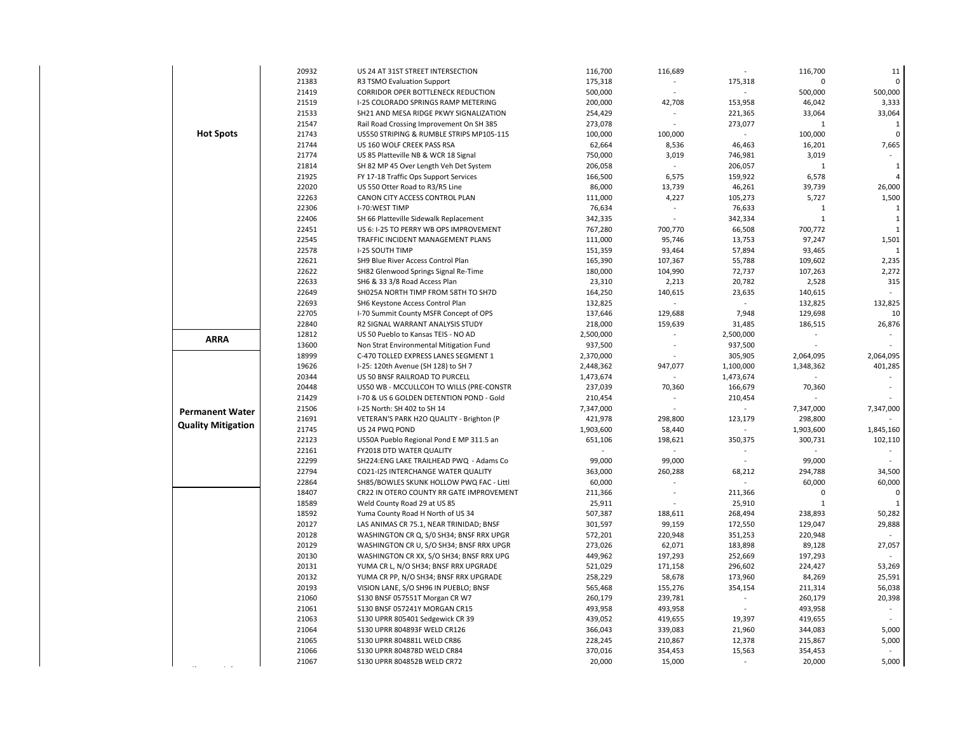| 21383<br>175,318<br>175,318<br>$\Omega$<br>$\Omega$<br>R3 TSMO Evaluation Support<br>$\sim$<br>21419<br>CORRIDOR OPER BOTTLENECK REDUCTION<br>500,000<br>500,000<br>500,000<br>21519<br>I-25 COLORADO SPRINGS RAMP METERING<br>200,000<br>42,708<br>153,958<br>46,042<br>3,333<br>33,064<br>21533<br>SH21 AND MESA RIDGE PKWY SIGNALIZATION<br>254,429<br>221,365<br>33,064<br>21547<br>273,078<br>Rail Road Crossing Improvement On SH 385<br>273,077<br>$\mathbf{1}$<br>$\mathbf{1}$<br>$\sim$<br><b>Hot Spots</b><br>21743<br>US550 STRIPING & RUMBLE STRIPS MP105-115<br>100,000<br>100,000<br>100,000<br>$\mathbf 0$<br>21744<br>US 160 WOLF CREEK PASS RSA<br>62,664<br>8,536<br>46,463<br>16,201<br>7,665<br>21774<br>US 85 Platteville NB & WCR 18 Signal<br>750,000<br>3,019<br>746,981<br>3,019<br>21814<br>206,058<br>SH 82 MP 45 Over Length Veh Det System<br>$\overline{a}$<br>206,057<br>$\mathbf{1}$<br>$\mathbf{1}$<br>21925<br>FY 17-18 Traffic Ops Support Services<br>166,500<br>6,575<br>159,922<br>6,578<br>$\overline{a}$<br>22020<br>86,000<br>13,739<br>46,261<br>39,739<br>26,000<br>US 550 Otter Road to R3/R5 Line<br>1,500<br>22263<br>CANON CITY ACCESS CONTROL PLAN<br>111,000<br>4,227<br>105,273<br>5,727<br>22306<br>I-70:WEST TIMP<br>76,634<br>76,633<br>1<br>1<br>22406<br>SH 66 Platteville Sidewalk Replacement<br>342,335<br>342,334<br>$\mathbf{1}$<br>1<br>22451<br>US 6: I-25 TO PERRY WB OPS IMPROVEMENT<br>767,280<br>700,770<br>700,772<br>66,508<br>$\mathbf{1}$<br>22545<br>97,247<br>1,501<br>TRAFFIC INCIDENT MANAGEMENT PLANS<br>111,000<br>95,746<br>13,753<br>22578<br>I-25 SOUTH TIMP<br>93,465<br>151,359<br>93,464<br>57,894<br>1<br>2,235<br>22621<br>SH9 Blue River Access Control Plan<br>165,390<br>107,367<br>55,788<br>109,602<br>22622<br>2,272<br>SH82 Glenwood Springs Signal Re-Time<br>180,000<br>104,990<br>72,737<br>107,263<br>22633<br>SH6 & 33 3/8 Road Access Plan<br>23,310<br>2,213<br>20,782<br>2,528<br>315<br>22649<br>SH025A NORTH TIMP FROM 58TH TO SH7D<br>164,250<br>140,615<br>23,635<br>140,615<br>132,825<br>22693<br>132,825<br>132,825<br>SH6 Keystone Access Control Plan<br>22705<br>129,688<br>7,948<br>129,698<br>I-70 Summit County MSFR Concept of OPS<br>137,646<br>10<br>22840<br>R2 SIGNAL WARRANT ANALYSIS STUDY<br>218,000<br>159,639<br>31,485<br>186,515<br>26,876<br>2,500,000<br>12812<br>US 50 Pueblo to Kansas TEIS - NO AD<br>2,500,000<br><b>ARRA</b><br>13600<br>937,500<br>Non Strat Environmental Mitigation Fund<br>937,500<br>$\sim$<br>18999<br>2,064,095<br>C-470 TOLLED EXPRESS LANES SEGMENT 1<br>2,370,000<br>305,905<br>2,064,095<br>19626<br>947,077<br>1,100,000<br>401,285<br>I-25: 120th Avenue (SH 128) to SH 7<br>2,448,362<br>1,348,362<br>20344<br>US 50 BNSF RAILROAD TO PURCELL<br>1,473,674<br>1,473,674<br>20448<br>US50 WB - MCCULLCOH TO WILLS (PRE-CONSTR<br>237,039<br>70,360<br>166,679<br>70,360<br>21429<br>I-70 & US 6 GOLDEN DETENTION POND - Gold<br>210,454<br>210,454<br>21506<br>I-25 North: SH 402 to SH 14<br>7,347,000<br>7,347,000<br>7,347,000<br><b>Permanent Water</b><br>VETERAN'S PARK H2O QUALITY - Brighton (P<br>421,978<br>298,800<br>123,179<br>21691<br>298,800<br><b>Quality Mitigation</b><br>21745<br>US 24 PWQ POND<br>1,903,600<br>1,903,600<br>1,845,160<br>58,440<br>$\blacksquare$<br>22123<br>US50A Pueblo Regional Pond E MP 311.5 an<br>651,106<br>198,621<br>350,375<br>300,731<br>102,110<br>22161<br>FY2018 DTD WATER QUALITY<br>22299<br>99,000<br>SH224:ENG LAKE TRAILHEAD PWQ - Adams Co<br>99,000<br>99,000<br>22794<br>260,288<br>294,788<br>CO21-I25 INTERCHANGE WATER QUALITY<br>363,000<br>68,212<br>34,500<br>60,000<br>60,000<br>22864<br>SH85/BOWLES SKUNK HOLLOW PWQ FAC - Littl<br>60,000<br>$\sim$<br>18407<br>CR22 IN OTERO COUNTY RR GATE IMPROVEMENT<br>211,366<br>211,366<br>$\mathbf 0$<br>$\mathbf 0$<br>18589<br>Weld County Road 29 at US 85<br>25,911<br>25,910<br>$\mathbf{1}$<br>18592<br>507,387<br>238,893<br>50,282<br>Yuma County Road H North of US 34<br>188,611<br>268,494<br>20127<br>301,597<br>129,047<br>29,888<br>LAS ANIMAS CR 75.1, NEAR TRINIDAD; BNSF<br>99,159<br>172,550<br>20128<br>WASHINGTON CR Q, S/0 SH34; BNSF RRX UPGR<br>572,201<br>220,948<br>220,948<br>351,253<br>20129<br>273,026<br>62,071<br>183,898<br>89,128<br>27,057<br>WASHINGTON CR U, S/O SH34; BNSF RRX UPGR<br>20130<br>WASHINGTON CR XX, S/O SH34; BNSF RRX UPG<br>449,962<br>197,293<br>252,669<br>197,293<br>$\sim$<br>20131<br>YUMA CR L, N/O SH34; BNSF RRX UPGRADE<br>521,029<br>171,158<br>296,602<br>224,427<br>53,269<br>20132<br>YUMA CR PP, N/O SH34; BNSF RRX UPGRADE<br>258,229<br>58,678<br>173,960<br>84,269<br>25,591<br>20193<br>354,154<br>211,314<br>56,038<br>VISION LANE, S/O SH96 IN PUEBLO; BNSF<br>565,468<br>155,276<br>20,398<br>21060<br>S130 BNSF 057551T Morgan CR W7<br>260,179<br>239,781<br>260,179<br>493,958<br>493,958<br>21061<br>S130 BNSF 057241Y MORGAN CR15<br>493,958<br>$\sim$<br>21063<br>S130 UPRR 805401 Sedgewick CR 39<br>439,052<br>419,655<br>19,397<br>419,655<br>21064<br>S130 UPRR 804893F WELD CR126<br>366,043<br>339,083<br>21,960<br>344,083<br>5,000<br>21065<br>S130 UPRR 804881L WELD CR86<br>228,245<br>210,867<br>12,378<br>215,867<br>5,000<br>21066<br>S130 UPRR 804878D WELD CR84<br>370,016<br>15,563<br>354,453<br>354,453<br>5,000<br>21067<br>S130 UPRR 804852B WELD CR72<br>20,000<br>15,000<br>20,000 | 20932 | US 24 AT 31ST STREET INTERSECTION | 116,700 | 116,689 | 116,700 | 11 |
|--------------------------------------------------------------------------------------------------------------------------------------------------------------------------------------------------------------------------------------------------------------------------------------------------------------------------------------------------------------------------------------------------------------------------------------------------------------------------------------------------------------------------------------------------------------------------------------------------------------------------------------------------------------------------------------------------------------------------------------------------------------------------------------------------------------------------------------------------------------------------------------------------------------------------------------------------------------------------------------------------------------------------------------------------------------------------------------------------------------------------------------------------------------------------------------------------------------------------------------------------------------------------------------------------------------------------------------------------------------------------------------------------------------------------------------------------------------------------------------------------------------------------------------------------------------------------------------------------------------------------------------------------------------------------------------------------------------------------------------------------------------------------------------------------------------------------------------------------------------------------------------------------------------------------------------------------------------------------------------------------------------------------------------------------------------------------------------------------------------------------------------------------------------------------------------------------------------------------------------------------------------------------------------------------------------------------------------------------------------------------------------------------------------------------------------------------------------------------------------------------------------------------------------------------------------------------------------------------------------------------------------------------------------------------------------------------------------------------------------------------------------------------------------------------------------------------------------------------------------------------------------------------------------------------------------------------------------------------------------------------------------------------------------------------------------------------------------------------------------------------------------------------------------------------------------------------------------------------------------------------------------------------------------------------------------------------------------------------------------------------------------------------------------------------------------------------------------------------------------------------------------------------------------------------------------------------------------------------------------------------------------------------------------------------------------------------------------------------------------------------------------------------------------------------------------------------------------------------------------------------------------------------------------------------------------------------------------------------------------------------------------------------------------------------------------------------------------------------------------------------------------------------------------------------------------------------------------------------------------------------------------------------------------------------------------------------------------------------------------------------------------------------------------------------------------------------------------------------------------------------------------------------------------------------------------------------------------------------------------------------------------------------------------------------------------------------------------------------------------------------------------------------------------------------------------------------------------------------------------------------------------------------------------------------------------------------------------------------------------------------------------------------------------------------------------------------------------------------------------------------------------------------------------------------------------------------------------------------------------------------------------------------------------------------------------------------------------------------------------------------------------------------------------------------------------------------------------------------|-------|-----------------------------------|---------|---------|---------|----|
|                                                                                                                                                                                                                                                                                                                                                                                                                                                                                                                                                                                                                                                                                                                                                                                                                                                                                                                                                                                                                                                                                                                                                                                                                                                                                                                                                                                                                                                                                                                                                                                                                                                                                                                                                                                                                                                                                                                                                                                                                                                                                                                                                                                                                                                                                                                                                                                                                                                                                                                                                                                                                                                                                                                                                                                                                                                                                                                                                                                                                                                                                                                                                                                                                                                                                                                                                                                                                                                                                                                                                                                                                                                                                                                                                                                                                                                                                                                                                                                                                                                                                                                                                                                                                                                                                                                                                                                                                                                                                                                                                                                                                                                                                                                                                                                                                                                                                                                                                                                                                                                                                                                                                                                                                                                                                                                                                                                                                                                                          |       |                                   |         |         |         |    |
|                                                                                                                                                                                                                                                                                                                                                                                                                                                                                                                                                                                                                                                                                                                                                                                                                                                                                                                                                                                                                                                                                                                                                                                                                                                                                                                                                                                                                                                                                                                                                                                                                                                                                                                                                                                                                                                                                                                                                                                                                                                                                                                                                                                                                                                                                                                                                                                                                                                                                                                                                                                                                                                                                                                                                                                                                                                                                                                                                                                                                                                                                                                                                                                                                                                                                                                                                                                                                                                                                                                                                                                                                                                                                                                                                                                                                                                                                                                                                                                                                                                                                                                                                                                                                                                                                                                                                                                                                                                                                                                                                                                                                                                                                                                                                                                                                                                                                                                                                                                                                                                                                                                                                                                                                                                                                                                                                                                                                                                                          |       |                                   |         |         |         |    |
|                                                                                                                                                                                                                                                                                                                                                                                                                                                                                                                                                                                                                                                                                                                                                                                                                                                                                                                                                                                                                                                                                                                                                                                                                                                                                                                                                                                                                                                                                                                                                                                                                                                                                                                                                                                                                                                                                                                                                                                                                                                                                                                                                                                                                                                                                                                                                                                                                                                                                                                                                                                                                                                                                                                                                                                                                                                                                                                                                                                                                                                                                                                                                                                                                                                                                                                                                                                                                                                                                                                                                                                                                                                                                                                                                                                                                                                                                                                                                                                                                                                                                                                                                                                                                                                                                                                                                                                                                                                                                                                                                                                                                                                                                                                                                                                                                                                                                                                                                                                                                                                                                                                                                                                                                                                                                                                                                                                                                                                                          |       |                                   |         |         |         |    |
|                                                                                                                                                                                                                                                                                                                                                                                                                                                                                                                                                                                                                                                                                                                                                                                                                                                                                                                                                                                                                                                                                                                                                                                                                                                                                                                                                                                                                                                                                                                                                                                                                                                                                                                                                                                                                                                                                                                                                                                                                                                                                                                                                                                                                                                                                                                                                                                                                                                                                                                                                                                                                                                                                                                                                                                                                                                                                                                                                                                                                                                                                                                                                                                                                                                                                                                                                                                                                                                                                                                                                                                                                                                                                                                                                                                                                                                                                                                                                                                                                                                                                                                                                                                                                                                                                                                                                                                                                                                                                                                                                                                                                                                                                                                                                                                                                                                                                                                                                                                                                                                                                                                                                                                                                                                                                                                                                                                                                                                                          |       |                                   |         |         |         |    |
|                                                                                                                                                                                                                                                                                                                                                                                                                                                                                                                                                                                                                                                                                                                                                                                                                                                                                                                                                                                                                                                                                                                                                                                                                                                                                                                                                                                                                                                                                                                                                                                                                                                                                                                                                                                                                                                                                                                                                                                                                                                                                                                                                                                                                                                                                                                                                                                                                                                                                                                                                                                                                                                                                                                                                                                                                                                                                                                                                                                                                                                                                                                                                                                                                                                                                                                                                                                                                                                                                                                                                                                                                                                                                                                                                                                                                                                                                                                                                                                                                                                                                                                                                                                                                                                                                                                                                                                                                                                                                                                                                                                                                                                                                                                                                                                                                                                                                                                                                                                                                                                                                                                                                                                                                                                                                                                                                                                                                                                                          |       |                                   |         |         |         |    |
|                                                                                                                                                                                                                                                                                                                                                                                                                                                                                                                                                                                                                                                                                                                                                                                                                                                                                                                                                                                                                                                                                                                                                                                                                                                                                                                                                                                                                                                                                                                                                                                                                                                                                                                                                                                                                                                                                                                                                                                                                                                                                                                                                                                                                                                                                                                                                                                                                                                                                                                                                                                                                                                                                                                                                                                                                                                                                                                                                                                                                                                                                                                                                                                                                                                                                                                                                                                                                                                                                                                                                                                                                                                                                                                                                                                                                                                                                                                                                                                                                                                                                                                                                                                                                                                                                                                                                                                                                                                                                                                                                                                                                                                                                                                                                                                                                                                                                                                                                                                                                                                                                                                                                                                                                                                                                                                                                                                                                                                                          |       |                                   |         |         |         |    |
|                                                                                                                                                                                                                                                                                                                                                                                                                                                                                                                                                                                                                                                                                                                                                                                                                                                                                                                                                                                                                                                                                                                                                                                                                                                                                                                                                                                                                                                                                                                                                                                                                                                                                                                                                                                                                                                                                                                                                                                                                                                                                                                                                                                                                                                                                                                                                                                                                                                                                                                                                                                                                                                                                                                                                                                                                                                                                                                                                                                                                                                                                                                                                                                                                                                                                                                                                                                                                                                                                                                                                                                                                                                                                                                                                                                                                                                                                                                                                                                                                                                                                                                                                                                                                                                                                                                                                                                                                                                                                                                                                                                                                                                                                                                                                                                                                                                                                                                                                                                                                                                                                                                                                                                                                                                                                                                                                                                                                                                                          |       |                                   |         |         |         |    |
|                                                                                                                                                                                                                                                                                                                                                                                                                                                                                                                                                                                                                                                                                                                                                                                                                                                                                                                                                                                                                                                                                                                                                                                                                                                                                                                                                                                                                                                                                                                                                                                                                                                                                                                                                                                                                                                                                                                                                                                                                                                                                                                                                                                                                                                                                                                                                                                                                                                                                                                                                                                                                                                                                                                                                                                                                                                                                                                                                                                                                                                                                                                                                                                                                                                                                                                                                                                                                                                                                                                                                                                                                                                                                                                                                                                                                                                                                                                                                                                                                                                                                                                                                                                                                                                                                                                                                                                                                                                                                                                                                                                                                                                                                                                                                                                                                                                                                                                                                                                                                                                                                                                                                                                                                                                                                                                                                                                                                                                                          |       |                                   |         |         |         |    |
|                                                                                                                                                                                                                                                                                                                                                                                                                                                                                                                                                                                                                                                                                                                                                                                                                                                                                                                                                                                                                                                                                                                                                                                                                                                                                                                                                                                                                                                                                                                                                                                                                                                                                                                                                                                                                                                                                                                                                                                                                                                                                                                                                                                                                                                                                                                                                                                                                                                                                                                                                                                                                                                                                                                                                                                                                                                                                                                                                                                                                                                                                                                                                                                                                                                                                                                                                                                                                                                                                                                                                                                                                                                                                                                                                                                                                                                                                                                                                                                                                                                                                                                                                                                                                                                                                                                                                                                                                                                                                                                                                                                                                                                                                                                                                                                                                                                                                                                                                                                                                                                                                                                                                                                                                                                                                                                                                                                                                                                                          |       |                                   |         |         |         |    |
|                                                                                                                                                                                                                                                                                                                                                                                                                                                                                                                                                                                                                                                                                                                                                                                                                                                                                                                                                                                                                                                                                                                                                                                                                                                                                                                                                                                                                                                                                                                                                                                                                                                                                                                                                                                                                                                                                                                                                                                                                                                                                                                                                                                                                                                                                                                                                                                                                                                                                                                                                                                                                                                                                                                                                                                                                                                                                                                                                                                                                                                                                                                                                                                                                                                                                                                                                                                                                                                                                                                                                                                                                                                                                                                                                                                                                                                                                                                                                                                                                                                                                                                                                                                                                                                                                                                                                                                                                                                                                                                                                                                                                                                                                                                                                                                                                                                                                                                                                                                                                                                                                                                                                                                                                                                                                                                                                                                                                                                                          |       |                                   |         |         |         |    |
|                                                                                                                                                                                                                                                                                                                                                                                                                                                                                                                                                                                                                                                                                                                                                                                                                                                                                                                                                                                                                                                                                                                                                                                                                                                                                                                                                                                                                                                                                                                                                                                                                                                                                                                                                                                                                                                                                                                                                                                                                                                                                                                                                                                                                                                                                                                                                                                                                                                                                                                                                                                                                                                                                                                                                                                                                                                                                                                                                                                                                                                                                                                                                                                                                                                                                                                                                                                                                                                                                                                                                                                                                                                                                                                                                                                                                                                                                                                                                                                                                                                                                                                                                                                                                                                                                                                                                                                                                                                                                                                                                                                                                                                                                                                                                                                                                                                                                                                                                                                                                                                                                                                                                                                                                                                                                                                                                                                                                                                                          |       |                                   |         |         |         |    |
|                                                                                                                                                                                                                                                                                                                                                                                                                                                                                                                                                                                                                                                                                                                                                                                                                                                                                                                                                                                                                                                                                                                                                                                                                                                                                                                                                                                                                                                                                                                                                                                                                                                                                                                                                                                                                                                                                                                                                                                                                                                                                                                                                                                                                                                                                                                                                                                                                                                                                                                                                                                                                                                                                                                                                                                                                                                                                                                                                                                                                                                                                                                                                                                                                                                                                                                                                                                                                                                                                                                                                                                                                                                                                                                                                                                                                                                                                                                                                                                                                                                                                                                                                                                                                                                                                                                                                                                                                                                                                                                                                                                                                                                                                                                                                                                                                                                                                                                                                                                                                                                                                                                                                                                                                                                                                                                                                                                                                                                                          |       |                                   |         |         |         |    |
|                                                                                                                                                                                                                                                                                                                                                                                                                                                                                                                                                                                                                                                                                                                                                                                                                                                                                                                                                                                                                                                                                                                                                                                                                                                                                                                                                                                                                                                                                                                                                                                                                                                                                                                                                                                                                                                                                                                                                                                                                                                                                                                                                                                                                                                                                                                                                                                                                                                                                                                                                                                                                                                                                                                                                                                                                                                                                                                                                                                                                                                                                                                                                                                                                                                                                                                                                                                                                                                                                                                                                                                                                                                                                                                                                                                                                                                                                                                                                                                                                                                                                                                                                                                                                                                                                                                                                                                                                                                                                                                                                                                                                                                                                                                                                                                                                                                                                                                                                                                                                                                                                                                                                                                                                                                                                                                                                                                                                                                                          |       |                                   |         |         |         |    |
|                                                                                                                                                                                                                                                                                                                                                                                                                                                                                                                                                                                                                                                                                                                                                                                                                                                                                                                                                                                                                                                                                                                                                                                                                                                                                                                                                                                                                                                                                                                                                                                                                                                                                                                                                                                                                                                                                                                                                                                                                                                                                                                                                                                                                                                                                                                                                                                                                                                                                                                                                                                                                                                                                                                                                                                                                                                                                                                                                                                                                                                                                                                                                                                                                                                                                                                                                                                                                                                                                                                                                                                                                                                                                                                                                                                                                                                                                                                                                                                                                                                                                                                                                                                                                                                                                                                                                                                                                                                                                                                                                                                                                                                                                                                                                                                                                                                                                                                                                                                                                                                                                                                                                                                                                                                                                                                                                                                                                                                                          |       |                                   |         |         |         |    |
|                                                                                                                                                                                                                                                                                                                                                                                                                                                                                                                                                                                                                                                                                                                                                                                                                                                                                                                                                                                                                                                                                                                                                                                                                                                                                                                                                                                                                                                                                                                                                                                                                                                                                                                                                                                                                                                                                                                                                                                                                                                                                                                                                                                                                                                                                                                                                                                                                                                                                                                                                                                                                                                                                                                                                                                                                                                                                                                                                                                                                                                                                                                                                                                                                                                                                                                                                                                                                                                                                                                                                                                                                                                                                                                                                                                                                                                                                                                                                                                                                                                                                                                                                                                                                                                                                                                                                                                                                                                                                                                                                                                                                                                                                                                                                                                                                                                                                                                                                                                                                                                                                                                                                                                                                                                                                                                                                                                                                                                                          |       |                                   |         |         |         |    |
|                                                                                                                                                                                                                                                                                                                                                                                                                                                                                                                                                                                                                                                                                                                                                                                                                                                                                                                                                                                                                                                                                                                                                                                                                                                                                                                                                                                                                                                                                                                                                                                                                                                                                                                                                                                                                                                                                                                                                                                                                                                                                                                                                                                                                                                                                                                                                                                                                                                                                                                                                                                                                                                                                                                                                                                                                                                                                                                                                                                                                                                                                                                                                                                                                                                                                                                                                                                                                                                                                                                                                                                                                                                                                                                                                                                                                                                                                                                                                                                                                                                                                                                                                                                                                                                                                                                                                                                                                                                                                                                                                                                                                                                                                                                                                                                                                                                                                                                                                                                                                                                                                                                                                                                                                                                                                                                                                                                                                                                                          |       |                                   |         |         |         |    |
|                                                                                                                                                                                                                                                                                                                                                                                                                                                                                                                                                                                                                                                                                                                                                                                                                                                                                                                                                                                                                                                                                                                                                                                                                                                                                                                                                                                                                                                                                                                                                                                                                                                                                                                                                                                                                                                                                                                                                                                                                                                                                                                                                                                                                                                                                                                                                                                                                                                                                                                                                                                                                                                                                                                                                                                                                                                                                                                                                                                                                                                                                                                                                                                                                                                                                                                                                                                                                                                                                                                                                                                                                                                                                                                                                                                                                                                                                                                                                                                                                                                                                                                                                                                                                                                                                                                                                                                                                                                                                                                                                                                                                                                                                                                                                                                                                                                                                                                                                                                                                                                                                                                                                                                                                                                                                                                                                                                                                                                                          |       |                                   |         |         |         |    |
|                                                                                                                                                                                                                                                                                                                                                                                                                                                                                                                                                                                                                                                                                                                                                                                                                                                                                                                                                                                                                                                                                                                                                                                                                                                                                                                                                                                                                                                                                                                                                                                                                                                                                                                                                                                                                                                                                                                                                                                                                                                                                                                                                                                                                                                                                                                                                                                                                                                                                                                                                                                                                                                                                                                                                                                                                                                                                                                                                                                                                                                                                                                                                                                                                                                                                                                                                                                                                                                                                                                                                                                                                                                                                                                                                                                                                                                                                                                                                                                                                                                                                                                                                                                                                                                                                                                                                                                                                                                                                                                                                                                                                                                                                                                                                                                                                                                                                                                                                                                                                                                                                                                                                                                                                                                                                                                                                                                                                                                                          |       |                                   |         |         |         |    |
|                                                                                                                                                                                                                                                                                                                                                                                                                                                                                                                                                                                                                                                                                                                                                                                                                                                                                                                                                                                                                                                                                                                                                                                                                                                                                                                                                                                                                                                                                                                                                                                                                                                                                                                                                                                                                                                                                                                                                                                                                                                                                                                                                                                                                                                                                                                                                                                                                                                                                                                                                                                                                                                                                                                                                                                                                                                                                                                                                                                                                                                                                                                                                                                                                                                                                                                                                                                                                                                                                                                                                                                                                                                                                                                                                                                                                                                                                                                                                                                                                                                                                                                                                                                                                                                                                                                                                                                                                                                                                                                                                                                                                                                                                                                                                                                                                                                                                                                                                                                                                                                                                                                                                                                                                                                                                                                                                                                                                                                                          |       |                                   |         |         |         |    |
|                                                                                                                                                                                                                                                                                                                                                                                                                                                                                                                                                                                                                                                                                                                                                                                                                                                                                                                                                                                                                                                                                                                                                                                                                                                                                                                                                                                                                                                                                                                                                                                                                                                                                                                                                                                                                                                                                                                                                                                                                                                                                                                                                                                                                                                                                                                                                                                                                                                                                                                                                                                                                                                                                                                                                                                                                                                                                                                                                                                                                                                                                                                                                                                                                                                                                                                                                                                                                                                                                                                                                                                                                                                                                                                                                                                                                                                                                                                                                                                                                                                                                                                                                                                                                                                                                                                                                                                                                                                                                                                                                                                                                                                                                                                                                                                                                                                                                                                                                                                                                                                                                                                                                                                                                                                                                                                                                                                                                                                                          |       |                                   |         |         |         |    |
|                                                                                                                                                                                                                                                                                                                                                                                                                                                                                                                                                                                                                                                                                                                                                                                                                                                                                                                                                                                                                                                                                                                                                                                                                                                                                                                                                                                                                                                                                                                                                                                                                                                                                                                                                                                                                                                                                                                                                                                                                                                                                                                                                                                                                                                                                                                                                                                                                                                                                                                                                                                                                                                                                                                                                                                                                                                                                                                                                                                                                                                                                                                                                                                                                                                                                                                                                                                                                                                                                                                                                                                                                                                                                                                                                                                                                                                                                                                                                                                                                                                                                                                                                                                                                                                                                                                                                                                                                                                                                                                                                                                                                                                                                                                                                                                                                                                                                                                                                                                                                                                                                                                                                                                                                                                                                                                                                                                                                                                                          |       |                                   |         |         |         |    |
|                                                                                                                                                                                                                                                                                                                                                                                                                                                                                                                                                                                                                                                                                                                                                                                                                                                                                                                                                                                                                                                                                                                                                                                                                                                                                                                                                                                                                                                                                                                                                                                                                                                                                                                                                                                                                                                                                                                                                                                                                                                                                                                                                                                                                                                                                                                                                                                                                                                                                                                                                                                                                                                                                                                                                                                                                                                                                                                                                                                                                                                                                                                                                                                                                                                                                                                                                                                                                                                                                                                                                                                                                                                                                                                                                                                                                                                                                                                                                                                                                                                                                                                                                                                                                                                                                                                                                                                                                                                                                                                                                                                                                                                                                                                                                                                                                                                                                                                                                                                                                                                                                                                                                                                                                                                                                                                                                                                                                                                                          |       |                                   |         |         |         |    |
|                                                                                                                                                                                                                                                                                                                                                                                                                                                                                                                                                                                                                                                                                                                                                                                                                                                                                                                                                                                                                                                                                                                                                                                                                                                                                                                                                                                                                                                                                                                                                                                                                                                                                                                                                                                                                                                                                                                                                                                                                                                                                                                                                                                                                                                                                                                                                                                                                                                                                                                                                                                                                                                                                                                                                                                                                                                                                                                                                                                                                                                                                                                                                                                                                                                                                                                                                                                                                                                                                                                                                                                                                                                                                                                                                                                                                                                                                                                                                                                                                                                                                                                                                                                                                                                                                                                                                                                                                                                                                                                                                                                                                                                                                                                                                                                                                                                                                                                                                                                                                                                                                                                                                                                                                                                                                                                                                                                                                                                                          |       |                                   |         |         |         |    |
|                                                                                                                                                                                                                                                                                                                                                                                                                                                                                                                                                                                                                                                                                                                                                                                                                                                                                                                                                                                                                                                                                                                                                                                                                                                                                                                                                                                                                                                                                                                                                                                                                                                                                                                                                                                                                                                                                                                                                                                                                                                                                                                                                                                                                                                                                                                                                                                                                                                                                                                                                                                                                                                                                                                                                                                                                                                                                                                                                                                                                                                                                                                                                                                                                                                                                                                                                                                                                                                                                                                                                                                                                                                                                                                                                                                                                                                                                                                                                                                                                                                                                                                                                                                                                                                                                                                                                                                                                                                                                                                                                                                                                                                                                                                                                                                                                                                                                                                                                                                                                                                                                                                                                                                                                                                                                                                                                                                                                                                                          |       |                                   |         |         |         |    |
|                                                                                                                                                                                                                                                                                                                                                                                                                                                                                                                                                                                                                                                                                                                                                                                                                                                                                                                                                                                                                                                                                                                                                                                                                                                                                                                                                                                                                                                                                                                                                                                                                                                                                                                                                                                                                                                                                                                                                                                                                                                                                                                                                                                                                                                                                                                                                                                                                                                                                                                                                                                                                                                                                                                                                                                                                                                                                                                                                                                                                                                                                                                                                                                                                                                                                                                                                                                                                                                                                                                                                                                                                                                                                                                                                                                                                                                                                                                                                                                                                                                                                                                                                                                                                                                                                                                                                                                                                                                                                                                                                                                                                                                                                                                                                                                                                                                                                                                                                                                                                                                                                                                                                                                                                                                                                                                                                                                                                                                                          |       |                                   |         |         |         |    |
|                                                                                                                                                                                                                                                                                                                                                                                                                                                                                                                                                                                                                                                                                                                                                                                                                                                                                                                                                                                                                                                                                                                                                                                                                                                                                                                                                                                                                                                                                                                                                                                                                                                                                                                                                                                                                                                                                                                                                                                                                                                                                                                                                                                                                                                                                                                                                                                                                                                                                                                                                                                                                                                                                                                                                                                                                                                                                                                                                                                                                                                                                                                                                                                                                                                                                                                                                                                                                                                                                                                                                                                                                                                                                                                                                                                                                                                                                                                                                                                                                                                                                                                                                                                                                                                                                                                                                                                                                                                                                                                                                                                                                                                                                                                                                                                                                                                                                                                                                                                                                                                                                                                                                                                                                                                                                                                                                                                                                                                                          |       |                                   |         |         |         |    |
|                                                                                                                                                                                                                                                                                                                                                                                                                                                                                                                                                                                                                                                                                                                                                                                                                                                                                                                                                                                                                                                                                                                                                                                                                                                                                                                                                                                                                                                                                                                                                                                                                                                                                                                                                                                                                                                                                                                                                                                                                                                                                                                                                                                                                                                                                                                                                                                                                                                                                                                                                                                                                                                                                                                                                                                                                                                                                                                                                                                                                                                                                                                                                                                                                                                                                                                                                                                                                                                                                                                                                                                                                                                                                                                                                                                                                                                                                                                                                                                                                                                                                                                                                                                                                                                                                                                                                                                                                                                                                                                                                                                                                                                                                                                                                                                                                                                                                                                                                                                                                                                                                                                                                                                                                                                                                                                                                                                                                                                                          |       |                                   |         |         |         |    |
|                                                                                                                                                                                                                                                                                                                                                                                                                                                                                                                                                                                                                                                                                                                                                                                                                                                                                                                                                                                                                                                                                                                                                                                                                                                                                                                                                                                                                                                                                                                                                                                                                                                                                                                                                                                                                                                                                                                                                                                                                                                                                                                                                                                                                                                                                                                                                                                                                                                                                                                                                                                                                                                                                                                                                                                                                                                                                                                                                                                                                                                                                                                                                                                                                                                                                                                                                                                                                                                                                                                                                                                                                                                                                                                                                                                                                                                                                                                                                                                                                                                                                                                                                                                                                                                                                                                                                                                                                                                                                                                                                                                                                                                                                                                                                                                                                                                                                                                                                                                                                                                                                                                                                                                                                                                                                                                                                                                                                                                                          |       |                                   |         |         |         |    |
|                                                                                                                                                                                                                                                                                                                                                                                                                                                                                                                                                                                                                                                                                                                                                                                                                                                                                                                                                                                                                                                                                                                                                                                                                                                                                                                                                                                                                                                                                                                                                                                                                                                                                                                                                                                                                                                                                                                                                                                                                                                                                                                                                                                                                                                                                                                                                                                                                                                                                                                                                                                                                                                                                                                                                                                                                                                                                                                                                                                                                                                                                                                                                                                                                                                                                                                                                                                                                                                                                                                                                                                                                                                                                                                                                                                                                                                                                                                                                                                                                                                                                                                                                                                                                                                                                                                                                                                                                                                                                                                                                                                                                                                                                                                                                                                                                                                                                                                                                                                                                                                                                                                                                                                                                                                                                                                                                                                                                                                                          |       |                                   |         |         |         |    |
|                                                                                                                                                                                                                                                                                                                                                                                                                                                                                                                                                                                                                                                                                                                                                                                                                                                                                                                                                                                                                                                                                                                                                                                                                                                                                                                                                                                                                                                                                                                                                                                                                                                                                                                                                                                                                                                                                                                                                                                                                                                                                                                                                                                                                                                                                                                                                                                                                                                                                                                                                                                                                                                                                                                                                                                                                                                                                                                                                                                                                                                                                                                                                                                                                                                                                                                                                                                                                                                                                                                                                                                                                                                                                                                                                                                                                                                                                                                                                                                                                                                                                                                                                                                                                                                                                                                                                                                                                                                                                                                                                                                                                                                                                                                                                                                                                                                                                                                                                                                                                                                                                                                                                                                                                                                                                                                                                                                                                                                                          |       |                                   |         |         |         |    |
|                                                                                                                                                                                                                                                                                                                                                                                                                                                                                                                                                                                                                                                                                                                                                                                                                                                                                                                                                                                                                                                                                                                                                                                                                                                                                                                                                                                                                                                                                                                                                                                                                                                                                                                                                                                                                                                                                                                                                                                                                                                                                                                                                                                                                                                                                                                                                                                                                                                                                                                                                                                                                                                                                                                                                                                                                                                                                                                                                                                                                                                                                                                                                                                                                                                                                                                                                                                                                                                                                                                                                                                                                                                                                                                                                                                                                                                                                                                                                                                                                                                                                                                                                                                                                                                                                                                                                                                                                                                                                                                                                                                                                                                                                                                                                                                                                                                                                                                                                                                                                                                                                                                                                                                                                                                                                                                                                                                                                                                                          |       |                                   |         |         |         |    |
|                                                                                                                                                                                                                                                                                                                                                                                                                                                                                                                                                                                                                                                                                                                                                                                                                                                                                                                                                                                                                                                                                                                                                                                                                                                                                                                                                                                                                                                                                                                                                                                                                                                                                                                                                                                                                                                                                                                                                                                                                                                                                                                                                                                                                                                                                                                                                                                                                                                                                                                                                                                                                                                                                                                                                                                                                                                                                                                                                                                                                                                                                                                                                                                                                                                                                                                                                                                                                                                                                                                                                                                                                                                                                                                                                                                                                                                                                                                                                                                                                                                                                                                                                                                                                                                                                                                                                                                                                                                                                                                                                                                                                                                                                                                                                                                                                                                                                                                                                                                                                                                                                                                                                                                                                                                                                                                                                                                                                                                                          |       |                                   |         |         |         |    |
|                                                                                                                                                                                                                                                                                                                                                                                                                                                                                                                                                                                                                                                                                                                                                                                                                                                                                                                                                                                                                                                                                                                                                                                                                                                                                                                                                                                                                                                                                                                                                                                                                                                                                                                                                                                                                                                                                                                                                                                                                                                                                                                                                                                                                                                                                                                                                                                                                                                                                                                                                                                                                                                                                                                                                                                                                                                                                                                                                                                                                                                                                                                                                                                                                                                                                                                                                                                                                                                                                                                                                                                                                                                                                                                                                                                                                                                                                                                                                                                                                                                                                                                                                                                                                                                                                                                                                                                                                                                                                                                                                                                                                                                                                                                                                                                                                                                                                                                                                                                                                                                                                                                                                                                                                                                                                                                                                                                                                                                                          |       |                                   |         |         |         |    |
|                                                                                                                                                                                                                                                                                                                                                                                                                                                                                                                                                                                                                                                                                                                                                                                                                                                                                                                                                                                                                                                                                                                                                                                                                                                                                                                                                                                                                                                                                                                                                                                                                                                                                                                                                                                                                                                                                                                                                                                                                                                                                                                                                                                                                                                                                                                                                                                                                                                                                                                                                                                                                                                                                                                                                                                                                                                                                                                                                                                                                                                                                                                                                                                                                                                                                                                                                                                                                                                                                                                                                                                                                                                                                                                                                                                                                                                                                                                                                                                                                                                                                                                                                                                                                                                                                                                                                                                                                                                                                                                                                                                                                                                                                                                                                                                                                                                                                                                                                                                                                                                                                                                                                                                                                                                                                                                                                                                                                                                                          |       |                                   |         |         |         |    |
|                                                                                                                                                                                                                                                                                                                                                                                                                                                                                                                                                                                                                                                                                                                                                                                                                                                                                                                                                                                                                                                                                                                                                                                                                                                                                                                                                                                                                                                                                                                                                                                                                                                                                                                                                                                                                                                                                                                                                                                                                                                                                                                                                                                                                                                                                                                                                                                                                                                                                                                                                                                                                                                                                                                                                                                                                                                                                                                                                                                                                                                                                                                                                                                                                                                                                                                                                                                                                                                                                                                                                                                                                                                                                                                                                                                                                                                                                                                                                                                                                                                                                                                                                                                                                                                                                                                                                                                                                                                                                                                                                                                                                                                                                                                                                                                                                                                                                                                                                                                                                                                                                                                                                                                                                                                                                                                                                                                                                                                                          |       |                                   |         |         |         |    |
|                                                                                                                                                                                                                                                                                                                                                                                                                                                                                                                                                                                                                                                                                                                                                                                                                                                                                                                                                                                                                                                                                                                                                                                                                                                                                                                                                                                                                                                                                                                                                                                                                                                                                                                                                                                                                                                                                                                                                                                                                                                                                                                                                                                                                                                                                                                                                                                                                                                                                                                                                                                                                                                                                                                                                                                                                                                                                                                                                                                                                                                                                                                                                                                                                                                                                                                                                                                                                                                                                                                                                                                                                                                                                                                                                                                                                                                                                                                                                                                                                                                                                                                                                                                                                                                                                                                                                                                                                                                                                                                                                                                                                                                                                                                                                                                                                                                                                                                                                                                                                                                                                                                                                                                                                                                                                                                                                                                                                                                                          |       |                                   |         |         |         |    |
|                                                                                                                                                                                                                                                                                                                                                                                                                                                                                                                                                                                                                                                                                                                                                                                                                                                                                                                                                                                                                                                                                                                                                                                                                                                                                                                                                                                                                                                                                                                                                                                                                                                                                                                                                                                                                                                                                                                                                                                                                                                                                                                                                                                                                                                                                                                                                                                                                                                                                                                                                                                                                                                                                                                                                                                                                                                                                                                                                                                                                                                                                                                                                                                                                                                                                                                                                                                                                                                                                                                                                                                                                                                                                                                                                                                                                                                                                                                                                                                                                                                                                                                                                                                                                                                                                                                                                                                                                                                                                                                                                                                                                                                                                                                                                                                                                                                                                                                                                                                                                                                                                                                                                                                                                                                                                                                                                                                                                                                                          |       |                                   |         |         |         |    |
|                                                                                                                                                                                                                                                                                                                                                                                                                                                                                                                                                                                                                                                                                                                                                                                                                                                                                                                                                                                                                                                                                                                                                                                                                                                                                                                                                                                                                                                                                                                                                                                                                                                                                                                                                                                                                                                                                                                                                                                                                                                                                                                                                                                                                                                                                                                                                                                                                                                                                                                                                                                                                                                                                                                                                                                                                                                                                                                                                                                                                                                                                                                                                                                                                                                                                                                                                                                                                                                                                                                                                                                                                                                                                                                                                                                                                                                                                                                                                                                                                                                                                                                                                                                                                                                                                                                                                                                                                                                                                                                                                                                                                                                                                                                                                                                                                                                                                                                                                                                                                                                                                                                                                                                                                                                                                                                                                                                                                                                                          |       |                                   |         |         |         |    |
|                                                                                                                                                                                                                                                                                                                                                                                                                                                                                                                                                                                                                                                                                                                                                                                                                                                                                                                                                                                                                                                                                                                                                                                                                                                                                                                                                                                                                                                                                                                                                                                                                                                                                                                                                                                                                                                                                                                                                                                                                                                                                                                                                                                                                                                                                                                                                                                                                                                                                                                                                                                                                                                                                                                                                                                                                                                                                                                                                                                                                                                                                                                                                                                                                                                                                                                                                                                                                                                                                                                                                                                                                                                                                                                                                                                                                                                                                                                                                                                                                                                                                                                                                                                                                                                                                                                                                                                                                                                                                                                                                                                                                                                                                                                                                                                                                                                                                                                                                                                                                                                                                                                                                                                                                                                                                                                                                                                                                                                                          |       |                                   |         |         |         |    |
|                                                                                                                                                                                                                                                                                                                                                                                                                                                                                                                                                                                                                                                                                                                                                                                                                                                                                                                                                                                                                                                                                                                                                                                                                                                                                                                                                                                                                                                                                                                                                                                                                                                                                                                                                                                                                                                                                                                                                                                                                                                                                                                                                                                                                                                                                                                                                                                                                                                                                                                                                                                                                                                                                                                                                                                                                                                                                                                                                                                                                                                                                                                                                                                                                                                                                                                                                                                                                                                                                                                                                                                                                                                                                                                                                                                                                                                                                                                                                                                                                                                                                                                                                                                                                                                                                                                                                                                                                                                                                                                                                                                                                                                                                                                                                                                                                                                                                                                                                                                                                                                                                                                                                                                                                                                                                                                                                                                                                                                                          |       |                                   |         |         |         |    |
|                                                                                                                                                                                                                                                                                                                                                                                                                                                                                                                                                                                                                                                                                                                                                                                                                                                                                                                                                                                                                                                                                                                                                                                                                                                                                                                                                                                                                                                                                                                                                                                                                                                                                                                                                                                                                                                                                                                                                                                                                                                                                                                                                                                                                                                                                                                                                                                                                                                                                                                                                                                                                                                                                                                                                                                                                                                                                                                                                                                                                                                                                                                                                                                                                                                                                                                                                                                                                                                                                                                                                                                                                                                                                                                                                                                                                                                                                                                                                                                                                                                                                                                                                                                                                                                                                                                                                                                                                                                                                                                                                                                                                                                                                                                                                                                                                                                                                                                                                                                                                                                                                                                                                                                                                                                                                                                                                                                                                                                                          |       |                                   |         |         |         |    |
|                                                                                                                                                                                                                                                                                                                                                                                                                                                                                                                                                                                                                                                                                                                                                                                                                                                                                                                                                                                                                                                                                                                                                                                                                                                                                                                                                                                                                                                                                                                                                                                                                                                                                                                                                                                                                                                                                                                                                                                                                                                                                                                                                                                                                                                                                                                                                                                                                                                                                                                                                                                                                                                                                                                                                                                                                                                                                                                                                                                                                                                                                                                                                                                                                                                                                                                                                                                                                                                                                                                                                                                                                                                                                                                                                                                                                                                                                                                                                                                                                                                                                                                                                                                                                                                                                                                                                                                                                                                                                                                                                                                                                                                                                                                                                                                                                                                                                                                                                                                                                                                                                                                                                                                                                                                                                                                                                                                                                                                                          |       |                                   |         |         |         |    |
|                                                                                                                                                                                                                                                                                                                                                                                                                                                                                                                                                                                                                                                                                                                                                                                                                                                                                                                                                                                                                                                                                                                                                                                                                                                                                                                                                                                                                                                                                                                                                                                                                                                                                                                                                                                                                                                                                                                                                                                                                                                                                                                                                                                                                                                                                                                                                                                                                                                                                                                                                                                                                                                                                                                                                                                                                                                                                                                                                                                                                                                                                                                                                                                                                                                                                                                                                                                                                                                                                                                                                                                                                                                                                                                                                                                                                                                                                                                                                                                                                                                                                                                                                                                                                                                                                                                                                                                                                                                                                                                                                                                                                                                                                                                                                                                                                                                                                                                                                                                                                                                                                                                                                                                                                                                                                                                                                                                                                                                                          |       |                                   |         |         |         |    |
|                                                                                                                                                                                                                                                                                                                                                                                                                                                                                                                                                                                                                                                                                                                                                                                                                                                                                                                                                                                                                                                                                                                                                                                                                                                                                                                                                                                                                                                                                                                                                                                                                                                                                                                                                                                                                                                                                                                                                                                                                                                                                                                                                                                                                                                                                                                                                                                                                                                                                                                                                                                                                                                                                                                                                                                                                                                                                                                                                                                                                                                                                                                                                                                                                                                                                                                                                                                                                                                                                                                                                                                                                                                                                                                                                                                                                                                                                                                                                                                                                                                                                                                                                                                                                                                                                                                                                                                                                                                                                                                                                                                                                                                                                                                                                                                                                                                                                                                                                                                                                                                                                                                                                                                                                                                                                                                                                                                                                                                                          |       |                                   |         |         |         |    |
|                                                                                                                                                                                                                                                                                                                                                                                                                                                                                                                                                                                                                                                                                                                                                                                                                                                                                                                                                                                                                                                                                                                                                                                                                                                                                                                                                                                                                                                                                                                                                                                                                                                                                                                                                                                                                                                                                                                                                                                                                                                                                                                                                                                                                                                                                                                                                                                                                                                                                                                                                                                                                                                                                                                                                                                                                                                                                                                                                                                                                                                                                                                                                                                                                                                                                                                                                                                                                                                                                                                                                                                                                                                                                                                                                                                                                                                                                                                                                                                                                                                                                                                                                                                                                                                                                                                                                                                                                                                                                                                                                                                                                                                                                                                                                                                                                                                                                                                                                                                                                                                                                                                                                                                                                                                                                                                                                                                                                                                                          |       |                                   |         |         |         |    |
|                                                                                                                                                                                                                                                                                                                                                                                                                                                                                                                                                                                                                                                                                                                                                                                                                                                                                                                                                                                                                                                                                                                                                                                                                                                                                                                                                                                                                                                                                                                                                                                                                                                                                                                                                                                                                                                                                                                                                                                                                                                                                                                                                                                                                                                                                                                                                                                                                                                                                                                                                                                                                                                                                                                                                                                                                                                                                                                                                                                                                                                                                                                                                                                                                                                                                                                                                                                                                                                                                                                                                                                                                                                                                                                                                                                                                                                                                                                                                                                                                                                                                                                                                                                                                                                                                                                                                                                                                                                                                                                                                                                                                                                                                                                                                                                                                                                                                                                                                                                                                                                                                                                                                                                                                                                                                                                                                                                                                                                                          |       |                                   |         |         |         |    |
|                                                                                                                                                                                                                                                                                                                                                                                                                                                                                                                                                                                                                                                                                                                                                                                                                                                                                                                                                                                                                                                                                                                                                                                                                                                                                                                                                                                                                                                                                                                                                                                                                                                                                                                                                                                                                                                                                                                                                                                                                                                                                                                                                                                                                                                                                                                                                                                                                                                                                                                                                                                                                                                                                                                                                                                                                                                                                                                                                                                                                                                                                                                                                                                                                                                                                                                                                                                                                                                                                                                                                                                                                                                                                                                                                                                                                                                                                                                                                                                                                                                                                                                                                                                                                                                                                                                                                                                                                                                                                                                                                                                                                                                                                                                                                                                                                                                                                                                                                                                                                                                                                                                                                                                                                                                                                                                                                                                                                                                                          |       |                                   |         |         |         |    |
|                                                                                                                                                                                                                                                                                                                                                                                                                                                                                                                                                                                                                                                                                                                                                                                                                                                                                                                                                                                                                                                                                                                                                                                                                                                                                                                                                                                                                                                                                                                                                                                                                                                                                                                                                                                                                                                                                                                                                                                                                                                                                                                                                                                                                                                                                                                                                                                                                                                                                                                                                                                                                                                                                                                                                                                                                                                                                                                                                                                                                                                                                                                                                                                                                                                                                                                                                                                                                                                                                                                                                                                                                                                                                                                                                                                                                                                                                                                                                                                                                                                                                                                                                                                                                                                                                                                                                                                                                                                                                                                                                                                                                                                                                                                                                                                                                                                                                                                                                                                                                                                                                                                                                                                                                                                                                                                                                                                                                                                                          |       |                                   |         |         |         |    |
|                                                                                                                                                                                                                                                                                                                                                                                                                                                                                                                                                                                                                                                                                                                                                                                                                                                                                                                                                                                                                                                                                                                                                                                                                                                                                                                                                                                                                                                                                                                                                                                                                                                                                                                                                                                                                                                                                                                                                                                                                                                                                                                                                                                                                                                                                                                                                                                                                                                                                                                                                                                                                                                                                                                                                                                                                                                                                                                                                                                                                                                                                                                                                                                                                                                                                                                                                                                                                                                                                                                                                                                                                                                                                                                                                                                                                                                                                                                                                                                                                                                                                                                                                                                                                                                                                                                                                                                                                                                                                                                                                                                                                                                                                                                                                                                                                                                                                                                                                                                                                                                                                                                                                                                                                                                                                                                                                                                                                                                                          |       |                                   |         |         |         |    |
|                                                                                                                                                                                                                                                                                                                                                                                                                                                                                                                                                                                                                                                                                                                                                                                                                                                                                                                                                                                                                                                                                                                                                                                                                                                                                                                                                                                                                                                                                                                                                                                                                                                                                                                                                                                                                                                                                                                                                                                                                                                                                                                                                                                                                                                                                                                                                                                                                                                                                                                                                                                                                                                                                                                                                                                                                                                                                                                                                                                                                                                                                                                                                                                                                                                                                                                                                                                                                                                                                                                                                                                                                                                                                                                                                                                                                                                                                                                                                                                                                                                                                                                                                                                                                                                                                                                                                                                                                                                                                                                                                                                                                                                                                                                                                                                                                                                                                                                                                                                                                                                                                                                                                                                                                                                                                                                                                                                                                                                                          |       |                                   |         |         |         |    |
|                                                                                                                                                                                                                                                                                                                                                                                                                                                                                                                                                                                                                                                                                                                                                                                                                                                                                                                                                                                                                                                                                                                                                                                                                                                                                                                                                                                                                                                                                                                                                                                                                                                                                                                                                                                                                                                                                                                                                                                                                                                                                                                                                                                                                                                                                                                                                                                                                                                                                                                                                                                                                                                                                                                                                                                                                                                                                                                                                                                                                                                                                                                                                                                                                                                                                                                                                                                                                                                                                                                                                                                                                                                                                                                                                                                                                                                                                                                                                                                                                                                                                                                                                                                                                                                                                                                                                                                                                                                                                                                                                                                                                                                                                                                                                                                                                                                                                                                                                                                                                                                                                                                                                                                                                                                                                                                                                                                                                                                                          |       |                                   |         |         |         |    |
|                                                                                                                                                                                                                                                                                                                                                                                                                                                                                                                                                                                                                                                                                                                                                                                                                                                                                                                                                                                                                                                                                                                                                                                                                                                                                                                                                                                                                                                                                                                                                                                                                                                                                                                                                                                                                                                                                                                                                                                                                                                                                                                                                                                                                                                                                                                                                                                                                                                                                                                                                                                                                                                                                                                                                                                                                                                                                                                                                                                                                                                                                                                                                                                                                                                                                                                                                                                                                                                                                                                                                                                                                                                                                                                                                                                                                                                                                                                                                                                                                                                                                                                                                                                                                                                                                                                                                                                                                                                                                                                                                                                                                                                                                                                                                                                                                                                                                                                                                                                                                                                                                                                                                                                                                                                                                                                                                                                                                                                                          |       |                                   |         |         |         |    |
|                                                                                                                                                                                                                                                                                                                                                                                                                                                                                                                                                                                                                                                                                                                                                                                                                                                                                                                                                                                                                                                                                                                                                                                                                                                                                                                                                                                                                                                                                                                                                                                                                                                                                                                                                                                                                                                                                                                                                                                                                                                                                                                                                                                                                                                                                                                                                                                                                                                                                                                                                                                                                                                                                                                                                                                                                                                                                                                                                                                                                                                                                                                                                                                                                                                                                                                                                                                                                                                                                                                                                                                                                                                                                                                                                                                                                                                                                                                                                                                                                                                                                                                                                                                                                                                                                                                                                                                                                                                                                                                                                                                                                                                                                                                                                                                                                                                                                                                                                                                                                                                                                                                                                                                                                                                                                                                                                                                                                                                                          |       |                                   |         |         |         |    |
|                                                                                                                                                                                                                                                                                                                                                                                                                                                                                                                                                                                                                                                                                                                                                                                                                                                                                                                                                                                                                                                                                                                                                                                                                                                                                                                                                                                                                                                                                                                                                                                                                                                                                                                                                                                                                                                                                                                                                                                                                                                                                                                                                                                                                                                                                                                                                                                                                                                                                                                                                                                                                                                                                                                                                                                                                                                                                                                                                                                                                                                                                                                                                                                                                                                                                                                                                                                                                                                                                                                                                                                                                                                                                                                                                                                                                                                                                                                                                                                                                                                                                                                                                                                                                                                                                                                                                                                                                                                                                                                                                                                                                                                                                                                                                                                                                                                                                                                                                                                                                                                                                                                                                                                                                                                                                                                                                                                                                                                                          |       |                                   |         |         |         |    |
|                                                                                                                                                                                                                                                                                                                                                                                                                                                                                                                                                                                                                                                                                                                                                                                                                                                                                                                                                                                                                                                                                                                                                                                                                                                                                                                                                                                                                                                                                                                                                                                                                                                                                                                                                                                                                                                                                                                                                                                                                                                                                                                                                                                                                                                                                                                                                                                                                                                                                                                                                                                                                                                                                                                                                                                                                                                                                                                                                                                                                                                                                                                                                                                                                                                                                                                                                                                                                                                                                                                                                                                                                                                                                                                                                                                                                                                                                                                                                                                                                                                                                                                                                                                                                                                                                                                                                                                                                                                                                                                                                                                                                                                                                                                                                                                                                                                                                                                                                                                                                                                                                                                                                                                                                                                                                                                                                                                                                                                                          |       |                                   |         |         |         |    |
|                                                                                                                                                                                                                                                                                                                                                                                                                                                                                                                                                                                                                                                                                                                                                                                                                                                                                                                                                                                                                                                                                                                                                                                                                                                                                                                                                                                                                                                                                                                                                                                                                                                                                                                                                                                                                                                                                                                                                                                                                                                                                                                                                                                                                                                                                                                                                                                                                                                                                                                                                                                                                                                                                                                                                                                                                                                                                                                                                                                                                                                                                                                                                                                                                                                                                                                                                                                                                                                                                                                                                                                                                                                                                                                                                                                                                                                                                                                                                                                                                                                                                                                                                                                                                                                                                                                                                                                                                                                                                                                                                                                                                                                                                                                                                                                                                                                                                                                                                                                                                                                                                                                                                                                                                                                                                                                                                                                                                                                                          |       |                                   |         |         |         |    |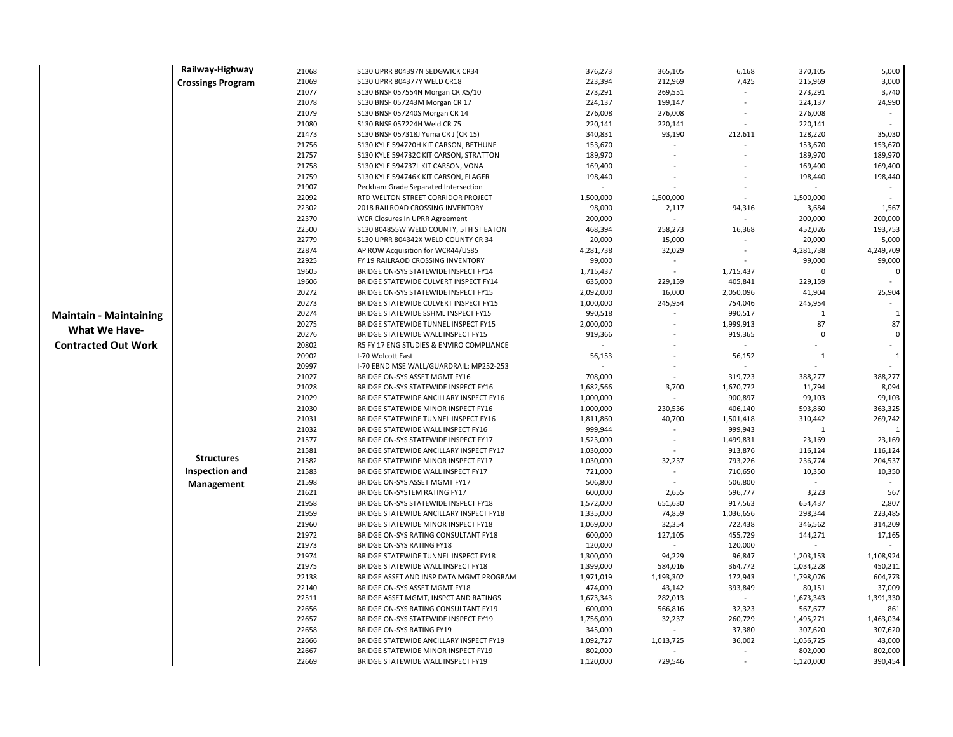|                               | Railway-Highway          | 21068          | S130 UPRR 804397N SEDGWICK CR34                                                 | 376,273                | 365,105                  | 6,168                    | 370,105           | 5,000               |
|-------------------------------|--------------------------|----------------|---------------------------------------------------------------------------------|------------------------|--------------------------|--------------------------|-------------------|---------------------|
|                               | <b>Crossings Program</b> | 21069          | \$130 UPRR 804377Y WELD CR18                                                    | 223,394                | 212,969                  | 7,425                    | 215,969           | 3,000               |
|                               |                          | 21077          | S130 BNSF 057554N Morgan CR X5/10                                               | 273,291                | 269,551                  |                          | 273,291           | 3,740               |
|                               |                          | 21078          | S130 BNSF 057243M Morgan CR 17                                                  | 224,137                | 199,147                  |                          | 224,137           | 24,990              |
|                               |                          | 21079          | S130 BNSF 057240S Morgan CR 14                                                  | 276,008                | 276,008                  |                          | 276,008           |                     |
|                               |                          | 21080          | S130 BNSF 057224H Weld CR 75                                                    | 220,141                | 220,141                  |                          | 220,141           | $\bar{\phantom{a}}$ |
|                               |                          | 21473          | S130 BNSF 057318J Yuma CR J (CR 15)                                             | 340,831                | 93,190                   | 212,611                  | 128,220           | 35,030              |
|                               |                          | 21756          | S130 KYLE 594720H KIT CARSON, BETHUNE                                           | 153,670                |                          |                          | 153,670           | 153,670             |
|                               |                          | 21757          | S130 KYLE 594732C KIT CARSON, STRATTON                                          | 189,970                |                          |                          | 189,970           | 189,970             |
|                               |                          | 21758          | S130 KYLE 594737L KIT CARSON, VONA                                              | 169,400                |                          |                          | 169,400           | 169,400             |
|                               |                          | 21759          | S130 KYLE 594746K KIT CARSON, FLAGER                                            | 198,440                |                          |                          | 198,440           | 198,440             |
|                               |                          | 21907          | Peckham Grade Separated Intersection                                            |                        |                          |                          |                   |                     |
|                               |                          | 22092          | RTD WELTON STREET CORRIDOR PROJECT                                              | 1,500,000              | 1,500,000                | $\overline{\phantom{a}}$ | 1,500,000         |                     |
|                               |                          | 22302          | 2018 RAILROAD CROSSING INVENTORY                                                | 98,000                 | 2,117                    | 94,316                   | 3,684             | 1,567               |
|                               |                          | 22370          | WCR Closures In UPRR Agreement                                                  | 200,000                |                          |                          | 200,000           | 200,000             |
|                               |                          | 22500          | S130 804855W WELD COUNTY, 5TH ST EATON                                          | 468,394                | 258,273                  | 16,368                   | 452,026           | 193,753             |
|                               |                          | 22779          | S130 UPRR 804342X WELD COUNTY CR 34                                             | 20,000                 | 15,000                   |                          | 20,000            | 5,000               |
|                               |                          | 22874          | AP ROW Acquisition for WCR44/US85                                               | 4,281,738              | 32,029                   |                          | 4,281,738         | 4,249,709           |
|                               |                          | 22925          | FY 19 RAILRAOD CROSSING INVENTORY                                               | 99,000                 | $\overline{\phantom{a}}$ |                          | 99,000            | 99,000              |
|                               |                          | 19605          | BRIDGE ON-SYS STATEWIDE INSPECT FY14                                            | 1,715,437              |                          | 1,715,437                | $\Omega$          | $\Omega$            |
|                               |                          | 19606          | BRIDGE STATEWIDE CULVERT INSPECT FY14                                           | 635,000                | 229,159                  | 405,841                  | 229,159           |                     |
|                               |                          | 20272          | BRIDGE ON-SYS STATEWIDE INSPECT FY15                                            | 2,092,000              | 16,000                   | 2,050,096                | 41,904            | 25,904              |
|                               |                          | 20273          | BRIDGE STATEWIDE CULVERT INSPECT FY15                                           | 1,000,000              | 245,954                  | 754,046                  | 245,954           |                     |
| <b>Maintain - Maintaining</b> |                          | 20274          | BRIDGE STATEWIDE SSHML INSPECT FY15                                             | 990,518                |                          | 990,517                  | 1                 | 1                   |
| <b>What We Have-</b>          |                          | 20275          | BRIDGE STATEWIDE TUNNEL INSPECT FY15                                            | 2,000,000              |                          | 1,999,913                | 87                | 87                  |
|                               |                          | 20276          | BRIDGE STATEWIDE WALL INSPECT FY15                                              | 919,366                |                          | 919,365                  | $\Omega$          | $\mathbf 0$         |
| <b>Contracted Out Work</b>    |                          | 20802          | R5 FY 17 ENG STUDIES & ENVIRO COMPLIANCE                                        |                        |                          |                          |                   |                     |
|                               |                          | 20902          | I-70 Wolcott East                                                               | 56,153                 |                          | 56,152                   | $\mathbf{1}$      | $\mathbf{1}$        |
|                               |                          | 20997          | I-70 EBND MSE WALL/GUARDRAIL: MP252-253                                         |                        |                          |                          |                   |                     |
|                               |                          | 21027          | BRIDGE ON-SYS ASSET MGMT FY16                                                   | 708,000                |                          | 319,723                  | 388,277           | 388,277             |
|                               |                          | 21028          | BRIDGE ON-SYS STATEWIDE INSPECT FY16                                            | 1,682,566              | 3,700                    | 1,670,772                | 11,794            | 8,094               |
|                               |                          | 21029          | BRIDGE STATEWIDE ANCILLARY INSPECT FY16                                         | 1,000,000              |                          | 900,897                  | 99,103            | 99,103              |
|                               |                          | 21030          | BRIDGE STATEWIDE MINOR INSPECT FY16                                             | 1,000,000              | 230,536                  | 406,140                  | 593,860           | 363,325             |
|                               |                          | 21031<br>21032 | BRIDGE STATEWIDE TUNNEL INSPECT FY16                                            | 1,811,860              | 40,700                   | 1,501,418                | 310,442           | 269,742<br>1        |
|                               |                          |                | BRIDGE STATEWIDE WALL INSPECT FY16                                              | 999,944                | $\sim$                   | 999,943                  | 1                 | 23,169              |
|                               |                          | 21577<br>21581 | BRIDGE ON-SYS STATEWIDE INSPECT FY17<br>BRIDGE STATEWIDE ANCILLARY INSPECT FY17 | 1,523,000<br>1,030,000 |                          | 1,499,831<br>913,876     | 23,169<br>116,124 | 116,124             |
|                               | <b>Structures</b>        | 21582          | BRIDGE STATEWIDE MINOR INSPECT FY17                                             | 1,030,000              | 32,237                   | 793,226                  | 236,774           | 204,537             |
|                               | <b>Inspection and</b>    | 21583          | BRIDGE STATEWIDE WALL INSPECT FY17                                              | 721,000                |                          | 710,650                  | 10,350            | 10,350              |
|                               |                          | 21598          | BRIDGE ON-SYS ASSET MGMT FY17                                                   | 506,800                |                          | 506,800                  |                   |                     |
|                               | Management               | 21621          | BRIDGE ON-SYSTEM RATING FY17                                                    | 600,000                | 2,655                    | 596,777                  | 3,223             | 567                 |
|                               |                          | 21958          | BRIDGE ON-SYS STATEWIDE INSPECT FY18                                            | 1,572,000              | 651,630                  | 917,563                  | 654,437           | 2,807               |
|                               |                          | 21959          | BRIDGE STATEWIDE ANCILLARY INSPECT FY18                                         | 1,335,000              | 74,859                   | 1,036,656                | 298,344           | 223,485             |
|                               |                          | 21960          | BRIDGE STATEWIDE MINOR INSPECT FY18                                             | 1,069,000              | 32,354                   | 722,438                  | 346,562           | 314,209             |
|                               |                          | 21972          | BRIDGE ON-SYS RATING CONSULTANT FY18                                            | 600,000                | 127,105                  | 455,729                  | 144,271           | 17,165              |
|                               |                          | 21973          | <b>BRIDGE ON-SYS RATING FY18</b>                                                | 120,000                |                          | 120,000                  |                   |                     |
|                               |                          | 21974          | BRIDGE STATEWIDE TUNNEL INSPECT FY18                                            | 1,300,000              | 94,229                   | 96,847                   | 1,203,153         | 1,108,924           |
|                               |                          | 21975          | BRIDGE STATEWIDE WALL INSPECT FY18                                              | 1,399,000              | 584,016                  | 364,772                  | 1,034,228         | 450,211             |
|                               |                          | 22138          | BRIDGE ASSET AND INSP DATA MGMT PROGRAM                                         | 1,971,019              | 1,193,302                | 172,943                  | 1,798,076         | 604,773             |
|                               |                          | 22140          | BRIDGE ON-SYS ASSET MGMT FY18                                                   | 474,000                | 43,142                   | 393,849                  | 80,151            | 37,009              |
|                               |                          | 22511          | BRIDGE ASSET MGMT, INSPCT AND RATINGS                                           | 1,673,343              | 282,013                  | $\sim$                   | 1,673,343         | 1,391,330           |
|                               |                          | 22656          | BRIDGE ON-SYS RATING CONSULTANT FY19                                            | 600,000                | 566,816                  | 32,323                   | 567,677           | 861                 |
|                               |                          | 22657          | BRIDGE ON-SYS STATEWIDE INSPECT FY19                                            | 1,756,000              | 32,237                   | 260,729                  | 1,495,271         | 1,463,034           |
|                               |                          | 22658          | <b>BRIDGE ON-SYS RATING FY19</b>                                                | 345,000                |                          | 37,380                   | 307,620           | 307,620             |
|                               |                          | 22666          | BRIDGE STATEWIDE ANCILLARY INSPECT FY19                                         | 1,092,727              | 1,013,725                | 36,002                   | 1,056,725         | 43,000              |
|                               |                          | 22667          | BRIDGE STATEWIDE MINOR INSPECT FY19                                             | 802,000                |                          |                          | 802,000           | 802,000             |
|                               |                          | 22669          | BRIDGE STATEWIDE WALL INSPECT FY19                                              | 1,120,000              | 729,546                  |                          | 1,120,000         | 390,454             |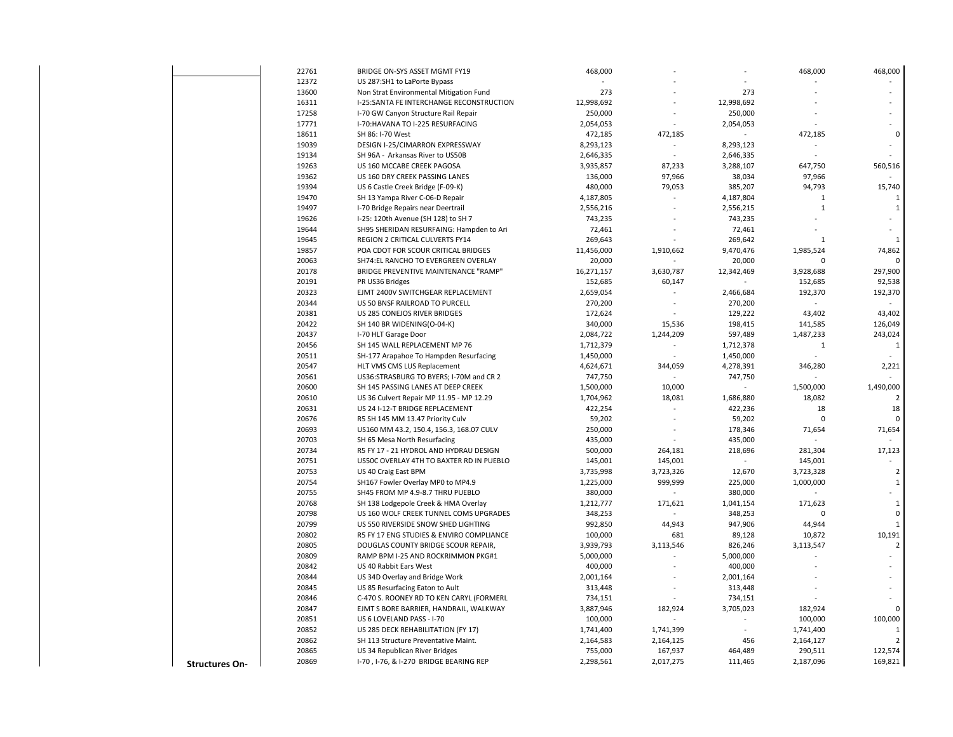|                       | 22761          | BRIDGE ON-SYS ASSET MGMT FY19                                     | 468,000              |                          |                      | 468,000      | 468,000        |
|-----------------------|----------------|-------------------------------------------------------------------|----------------------|--------------------------|----------------------|--------------|----------------|
|                       | 12372          | US 287:SH1 to LaPorte Bypass                                      |                      |                          |                      |              |                |
|                       | 13600          | Non Strat Environmental Mitigation Fund                           | 273                  |                          | 273                  |              |                |
|                       | 16311          | I-25:SANTA FE INTERCHANGE RECONSTRUCTION                          | 12,998,692           |                          | 12,998,692           |              |                |
|                       | 17258          | I-70 GW Canyon Structure Rail Repair                              | 250,000              |                          | 250,000              |              |                |
|                       | 17771          | I-70:HAVANA TO I-225 RESURFACING                                  | 2,054,053            |                          | 2,054,053            |              |                |
|                       | 18611          | SH 86: I-70 West                                                  | 472,185              | 472,185                  |                      | 472,185      | $\Omega$       |
|                       | 19039          | DESIGN I-25/CIMARRON EXPRESSWAY                                   | 8,293,123            | $\sim$                   | 8,293,123            |              |                |
|                       | 19134          | SH 96A - Arkansas River to US50B                                  | 2,646,335            | $\sim$                   | 2,646,335            |              |                |
|                       | 19263          | US 160 MCCABE CREEK PAGOSA                                        | 3,935,857            | 87,233                   | 3,288,107            | 647,750      | 560,516        |
|                       | 19362          | US 160 DRY CREEK PASSING LANES                                    | 136,000              | 97,966                   | 38,034               | 97,966       |                |
|                       | 19394          | US 6 Castle Creek Bridge (F-09-K)                                 | 480,000              | 79,053                   | 385,207              | 94,793       | 15,740         |
|                       | 19470          | SH 13 Yampa River C-06-D Repair                                   | 4,187,805            | $\sim$                   | 4,187,804            | 1            |                |
|                       | 19497          | I-70 Bridge Repairs near Deertrail                                | 2,556,216            |                          | 2,556,215            | $\mathbf{1}$ | 1              |
|                       | 19626          | I-25: 120th Avenue (SH 128) to SH 7                               | 743,235              |                          | 743,235              |              |                |
|                       | 19644          | SH95 SHERIDAN RESURFAING: Hampden to Ari                          | 72,461               |                          | 72,461               |              |                |
|                       | 19645          | REGION 2 CRITICAL CULVERTS FY14                                   | 269,643              |                          | 269,642              | 1            | $\mathbf{1}$   |
|                       | 19857          | POA CDOT FOR SCOUR CRITICAL BRIDGES                               | 11,456,000           | 1,910,662                | 9,470,476            | 1,985,524    | 74,862         |
|                       | 20063          | SH74:EL RANCHO TO EVERGREEN OVERLAY                               | 20,000               |                          | 20,000               | $\Omega$     |                |
|                       | 20178          | BRIDGE PREVENTIVE MAINTENANCE "RAMP"                              | 16,271,157           | 3,630,787                | 12,342,469           | 3,928,688    | 297,900        |
|                       | 20191          | PR US36 Bridges                                                   | 152,685              | 60,147                   |                      | 152,685      | 92,538         |
|                       | 20323          | EJMT 2400V SWITCHGEAR REPLACEMENT                                 | 2,659,054            |                          | 2,466,684            | 192,370      | 192,370        |
|                       | 20344          | US 50 BNSF RAILROAD TO PURCELL                                    | 270,200              | $\overline{\phantom{a}}$ | 270,200              |              |                |
|                       | 20381          | US 285 CONEJOS RIVER BRIDGES                                      | 172,624              |                          | 129,222              | 43,402       | 43,402         |
|                       | 20422          | SH 140 BR WIDENING(O-04-K)                                        | 340,000              | 15,536                   | 198,415              | 141,585      | 126,049        |
|                       | 20437          | I-70 HLT Garage Door                                              | 2,084,722            | 1,244,209                | 597,489              | 1,487,233    | 243,024        |
|                       | 20456          | SH 145 WALL REPLACEMENT MP 76                                     | 1,712,379            |                          | 1,712,378            | 1            | $\mathbf{1}$   |
|                       | 20511          | SH-177 Arapahoe To Hampden Resurfacing                            | 1,450,000            |                          | 1,450,000            |              |                |
|                       | 20547          | HLT VMS CMS LUS Replacement                                       | 4,624,671            | 344,059                  | 4,278,391            | 346,280      | 2,221          |
|                       | 20561          | US36:STRASBURG TO BYERS; I-70M and CR 2                           | 747,750              |                          | 747,750              |              |                |
|                       | 20600          | SH 145 PASSING LANES AT DEEP CREEK                                | 1,500,000            | 10,000                   |                      | 1,500,000    | 1,490,000      |
|                       | 20610          | US 36 Culvert Repair MP 11.95 - MP 12.29                          | 1,704,962            | 18,081                   | 1,686,880            | 18,082       |                |
|                       | 20631          | US 24 I-12-T BRIDGE REPLACEMENT                                   | 422,254              | $\sim$                   | 422,236              | 18           | 18             |
|                       | 20676          | R5 SH 145 MM 13.47 Priority Culv                                  | 59,202               |                          | 59,202               | $\mathbf 0$  | $\Omega$       |
|                       | 20693          | US160 MM 43.2, 150.4, 156.3, 168.07 CULV                          | 250,000              |                          | 178,346              | 71,654       | 71,654         |
|                       | 20703          | SH 65 Mesa North Resurfacing                                      | 435,000              |                          | 435,000              |              |                |
|                       | 20734          | R5 FY 17 - 21 HYDROL AND HYDRAU DESIGN                            | 500,000              | 264,181                  | 218,696              | 281,304      | 17,123         |
|                       | 20751          | US50C OVERLAY 4TH TO BAXTER RD IN PUEBLO                          | 145,001              | 145,001                  |                      | 145,001      |                |
|                       | 20753          | US 40 Craig East BPM                                              | 3,735,998            | 3,723,326                | 12,670               | 3,723,328    | 2              |
|                       | 20754          | SH167 Fowler Overlay MP0 to MP4.9                                 | 1,225,000            | 999,999                  | 225,000              | 1,000,000    | $\mathbf{1}$   |
|                       | 20755          | SH45 FROM MP 4.9-8.7 THRU PUEBLO                                  | 380,000              | $\sim$                   | 380,000              |              |                |
|                       | 20768          | SH 138 Lodgepole Creek & HMA Overlay                              | 1,212,777            | 171,621                  | 1,041,154            | 171,623      | $\mathbf{1}$   |
|                       | 20798          | US 160 WOLF CREEK TUNNEL COMS UPGRADES                            | 348,253              |                          | 348,253              | $\Omega$     | $\Omega$       |
|                       | 20799          | US 550 RIVERSIDE SNOW SHED LIGHTING                               | 992,850              | 44,943                   | 947,906              | 44,944       | 1              |
|                       | 20802          | R5 FY 17 ENG STUDIES & ENVIRO COMPLIANCE                          | 100,000              | 681                      | 89,128               | 10,872       | 10,191         |
|                       | 20805          | DOUGLAS COUNTY BRIDGE SCOUR REPAIR,                               | 3,939,793            | 3,113,546                | 826,246              | 3,113,547    | $\overline{2}$ |
|                       | 20809          | RAMP BPM I-25 AND ROCKRIMMON PKG#1                                | 5,000,000            |                          | 5,000,000            |              |                |
|                       | 20842          | US 40 Rabbit Ears West                                            | 400,000              |                          | 400,000              |              |                |
|                       | 20844          |                                                                   |                      |                          |                      |              |                |
|                       | 20845          | US 34D Overlay and Bridge Work<br>US 85 Resurfacing Eaton to Ault | 2,001,164<br>313,448 |                          | 2,001,164<br>313,448 |              |                |
|                       |                |                                                                   |                      |                          |                      |              |                |
|                       | 20846          | C-470 S. ROONEY RD TO KEN CARYL (FORMERL                          | 734,151              |                          | 734,151              |              |                |
|                       | 20847<br>20851 | EJMT S BORE BARRIER, HANDRAIL, WALKWAY                            | 3,887,946            | 182,924                  | 3,705,023            | 182,924      |                |
|                       |                | US 6 LOVELAND PASS - I-70                                         | 100,000              |                          |                      | 100,000      | 100,000        |
|                       | 20852          | US 285 DECK REHABILITATION (FY 17)                                | 1,741,400            | 1,741,399                |                      | 1,741,400    | $\mathbf{1}$   |
|                       | 20862          | SH 113 Structure Preventative Maint.                              | 2,164,583            | 2,164,125                | 456                  | 2,164,127    |                |
|                       | 20865          | US 34 Republican River Bridges                                    | 755,000              | 167,937                  | 464,489              | 290,511      | 122,574        |
| <b>Structures On-</b> | 20869          | 1-70, 1-76, & 1-270 BRIDGE BEARING REP                            | 2,298,561            | 2,017,275                | 111,465              | 2,187,096    | 169,821        |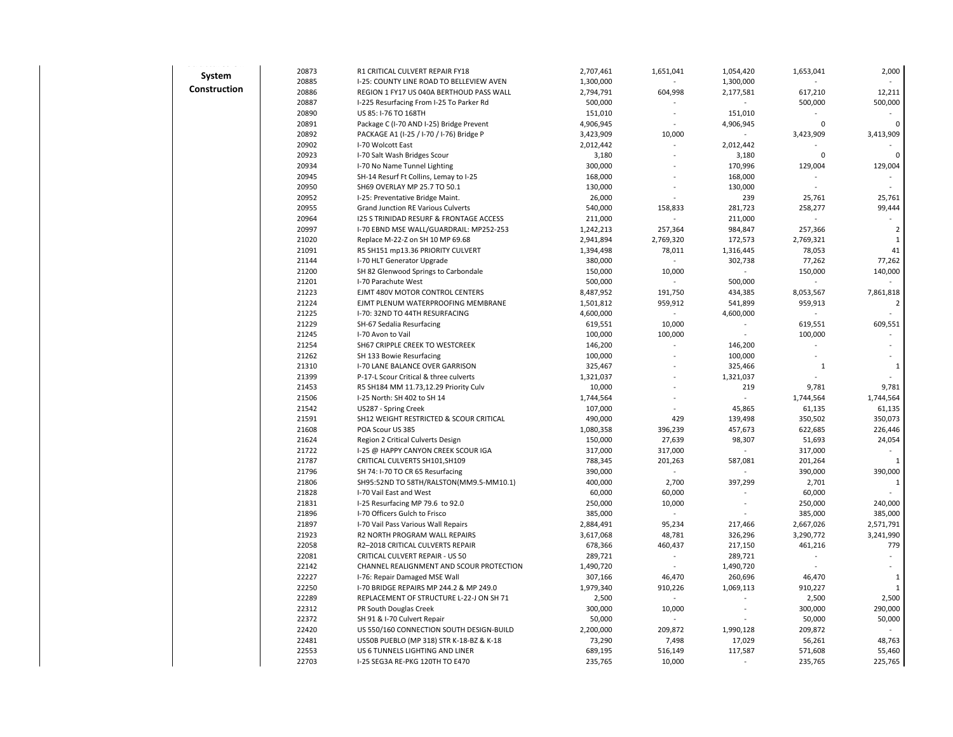| $\frac{1}{2}$ and $\frac{1}{2}$ and $\frac{1}{2}$ and $\frac{1}{2}$ and $\frac{1}{2}$ and $\frac{1}{2}$<br>System | 20873          | R1 CRITICAL CULVERT REPAIR FY18           | 2,707,461 | 1,651,041 | 1,054,420 | 1,653,041    | 2,000          |
|-------------------------------------------------------------------------------------------------------------------|----------------|-------------------------------------------|-----------|-----------|-----------|--------------|----------------|
|                                                                                                                   | 20885          | I-25: COUNTY LINE ROAD TO BELLEVIEW AVEN  | 1,300,000 |           | 1,300,000 |              |                |
| Construction                                                                                                      | 20886          | REGION 1 FY17 US 040A BERTHOUD PASS WALL  | 2,794,791 | 604,998   | 2,177,581 | 617,210      | 12,211         |
|                                                                                                                   | 20887          | I-225 Resurfacing From I-25 To Parker Rd  | 500,000   |           |           | 500,000      | 500,000        |
|                                                                                                                   | 20890          | US 85: I-76 TO 168TH                      | 151,010   |           | 151,010   |              |                |
|                                                                                                                   | 20891          | Package C (I-70 AND I-25) Bridge Prevent  | 4,906,945 |           | 4,906,945 | 0            | $\Omega$       |
|                                                                                                                   | 20892          | PACKAGE A1 (I-25 / I-70 / I-76) Bridge P  | 3,423,909 | 10,000    |           | 3,423,909    | 3,413,909      |
|                                                                                                                   | 20902          | I-70 Wolcott East                         | 2,012,442 |           | 2,012,442 |              |                |
|                                                                                                                   | 20923          | I-70 Salt Wash Bridges Scour              | 3,180     |           | 3,180     | 0            |                |
|                                                                                                                   | 20934          | I-70 No Name Tunnel Lighting              | 300,000   |           | 170,996   | 129,004      | 129,004        |
|                                                                                                                   | 20945          | SH-14 Resurf Ft Collins, Lemay to I-25    | 168,000   |           | 168,000   |              |                |
|                                                                                                                   | 20950          | SH69 OVERLAY MP 25.7 TO 50.1              | 130,000   |           | 130,000   |              |                |
|                                                                                                                   | 20952          | I-25: Preventative Bridge Maint.          | 26,000    |           | 239       | 25,761       | 25,761         |
|                                                                                                                   | 20955          | <b>Grand Junction RE Various Culverts</b> | 540,000   | 158,833   | 281,723   | 258,277      | 99,444         |
|                                                                                                                   | 20964          | 125 S TRINIDAD RESURF & FRONTAGE ACCESS   | 211,000   |           | 211,000   |              |                |
|                                                                                                                   | 20997          | I-70 EBND MSE WALL/GUARDRAIL: MP252-253   | 1,242,213 | 257,364   | 984,847   | 257,366      | $\overline{2}$ |
|                                                                                                                   | 21020          | Replace M-22-Z on SH 10 MP 69.68          | 2,941,894 | 2,769,320 | 172,573   | 2,769,321    | $\mathbf{1}$   |
|                                                                                                                   | 21091          | R5 SH151 mp13.36 PRIORITY CULVERT         | 1,394,498 | 78,011    | 1,316,445 | 78,053       | 41             |
|                                                                                                                   | 21144          | I-70 HLT Generator Upgrade                | 380,000   |           | 302,738   | 77,262       | 77,262         |
|                                                                                                                   | 21200          | SH 82 Glenwood Springs to Carbondale      | 150,000   | 10,000    |           | 150,000      | 140,000        |
|                                                                                                                   | 21201          | I-70 Parachute West                       | 500,000   |           | 500,000   |              |                |
|                                                                                                                   | 21223          | EJMT 480V MOTOR CONTROL CENTERS           | 8,487,952 | 191,750   | 434,385   | 8,053,567    | 7,861,818      |
|                                                                                                                   | 21224          | EJMT PLENUM WATERPROOFING MEMBRANE        | 1,501,812 | 959,912   | 541,899   | 959,913      | $\overline{2}$ |
|                                                                                                                   | 21225          | I-70: 32ND TO 44TH RESURFACING            | 4,600,000 |           | 4,600,000 |              |                |
|                                                                                                                   | 21229          | SH-67 Sedalia Resurfacing                 | 619,551   | 10,000    |           | 619,551      | 609,551        |
|                                                                                                                   | 21245          | I-70 Avon to Vail                         | 100,000   | 100,000   |           | 100,000      |                |
|                                                                                                                   | 21254<br>21262 | SH67 CRIPPLE CREEK TO WESTCREEK           | 146,200   |           | 146,200   |              |                |
|                                                                                                                   |                | SH 133 Bowie Resurfacing                  | 100,000   |           | 100,000   |              |                |
|                                                                                                                   | 21310          | I-70 LANE BALANCE OVER GARRISON           | 325,467   |           | 325,466   | $\mathbf{1}$ | $\mathbf{1}$   |
|                                                                                                                   | 21399          | P-17-L Scour Critical & three culverts    | 1,321,037 |           | 1,321,037 |              |                |
|                                                                                                                   | 21453          | R5 SH184 MM 11.73,12.29 Priority Culv     | 10,000    |           | 219       | 9,781        | 9,781          |
|                                                                                                                   | 21506          | I-25 North: SH 402 to SH 14               | 1,744,564 |           |           | 1,744,564    | 1,744,564      |
|                                                                                                                   | 21542          | US287 - Spring Creek                      | 107,000   |           | 45,865    | 61,135       | 61,135         |
|                                                                                                                   | 21591          | SH12 WEIGHT RESTRICTED & SCOUR CRITICAL   | 490,000   | 429       | 139,498   | 350,502      | 350,073        |
|                                                                                                                   | 21608          | POA Scour US 385                          | 1,080,358 | 396,239   | 457,673   | 622,685      | 226,446        |
|                                                                                                                   | 21624          | Region 2 Critical Culverts Design         | 150,000   | 27,639    | 98,307    | 51,693       | 24,054         |
|                                                                                                                   | 21722          | I-25 @ HAPPY CANYON CREEK SCOUR IGA       | 317,000   | 317,000   |           | 317,000      |                |
|                                                                                                                   | 21787          | CRITICAL CULVERTS SH101, SH109            | 788,345   | 201,263   | 587,081   | 201,264      |                |
|                                                                                                                   | 21796          | SH 74: I-70 TO CR 65 Resurfacing          | 390,000   |           |           | 390,000      | 390,000        |
|                                                                                                                   | 21806          | SH95:52ND TO 58TH/RALSTON(MM9.5-MM10.1)   | 400,000   | 2,700     | 397,299   | 2,701        | 1              |
|                                                                                                                   | 21828          | I-70 Vail East and West                   | 60,000    | 60,000    |           | 60,000       |                |
|                                                                                                                   | 21831          | I-25 Resurfacing MP 79.6 to 92.0          | 250,000   | 10,000    |           | 250,000      | 240,000        |
|                                                                                                                   | 21896          | I-70 Officers Gulch to Frisco             | 385,000   |           |           | 385,000      | 385,000        |
|                                                                                                                   | 21897          | I-70 Vail Pass Various Wall Repairs       | 2,884,491 | 95,234    | 217,466   | 2,667,026    | 2,571,791      |
|                                                                                                                   | 21923          | R2 NORTH PROGRAM WALL REPAIRS             | 3,617,068 | 48,781    | 326,296   | 3,290,772    | 3,241,990      |
|                                                                                                                   | 22058          | R2-2018 CRITICAL CULVERTS REPAIR          | 678,366   | 460,437   | 217,150   | 461,216      | 779            |
|                                                                                                                   | 22081          | CRITICAL CULVERT REPAIR - US 50           | 289,721   |           | 289,721   |              |                |
|                                                                                                                   | 22142          | CHANNEL REALIGNMENT AND SCOUR PROTECTION  | 1,490,720 |           | 1,490,720 |              |                |
|                                                                                                                   | 22227          | I-76: Repair Damaged MSE Wall             | 307,166   | 46,470    | 260,696   | 46,470       | $\mathbf{1}$   |
|                                                                                                                   | 22250          | 1-70 BRIDGE REPAIRS MP 244.2 & MP 249.0   | 1,979,340 | 910,226   | 1,069,113 | 910,227      | 1              |
|                                                                                                                   | 22289          | REPLACEMENT OF STRUCTURE L-22-J ON SH 71  | 2,500     |           |           | 2,500        | 2,500          |
|                                                                                                                   | 22312          | PR South Douglas Creek                    | 300,000   | 10,000    |           | 300,000      | 290,000        |
|                                                                                                                   | 22372          | SH 91 & I-70 Culvert Repair               | 50,000    |           |           | 50,000       | 50,000         |
|                                                                                                                   | 22420          | US 550/160 CONNECTION SOUTH DESIGN-BUILD  | 2,200,000 | 209,872   | 1,990,128 | 209,872      |                |
|                                                                                                                   | 22481          | US50B PUEBLO (MP 318) STR K-18-BZ & K-18  | 73,290    | 7,498     | 17,029    | 56,261       | 48,763         |
|                                                                                                                   | 22553          | US 6 TUNNELS LIGHTING AND LINER           | 689,195   | 516,149   | 117,587   | 571,608      | 55,460         |
|                                                                                                                   | 22703          | I-25 SEG3A RE-PKG 120TH TO E470           | 235,765   | 10,000    |           | 235,765      | 225,765        |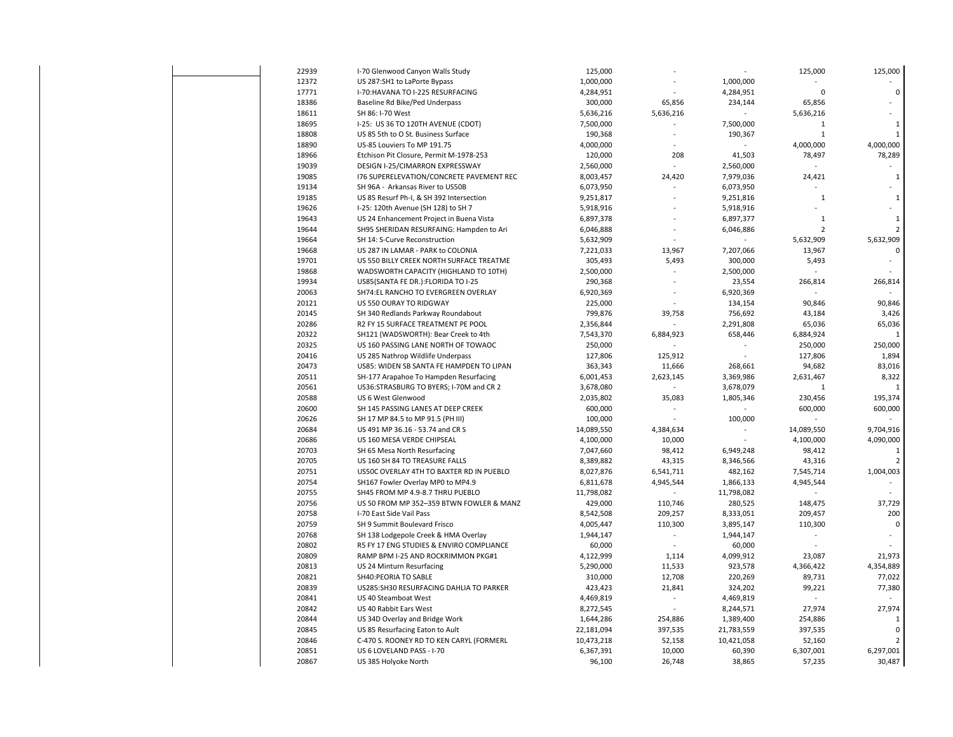| 22939          | I-70 Glenwood Canyon Walls Study                         | 125,000              |                                 |            | 125,000        | 125,000                 |
|----------------|----------------------------------------------------------|----------------------|---------------------------------|------------|----------------|-------------------------|
| 12372          | US 287:SH1 to LaPorte Bypass                             | 1,000,000            |                                 | 1,000,000  |                |                         |
| 17771          | I-70: HAVANA TO I-225 RESURFACING                        | 4,284,951            |                                 | 4,284,951  | 0              | $\mathbf 0$             |
| 18386          | Baseline Rd Bike/Ped Underpass                           | 300,000              | 65,856                          | 234,144    | 65,856         |                         |
| 18611          | SH 86: I-70 West                                         | 5,636,216            | 5,636,216                       |            | 5,636,216      |                         |
| 18695          | I-25: US 36 TO 120TH AVENUE (CDOT)                       | 7,500,000            |                                 | 7,500,000  | $\mathbf 1$    | $\mathbf{1}$            |
| 18808          | US 85 5th to O St. Business Surface                      | 190,368              | ÷,                              | 190,367    | $\mathbf{1}$   | $\mathbf{1}$            |
| 18890          | US-85 Louviers To MP 191.75                              | 4,000,000            |                                 |            | 4,000,000      | 4,000,000               |
| 18966          | Etchison Pit Closure, Permit M-1978-253                  | 120,000              | 208                             | 41,503     | 78,497         | 78,289                  |
| 19039          | DESIGN I-25/CIMARRON EXPRESSWAY                          | 2,560,000            | L.                              | 2,560,000  |                |                         |
| 19085          | 176 SUPERELEVATION/CONCRETE PAVEMENT REC                 | 8,003,457            | 24,420                          | 7,979,036  | 24,421         | $\mathbf{1}$            |
| 19134          | SH 96A - Arkansas River to US50B                         | 6,073,950            |                                 | 6,073,950  |                |                         |
| 19185          | US 85 Resurf Ph-I, & SH 392 Intersection                 | 9,251,817            |                                 | 9,251,816  | $\mathbf{1}$   | $\mathbf{1}$            |
| 19626          | I-25: 120th Avenue (SH 128) to SH 7                      | 5,918,916            |                                 | 5,918,916  |                |                         |
| 19643          | US 24 Enhancement Project in Buena Vista                 | 6,897,378            |                                 | 6,897,377  | $\mathbf{1}$   | $\mathbf{1}$            |
| 19644          | SH95 SHERIDAN RESURFAING: Hampden to Ari                 | 6,046,888            |                                 | 6,046,886  | $\overline{2}$ | $\overline{2}$          |
| 19664          | SH 14: S-Curve Reconstruction                            | 5,632,909            |                                 |            | 5,632,909      | 5,632,909               |
| 19668          | US 287 IN LAMAR - PARK to COLONIA                        | 7,221,033            | 13,967                          | 7,207,066  | 13,967         | $\sqrt{2}$              |
| 19701          | US 550 BILLY CREEK NORTH SURFACE TREATME                 | 305,493              | 5,493                           | 300,000    | 5,493          |                         |
| 19868          | WADSWORTH CAPACITY (HIGHLAND TO 10TH)                    | 2,500,000            | ä,                              | 2,500,000  |                |                         |
| 19934          | US85(SANTA FE DR.): FLORIDA TO I-25                      | 290,368              |                                 | 23,554     | 266,814        | 266,814                 |
| 20063          | SH74:EL RANCHO TO EVERGREEN OVERLAY                      | 6,920,369            |                                 | 6,920,369  |                |                         |
| 20121          | US 550 OURAY TO RIDGWAY                                  | 225,000              |                                 | 134,154    | 90,846         | 90,846                  |
| 20145          | SH 340 Redlands Parkway Roundabout                       | 799,876              | 39,758                          | 756,692    | 43,184         | 3,426                   |
| 20286          | R2 FY 15 SURFACE TREATMENT PE POOL                       | 2,356,844            |                                 | 2,291,808  | 65,036         | 65,036                  |
| 20322          | SH121 (WADSWORTH): Bear Creek to 4th                     | 7,543,370            | 6,884,923                       | 658,446    | 6,884,924      | $\mathbf{1}$            |
| 20325          | US 160 PASSING LANE NORTH OF TOWAOC                      | 250,000              |                                 |            | 250,000        | 250,000                 |
| 20416          | US 285 Nathrop Wildlife Underpass                        | 127,806              | 125,912                         |            | 127,806        | 1,894                   |
| 20473          | US85: WIDEN SB SANTA FE HAMPDEN TO LIPAN                 | 363,343              | 11,666                          | 268,661    | 94,682         | 83,016                  |
| 20511          | SH-177 Arapahoe To Hampden Resurfacing                   | 6,001,453            | 2,623,145                       | 3,369,986  | 2,631,467      | 8,322<br>$\overline{1}$ |
| 20561<br>20588 | US36:STRASBURG TO BYERS; I-70M and CR 2                  | 3,678,080            |                                 | 3,678,079  | $\mathbf{1}$   |                         |
| 20600          | US 6 West Glenwood<br>SH 145 PASSING LANES AT DEEP CREEK | 2,035,802<br>600,000 | 35,083                          | 1,805,346  | 230,456        | 195,374<br>600,000      |
| 20626          | SH 17 MP 84.5 to MP 91.5 (PH III)                        | 100,000              |                                 | 100,000    | 600,000        |                         |
| 20684          | US 491 MP 36.16 - 53.74 and CR S                         | 14,089,550           | 4,384,634                       |            | 14,089,550     | 9,704,916               |
| 20686          | US 160 MESA VERDE CHIPSEAL                               | 4,100,000            | 10,000                          | ÷.         | 4,100,000      | 4,090,000               |
| 20703          | SH 65 Mesa North Resurfacing                             | 7,047,660            | 98,412                          | 6,949,248  | 98,412         | 1                       |
| 20705          | US 160 SH 84 TO TREASURE FALLS                           | 8,389,882            | 43,315                          | 8,346,566  | 43,316         | $\overline{2}$          |
| 20751          | US50C OVERLAY 4TH TO BAXTER RD IN PUEBLO                 | 8,027,876            | 6,541,711                       | 482,162    | 7,545,714      | 1,004,003               |
| 20754          | SH167 Fowler Overlay MP0 to MP4.9                        | 6,811,678            | 4,945,544                       | 1,866,133  | 4,945,544      |                         |
| 20755          | SH45 FROM MP 4.9-8.7 THRU PUEBLO                         | 11,798,082           |                                 | 11,798,082 |                |                         |
| 20756          | US 50 FROM MP 352-359 BTWN FOWLER & MANZ                 | 429,000              | 110,746                         | 280,525    | 148,475        | 37,729                  |
| 20758          | I-70 East Side Vail Pass                                 | 8,542,508            | 209,257                         | 8,333,051  | 209,457        | 200                     |
| 20759          | SH 9 Summit Boulevard Frisco                             | 4,005,447            | 110,300                         | 3,895,147  | 110,300        | $\mathbf 0$             |
| 20768          | SH 138 Lodgepole Creek & HMA Overlay                     | 1,944,147            | $\centering \label{eq:reduced}$ | 1,944,147  |                |                         |
| 20802          | R5 FY 17 ENG STUDIES & ENVIRO COMPLIANCE                 | 60,000               |                                 | 60,000     |                |                         |
| 20809          | RAMP BPM I-25 AND ROCKRIMMON PKG#1                       | 4,122,999            | 1,114                           | 4,099,912  | 23,087         | 21,973                  |
| 20813          | US 24 Minturn Resurfacing                                | 5,290,000            | 11,533                          | 923,578    | 4,366,422      | 4,354,889               |
| 20821          | SH40:PEORIA TO SABLE                                     | 310,000              | 12,708                          | 220,269    | 89,731         | 77,022                  |
| 20839          | US285:SH30 RESURFACING DAHLIA TO PARKER                  | 423,423              | 21,841                          | 324,202    | 99,221         | 77,380                  |
| 20841          | US 40 Steamboat West                                     | 4,469,819            | $\overline{a}$                  | 4,469,819  |                |                         |
| 20842          | US 40 Rabbit Ears West                                   | 8,272,545            | $\overline{\phantom{a}}$        | 8,244,571  | 27,974         | 27,974                  |
| 20844          | US 34D Overlay and Bridge Work                           | 1,644,286            | 254,886                         | 1,389,400  | 254,886        |                         |
| 20845          | US 85 Resurfacing Eaton to Ault                          | 22,181,094           | 397,535                         | 21,783,559 | 397,535        | $\mathbf 0$             |
| 20846          | C-470 S. ROONEY RD TO KEN CARYL (FORMERL                 | 10,473,218           | 52,158                          | 10,421,058 | 52,160         | $\overline{2}$          |
| 20851          | US 6 LOVELAND PASS - I-70                                | 6,367,391            | 10,000                          | 60,390     | 6,307,001      | 6,297,001               |
| 20867          | US 385 Holyoke North                                     | 96,100               | 26,748                          | 38,865     | 57,235         | 30,487                  |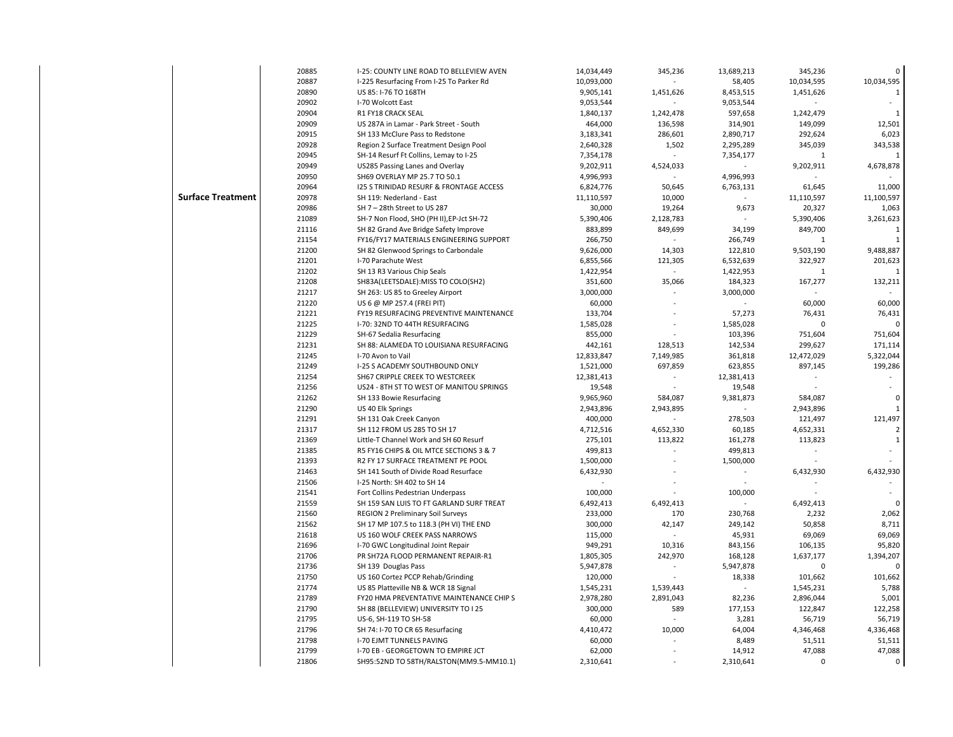|                          | 20885 | I-25: COUNTY LINE ROAD TO BELLEVIEW AVEN           | 14,034,449 | 345,236                  | 13,689,213 | 345,236      |              |
|--------------------------|-------|----------------------------------------------------|------------|--------------------------|------------|--------------|--------------|
|                          | 20887 | I-225 Resurfacing From I-25 To Parker Rd           | 10,093,000 |                          | 58,405     | 10,034,595   | 10,034,595   |
|                          | 20890 | US 85: I-76 TO 168TH                               | 9,905,141  | 1,451,626                | 8,453,515  | 1,451,626    |              |
|                          | 20902 | I-70 Wolcott East                                  | 9,053,544  |                          | 9,053,544  |              | $\sim$       |
|                          | 20904 | R1 FY18 CRACK SEAL                                 | 1,840,137  | 1,242,478                | 597,658    | 1,242,479    | $\mathbf{1}$ |
|                          | 20909 | US 287A in Lamar - Park Street - South             | 464,000    | 136,598                  | 314,901    | 149,099      | 12,501       |
|                          | 20915 | SH 133 McClure Pass to Redstone                    | 3,183,341  | 286,601                  | 2,890,717  | 292,624      | 6,023        |
|                          | 20928 | Region 2 Surface Treatment Design Pool             | 2,640,328  | 1,502                    | 2,295,289  | 345,039      | 343,538      |
|                          | 20945 | SH-14 Resurf Ft Collins, Lemay to I-25             | 7,354,178  |                          | 7,354,177  | 1            |              |
|                          | 20949 | US285 Passing Lanes and Overlay                    | 9,202,911  | 4,524,033                |            | 9,202,911    | 4,678,878    |
|                          | 20950 | SH69 OVERLAY MP 25.7 TO 50.1                       | 4,996,993  |                          | 4,996,993  |              |              |
|                          | 20964 | <b>I25 S TRINIDAD RESURF &amp; FRONTAGE ACCESS</b> | 6,824,776  | 50,645                   | 6,763,131  | 61,645       | 11,000       |
| <b>Surface Treatment</b> | 20978 | SH 119: Nederland - East                           | 11,110,597 | 10,000                   |            | 11,110,597   | 11,100,597   |
|                          | 20986 | SH 7-28th Street to US 287                         | 30,000     | 19,264                   | 9,673      | 20,327       | 1,063        |
|                          | 21089 | SH-7 Non Flood, SHO (PH II), EP-Jct SH-72          | 5,390,406  | 2,128,783                |            | 5,390,406    | 3,261,623    |
|                          | 21116 | SH 82 Grand Ave Bridge Safety Improve              | 883,899    | 849,699                  | 34,199     | 849,700      |              |
|                          | 21154 | FY16/FY17 MATERIALS ENGINEERING SUPPORT            | 266,750    |                          | 266,749    | $\mathbf{1}$ |              |
|                          | 21200 | SH 82 Glenwood Springs to Carbondale               | 9,626,000  | 14,303                   | 122,810    | 9,503,190    | 9,488,887    |
|                          | 21201 | I-70 Parachute West                                | 6,855,566  | 121,305                  | 6,532,639  | 322,927      | 201,623      |
|                          | 21202 | SH 13 R3 Various Chip Seals                        | 1,422,954  | $\sim$                   | 1,422,953  | $\mathbf{1}$ |              |
|                          | 21208 | SH83A(LEETSDALE): MISS TO COLO(SH2)                | 351,600    | 35,066                   | 184,323    | 167,277      | 132,211      |
|                          | 21217 | SH 263: US 85 to Greeley Airport                   | 3,000,000  |                          | 3,000,000  |              |              |
|                          | 21220 | US 6 @ MP 257.4 (FREI PIT)                         | 60,000     |                          |            | 60,000       | 60,000       |
|                          | 21221 | FY19 RESURFACING PREVENTIVE MAINTENANCE            | 133,704    |                          | 57,273     | 76,431       | 76,431       |
|                          | 21225 | I-70: 32ND TO 44TH RESURFACING                     | 1,585,028  |                          | 1,585,028  | 0            |              |
|                          | 21229 | SH-67 Sedalia Resurfacing                          | 855,000    |                          | 103,396    | 751,604      | 751,604      |
|                          | 21231 | SH 88: ALAMEDA TO LOUISIANA RESURFACING            | 442,161    | 128,513                  | 142,534    | 299,627      | 171,114      |
|                          | 21245 | I-70 Avon to Vail                                  | 12,833,847 | 7,149,985                | 361,818    | 12,472,029   | 5,322,044    |
|                          | 21249 | I-25 S ACADEMY SOUTHBOUND ONLY                     | 1,521,000  | 697,859                  | 623,855    | 897,145      | 199,286      |
|                          | 21254 | SH67 CRIPPLE CREEK TO WESTCREEK                    | 12,381,413 |                          | 12,381,413 |              |              |
|                          | 21256 | US24 - 8TH ST TO WEST OF MANITOU SPRINGS           | 19,548     |                          | 19,548     |              |              |
|                          | 21262 | SH 133 Bowie Resurfacing                           | 9,965,960  | 584,087                  | 9,381,873  | 584,087      | $\mathbf 0$  |
|                          | 21290 | US 40 Elk Springs                                  | 2,943,896  | 2,943,895                |            | 2,943,896    | $\mathbf{1}$ |
|                          | 21291 | SH 131 Oak Creek Canyon                            | 400,000    |                          | 278,503    | 121,497      | 121,497      |
|                          | 21317 | SH 112 FROM US 285 TO SH 17                        | 4,712,516  | 4,652,330                | 60,185     | 4,652,331    | 2            |
|                          | 21369 | Little-T Channel Work and SH 60 Resurf             | 275,101    | 113,822                  | 161,278    | 113,823      | $\mathbf{1}$ |
|                          | 21385 | R5 FY16 CHIPS & OIL MTCE SECTIONS 3 & 7            | 499,813    |                          | 499,813    |              |              |
|                          | 21393 | R2 FY 17 SURFACE TREATMENT PE POOL                 | 1,500,000  |                          | 1,500,000  |              |              |
|                          | 21463 | SH 141 South of Divide Road Resurface              | 6,432,930  |                          |            | 6,432,930    | 6,432,930    |
|                          | 21506 | I-25 North: SH 402 to SH 14                        |            |                          |            |              |              |
|                          | 21541 | Fort Collins Pedestrian Underpass                  | 100,000    |                          | 100,000    |              |              |
|                          | 21559 | SH 159 SAN LUIS TO FT GARLAND SURF TREAT           | 6,492,413  | 6,492,413                |            | 6,492,413    |              |
|                          | 21560 | REGION 2 Preliminary Soil Surveys                  | 233,000    | 170                      | 230,768    | 2,232        | 2,062        |
|                          | 21562 | SH 17 MP 107.5 to 118.3 (PH VI) THE END            | 300,000    | 42,147                   | 249,142    | 50,858       | 8,711        |
|                          | 21618 | US 160 WOLF CREEK PASS NARROWS                     | 115,000    |                          | 45,931     | 69,069       | 69,069       |
|                          | 21696 | I-70 GWC Longitudinal Joint Repair                 | 949,291    | 10,316                   | 843,156    | 106,135      | 95,820       |
|                          | 21706 | PR SH72A FLOOD PERMANENT REPAIR-R1                 | 1,805,305  | 242,970                  | 168,128    | 1,637,177    | 1,394,207    |
|                          | 21736 | SH 139 Douglas Pass                                | 5,947,878  | $\overline{\phantom{a}}$ | 5,947,878  | 0            |              |
|                          | 21750 | US 160 Cortez PCCP Rehab/Grinding                  | 120,000    |                          | 18,338     | 101,662      | 101,662      |
|                          | 21774 | US 85 Platteville NB & WCR 18 Signal               | 1,545,231  | 1,539,443                |            | 1,545,231    | 5,788        |
|                          | 21789 | FY20 HMA PREVENTATIVE MAINTENANCE CHIP S           | 2,978,280  | 2,891,043                | 82,236     | 2,896,044    | 5,001        |
|                          | 21790 | SH 88 (BELLEVIEW) UNIVERSITY TO I 25               | 300,000    | 589                      | 177,153    | 122,847      | 122,258      |
|                          | 21795 | US-6, SH-119 TO SH-58                              | 60,000     |                          | 3,281      | 56,719       | 56,719       |
|                          | 21796 | SH 74: I-70 TO CR 65 Resurfacing                   | 4,410,472  | 10,000                   | 64,004     | 4,346,468    | 4,336,468    |
|                          | 21798 | <b>I-70 EJMT TUNNELS PAVING</b>                    | 60,000     | ä,                       | 8,489      | 51,511       | 51,511       |
|                          | 21799 | I-70 EB - GEORGETOWN TO EMPIRE JCT                 | 62,000     |                          | 14,912     | 47,088       | 47,088       |
|                          | 21806 | SH95:52ND TO 58TH/RALSTON(MM9.5-MM10.1)            | 2,310,641  |                          | 2,310,641  | $\Omega$     | $\mathbf 0$  |
|                          |       |                                                    |            |                          |            |              |              |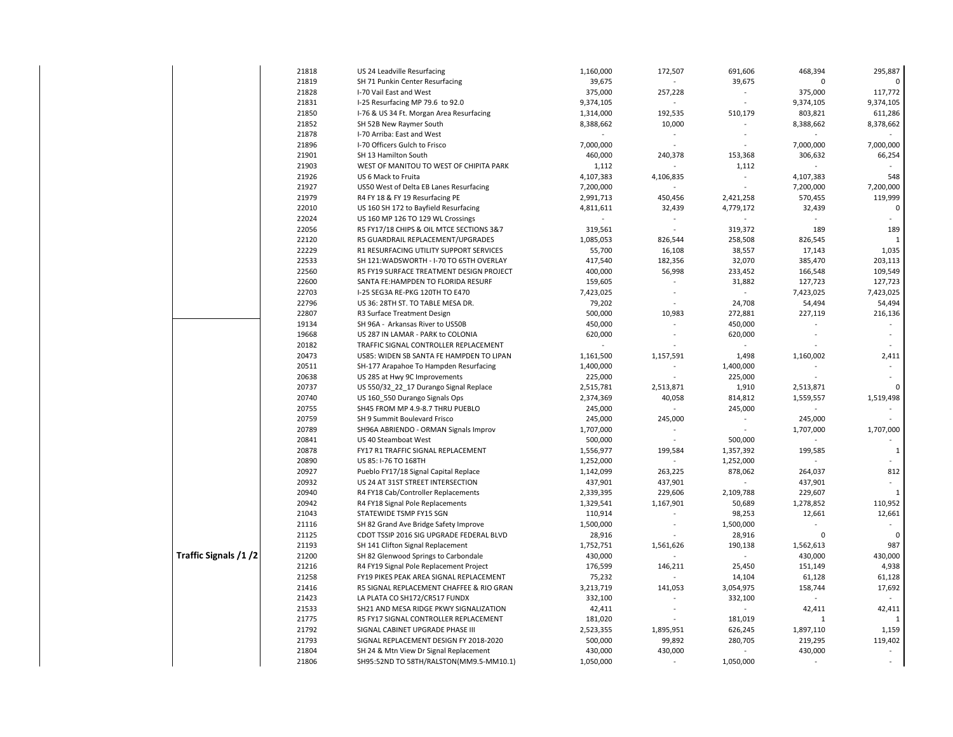|                       | 21818 | US 24 Leadville Resurfacing              | 1,160,000 | 172,507                  | 691,606                  | 468,394      | 295,887      |
|-----------------------|-------|------------------------------------------|-----------|--------------------------|--------------------------|--------------|--------------|
|                       | 21819 | SH 71 Punkin Center Resurfacing          | 39,675    |                          | 39,675                   | $\mathbf 0$  | $\Omega$     |
|                       | 21828 | I-70 Vail East and West                  | 375,000   | 257,228                  |                          | 375,000      | 117,772      |
|                       | 21831 | I-25 Resurfacing MP 79.6 to 92.0         | 9,374,105 | $\overline{\phantom{a}}$ |                          | 9,374,105    | 9,374,105    |
|                       | 21850 | I-76 & US 34 Ft. Morgan Area Resurfacing | 1,314,000 | 192,535                  | 510,179                  | 803,821      | 611,286      |
|                       | 21852 | SH 52B New Raymer South                  | 8,388,662 | 10,000                   | $\sim$                   | 8,388,662    | 8,378,662    |
|                       | 21878 | I-70 Arriba: East and West               |           | $\ddot{\phantom{a}}$     |                          |              |              |
|                       | 21896 | I-70 Officers Gulch to Frisco            | 7,000,000 |                          |                          | 7,000,000    | 7,000,000    |
|                       | 21901 | SH 13 Hamilton South                     | 460,000   | 240,378                  | 153,368                  | 306,632      | 66,254       |
|                       | 21903 | WEST OF MANITOU TO WEST OF CHIPITA PARK  | 1,112     |                          | 1,112                    |              |              |
|                       | 21926 | US 6 Mack to Fruita                      | 4,107,383 | 4,106,835                | $\overline{\phantom{a}}$ | 4,107,383    | 548          |
|                       | 21927 | US50 West of Delta EB Lanes Resurfacing  | 7,200,000 |                          |                          | 7,200,000    | 7,200,000    |
|                       | 21979 | R4 FY 18 & FY 19 Resurfacing PE          | 2,991,713 | 450,456                  | 2,421,258                | 570,455      | 119,999      |
|                       | 22010 | US 160 SH 172 to Bayfield Resurfacing    | 4,811,611 | 32,439                   | 4,779,172                | 32,439       | $\mathbf 0$  |
|                       | 22024 | US 160 MP 126 TO 129 WL Crossings        |           | $\overline{\phantom{a}}$ |                          |              | $\sim$       |
|                       | 22056 | R5 FY17/18 CHIPS & OIL MTCE SECTIONS 3&7 | 319,561   | ÷,                       | 319,372                  | 189          | 189          |
|                       | 22120 | R5 GUARDRAIL REPLACEMENT/UPGRADES        | 1,085,053 | 826,544                  | 258,508                  | 826,545      | $\mathbf{1}$ |
|                       | 22229 | R1 RESURFACING UTILITY SUPPORT SERVICES  | 55,700    | 16,108                   | 38,557                   | 17,143       | 1,035        |
|                       | 22533 | SH 121: WADSWORTH - I-70 TO 65TH OVERLAY | 417,540   | 182,356                  | 32,070                   | 385,470      | 203,113      |
|                       | 22560 | R5 FY19 SURFACE TREATMENT DESIGN PROJECT | 400,000   | 56,998                   | 233,452                  | 166,548      | 109,549      |
|                       | 22600 | SANTA FE:HAMPDEN TO FLORIDA RESURF       | 159,605   |                          | 31,882                   | 127,723      | 127,723      |
|                       | 22703 | I-25 SEG3A RE-PKG 120TH TO E470          | 7,423,025 |                          |                          | 7,423,025    | 7,423,025    |
|                       | 22796 | US 36: 28TH ST. TO TABLE MESA DR.        | 79,202    | $\sim$                   | 24,708                   | 54,494       | 54,494       |
|                       | 22807 | R3 Surface Treatment Design              | 500,000   | 10,983                   | 272,881                  | 227,119      | 216,136      |
|                       | 19134 | SH 96A - Arkansas River to US50B         | 450,000   |                          | 450,000                  |              |              |
|                       | 19668 | US 287 IN LAMAR - PARK to COLONIA        | 620,000   | $\overline{a}$           | 620,000                  |              |              |
|                       | 20182 | TRAFFIC SIGNAL CONTROLLER REPLACEMENT    |           |                          |                          |              |              |
|                       | 20473 | US85: WIDEN SB SANTA FE HAMPDEN TO LIPAN | 1,161,500 | 1,157,591                | 1,498                    | 1,160,002    | 2,411        |
|                       | 20511 | SH-177 Arapahoe To Hampden Resurfacing   | 1,400,000 |                          | 1,400,000                |              |              |
|                       | 20638 | US 285 at Hwy 9C Improvements            | 225,000   |                          | 225,000                  |              |              |
|                       | 20737 | US 550/32 22 17 Durango Signal Replace   | 2,515,781 | 2,513,871                | 1,910                    | 2,513,871    | $\Omega$     |
|                       | 20740 | US 160 550 Durango Signals Ops           | 2,374,369 | 40,058                   | 814,812                  | 1,559,557    | 1,519,498    |
|                       | 20755 | SH45 FROM MP 4.9-8.7 THRU PUEBLO         | 245,000   | ÷.                       | 245,000                  |              |              |
|                       | 20759 | SH 9 Summit Boulevard Frisco             | 245,000   | 245,000                  | ÷.                       | 245,000      |              |
|                       | 20789 | SH96A ABRIENDO - ORMAN Signals Improv    | 1,707,000 |                          | $\overline{\phantom{a}}$ | 1,707,000    | 1,707,000    |
|                       | 20841 | US 40 Steamboat West                     | 500,000   |                          | 500,000                  |              |              |
|                       | 20878 | FY17 R1 TRAFFIC SIGNAL REPLACEMENT       | 1,556,977 | 199,584                  | 1,357,392                | 199,585      | $\mathbf{1}$ |
|                       | 20890 | US 85: I-76 TO 168TH                     | 1,252,000 |                          | 1,252,000                |              |              |
|                       | 20927 | Pueblo FY17/18 Signal Capital Replace    | 1,142,099 | 263,225                  | 878,062                  | 264,037      | 812          |
|                       | 20932 | US 24 AT 31ST STREET INTERSECTION        | 437,901   | 437,901                  |                          | 437,901      |              |
|                       | 20940 | R4 FY18 Cab/Controller Replacements      | 2,339,395 | 229,606                  | 2,109,788                | 229,607      | $\mathbf{1}$ |
|                       | 20942 | R4 FY18 Signal Pole Replacements         | 1,329,541 | 1,167,901                | 50,689                   | 1,278,852    | 110,952      |
|                       | 21043 | STATEWIDE TSMP FY15 SGN                  | 110,914   |                          | 98,253                   | 12,661       | 12,661       |
|                       | 21116 | SH 82 Grand Ave Bridge Safety Improve    | 1,500,000 |                          | 1,500,000                |              |              |
|                       | 21125 | CDOT TSSIP 2016 SIG UPGRADE FEDERAL BLVD | 28,916    |                          | 28,916                   | $\Omega$     | $\Omega$     |
|                       | 21193 | SH 141 Clifton Signal Replacement        | 1,752,751 | 1,561,626                | 190,138                  | 1,562,613    | 987          |
| Traffic Signals /1 /2 | 21200 | SH 82 Glenwood Springs to Carbondale     | 430,000   | ÷,                       |                          | 430,000      | 430,000      |
|                       | 21216 | R4 FY19 Signal Pole Replacement Project  | 176,599   | 146,211                  | 25,450                   | 151,149      | 4,938        |
|                       | 21258 | FY19 PIKES PEAK AREA SIGNAL REPLACEMENT  | 75,232    |                          | 14,104                   | 61,128       | 61,128       |
|                       | 21416 | R5 SIGNAL REPLACEMENT CHAFFEE & RIO GRAN | 3,213,719 | 141,053                  | 3,054,975                | 158,744      | 17,692       |
|                       | 21423 | LA PLATA CO SH172/CR517 FUNDX            | 332,100   |                          | 332,100                  |              |              |
|                       | 21533 | SH21 AND MESA RIDGE PKWY SIGNALIZATION   | 42,411    |                          |                          | 42,411       | 42,411       |
|                       | 21775 | R5 FY17 SIGNAL CONTROLLER REPLACEMENT    | 181,020   |                          | 181,019                  | $\mathbf{1}$ | $\mathbf{1}$ |
|                       | 21792 | SIGNAL CABINET UPGRADE PHASE III         | 2,523,355 | 1,895,951                | 626,245                  | 1,897,110    | 1,159        |
|                       | 21793 | SIGNAL REPLACEMENT DESIGN FY 2018-2020   | 500,000   | 99,892                   | 280,705                  | 219,295      | 119,402      |
|                       | 21804 | SH 24 & Mtn View Dr Signal Replacement   | 430,000   | 430,000                  |                          | 430,000      |              |
|                       | 21806 | SH95:52ND TO 58TH/RALSTON(MM9.5-MM10.1)  | 1,050,000 |                          | 1,050,000                |              |              |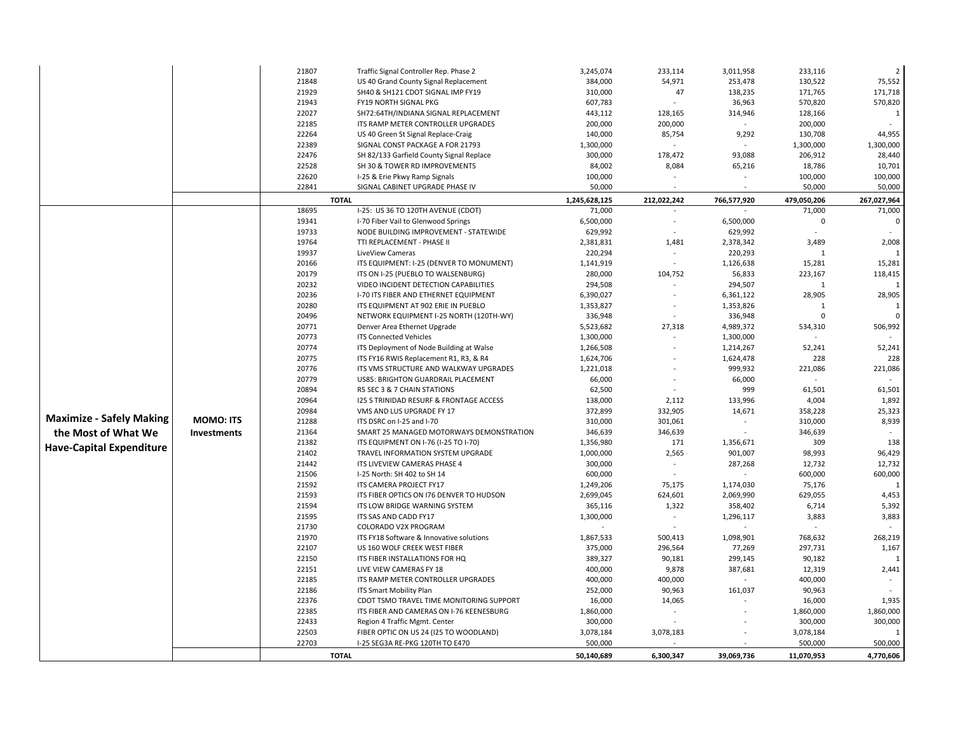|                                 |                    | 21807 | Traffic Signal Controller Rep. Phase 2   | 3,245,074     | 233,114     | 3,011,958   | 233,116      | $\overline{2}$ |
|---------------------------------|--------------------|-------|------------------------------------------|---------------|-------------|-------------|--------------|----------------|
|                                 |                    | 21848 |                                          |               |             |             | 130,522      | 75,552         |
|                                 |                    |       | US 40 Grand County Signal Replacement    | 384,000       | 54,971      | 253,478     |              | 171,718        |
|                                 |                    | 21929 | SH40 & SH121 CDOT SIGNAL IMP FY19        | 310,000       | 47          | 138,235     | 171,765      |                |
|                                 |                    | 21943 | FY19 NORTH SIGNAL PKG                    | 607,783       |             | 36,963      | 570,820      | 570,820        |
|                                 |                    | 22027 | SH72:64TH/INDIANA SIGNAL REPLACEMENT     | 443,112       | 128,165     | 314,946     | 128,166      | 1              |
|                                 |                    | 22185 | ITS RAMP METER CONTROLLER UPGRADES       | 200,000       | 200,000     |             | 200,000      | $\sim$         |
|                                 |                    | 22264 | US 40 Green St Signal Replace-Craig      | 140,000       | 85,754      | 9,292       | 130,708      | 44,955         |
|                                 |                    | 22389 | SIGNAL CONST PACKAGE A FOR 21793         | 1,300,000     |             |             | 1,300,000    | 1,300,000      |
|                                 |                    | 22476 | SH 82/133 Garfield County Signal Replace | 300,000       | 178,472     | 93,088      | 206,912      | 28,440         |
|                                 |                    | 22528 | SH 30 & TOWER RD IMPROVEMENTS            | 84,002        | 8,084       | 65,216      | 18,786       | 10,701         |
|                                 |                    | 22620 | I-25 & Erie Pkwy Ramp Signals            | 100,000       |             |             | 100,000      | 100,000        |
|                                 |                    | 22841 | SIGNAL CABINET UPGRADE PHASE IV          | 50,000        |             |             | 50,000       | 50,000         |
|                                 |                    |       | <b>TOTAL</b>                             | 1,245,628,125 | 212,022,242 | 766,577,920 | 479,050,206  | 267,027,964    |
|                                 |                    | 18695 | I-25: US 36 TO 120TH AVENUE (CDOT)       | 71,000        |             |             | 71,000       | 71,000         |
|                                 |                    | 19341 | I-70 Fiber Vail to Glenwood Springs      | 6,500,000     |             | 6,500,000   | 0            | 0              |
|                                 |                    | 19733 | NODE BUILDING IMPROVEMENT - STATEWIDE    | 629,992       |             | 629,992     |              |                |
|                                 |                    | 19764 | TTI REPLACEMENT - PHASE II               | 2,381,831     | 1,481       | 2,378,342   | 3,489        | 2,008          |
|                                 |                    | 19937 | LiveView Cameras                         | 220,294       |             | 220,293     | $\mathbf{1}$ |                |
|                                 |                    | 20166 | ITS EQUIPMENT: I-25 (DENVER TO MONUMENT) | 1,141,919     |             | 1,126,638   | 15,281       | 15,281         |
|                                 |                    | 20179 | ITS ON I-25 (PUEBLO TO WALSENBURG)       | 280,000       | 104,752     | 56,833      | 223,167      | 118,415        |
|                                 |                    | 20232 | VIDEO INCIDENT DETECTION CAPABILITIES    | 294,508       |             | 294,507     | $\mathbf{1}$ |                |
|                                 |                    | 20236 | I-70 ITS FIBER AND ETHERNET EQUIPMENT    | 6,390,027     |             | 6,361,122   | 28,905       | 28,905         |
|                                 |                    | 20280 | ITS EQUIPMENT AT 902 ERIE IN PUEBLO      | 1,353,827     |             | 1,353,826   | $\mathbf{1}$ | 1              |
|                                 |                    | 20496 | NETWORK EQUIPMENT I-25 NORTH (120TH-WY)  | 336,948       |             | 336,948     | $\Omega$     |                |
|                                 |                    | 20771 | Denver Area Ethernet Upgrade             | 5,523,682     | 27,318      | 4,989,372   | 534,310      | 506,992        |
|                                 |                    | 20773 | <b>ITS Connected Vehicles</b>            | 1,300,000     |             | 1,300,000   |              |                |
|                                 |                    | 20774 | ITS Deployment of Node Building at Walse | 1,266,508     |             | 1,214,267   | 52,241       | 52,241         |
|                                 |                    | 20775 | ITS FY16 RWIS Replacement R1, R3, & R4   | 1,624,706     |             | 1,624,478   | 228          | 228            |
|                                 |                    | 20776 | ITS VMS STRUCTURE AND WALKWAY UPGRADES   | 1,221,018     |             | 999,932     | 221,086      | 221,086        |
|                                 |                    | 20779 | US85: BRIGHTON GUARDRAIL PLACEMENT       | 66,000        |             | 66,000      |              | $\sim$         |
|                                 |                    | 20894 | R5 SEC 3 & 7 CHAIN STATIONS              | 62,500        |             | 999         | 61,501       | 61,501         |
|                                 |                    | 20964 | 125 S TRINIDAD RESURF & FRONTAGE ACCESS  | 138,000       | 2,112       | 133,996     | 4,004        | 1,892          |
|                                 |                    | 20984 | VMS AND LUS UPGRADE FY 17                | 372,899       | 332,905     | 14,671      | 358,228      | 25,323         |
| <b>Maximize - Safely Making</b> | <b>MOMO: ITS</b>   | 21288 | ITS DSRC on I-25 and I-70                | 310,000       | 301,061     |             | 310,000      | 8,939          |
| the Most of What We             | <b>Investments</b> | 21364 | SMART 25 MANAGED MOTORWAYS DEMONSTRATION | 346,639       | 346,639     |             | 346,639      | $\sim$         |
|                                 |                    | 21382 | ITS EQUIPMENT ON I-76 (I-25 TO I-70)     | 1,356,980     | 171         | 1,356,671   | 309          | 138            |
| <b>Have-Capital Expenditure</b> |                    | 21402 | TRAVEL INFORMATION SYSTEM UPGRADE        | 1,000,000     | 2,565       | 901,007     | 98,993       | 96,429         |
|                                 |                    | 21442 | ITS LIVEVIEW CAMERAS PHASE 4             | 300,000       |             | 287,268     | 12,732       | 12,732         |
|                                 |                    | 21506 | I-25 North: SH 402 to SH 14              | 600,000       |             |             | 600,000      | 600,000        |
|                                 |                    | 21592 | ITS CAMERA PROJECT FY17                  | 1,249,206     | 75,175      | 1,174,030   | 75,176       | 1              |
|                                 |                    | 21593 | ITS FIBER OPTICS ON 176 DENVER TO HUDSON | 2,699,045     | 624,601     | 2,069,990   | 629,055      | 4,453          |
|                                 |                    | 21594 | ITS LOW BRIDGE WARNING SYSTEM            | 365,116       | 1,322       | 358,402     | 6,714        | 5,392          |
|                                 |                    | 21595 | ITS SAS AND CADD FY17                    | 1,300,000     |             | 1,296,117   | 3,883        | 3,883          |
|                                 |                    | 21730 | COLORADO V2X PROGRAM                     |               |             |             |              | $\sim$         |
|                                 |                    | 21970 | ITS FY18 Software & Innovative solutions | 1,867,533     | 500,413     | 1,098,901   | 768,632      | 268,219        |
|                                 |                    | 22107 | US 160 WOLF CREEK WEST FIBER             | 375,000       | 296,564     | 77,269      | 297,731      | 1,167          |
|                                 |                    | 22150 | ITS FIBER INSTALLATIONS FOR HQ           | 389,327       | 90,181      | 299,145     | 90,182       | $\overline{1}$ |
|                                 |                    | 22151 | LIVE VIEW CAMERAS FY 18                  | 400,000       | 9,878       | 387,681     | 12,319       | 2,441          |
|                                 |                    | 22185 | ITS RAMP METER CONTROLLER UPGRADES       | 400,000       | 400,000     |             | 400,000      | $\sim$         |
|                                 |                    | 22186 | ITS Smart Mobility Plan                  | 252,000       | 90,963      | 161,037     | 90,963       |                |
|                                 |                    | 22376 | CDOT TSMO TRAVEL TIME MONITORING SUPPORT | 16,000        | 14,065      |             | 16,000       | 1,935          |
|                                 |                    | 22385 | ITS FIBER AND CAMERAS ON I-76 KEENESBURG | 1,860,000     |             |             | 1,860,000    | 1,860,000      |
|                                 |                    | 22433 | Region 4 Traffic Mgmt. Center            | 300,000       |             |             | 300,000      | 300,000        |
|                                 |                    | 22503 | FIBER OPTIC ON US 24 (I25 TO WOODLAND)   | 3,078,184     | 3,078,183   |             | 3,078,184    |                |
|                                 |                    | 22703 | I-25 SEG3A RE-PKG 120TH TO E470          | 500,000       |             |             | 500,000      | 500,000        |
|                                 |                    |       |                                          |               |             |             |              |                |
|                                 |                    |       | <b>TOTAL</b>                             | 50,140,689    | 6,300,347   | 39,069,736  | 11,070,953   | 4,770,606      |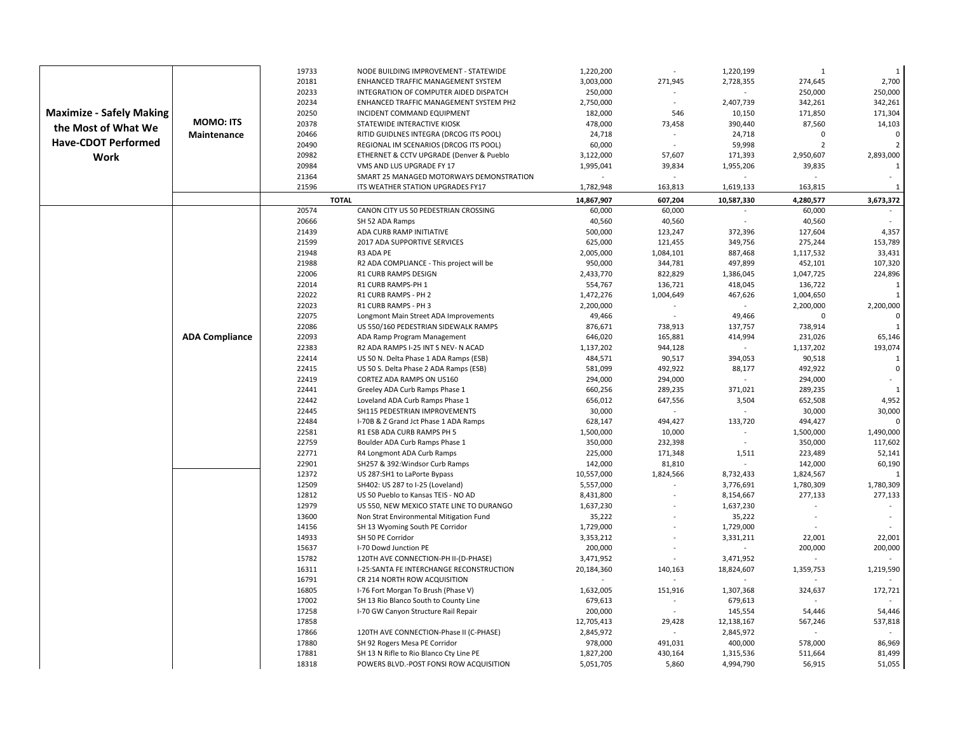| 20181<br>2,700<br>3,003,000<br>271,945<br>2,728,355<br>274,645<br>ENHANCED TRAFFIC MANAGEMENT SYSTEM<br>20233<br>250,000<br>250,000<br>250,000<br>INTEGRATION OF COMPUTER AIDED DISPATCH<br>20234<br>342,261<br>ENHANCED TRAFFIC MANAGEMENT SYSTEM PH2<br>2,750,000<br>2,407,739<br>342,261<br><b>Maximize - Safely Making</b><br>171,304<br>20250<br>INCIDENT COMMAND EQUIPMENT<br>182,000<br>546<br>10,150<br>171,850<br><b>MOMO: ITS</b><br>20378<br>STATEWIDE INTERACTIVE KIOSK<br>478,000<br>73,458<br>390,440<br>87,560<br>14,103<br>the Most of What We<br>20466<br>$\Omega$<br>RITID GUIDLNES INTEGRA (DRCOG ITS POOL)<br>24,718<br>24,718<br>$\mathbf{0}$<br><b>Maintenance</b><br><b>Have-CDOT Performed</b><br>20490<br>60,000<br>59,998<br>$\mathcal{I}$<br>$\overline{\phantom{a}}$<br>REGIONAL IM SCENARIOS (DRCOG ITS POOL)<br>20982<br>3,122,000<br>57,607<br>2,950,607<br>2,893,000<br>ETHERNET & CCTV UPGRADE (Denver & Pueblo<br>171,393<br>Work<br>20984<br>VMS AND LUS UPGRADE FY 17<br>1,995,041<br>39,834<br>1,955,206<br>39,835<br>21364<br>SMART 25 MANAGED MOTORWAYS DEMONSTRATION<br>21596<br>ITS WEATHER STATION UPGRADES FY17<br>1,782,948<br>163,813<br>1,619,133<br>163,815<br>$\overline{1}$<br><b>TOTAL</b><br>14,867,907<br>4,280,577<br>3,673,372<br>607,204<br>10,587,330<br>20574<br>CANON CITY US 50 PEDESTRIAN CROSSING<br>60,000<br>60,000<br>60,000<br>20666<br>40,560<br>40,560<br>40,560<br>SH 52 ADA Ramps<br>21439<br>127,604<br>4,357<br>ADA CURB RAMP INITIATIVE<br>500,000<br>123,247<br>372,396<br>21599<br>2017 ADA SUPPORTIVE SERVICES<br>625,000<br>121,455<br>349,756<br>275,244<br>153,789<br>21948<br>1,117,532<br>33,431<br>R3 ADA PE<br>2,005,000<br>1,084,101<br>887,468<br>107,320<br>21988<br>950,000<br>344,781<br>497,899<br>452,101<br>R2 ADA COMPLIANCE - This project will be<br>224,896<br>22006<br><b>R1 CURB RAMPS DESIGN</b><br>2,433,770<br>822,829<br>1,386,045<br>1,047,725<br>22014<br>R1 CURB RAMPS-PH 1<br>554,767<br>418,045<br>136,722<br>136,721<br>1<br>22022<br>R1 CURB RAMPS - PH 2<br>1,472,276<br>1,004,649<br>467,626<br>1,004,650<br>1<br>22023<br>2,200,000<br>2,200,000<br>R1 CURB RAMPS - PH 3<br>2,200,000<br>22075<br>49,466<br>49,466<br>$\Omega$<br>$\Omega$<br>Longmont Main Street ADA Improvements<br>22086<br>$\mathbf{1}$<br>US 550/160 PEDESTRIAN SIDEWALK RAMPS<br>876,671<br>738,913<br>137,757<br>738,914<br><b>ADA Compliance</b><br>22093<br>ADA Ramp Program Management<br>646,020<br>165,881<br>414,994<br>231,026<br>65,146<br>193,074<br>22383<br>R2 ADA RAMPS I-25 INT S NEV- N ACAD<br>1,137,202<br>944,128<br>1,137,202<br>22414<br>484,571<br>90,517<br>394,053<br>90,518<br>US 50 N. Delta Phase 1 ADA Ramps (ESB)<br>$\mathbf{1}$<br>22415<br>492,922<br>$\Omega$<br>US 50 S. Delta Phase 2 ADA Ramps (ESB)<br>581,099<br>492,922<br>88,177<br>22419<br>CORTEZ ADA RAMPS ON US160<br>294,000<br>294,000<br>294,000<br>22441<br>Greeley ADA Curb Ramps Phase 1<br>660,256<br>289,235<br>371,021<br>289,235<br>$\mathbf{1}$<br>4,952<br>22442<br>Loveland ADA Curb Ramps Phase 1<br>656,012<br>647,556<br>3,504<br>652,508<br>22445<br>SH115 PEDESTRIAN IMPROVEMENTS<br>30,000<br>30,000<br>30,000<br>22484<br>628,147<br>494,427<br>133,720<br>494,427<br>$\Omega$<br>I-70B & Z Grand Jct Phase 1 ADA Ramps<br>22581<br>1,490,000<br>R1 ESB ADA CURB RAMPS PH 5<br>1,500,000<br>10,000<br>1,500,000<br>22759<br>350,000<br>232,398<br>350,000<br>117,602<br>Boulder ADA Curb Ramps Phase 1<br>$\sim$<br>22771<br>225,000<br>52,141<br>R4 Longmont ADA Curb Ramps<br>171,348<br>1,511<br>223,489<br>60,190<br>22901<br>SH257 & 392: Windsor Curb Ramps<br>142,000<br>81,810<br>142,000<br>12372<br>US 287:SH1 to LaPorte Bypass<br>10,557,000<br>1,824,566<br>8,732,433<br>1,824,567<br>$\overline{1}$<br>12509<br>SH402: US 287 to I-25 (Loveland)<br>5,557,000<br>3,776,691<br>1,780,309<br>1,780,309<br>12812<br>277,133<br>277,133<br>US 50 Pueblo to Kansas TEIS - NO AD<br>8,431,800<br>8,154,667<br>12979<br>US 550, NEW MEXICO STATE LINE TO DURANGO<br>1,637,230<br>1,637,230<br>13600<br>Non Strat Environmental Mitigation Fund<br>35,222<br>35,222<br>14156<br>1,729,000<br>1,729,000<br>SH 13 Wyoming South PE Corridor<br>14933<br>22,001<br>SH 50 PE Corridor<br>3,353,212<br>3,331,211<br>22,001<br>15637<br>200,000<br>200,000<br>200,000<br>I-70 Dowd Junction PE<br>15782<br>3,471,952<br>120TH AVE CONNECTION-PH II-(D-PHASE)<br>3,471,952<br>16311<br>I-25:SANTA FE INTERCHANGE RECONSTRUCTION<br>20,184,360<br>140,163<br>18,824,607<br>1,359,753<br>1,219,590<br>16791<br>CR 214 NORTH ROW ACQUISITION<br>16805<br>151,916<br>172,721<br>I-76 Fort Morgan To Brush (Phase V)<br>1,632,005<br>1,307,368<br>324,637<br>17002<br>SH 13 Rio Blanco South to County Line<br>679,613<br>679,613<br>$\sim$<br>54,446<br>17258<br>I-70 GW Canyon Structure Rail Repair<br>200,000<br>145,554<br>54,446<br>$\blacksquare$<br>17858<br>12,138,167<br>537,818<br>12,705,413<br>29,428<br>567,246<br>17866<br>2,845,972<br>120TH AVE CONNECTION-Phase II (C-PHASE)<br>2,845,972<br>17880<br>SH 92 Rogers Mesa PE Corridor<br>978,000<br>491,031<br>400,000<br>578,000<br>86,969<br>17881<br>1,827,200<br>430,164<br>1,315,536<br>81,499<br>SH 13 N Rifle to Rio Blanco Cty Line PE<br>511,664<br>18318<br>POWERS BLVD.-POST FONSI ROW ACQUISITION<br>5,051,705<br>4,994,790<br>56,915<br>51,055<br>5,860 |  | 19733 | NODE BUILDING IMPROVEMENT - STATEWIDE | 1,220,200 | 1,220,199 | $\overline{1}$ | $\mathbf{1}$ |
|------------------------------------------------------------------------------------------------------------------------------------------------------------------------------------------------------------------------------------------------------------------------------------------------------------------------------------------------------------------------------------------------------------------------------------------------------------------------------------------------------------------------------------------------------------------------------------------------------------------------------------------------------------------------------------------------------------------------------------------------------------------------------------------------------------------------------------------------------------------------------------------------------------------------------------------------------------------------------------------------------------------------------------------------------------------------------------------------------------------------------------------------------------------------------------------------------------------------------------------------------------------------------------------------------------------------------------------------------------------------------------------------------------------------------------------------------------------------------------------------------------------------------------------------------------------------------------------------------------------------------------------------------------------------------------------------------------------------------------------------------------------------------------------------------------------------------------------------------------------------------------------------------------------------------------------------------------------------------------------------------------------------------------------------------------------------------------------------------------------------------------------------------------------------------------------------------------------------------------------------------------------------------------------------------------------------------------------------------------------------------------------------------------------------------------------------------------------------------------------------------------------------------------------------------------------------------------------------------------------------------------------------------------------------------------------------------------------------------------------------------------------------------------------------------------------------------------------------------------------------------------------------------------------------------------------------------------------------------------------------------------------------------------------------------------------------------------------------------------------------------------------------------------------------------------------------------------------------------------------------------------------------------------------------------------------------------------------------------------------------------------------------------------------------------------------------------------------------------------------------------------------------------------------------------------------------------------------------------------------------------------------------------------------------------------------------------------------------------------------------------------------------------------------------------------------------------------------------------------------------------------------------------------------------------------------------------------------------------------------------------------------------------------------------------------------------------------------------------------------------------------------------------------------------------------------------------------------------------------------------------------------------------------------------------------------------------------------------------------------------------------------------------------------------------------------------------------------------------------------------------------------------------------------------------------------------------------------------------------------------------------------------------------------------------------------------------------------------------------------------------------------------------------------------------------------------------------------------------------------------------------------------------------------------------------------------------------------------------------------------------------------------------------------------------------------------------------------------------------------------------------------------------------------------------------------------------------------------------------------------------------------------------------------------------------------------------------------------------------------------------------------------------------------------------------|--|-------|---------------------------------------|-----------|-----------|----------------|--------------|
|                                                                                                                                                                                                                                                                                                                                                                                                                                                                                                                                                                                                                                                                                                                                                                                                                                                                                                                                                                                                                                                                                                                                                                                                                                                                                                                                                                                                                                                                                                                                                                                                                                                                                                                                                                                                                                                                                                                                                                                                                                                                                                                                                                                                                                                                                                                                                                                                                                                                                                                                                                                                                                                                                                                                                                                                                                                                                                                                                                                                                                                                                                                                                                                                                                                                                                                                                                                                                                                                                                                                                                                                                                                                                                                                                                                                                                                                                                                                                                                                                                                                                                                                                                                                                                                                                                                                                                                                                                                                                                                                                                                                                                                                                                                                                                                                                                                                                                                                                                                                                                                                                                                                                                                                                                                                                                                                                                                                                                    |  |       |                                       |           |           |                |              |
|                                                                                                                                                                                                                                                                                                                                                                                                                                                                                                                                                                                                                                                                                                                                                                                                                                                                                                                                                                                                                                                                                                                                                                                                                                                                                                                                                                                                                                                                                                                                                                                                                                                                                                                                                                                                                                                                                                                                                                                                                                                                                                                                                                                                                                                                                                                                                                                                                                                                                                                                                                                                                                                                                                                                                                                                                                                                                                                                                                                                                                                                                                                                                                                                                                                                                                                                                                                                                                                                                                                                                                                                                                                                                                                                                                                                                                                                                                                                                                                                                                                                                                                                                                                                                                                                                                                                                                                                                                                                                                                                                                                                                                                                                                                                                                                                                                                                                                                                                                                                                                                                                                                                                                                                                                                                                                                                                                                                                                    |  |       |                                       |           |           |                |              |
|                                                                                                                                                                                                                                                                                                                                                                                                                                                                                                                                                                                                                                                                                                                                                                                                                                                                                                                                                                                                                                                                                                                                                                                                                                                                                                                                                                                                                                                                                                                                                                                                                                                                                                                                                                                                                                                                                                                                                                                                                                                                                                                                                                                                                                                                                                                                                                                                                                                                                                                                                                                                                                                                                                                                                                                                                                                                                                                                                                                                                                                                                                                                                                                                                                                                                                                                                                                                                                                                                                                                                                                                                                                                                                                                                                                                                                                                                                                                                                                                                                                                                                                                                                                                                                                                                                                                                                                                                                                                                                                                                                                                                                                                                                                                                                                                                                                                                                                                                                                                                                                                                                                                                                                                                                                                                                                                                                                                                                    |  |       |                                       |           |           |                |              |
|                                                                                                                                                                                                                                                                                                                                                                                                                                                                                                                                                                                                                                                                                                                                                                                                                                                                                                                                                                                                                                                                                                                                                                                                                                                                                                                                                                                                                                                                                                                                                                                                                                                                                                                                                                                                                                                                                                                                                                                                                                                                                                                                                                                                                                                                                                                                                                                                                                                                                                                                                                                                                                                                                                                                                                                                                                                                                                                                                                                                                                                                                                                                                                                                                                                                                                                                                                                                                                                                                                                                                                                                                                                                                                                                                                                                                                                                                                                                                                                                                                                                                                                                                                                                                                                                                                                                                                                                                                                                                                                                                                                                                                                                                                                                                                                                                                                                                                                                                                                                                                                                                                                                                                                                                                                                                                                                                                                                                                    |  |       |                                       |           |           |                |              |
|                                                                                                                                                                                                                                                                                                                                                                                                                                                                                                                                                                                                                                                                                                                                                                                                                                                                                                                                                                                                                                                                                                                                                                                                                                                                                                                                                                                                                                                                                                                                                                                                                                                                                                                                                                                                                                                                                                                                                                                                                                                                                                                                                                                                                                                                                                                                                                                                                                                                                                                                                                                                                                                                                                                                                                                                                                                                                                                                                                                                                                                                                                                                                                                                                                                                                                                                                                                                                                                                                                                                                                                                                                                                                                                                                                                                                                                                                                                                                                                                                                                                                                                                                                                                                                                                                                                                                                                                                                                                                                                                                                                                                                                                                                                                                                                                                                                                                                                                                                                                                                                                                                                                                                                                                                                                                                                                                                                                                                    |  |       |                                       |           |           |                |              |
|                                                                                                                                                                                                                                                                                                                                                                                                                                                                                                                                                                                                                                                                                                                                                                                                                                                                                                                                                                                                                                                                                                                                                                                                                                                                                                                                                                                                                                                                                                                                                                                                                                                                                                                                                                                                                                                                                                                                                                                                                                                                                                                                                                                                                                                                                                                                                                                                                                                                                                                                                                                                                                                                                                                                                                                                                                                                                                                                                                                                                                                                                                                                                                                                                                                                                                                                                                                                                                                                                                                                                                                                                                                                                                                                                                                                                                                                                                                                                                                                                                                                                                                                                                                                                                                                                                                                                                                                                                                                                                                                                                                                                                                                                                                                                                                                                                                                                                                                                                                                                                                                                                                                                                                                                                                                                                                                                                                                                                    |  |       |                                       |           |           |                |              |
|                                                                                                                                                                                                                                                                                                                                                                                                                                                                                                                                                                                                                                                                                                                                                                                                                                                                                                                                                                                                                                                                                                                                                                                                                                                                                                                                                                                                                                                                                                                                                                                                                                                                                                                                                                                                                                                                                                                                                                                                                                                                                                                                                                                                                                                                                                                                                                                                                                                                                                                                                                                                                                                                                                                                                                                                                                                                                                                                                                                                                                                                                                                                                                                                                                                                                                                                                                                                                                                                                                                                                                                                                                                                                                                                                                                                                                                                                                                                                                                                                                                                                                                                                                                                                                                                                                                                                                                                                                                                                                                                                                                                                                                                                                                                                                                                                                                                                                                                                                                                                                                                                                                                                                                                                                                                                                                                                                                                                                    |  |       |                                       |           |           |                |              |
|                                                                                                                                                                                                                                                                                                                                                                                                                                                                                                                                                                                                                                                                                                                                                                                                                                                                                                                                                                                                                                                                                                                                                                                                                                                                                                                                                                                                                                                                                                                                                                                                                                                                                                                                                                                                                                                                                                                                                                                                                                                                                                                                                                                                                                                                                                                                                                                                                                                                                                                                                                                                                                                                                                                                                                                                                                                                                                                                                                                                                                                                                                                                                                                                                                                                                                                                                                                                                                                                                                                                                                                                                                                                                                                                                                                                                                                                                                                                                                                                                                                                                                                                                                                                                                                                                                                                                                                                                                                                                                                                                                                                                                                                                                                                                                                                                                                                                                                                                                                                                                                                                                                                                                                                                                                                                                                                                                                                                                    |  |       |                                       |           |           |                |              |
|                                                                                                                                                                                                                                                                                                                                                                                                                                                                                                                                                                                                                                                                                                                                                                                                                                                                                                                                                                                                                                                                                                                                                                                                                                                                                                                                                                                                                                                                                                                                                                                                                                                                                                                                                                                                                                                                                                                                                                                                                                                                                                                                                                                                                                                                                                                                                                                                                                                                                                                                                                                                                                                                                                                                                                                                                                                                                                                                                                                                                                                                                                                                                                                                                                                                                                                                                                                                                                                                                                                                                                                                                                                                                                                                                                                                                                                                                                                                                                                                                                                                                                                                                                                                                                                                                                                                                                                                                                                                                                                                                                                                                                                                                                                                                                                                                                                                                                                                                                                                                                                                                                                                                                                                                                                                                                                                                                                                                                    |  |       |                                       |           |           |                |              |
|                                                                                                                                                                                                                                                                                                                                                                                                                                                                                                                                                                                                                                                                                                                                                                                                                                                                                                                                                                                                                                                                                                                                                                                                                                                                                                                                                                                                                                                                                                                                                                                                                                                                                                                                                                                                                                                                                                                                                                                                                                                                                                                                                                                                                                                                                                                                                                                                                                                                                                                                                                                                                                                                                                                                                                                                                                                                                                                                                                                                                                                                                                                                                                                                                                                                                                                                                                                                                                                                                                                                                                                                                                                                                                                                                                                                                                                                                                                                                                                                                                                                                                                                                                                                                                                                                                                                                                                                                                                                                                                                                                                                                                                                                                                                                                                                                                                                                                                                                                                                                                                                                                                                                                                                                                                                                                                                                                                                                                    |  |       |                                       |           |           |                |              |
|                                                                                                                                                                                                                                                                                                                                                                                                                                                                                                                                                                                                                                                                                                                                                                                                                                                                                                                                                                                                                                                                                                                                                                                                                                                                                                                                                                                                                                                                                                                                                                                                                                                                                                                                                                                                                                                                                                                                                                                                                                                                                                                                                                                                                                                                                                                                                                                                                                                                                                                                                                                                                                                                                                                                                                                                                                                                                                                                                                                                                                                                                                                                                                                                                                                                                                                                                                                                                                                                                                                                                                                                                                                                                                                                                                                                                                                                                                                                                                                                                                                                                                                                                                                                                                                                                                                                                                                                                                                                                                                                                                                                                                                                                                                                                                                                                                                                                                                                                                                                                                                                                                                                                                                                                                                                                                                                                                                                                                    |  |       |                                       |           |           |                |              |
|                                                                                                                                                                                                                                                                                                                                                                                                                                                                                                                                                                                                                                                                                                                                                                                                                                                                                                                                                                                                                                                                                                                                                                                                                                                                                                                                                                                                                                                                                                                                                                                                                                                                                                                                                                                                                                                                                                                                                                                                                                                                                                                                                                                                                                                                                                                                                                                                                                                                                                                                                                                                                                                                                                                                                                                                                                                                                                                                                                                                                                                                                                                                                                                                                                                                                                                                                                                                                                                                                                                                                                                                                                                                                                                                                                                                                                                                                                                                                                                                                                                                                                                                                                                                                                                                                                                                                                                                                                                                                                                                                                                                                                                                                                                                                                                                                                                                                                                                                                                                                                                                                                                                                                                                                                                                                                                                                                                                                                    |  |       |                                       |           |           |                |              |
|                                                                                                                                                                                                                                                                                                                                                                                                                                                                                                                                                                                                                                                                                                                                                                                                                                                                                                                                                                                                                                                                                                                                                                                                                                                                                                                                                                                                                                                                                                                                                                                                                                                                                                                                                                                                                                                                                                                                                                                                                                                                                                                                                                                                                                                                                                                                                                                                                                                                                                                                                                                                                                                                                                                                                                                                                                                                                                                                                                                                                                                                                                                                                                                                                                                                                                                                                                                                                                                                                                                                                                                                                                                                                                                                                                                                                                                                                                                                                                                                                                                                                                                                                                                                                                                                                                                                                                                                                                                                                                                                                                                                                                                                                                                                                                                                                                                                                                                                                                                                                                                                                                                                                                                                                                                                                                                                                                                                                                    |  |       |                                       |           |           |                |              |
|                                                                                                                                                                                                                                                                                                                                                                                                                                                                                                                                                                                                                                                                                                                                                                                                                                                                                                                                                                                                                                                                                                                                                                                                                                                                                                                                                                                                                                                                                                                                                                                                                                                                                                                                                                                                                                                                                                                                                                                                                                                                                                                                                                                                                                                                                                                                                                                                                                                                                                                                                                                                                                                                                                                                                                                                                                                                                                                                                                                                                                                                                                                                                                                                                                                                                                                                                                                                                                                                                                                                                                                                                                                                                                                                                                                                                                                                                                                                                                                                                                                                                                                                                                                                                                                                                                                                                                                                                                                                                                                                                                                                                                                                                                                                                                                                                                                                                                                                                                                                                                                                                                                                                                                                                                                                                                                                                                                                                                    |  |       |                                       |           |           |                |              |
|                                                                                                                                                                                                                                                                                                                                                                                                                                                                                                                                                                                                                                                                                                                                                                                                                                                                                                                                                                                                                                                                                                                                                                                                                                                                                                                                                                                                                                                                                                                                                                                                                                                                                                                                                                                                                                                                                                                                                                                                                                                                                                                                                                                                                                                                                                                                                                                                                                                                                                                                                                                                                                                                                                                                                                                                                                                                                                                                                                                                                                                                                                                                                                                                                                                                                                                                                                                                                                                                                                                                                                                                                                                                                                                                                                                                                                                                                                                                                                                                                                                                                                                                                                                                                                                                                                                                                                                                                                                                                                                                                                                                                                                                                                                                                                                                                                                                                                                                                                                                                                                                                                                                                                                                                                                                                                                                                                                                                                    |  |       |                                       |           |           |                |              |
|                                                                                                                                                                                                                                                                                                                                                                                                                                                                                                                                                                                                                                                                                                                                                                                                                                                                                                                                                                                                                                                                                                                                                                                                                                                                                                                                                                                                                                                                                                                                                                                                                                                                                                                                                                                                                                                                                                                                                                                                                                                                                                                                                                                                                                                                                                                                                                                                                                                                                                                                                                                                                                                                                                                                                                                                                                                                                                                                                                                                                                                                                                                                                                                                                                                                                                                                                                                                                                                                                                                                                                                                                                                                                                                                                                                                                                                                                                                                                                                                                                                                                                                                                                                                                                                                                                                                                                                                                                                                                                                                                                                                                                                                                                                                                                                                                                                                                                                                                                                                                                                                                                                                                                                                                                                                                                                                                                                                                                    |  |       |                                       |           |           |                |              |
|                                                                                                                                                                                                                                                                                                                                                                                                                                                                                                                                                                                                                                                                                                                                                                                                                                                                                                                                                                                                                                                                                                                                                                                                                                                                                                                                                                                                                                                                                                                                                                                                                                                                                                                                                                                                                                                                                                                                                                                                                                                                                                                                                                                                                                                                                                                                                                                                                                                                                                                                                                                                                                                                                                                                                                                                                                                                                                                                                                                                                                                                                                                                                                                                                                                                                                                                                                                                                                                                                                                                                                                                                                                                                                                                                                                                                                                                                                                                                                                                                                                                                                                                                                                                                                                                                                                                                                                                                                                                                                                                                                                                                                                                                                                                                                                                                                                                                                                                                                                                                                                                                                                                                                                                                                                                                                                                                                                                                                    |  |       |                                       |           |           |                |              |
|                                                                                                                                                                                                                                                                                                                                                                                                                                                                                                                                                                                                                                                                                                                                                                                                                                                                                                                                                                                                                                                                                                                                                                                                                                                                                                                                                                                                                                                                                                                                                                                                                                                                                                                                                                                                                                                                                                                                                                                                                                                                                                                                                                                                                                                                                                                                                                                                                                                                                                                                                                                                                                                                                                                                                                                                                                                                                                                                                                                                                                                                                                                                                                                                                                                                                                                                                                                                                                                                                                                                                                                                                                                                                                                                                                                                                                                                                                                                                                                                                                                                                                                                                                                                                                                                                                                                                                                                                                                                                                                                                                                                                                                                                                                                                                                                                                                                                                                                                                                                                                                                                                                                                                                                                                                                                                                                                                                                                                    |  |       |                                       |           |           |                |              |
|                                                                                                                                                                                                                                                                                                                                                                                                                                                                                                                                                                                                                                                                                                                                                                                                                                                                                                                                                                                                                                                                                                                                                                                                                                                                                                                                                                                                                                                                                                                                                                                                                                                                                                                                                                                                                                                                                                                                                                                                                                                                                                                                                                                                                                                                                                                                                                                                                                                                                                                                                                                                                                                                                                                                                                                                                                                                                                                                                                                                                                                                                                                                                                                                                                                                                                                                                                                                                                                                                                                                                                                                                                                                                                                                                                                                                                                                                                                                                                                                                                                                                                                                                                                                                                                                                                                                                                                                                                                                                                                                                                                                                                                                                                                                                                                                                                                                                                                                                                                                                                                                                                                                                                                                                                                                                                                                                                                                                                    |  |       |                                       |           |           |                |              |
|                                                                                                                                                                                                                                                                                                                                                                                                                                                                                                                                                                                                                                                                                                                                                                                                                                                                                                                                                                                                                                                                                                                                                                                                                                                                                                                                                                                                                                                                                                                                                                                                                                                                                                                                                                                                                                                                                                                                                                                                                                                                                                                                                                                                                                                                                                                                                                                                                                                                                                                                                                                                                                                                                                                                                                                                                                                                                                                                                                                                                                                                                                                                                                                                                                                                                                                                                                                                                                                                                                                                                                                                                                                                                                                                                                                                                                                                                                                                                                                                                                                                                                                                                                                                                                                                                                                                                                                                                                                                                                                                                                                                                                                                                                                                                                                                                                                                                                                                                                                                                                                                                                                                                                                                                                                                                                                                                                                                                                    |  |       |                                       |           |           |                |              |
|                                                                                                                                                                                                                                                                                                                                                                                                                                                                                                                                                                                                                                                                                                                                                                                                                                                                                                                                                                                                                                                                                                                                                                                                                                                                                                                                                                                                                                                                                                                                                                                                                                                                                                                                                                                                                                                                                                                                                                                                                                                                                                                                                                                                                                                                                                                                                                                                                                                                                                                                                                                                                                                                                                                                                                                                                                                                                                                                                                                                                                                                                                                                                                                                                                                                                                                                                                                                                                                                                                                                                                                                                                                                                                                                                                                                                                                                                                                                                                                                                                                                                                                                                                                                                                                                                                                                                                                                                                                                                                                                                                                                                                                                                                                                                                                                                                                                                                                                                                                                                                                                                                                                                                                                                                                                                                                                                                                                                                    |  |       |                                       |           |           |                |              |
|                                                                                                                                                                                                                                                                                                                                                                                                                                                                                                                                                                                                                                                                                                                                                                                                                                                                                                                                                                                                                                                                                                                                                                                                                                                                                                                                                                                                                                                                                                                                                                                                                                                                                                                                                                                                                                                                                                                                                                                                                                                                                                                                                                                                                                                                                                                                                                                                                                                                                                                                                                                                                                                                                                                                                                                                                                                                                                                                                                                                                                                                                                                                                                                                                                                                                                                                                                                                                                                                                                                                                                                                                                                                                                                                                                                                                                                                                                                                                                                                                                                                                                                                                                                                                                                                                                                                                                                                                                                                                                                                                                                                                                                                                                                                                                                                                                                                                                                                                                                                                                                                                                                                                                                                                                                                                                                                                                                                                                    |  |       |                                       |           |           |                |              |
|                                                                                                                                                                                                                                                                                                                                                                                                                                                                                                                                                                                                                                                                                                                                                                                                                                                                                                                                                                                                                                                                                                                                                                                                                                                                                                                                                                                                                                                                                                                                                                                                                                                                                                                                                                                                                                                                                                                                                                                                                                                                                                                                                                                                                                                                                                                                                                                                                                                                                                                                                                                                                                                                                                                                                                                                                                                                                                                                                                                                                                                                                                                                                                                                                                                                                                                                                                                                                                                                                                                                                                                                                                                                                                                                                                                                                                                                                                                                                                                                                                                                                                                                                                                                                                                                                                                                                                                                                                                                                                                                                                                                                                                                                                                                                                                                                                                                                                                                                                                                                                                                                                                                                                                                                                                                                                                                                                                                                                    |  |       |                                       |           |           |                |              |
|                                                                                                                                                                                                                                                                                                                                                                                                                                                                                                                                                                                                                                                                                                                                                                                                                                                                                                                                                                                                                                                                                                                                                                                                                                                                                                                                                                                                                                                                                                                                                                                                                                                                                                                                                                                                                                                                                                                                                                                                                                                                                                                                                                                                                                                                                                                                                                                                                                                                                                                                                                                                                                                                                                                                                                                                                                                                                                                                                                                                                                                                                                                                                                                                                                                                                                                                                                                                                                                                                                                                                                                                                                                                                                                                                                                                                                                                                                                                                                                                                                                                                                                                                                                                                                                                                                                                                                                                                                                                                                                                                                                                                                                                                                                                                                                                                                                                                                                                                                                                                                                                                                                                                                                                                                                                                                                                                                                                                                    |  |       |                                       |           |           |                |              |
|                                                                                                                                                                                                                                                                                                                                                                                                                                                                                                                                                                                                                                                                                                                                                                                                                                                                                                                                                                                                                                                                                                                                                                                                                                                                                                                                                                                                                                                                                                                                                                                                                                                                                                                                                                                                                                                                                                                                                                                                                                                                                                                                                                                                                                                                                                                                                                                                                                                                                                                                                                                                                                                                                                                                                                                                                                                                                                                                                                                                                                                                                                                                                                                                                                                                                                                                                                                                                                                                                                                                                                                                                                                                                                                                                                                                                                                                                                                                                                                                                                                                                                                                                                                                                                                                                                                                                                                                                                                                                                                                                                                                                                                                                                                                                                                                                                                                                                                                                                                                                                                                                                                                                                                                                                                                                                                                                                                                                                    |  |       |                                       |           |           |                |              |
|                                                                                                                                                                                                                                                                                                                                                                                                                                                                                                                                                                                                                                                                                                                                                                                                                                                                                                                                                                                                                                                                                                                                                                                                                                                                                                                                                                                                                                                                                                                                                                                                                                                                                                                                                                                                                                                                                                                                                                                                                                                                                                                                                                                                                                                                                                                                                                                                                                                                                                                                                                                                                                                                                                                                                                                                                                                                                                                                                                                                                                                                                                                                                                                                                                                                                                                                                                                                                                                                                                                                                                                                                                                                                                                                                                                                                                                                                                                                                                                                                                                                                                                                                                                                                                                                                                                                                                                                                                                                                                                                                                                                                                                                                                                                                                                                                                                                                                                                                                                                                                                                                                                                                                                                                                                                                                                                                                                                                                    |  |       |                                       |           |           |                |              |
|                                                                                                                                                                                                                                                                                                                                                                                                                                                                                                                                                                                                                                                                                                                                                                                                                                                                                                                                                                                                                                                                                                                                                                                                                                                                                                                                                                                                                                                                                                                                                                                                                                                                                                                                                                                                                                                                                                                                                                                                                                                                                                                                                                                                                                                                                                                                                                                                                                                                                                                                                                                                                                                                                                                                                                                                                                                                                                                                                                                                                                                                                                                                                                                                                                                                                                                                                                                                                                                                                                                                                                                                                                                                                                                                                                                                                                                                                                                                                                                                                                                                                                                                                                                                                                                                                                                                                                                                                                                                                                                                                                                                                                                                                                                                                                                                                                                                                                                                                                                                                                                                                                                                                                                                                                                                                                                                                                                                                                    |  |       |                                       |           |           |                |              |
|                                                                                                                                                                                                                                                                                                                                                                                                                                                                                                                                                                                                                                                                                                                                                                                                                                                                                                                                                                                                                                                                                                                                                                                                                                                                                                                                                                                                                                                                                                                                                                                                                                                                                                                                                                                                                                                                                                                                                                                                                                                                                                                                                                                                                                                                                                                                                                                                                                                                                                                                                                                                                                                                                                                                                                                                                                                                                                                                                                                                                                                                                                                                                                                                                                                                                                                                                                                                                                                                                                                                                                                                                                                                                                                                                                                                                                                                                                                                                                                                                                                                                                                                                                                                                                                                                                                                                                                                                                                                                                                                                                                                                                                                                                                                                                                                                                                                                                                                                                                                                                                                                                                                                                                                                                                                                                                                                                                                                                    |  |       |                                       |           |           |                |              |
|                                                                                                                                                                                                                                                                                                                                                                                                                                                                                                                                                                                                                                                                                                                                                                                                                                                                                                                                                                                                                                                                                                                                                                                                                                                                                                                                                                                                                                                                                                                                                                                                                                                                                                                                                                                                                                                                                                                                                                                                                                                                                                                                                                                                                                                                                                                                                                                                                                                                                                                                                                                                                                                                                                                                                                                                                                                                                                                                                                                                                                                                                                                                                                                                                                                                                                                                                                                                                                                                                                                                                                                                                                                                                                                                                                                                                                                                                                                                                                                                                                                                                                                                                                                                                                                                                                                                                                                                                                                                                                                                                                                                                                                                                                                                                                                                                                                                                                                                                                                                                                                                                                                                                                                                                                                                                                                                                                                                                                    |  |       |                                       |           |           |                |              |
|                                                                                                                                                                                                                                                                                                                                                                                                                                                                                                                                                                                                                                                                                                                                                                                                                                                                                                                                                                                                                                                                                                                                                                                                                                                                                                                                                                                                                                                                                                                                                                                                                                                                                                                                                                                                                                                                                                                                                                                                                                                                                                                                                                                                                                                                                                                                                                                                                                                                                                                                                                                                                                                                                                                                                                                                                                                                                                                                                                                                                                                                                                                                                                                                                                                                                                                                                                                                                                                                                                                                                                                                                                                                                                                                                                                                                                                                                                                                                                                                                                                                                                                                                                                                                                                                                                                                                                                                                                                                                                                                                                                                                                                                                                                                                                                                                                                                                                                                                                                                                                                                                                                                                                                                                                                                                                                                                                                                                                    |  |       |                                       |           |           |                |              |
|                                                                                                                                                                                                                                                                                                                                                                                                                                                                                                                                                                                                                                                                                                                                                                                                                                                                                                                                                                                                                                                                                                                                                                                                                                                                                                                                                                                                                                                                                                                                                                                                                                                                                                                                                                                                                                                                                                                                                                                                                                                                                                                                                                                                                                                                                                                                                                                                                                                                                                                                                                                                                                                                                                                                                                                                                                                                                                                                                                                                                                                                                                                                                                                                                                                                                                                                                                                                                                                                                                                                                                                                                                                                                                                                                                                                                                                                                                                                                                                                                                                                                                                                                                                                                                                                                                                                                                                                                                                                                                                                                                                                                                                                                                                                                                                                                                                                                                                                                                                                                                                                                                                                                                                                                                                                                                                                                                                                                                    |  |       |                                       |           |           |                |              |
|                                                                                                                                                                                                                                                                                                                                                                                                                                                                                                                                                                                                                                                                                                                                                                                                                                                                                                                                                                                                                                                                                                                                                                                                                                                                                                                                                                                                                                                                                                                                                                                                                                                                                                                                                                                                                                                                                                                                                                                                                                                                                                                                                                                                                                                                                                                                                                                                                                                                                                                                                                                                                                                                                                                                                                                                                                                                                                                                                                                                                                                                                                                                                                                                                                                                                                                                                                                                                                                                                                                                                                                                                                                                                                                                                                                                                                                                                                                                                                                                                                                                                                                                                                                                                                                                                                                                                                                                                                                                                                                                                                                                                                                                                                                                                                                                                                                                                                                                                                                                                                                                                                                                                                                                                                                                                                                                                                                                                                    |  |       |                                       |           |           |                |              |
|                                                                                                                                                                                                                                                                                                                                                                                                                                                                                                                                                                                                                                                                                                                                                                                                                                                                                                                                                                                                                                                                                                                                                                                                                                                                                                                                                                                                                                                                                                                                                                                                                                                                                                                                                                                                                                                                                                                                                                                                                                                                                                                                                                                                                                                                                                                                                                                                                                                                                                                                                                                                                                                                                                                                                                                                                                                                                                                                                                                                                                                                                                                                                                                                                                                                                                                                                                                                                                                                                                                                                                                                                                                                                                                                                                                                                                                                                                                                                                                                                                                                                                                                                                                                                                                                                                                                                                                                                                                                                                                                                                                                                                                                                                                                                                                                                                                                                                                                                                                                                                                                                                                                                                                                                                                                                                                                                                                                                                    |  |       |                                       |           |           |                |              |
|                                                                                                                                                                                                                                                                                                                                                                                                                                                                                                                                                                                                                                                                                                                                                                                                                                                                                                                                                                                                                                                                                                                                                                                                                                                                                                                                                                                                                                                                                                                                                                                                                                                                                                                                                                                                                                                                                                                                                                                                                                                                                                                                                                                                                                                                                                                                                                                                                                                                                                                                                                                                                                                                                                                                                                                                                                                                                                                                                                                                                                                                                                                                                                                                                                                                                                                                                                                                                                                                                                                                                                                                                                                                                                                                                                                                                                                                                                                                                                                                                                                                                                                                                                                                                                                                                                                                                                                                                                                                                                                                                                                                                                                                                                                                                                                                                                                                                                                                                                                                                                                                                                                                                                                                                                                                                                                                                                                                                                    |  |       |                                       |           |           |                |              |
|                                                                                                                                                                                                                                                                                                                                                                                                                                                                                                                                                                                                                                                                                                                                                                                                                                                                                                                                                                                                                                                                                                                                                                                                                                                                                                                                                                                                                                                                                                                                                                                                                                                                                                                                                                                                                                                                                                                                                                                                                                                                                                                                                                                                                                                                                                                                                                                                                                                                                                                                                                                                                                                                                                                                                                                                                                                                                                                                                                                                                                                                                                                                                                                                                                                                                                                                                                                                                                                                                                                                                                                                                                                                                                                                                                                                                                                                                                                                                                                                                                                                                                                                                                                                                                                                                                                                                                                                                                                                                                                                                                                                                                                                                                                                                                                                                                                                                                                                                                                                                                                                                                                                                                                                                                                                                                                                                                                                                                    |  |       |                                       |           |           |                |              |
|                                                                                                                                                                                                                                                                                                                                                                                                                                                                                                                                                                                                                                                                                                                                                                                                                                                                                                                                                                                                                                                                                                                                                                                                                                                                                                                                                                                                                                                                                                                                                                                                                                                                                                                                                                                                                                                                                                                                                                                                                                                                                                                                                                                                                                                                                                                                                                                                                                                                                                                                                                                                                                                                                                                                                                                                                                                                                                                                                                                                                                                                                                                                                                                                                                                                                                                                                                                                                                                                                                                                                                                                                                                                                                                                                                                                                                                                                                                                                                                                                                                                                                                                                                                                                                                                                                                                                                                                                                                                                                                                                                                                                                                                                                                                                                                                                                                                                                                                                                                                                                                                                                                                                                                                                                                                                                                                                                                                                                    |  |       |                                       |           |           |                |              |
|                                                                                                                                                                                                                                                                                                                                                                                                                                                                                                                                                                                                                                                                                                                                                                                                                                                                                                                                                                                                                                                                                                                                                                                                                                                                                                                                                                                                                                                                                                                                                                                                                                                                                                                                                                                                                                                                                                                                                                                                                                                                                                                                                                                                                                                                                                                                                                                                                                                                                                                                                                                                                                                                                                                                                                                                                                                                                                                                                                                                                                                                                                                                                                                                                                                                                                                                                                                                                                                                                                                                                                                                                                                                                                                                                                                                                                                                                                                                                                                                                                                                                                                                                                                                                                                                                                                                                                                                                                                                                                                                                                                                                                                                                                                                                                                                                                                                                                                                                                                                                                                                                                                                                                                                                                                                                                                                                                                                                                    |  |       |                                       |           |           |                |              |
|                                                                                                                                                                                                                                                                                                                                                                                                                                                                                                                                                                                                                                                                                                                                                                                                                                                                                                                                                                                                                                                                                                                                                                                                                                                                                                                                                                                                                                                                                                                                                                                                                                                                                                                                                                                                                                                                                                                                                                                                                                                                                                                                                                                                                                                                                                                                                                                                                                                                                                                                                                                                                                                                                                                                                                                                                                                                                                                                                                                                                                                                                                                                                                                                                                                                                                                                                                                                                                                                                                                                                                                                                                                                                                                                                                                                                                                                                                                                                                                                                                                                                                                                                                                                                                                                                                                                                                                                                                                                                                                                                                                                                                                                                                                                                                                                                                                                                                                                                                                                                                                                                                                                                                                                                                                                                                                                                                                                                                    |  |       |                                       |           |           |                |              |
|                                                                                                                                                                                                                                                                                                                                                                                                                                                                                                                                                                                                                                                                                                                                                                                                                                                                                                                                                                                                                                                                                                                                                                                                                                                                                                                                                                                                                                                                                                                                                                                                                                                                                                                                                                                                                                                                                                                                                                                                                                                                                                                                                                                                                                                                                                                                                                                                                                                                                                                                                                                                                                                                                                                                                                                                                                                                                                                                                                                                                                                                                                                                                                                                                                                                                                                                                                                                                                                                                                                                                                                                                                                                                                                                                                                                                                                                                                                                                                                                                                                                                                                                                                                                                                                                                                                                                                                                                                                                                                                                                                                                                                                                                                                                                                                                                                                                                                                                                                                                                                                                                                                                                                                                                                                                                                                                                                                                                                    |  |       |                                       |           |           |                |              |
|                                                                                                                                                                                                                                                                                                                                                                                                                                                                                                                                                                                                                                                                                                                                                                                                                                                                                                                                                                                                                                                                                                                                                                                                                                                                                                                                                                                                                                                                                                                                                                                                                                                                                                                                                                                                                                                                                                                                                                                                                                                                                                                                                                                                                                                                                                                                                                                                                                                                                                                                                                                                                                                                                                                                                                                                                                                                                                                                                                                                                                                                                                                                                                                                                                                                                                                                                                                                                                                                                                                                                                                                                                                                                                                                                                                                                                                                                                                                                                                                                                                                                                                                                                                                                                                                                                                                                                                                                                                                                                                                                                                                                                                                                                                                                                                                                                                                                                                                                                                                                                                                                                                                                                                                                                                                                                                                                                                                                                    |  |       |                                       |           |           |                |              |
|                                                                                                                                                                                                                                                                                                                                                                                                                                                                                                                                                                                                                                                                                                                                                                                                                                                                                                                                                                                                                                                                                                                                                                                                                                                                                                                                                                                                                                                                                                                                                                                                                                                                                                                                                                                                                                                                                                                                                                                                                                                                                                                                                                                                                                                                                                                                                                                                                                                                                                                                                                                                                                                                                                                                                                                                                                                                                                                                                                                                                                                                                                                                                                                                                                                                                                                                                                                                                                                                                                                                                                                                                                                                                                                                                                                                                                                                                                                                                                                                                                                                                                                                                                                                                                                                                                                                                                                                                                                                                                                                                                                                                                                                                                                                                                                                                                                                                                                                                                                                                                                                                                                                                                                                                                                                                                                                                                                                                                    |  |       |                                       |           |           |                |              |
|                                                                                                                                                                                                                                                                                                                                                                                                                                                                                                                                                                                                                                                                                                                                                                                                                                                                                                                                                                                                                                                                                                                                                                                                                                                                                                                                                                                                                                                                                                                                                                                                                                                                                                                                                                                                                                                                                                                                                                                                                                                                                                                                                                                                                                                                                                                                                                                                                                                                                                                                                                                                                                                                                                                                                                                                                                                                                                                                                                                                                                                                                                                                                                                                                                                                                                                                                                                                                                                                                                                                                                                                                                                                                                                                                                                                                                                                                                                                                                                                                                                                                                                                                                                                                                                                                                                                                                                                                                                                                                                                                                                                                                                                                                                                                                                                                                                                                                                                                                                                                                                                                                                                                                                                                                                                                                                                                                                                                                    |  |       |                                       |           |           |                |              |
|                                                                                                                                                                                                                                                                                                                                                                                                                                                                                                                                                                                                                                                                                                                                                                                                                                                                                                                                                                                                                                                                                                                                                                                                                                                                                                                                                                                                                                                                                                                                                                                                                                                                                                                                                                                                                                                                                                                                                                                                                                                                                                                                                                                                                                                                                                                                                                                                                                                                                                                                                                                                                                                                                                                                                                                                                                                                                                                                                                                                                                                                                                                                                                                                                                                                                                                                                                                                                                                                                                                                                                                                                                                                                                                                                                                                                                                                                                                                                                                                                                                                                                                                                                                                                                                                                                                                                                                                                                                                                                                                                                                                                                                                                                                                                                                                                                                                                                                                                                                                                                                                                                                                                                                                                                                                                                                                                                                                                                    |  |       |                                       |           |           |                |              |
|                                                                                                                                                                                                                                                                                                                                                                                                                                                                                                                                                                                                                                                                                                                                                                                                                                                                                                                                                                                                                                                                                                                                                                                                                                                                                                                                                                                                                                                                                                                                                                                                                                                                                                                                                                                                                                                                                                                                                                                                                                                                                                                                                                                                                                                                                                                                                                                                                                                                                                                                                                                                                                                                                                                                                                                                                                                                                                                                                                                                                                                                                                                                                                                                                                                                                                                                                                                                                                                                                                                                                                                                                                                                                                                                                                                                                                                                                                                                                                                                                                                                                                                                                                                                                                                                                                                                                                                                                                                                                                                                                                                                                                                                                                                                                                                                                                                                                                                                                                                                                                                                                                                                                                                                                                                                                                                                                                                                                                    |  |       |                                       |           |           |                |              |
|                                                                                                                                                                                                                                                                                                                                                                                                                                                                                                                                                                                                                                                                                                                                                                                                                                                                                                                                                                                                                                                                                                                                                                                                                                                                                                                                                                                                                                                                                                                                                                                                                                                                                                                                                                                                                                                                                                                                                                                                                                                                                                                                                                                                                                                                                                                                                                                                                                                                                                                                                                                                                                                                                                                                                                                                                                                                                                                                                                                                                                                                                                                                                                                                                                                                                                                                                                                                                                                                                                                                                                                                                                                                                                                                                                                                                                                                                                                                                                                                                                                                                                                                                                                                                                                                                                                                                                                                                                                                                                                                                                                                                                                                                                                                                                                                                                                                                                                                                                                                                                                                                                                                                                                                                                                                                                                                                                                                                                    |  |       |                                       |           |           |                |              |
|                                                                                                                                                                                                                                                                                                                                                                                                                                                                                                                                                                                                                                                                                                                                                                                                                                                                                                                                                                                                                                                                                                                                                                                                                                                                                                                                                                                                                                                                                                                                                                                                                                                                                                                                                                                                                                                                                                                                                                                                                                                                                                                                                                                                                                                                                                                                                                                                                                                                                                                                                                                                                                                                                                                                                                                                                                                                                                                                                                                                                                                                                                                                                                                                                                                                                                                                                                                                                                                                                                                                                                                                                                                                                                                                                                                                                                                                                                                                                                                                                                                                                                                                                                                                                                                                                                                                                                                                                                                                                                                                                                                                                                                                                                                                                                                                                                                                                                                                                                                                                                                                                                                                                                                                                                                                                                                                                                                                                                    |  |       |                                       |           |           |                |              |
|                                                                                                                                                                                                                                                                                                                                                                                                                                                                                                                                                                                                                                                                                                                                                                                                                                                                                                                                                                                                                                                                                                                                                                                                                                                                                                                                                                                                                                                                                                                                                                                                                                                                                                                                                                                                                                                                                                                                                                                                                                                                                                                                                                                                                                                                                                                                                                                                                                                                                                                                                                                                                                                                                                                                                                                                                                                                                                                                                                                                                                                                                                                                                                                                                                                                                                                                                                                                                                                                                                                                                                                                                                                                                                                                                                                                                                                                                                                                                                                                                                                                                                                                                                                                                                                                                                                                                                                                                                                                                                                                                                                                                                                                                                                                                                                                                                                                                                                                                                                                                                                                                                                                                                                                                                                                                                                                                                                                                                    |  |       |                                       |           |           |                |              |
|                                                                                                                                                                                                                                                                                                                                                                                                                                                                                                                                                                                                                                                                                                                                                                                                                                                                                                                                                                                                                                                                                                                                                                                                                                                                                                                                                                                                                                                                                                                                                                                                                                                                                                                                                                                                                                                                                                                                                                                                                                                                                                                                                                                                                                                                                                                                                                                                                                                                                                                                                                                                                                                                                                                                                                                                                                                                                                                                                                                                                                                                                                                                                                                                                                                                                                                                                                                                                                                                                                                                                                                                                                                                                                                                                                                                                                                                                                                                                                                                                                                                                                                                                                                                                                                                                                                                                                                                                                                                                                                                                                                                                                                                                                                                                                                                                                                                                                                                                                                                                                                                                                                                                                                                                                                                                                                                                                                                                                    |  |       |                                       |           |           |                |              |
|                                                                                                                                                                                                                                                                                                                                                                                                                                                                                                                                                                                                                                                                                                                                                                                                                                                                                                                                                                                                                                                                                                                                                                                                                                                                                                                                                                                                                                                                                                                                                                                                                                                                                                                                                                                                                                                                                                                                                                                                                                                                                                                                                                                                                                                                                                                                                                                                                                                                                                                                                                                                                                                                                                                                                                                                                                                                                                                                                                                                                                                                                                                                                                                                                                                                                                                                                                                                                                                                                                                                                                                                                                                                                                                                                                                                                                                                                                                                                                                                                                                                                                                                                                                                                                                                                                                                                                                                                                                                                                                                                                                                                                                                                                                                                                                                                                                                                                                                                                                                                                                                                                                                                                                                                                                                                                                                                                                                                                    |  |       |                                       |           |           |                |              |
|                                                                                                                                                                                                                                                                                                                                                                                                                                                                                                                                                                                                                                                                                                                                                                                                                                                                                                                                                                                                                                                                                                                                                                                                                                                                                                                                                                                                                                                                                                                                                                                                                                                                                                                                                                                                                                                                                                                                                                                                                                                                                                                                                                                                                                                                                                                                                                                                                                                                                                                                                                                                                                                                                                                                                                                                                                                                                                                                                                                                                                                                                                                                                                                                                                                                                                                                                                                                                                                                                                                                                                                                                                                                                                                                                                                                                                                                                                                                                                                                                                                                                                                                                                                                                                                                                                                                                                                                                                                                                                                                                                                                                                                                                                                                                                                                                                                                                                                                                                                                                                                                                                                                                                                                                                                                                                                                                                                                                                    |  |       |                                       |           |           |                |              |
|                                                                                                                                                                                                                                                                                                                                                                                                                                                                                                                                                                                                                                                                                                                                                                                                                                                                                                                                                                                                                                                                                                                                                                                                                                                                                                                                                                                                                                                                                                                                                                                                                                                                                                                                                                                                                                                                                                                                                                                                                                                                                                                                                                                                                                                                                                                                                                                                                                                                                                                                                                                                                                                                                                                                                                                                                                                                                                                                                                                                                                                                                                                                                                                                                                                                                                                                                                                                                                                                                                                                                                                                                                                                                                                                                                                                                                                                                                                                                                                                                                                                                                                                                                                                                                                                                                                                                                                                                                                                                                                                                                                                                                                                                                                                                                                                                                                                                                                                                                                                                                                                                                                                                                                                                                                                                                                                                                                                                                    |  |       |                                       |           |           |                |              |
|                                                                                                                                                                                                                                                                                                                                                                                                                                                                                                                                                                                                                                                                                                                                                                                                                                                                                                                                                                                                                                                                                                                                                                                                                                                                                                                                                                                                                                                                                                                                                                                                                                                                                                                                                                                                                                                                                                                                                                                                                                                                                                                                                                                                                                                                                                                                                                                                                                                                                                                                                                                                                                                                                                                                                                                                                                                                                                                                                                                                                                                                                                                                                                                                                                                                                                                                                                                                                                                                                                                                                                                                                                                                                                                                                                                                                                                                                                                                                                                                                                                                                                                                                                                                                                                                                                                                                                                                                                                                                                                                                                                                                                                                                                                                                                                                                                                                                                                                                                                                                                                                                                                                                                                                                                                                                                                                                                                                                                    |  |       |                                       |           |           |                |              |
|                                                                                                                                                                                                                                                                                                                                                                                                                                                                                                                                                                                                                                                                                                                                                                                                                                                                                                                                                                                                                                                                                                                                                                                                                                                                                                                                                                                                                                                                                                                                                                                                                                                                                                                                                                                                                                                                                                                                                                                                                                                                                                                                                                                                                                                                                                                                                                                                                                                                                                                                                                                                                                                                                                                                                                                                                                                                                                                                                                                                                                                                                                                                                                                                                                                                                                                                                                                                                                                                                                                                                                                                                                                                                                                                                                                                                                                                                                                                                                                                                                                                                                                                                                                                                                                                                                                                                                                                                                                                                                                                                                                                                                                                                                                                                                                                                                                                                                                                                                                                                                                                                                                                                                                                                                                                                                                                                                                                                                    |  |       |                                       |           |           |                |              |
|                                                                                                                                                                                                                                                                                                                                                                                                                                                                                                                                                                                                                                                                                                                                                                                                                                                                                                                                                                                                                                                                                                                                                                                                                                                                                                                                                                                                                                                                                                                                                                                                                                                                                                                                                                                                                                                                                                                                                                                                                                                                                                                                                                                                                                                                                                                                                                                                                                                                                                                                                                                                                                                                                                                                                                                                                                                                                                                                                                                                                                                                                                                                                                                                                                                                                                                                                                                                                                                                                                                                                                                                                                                                                                                                                                                                                                                                                                                                                                                                                                                                                                                                                                                                                                                                                                                                                                                                                                                                                                                                                                                                                                                                                                                                                                                                                                                                                                                                                                                                                                                                                                                                                                                                                                                                                                                                                                                                                                    |  |       |                                       |           |           |                |              |
|                                                                                                                                                                                                                                                                                                                                                                                                                                                                                                                                                                                                                                                                                                                                                                                                                                                                                                                                                                                                                                                                                                                                                                                                                                                                                                                                                                                                                                                                                                                                                                                                                                                                                                                                                                                                                                                                                                                                                                                                                                                                                                                                                                                                                                                                                                                                                                                                                                                                                                                                                                                                                                                                                                                                                                                                                                                                                                                                                                                                                                                                                                                                                                                                                                                                                                                                                                                                                                                                                                                                                                                                                                                                                                                                                                                                                                                                                                                                                                                                                                                                                                                                                                                                                                                                                                                                                                                                                                                                                                                                                                                                                                                                                                                                                                                                                                                                                                                                                                                                                                                                                                                                                                                                                                                                                                                                                                                                                                    |  |       |                                       |           |           |                |              |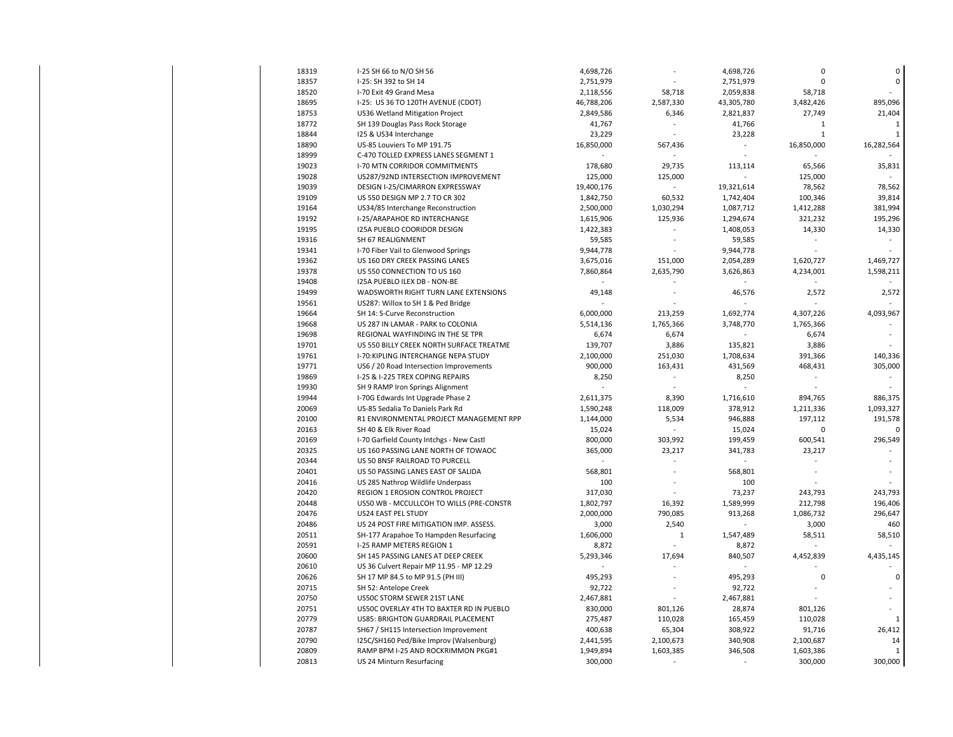| 18319 | I-25 SH 66 to N/O SH 56                  | 4,698,726  |                | 4,698,726  | $\Omega$     | $\pmb{0}$    |
|-------|------------------------------------------|------------|----------------|------------|--------------|--------------|
| 18357 | I-25: SH 392 to SH 14                    | 2,751,979  |                | 2,751,979  | $\mathbf 0$  | $\mathbf 0$  |
| 18520 | I-70 Exit 49 Grand Mesa                  | 2,118,556  | 58,718         | 2,059,838  | 58,718       |              |
| 18695 | I-25: US 36 TO 120TH AVENUE (CDOT)       | 46,788,206 | 2,587,330      | 43,305,780 | 3,482,426    | 895,096      |
| 18753 | US36 Wetland Mitigation Project          | 2,849,586  | 6,346          | 2,821,837  | 27,749       | 21,404       |
| 18772 | SH 139 Douglas Pass Rock Storage         | 41,767     |                | 41,766     | $\mathbf{1}$ | $\mathbf{1}$ |
| 18844 | 125 & US34 Interchange                   | 23,229     |                | 23,228     | $\mathbf{1}$ | $\mathbf{1}$ |
| 18890 | US-85 Louviers To MP 191.75              | 16,850,000 | 567,436        |            | 16,850,000   | 16,282,564   |
| 18999 | C-470 TOLLED EXPRESS LANES SEGMENT 1     |            |                |            |              |              |
| 19023 | <b>I-70 MTN CORRIDOR COMMITMENTS</b>     | 178,680    | 29.735         | 113,114    | 65,566       | 35,831       |
| 19028 | US287/92ND INTERSECTION IMPROVEMENT      | 125,000    | 125,000        |            | 125,000      |              |
| 19039 | DESIGN I-25/CIMARRON EXPRESSWAY          | 19,400,176 |                | 19,321,614 | 78,562       | 78,562       |
| 19109 | US 550 DESIGN MP 2.7 TO CR 302           | 1,842,750  | 60,532         | 1,742,404  | 100,346      | 39,814       |
| 19164 | US34/85 Interchange Reconstruction       | 2,500,000  | 1,030,294      | 1,087,712  | 1,412,288    | 381,994      |
|       |                                          |            |                |            |              |              |
| 19192 | I-25/ARAPAHOE RD INTERCHANGE             | 1,615,906  | 125,936        | 1,294,674  | 321,232      | 195,296      |
| 19195 | <b>I25A PUEBLO COORIDOR DESIGN</b>       | 1,422,383  |                | 1,408,053  | 14,330       | 14,330       |
| 19316 | SH 67 REALIGNMENT                        | 59,585     | $\overline{a}$ | 59,585     |              |              |
| 19341 | I-70 Fiber Vail to Glenwood Springs      | 9,944,778  |                | 9,944,778  |              |              |
| 19362 | US 160 DRY CREEK PASSING LANES           | 3,675,016  | 151,000        | 2,054,289  | 1,620,727    | 1,469,727    |
| 19378 | US 550 CONNECTION TO US 160              | 7,860,864  | 2,635,790      | 3,626,863  | 4,234,001    | 1,598,211    |
| 19408 | I25A PUEBLO ILEX DB - NON-BE             |            |                |            |              |              |
| 19499 | WADSWORTH RIGHT TURN LANE EXTENSIONS     | 49,148     |                | 46,576     | 2,572        | 2,572        |
| 19561 | US287: Willox to SH 1 & Ped Bridge       |            |                |            |              |              |
| 19664 | SH 14: S-Curve Reconstruction            | 6,000,000  | 213,259        | 1,692,774  | 4,307,226    | 4,093,967    |
| 19668 | US 287 IN LAMAR - PARK to COLONIA        | 5,514,136  | 1,765,366      | 3,748,770  | 1,765,366    |              |
| 19698 | REGIONAL WAYFINDING IN THE SE TPR        | 6,674      | 6,674          |            | 6,674        |              |
| 19701 | US 550 BILLY CREEK NORTH SURFACE TREATME | 139,707    | 3,886          | 135,821    | 3,886        |              |
| 19761 | I-70:KIPLING INTERCHANGE NEPA STUDY      | 2,100,000  | 251,030        | 1,708,634  | 391,366      | 140,336      |
| 19771 | US6 / 20 Road Intersection Improvements  | 900,000    | 163,431        | 431,569    | 468,431      | 305,000      |
| 19869 | I-25 & I-225 TREX COPING REPAIRS         | 8,250      |                | 8,250      |              |              |
| 19930 | SH 9 RAMP Iron Springs Alignment         |            |                |            |              |              |
| 19944 | I-70G Edwards Int Upgrade Phase 2        | 2,611,375  | 8,390          | 1,716,610  | 894,765      | 886,375      |
| 20069 | US-85 Sedalia To Daniels Park Rd         | 1,590,248  | 118,009        | 378,912    | 1,211,336    | 1,093,327    |
| 20100 | R1 ENVIRONMENTAL PROJECT MANAGEMENT RPP  | 1,144,000  | 5,534          | 946,888    | 197,112      | 191,578      |
| 20163 | SH 40 & Elk River Road                   | 15,024     |                | 15,024     | $\mathbf 0$  | 0            |
| 20169 |                                          |            |                |            |              |              |
|       | I-70 Garfield County Intchgs - New Castl | 800,000    | 303,992        | 199,459    | 600,541      | 296,549      |
| 20325 | US 160 PASSING LANE NORTH OF TOWAOC      | 365,000    | 23,217         | 341,783    | 23,217       |              |
| 20344 | US 50 BNSF RAILROAD TO PURCELL           |            |                |            |              |              |
| 20401 | US 50 PASSING LANES EAST OF SALIDA       | 568,801    |                | 568,801    |              |              |
| 20416 | US 285 Nathrop Wildlife Underpass        | 100        |                | 100        |              |              |
| 20420 | REGION 1 EROSION CONTROL PROJECT         | 317,030    |                | 73,237     | 243,793      | 243,793      |
| 20448 | US50 WB - MCCULLCOH TO WILLS (PRE-CONSTR | 1,802,797  | 16,392         | 1,589,999  | 212,798      | 196,406      |
| 20476 | US24 EAST PEL STUDY                      | 2,000,000  | 790,085        | 913,268    | 1,086,732    | 296,647      |
| 20486 | US 24 POST FIRE MITIGATION IMP. ASSESS.  | 3,000      | 2,540          |            | 3,000        | 460          |
| 20511 | SH-177 Arapahoe To Hampden Resurfacing   | 1,606,000  | $\mathbf{1}$   | 1,547,489  | 58,511       | 58,510       |
| 20591 | I-25 RAMP METERS REGION 1                | 8,872      |                | 8,872      |              |              |
| 20600 | SH 145 PASSING LANES AT DEEP CREEK       | 5,293,346  | 17,694         | 840,507    | 4,452,839    | 4,435,145    |
| 20610 | US 36 Culvert Repair MP 11.95 - MP 12.29 |            |                |            |              |              |
| 20626 | SH 17 MP 84.5 to MP 91.5 (PH III)        | 495,293    |                | 495,293    | $\mathbf 0$  | $\mathbf 0$  |
| 20715 | SH 52: Antelope Creek                    | 92,722     |                | 92,722     |              |              |
| 20750 | US50C STORM SEWER 21ST LANE              | 2,467,881  |                | 2,467,881  |              |              |
| 20751 | US50C OVERLAY 4TH TO BAXTER RD IN PUEBLO | 830,000    | 801,126        | 28,874     | 801,126      |              |
| 20779 | US85: BRIGHTON GUARDRAIL PLACEMENT       | 275,487    | 110,028        | 165,459    | 110,028      | 1            |
| 20787 | SH67 / SH115 Intersection Improvement    | 400,638    | 65,304         | 308,922    | 91,716       | 26,412       |
| 20790 | I25C/SH160 Ped/Bike Improv (Walsenburg)  | 2,441,595  | 2,100,673      | 340,908    | 2,100,687    | 14           |
|       |                                          |            |                |            |              |              |
| 20809 | RAMP BPM I-25 AND ROCKRIMMON PKG#1       | 1,949,894  | 1,603,385      | 346,508    | 1,603,386    | 1            |
| 20813 | US 24 Minturn Resurfacing                | 300,000    |                |            | 300,000      | 300,000      |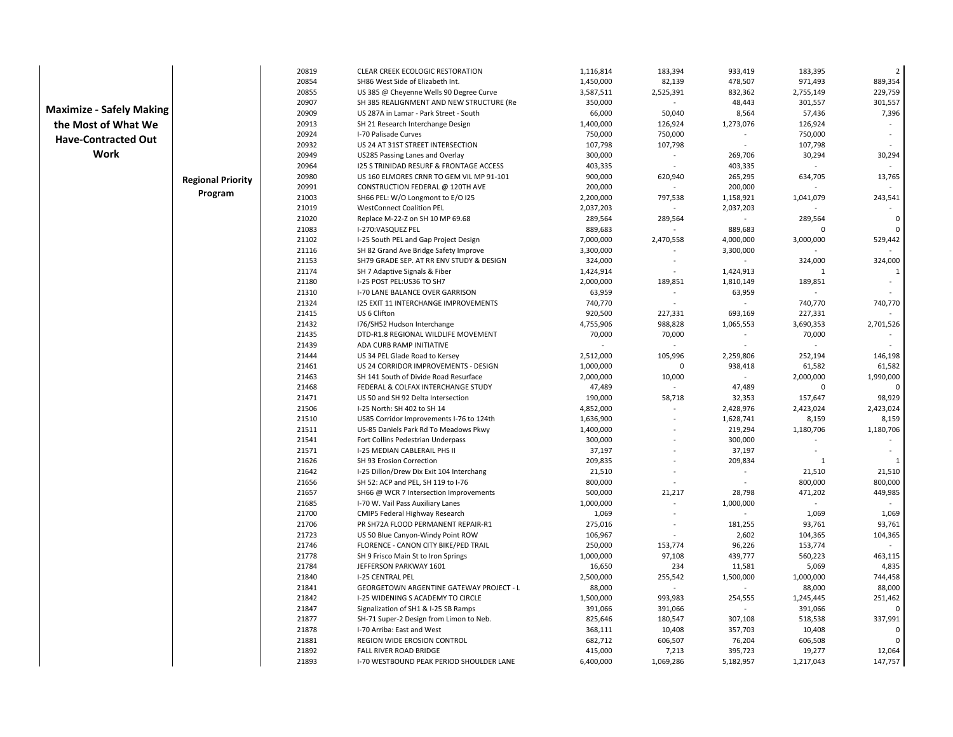|                                 |                          | 20819          | CLEAR CREEK ECOLOGIC RESTORATION                         | 1,116,814         | 183,394     | 933,419                  | 183,395      | $\overline{2}$ |
|---------------------------------|--------------------------|----------------|----------------------------------------------------------|-------------------|-------------|--------------------------|--------------|----------------|
|                                 |                          | 20854          | SH86 West Side of Elizabeth Int.                         | 1,450,000         | 82,139      | 478,507                  | 971,493      | 889,354        |
|                                 |                          | 20855          | US 385 @ Cheyenne Wells 90 Degree Curve                  | 3,587,511         | 2,525,391   | 832,362                  | 2,755,149    | 229,759        |
|                                 |                          | 20907          | SH 385 REALIGNMENT AND NEW STRUCTURE (Re                 | 350,000           | $\sim$      | 48,443                   | 301,557      | 301,557        |
| <b>Maximize - Safely Making</b> |                          | 20909          | US 287A in Lamar - Park Street - South                   | 66,000            | 50,040      | 8,564                    | 57,436       | 7,396          |
| the Most of What We             |                          | 20913          | SH 21 Research Interchange Design                        | 1,400,000         | 126,924     | 1,273,076                | 126,924      |                |
| <b>Have-Contracted Out</b>      |                          | 20924          | I-70 Palisade Curves                                     | 750,000           | 750,000     |                          | 750,000      |                |
|                                 |                          | 20932          | US 24 AT 31ST STREET INTERSECTION                        | 107,798           | 107,798     |                          | 107,798      |                |
| Work                            |                          | 20949          | US285 Passing Lanes and Overlay                          | 300,000           | $\sim$      | 269,706                  | 30,294       | 30,294         |
|                                 |                          | 20964          | <b>I25 S TRINIDAD RESURF &amp; FRONTAGE ACCESS</b>       | 403,335           |             | 403,335                  |              |                |
|                                 | <b>Regional Priority</b> | 20980          | US 160 ELMORES CRNR TO GEM VIL MP 91-101                 | 900,000           | 620,940     | 265,295                  | 634,705      | 13,765         |
|                                 |                          | 20991          | CONSTRUCTION FEDERAL @ 120TH AVE                         | 200,000           |             | 200,000                  |              |                |
|                                 | Program                  | 21003          | SH66 PEL: W/O Longmont to E/O I25                        | 2,200,000         | 797,538     | 1,158,921                | 1,041,079    | 243,541        |
|                                 |                          | 21019          | <b>WestConnect Coalition PEL</b>                         | 2,037,203         | ÷           | 2,037,203                |              |                |
|                                 |                          | 21020          | Replace M-22-Z on SH 10 MP 69.68                         | 289,564           | 289,564     |                          | 289,564      | $\mathbf{0}$   |
|                                 |                          | 21083          | I-270:VASQUEZ PEL                                        | 889,683           |             | 889,683                  |              | $\Omega$       |
|                                 |                          | 21102          | I-25 South PEL and Gap Project Design                    | 7,000,000         | 2,470,558   | 4,000,000                | 3,000,000    | 529,442        |
|                                 |                          | 21116          | SH 82 Grand Ave Bridge Safety Improve                    | 3,300,000         |             | 3,300,000                |              |                |
|                                 |                          | 21153          | SH79 GRADE SEP. AT RR ENV STUDY & DESIGN                 | 324,000           |             |                          | 324,000      | 324,000        |
|                                 |                          | 21174          | SH 7 Adaptive Signals & Fiber                            | 1,424,914         | $\sim$      | 1,424,913                | $\mathbf{1}$ | $\mathbf{1}$   |
|                                 |                          | 21180          | I-25 POST PEL:US36 TO SH7                                | 2,000,000         | 189,851     | 1,810,149                | 189,851      |                |
|                                 |                          | 21310          | I-70 LANE BALANCE OVER GARRISON                          | 63,959            | $\omega$    | 63,959                   |              |                |
|                                 |                          | 21324          | <b>I25 EXIT 11 INTERCHANGE IMPROVEMENTS</b>              | 740,770           |             |                          | 740,770      | 740,770        |
|                                 |                          | 21415          | US 6 Clifton                                             | 920,500           | 227,331     | 693,169                  | 227,331      |                |
|                                 |                          | 21432          | I76/SH52 Hudson Interchange                              | 4,755,906         | 988,828     | 1,065,553                | 3,690,353    | 2,701,526      |
|                                 |                          | 21435          | DTD-R1.8 REGIONAL WILDLIFE MOVEMENT                      | 70,000            | 70,000      |                          | 70,000       |                |
|                                 |                          | 21439          | ADA CURB RAMP INITIATIVE                                 |                   | ÷           | ÷.                       |              |                |
|                                 |                          | 21444          | US 34 PEL Glade Road to Kersey                           | 2,512,000         | 105,996     | 2,259,806                | 252,194      | 146,198        |
|                                 |                          | 21461          | US 24 CORRIDOR IMPROVEMENTS - DESIGN                     | 1,000,000         | $\mathbf 0$ | 938,418                  | 61,582       | 61,582         |
|                                 |                          | 21463          | SH 141 South of Divide Road Resurface                    | 2,000,000         | 10,000      | $\sim$                   | 2,000,000    | 1,990,000      |
|                                 |                          | 21468          | FEDERAL & COLFAX INTERCHANGE STUDY                       | 47,489            |             | 47,489                   | $\Omega$     | $\Omega$       |
|                                 |                          | 21471          | US 50 and SH 92 Delta Intersection                       | 190,000           | 58,718      | 32,353                   | 157,647      | 98,929         |
|                                 |                          | 21506          | I-25 North: SH 402 to SH 14                              | 4,852,000         |             | 2,428,976                | 2,423,024    | 2,423,024      |
|                                 |                          | 21510          | US85 Corridor Improvements I-76 to 124th                 | 1,636,900         |             | 1,628,741                | 8,159        | 8,159          |
|                                 |                          | 21511          | US-85 Daniels Park Rd To Meadows Pkwy                    | 1,400,000         |             | 219,294                  | 1,180,706    | 1,180,706      |
|                                 |                          | 21541<br>21571 | Fort Collins Pedestrian Underpass                        | 300,000           |             | 300,000                  |              |                |
|                                 |                          | 21626          | I-25 MEDIAN CABLERAIL PHS II<br>SH 93 Erosion Correction | 37,197<br>209,835 |             | 37,197<br>209,834        | $\mathbf{1}$ | -1             |
|                                 |                          | 21642          | I-25 Dillon/Drew Dix Exit 104 Interchang                 | 21,510            |             | $\blacksquare$           | 21,510       | 21,510         |
|                                 |                          | 21656          | SH 52: ACP and PEL, SH 119 to I-76                       | 800,000           |             | $\overline{\phantom{a}}$ | 800,000      | 800,000        |
|                                 |                          | 21657          | SH66 @ WCR 7 Intersection Improvements                   | 500,000           | 21,217      | 28,798                   | 471,202      | 449,985        |
|                                 |                          | 21685          | I-70 W. Vail Pass Auxiliary Lanes                        | 1,000,000         | ÷.          | 1,000,000                |              |                |
|                                 |                          | 21700          | CMIP5 Federal Highway Research                           | 1,069             |             |                          | 1,069        | 1,069          |
|                                 |                          | 21706          | PR SH72A FLOOD PERMANENT REPAIR-R1                       | 275,016           |             | 181,255                  | 93,761       | 93,761         |
|                                 |                          | 21723          | US 50 Blue Canyon-Windy Point ROW                        | 106,967           |             | 2,602                    | 104,365      | 104,365        |
|                                 |                          | 21746          | FLORENCE - CANON CITY BIKE/PED TRAIL                     | 250,000           | 153,774     | 96,226                   | 153,774      |                |
|                                 |                          | 21778          | SH 9 Frisco Main St to Iron Springs                      | 1,000,000         | 97,108      | 439,777                  | 560,223      | 463,115        |
|                                 |                          | 21784          | JEFFERSON PARKWAY 1601                                   | 16,650            | 234         | 11,581                   | 5,069        | 4,835          |
|                                 |                          | 21840          | <b>I-25 CENTRAL PEL</b>                                  | 2,500,000         | 255,542     | 1,500,000                | 1,000,000    | 744,458        |
|                                 |                          | 21841          | <b>GEORGETOWN ARGENTINE GATEWAY PROJECT - L</b>          | 88,000            |             |                          | 88,000       | 88,000         |
|                                 |                          | 21842          | I-25 WIDENING S ACADEMY TO CIRCLE                        | 1,500,000         | 993,983     | 254,555                  | 1,245,445    | 251,462        |
|                                 |                          | 21847          | Signalization of SH1 & I-25 SB Ramps                     | 391,066           | 391,066     |                          | 391,066      |                |
|                                 |                          | 21877          | SH-71 Super-2 Design from Limon to Neb.                  | 825,646           | 180,547     | 307,108                  | 518,538      | 337,991        |
|                                 |                          | 21878          | I-70 Arriba: East and West                               | 368,111           | 10,408      | 357,703                  | 10,408       | 0              |
|                                 |                          | 21881          | REGION WIDE EROSION CONTROL                              | 682,712           | 606,507     | 76,204                   | 606,508      | $\Omega$       |
|                                 |                          | 21892          | FALL RIVER ROAD BRIDGE                                   | 415,000           | 7,213       | 395,723                  | 19,277       | 12,064         |
|                                 |                          | 21893          | I-70 WESTBOUND PEAK PERIOD SHOULDER LANE                 | 6,400,000         | 1,069,286   | 5,182,957                | 1,217,043    | 147,757        |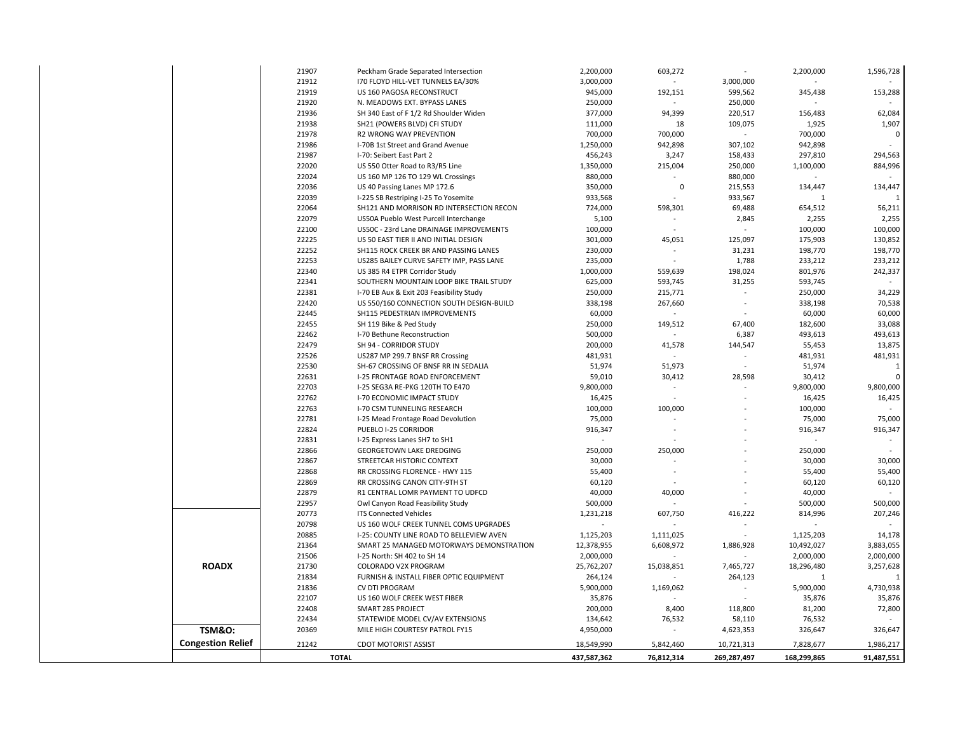|                          | 21907 | Peckham Grade Separated Intersection     | 2,200,000   | 603,272                  |             | 2,200,000    | 1,596,728      |
|--------------------------|-------|------------------------------------------|-------------|--------------------------|-------------|--------------|----------------|
|                          | 21912 | 170 FLOYD HILL-VET TUNNELS EA/30%        | 3,000,000   |                          | 3,000,000   |              |                |
|                          | 21919 | US 160 PAGOSA RECONSTRUCT                | 945,000     | 192,151                  | 599,562     | 345,438      | 153,288        |
|                          | 21920 | N. MEADOWS EXT. BYPASS LANES             | 250,000     |                          | 250,000     |              |                |
|                          | 21936 | SH 340 East of F 1/2 Rd Shoulder Widen   | 377,000     | 94,399                   | 220,517     | 156,483      | 62,084         |
|                          | 21938 | SH21 (POWERS BLVD) CFI STUDY             | 111,000     | 18                       | 109,075     | 1,925        | 1,907          |
|                          | 21978 | R2 WRONG WAY PREVENTION                  | 700,000     | 700,000                  |             | 700,000      | $\pmb{0}$      |
|                          | 21986 | I-70B 1st Street and Grand Avenue        | 1,250,000   | 942,898                  | 307,102     | 942,898      |                |
|                          | 21987 | I-70: Seibert East Part 2                | 456,243     | 3,247                    | 158,433     | 297,810      | 294,563        |
|                          | 22020 | US 550 Otter Road to R3/R5 Line          | 1,350,000   | 215,004                  | 250,000     | 1,100,000    | 884,996        |
|                          | 22024 | US 160 MP 126 TO 129 WL Crossings        | 880,000     |                          | 880,000     |              |                |
|                          | 22036 | US 40 Passing Lanes MP 172.6             | 350,000     | $\mathbf 0$              | 215,553     | 134,447      | 134,447        |
|                          | 22039 | I-225 SB Restriping I-25 To Yosemite     | 933,568     |                          | 933,567     | 1            | $\overline{1}$ |
|                          | 22064 | SH121 AND MORRISON RD INTERSECTION RECON | 724,000     | 598,301                  | 69,488      | 654,512      | 56,211         |
|                          | 22079 | US50A Pueblo West Purcell Interchange    | 5,100       |                          | 2,845       | 2,255        | 2,255          |
|                          | 22100 | US50C - 23rd Lane DRAINAGE IMPROVEMENTS  | 100,000     |                          |             | 100,000      | 100,000        |
|                          | 22225 | US 50 EAST TIER II AND INITIAL DESIGN    | 301,000     | 45,051                   | 125,097     | 175,903      | 130,852        |
|                          | 22252 | SH115 ROCK CREEK BR AND PASSING LANES    | 230,000     |                          | 31,231      | 198,770      | 198,770        |
|                          | 22253 | US285 BAILEY CURVE SAFETY IMP, PASS LANE | 235,000     |                          | 1,788       | 233,212      | 233,212        |
|                          | 22340 | US 385 R4 ETPR Corridor Study            | 1,000,000   | 559,639                  | 198,024     | 801,976      | 242,337        |
|                          | 22341 | SOUTHERN MOUNTAIN LOOP BIKE TRAIL STUDY  | 625,000     | 593,745                  | 31,255      | 593,745      | $\sim$         |
|                          | 22381 | I-70 EB Aux & Exit 203 Feasibility Study | 250,000     | 215,771                  |             | 250,000      | 34,229         |
|                          | 22420 | US 550/160 CONNECTION SOUTH DESIGN-BUILD | 338,198     | 267,660                  | $\sim$      | 338,198      | 70,538         |
|                          | 22445 | SH115 PEDESTRIAN IMPROVEMENTS            | 60,000      |                          |             | 60,000       | 60,000         |
|                          | 22455 | SH 119 Bike & Ped Study                  | 250,000     | 149,512                  | 67,400      | 182,600      | 33,088         |
|                          | 22462 | I-70 Bethune Reconstruction              | 500,000     |                          | 6,387       | 493,613      | 493,613        |
|                          | 22479 | SH 94 - CORRIDOR STUDY                   | 200,000     | 41,578                   | 144,547     | 55,453       | 13,875         |
|                          | 22526 | US287 MP 299.7 BNSF RR Crossing          | 481,931     | $\overline{\phantom{a}}$ |             | 481,931      | 481,931        |
|                          | 22530 | SH-67 CROSSING OF BNSF RR IN SEDALIA     | 51,974      | 51,973                   |             | 51,974       | $\mathbf{1}$   |
|                          | 22631 | I-25 FRONTAGE ROAD ENFORCEMENT           | 59,010      | 30,412                   | 28,598      | 30,412       | $\Omega$       |
|                          | 22703 | I-25 SEG3A RE-PKG 120TH TO E470          | 9,800,000   | ÷,                       |             | 9,800,000    | 9,800,000      |
|                          | 22762 | I-70 ECONOMIC IMPACT STUDY               | 16,425      |                          |             | 16,425       | 16,425         |
|                          | 22763 | <b>I-70 CSM TUNNELING RESEARCH</b>       | 100,000     | 100,000                  |             | 100,000      |                |
|                          | 22781 | I-25 Mead Frontage Road Devolution       | 75,000      |                          |             | 75,000       | 75,000         |
|                          | 22824 | PUEBLO I-25 CORRIDOR                     | 916,347     | ÷,                       |             | 916,347      | 916,347        |
|                          | 22831 | I-25 Express Lanes SH7 to SH1            |             |                          |             |              |                |
|                          | 22866 | GEORGETOWN LAKE DREDGING                 | 250,000     | 250,000                  |             | 250,000      | $\sim$         |
|                          | 22867 | STREETCAR HISTORIC CONTEXT               | 30,000      |                          |             | 30,000       | 30,000         |
|                          | 22868 | RR CROSSING FLORENCE - HWY 115           | 55,400      |                          |             | 55,400       | 55,400         |
|                          | 22869 | RR CROSSING CANON CITY-9TH ST            | 60,120      |                          |             | 60,120       | 60,120         |
|                          | 22879 | R1 CENTRAL LOMR PAYMENT TO UDFCD         | 40,000      | 40,000                   |             | 40,000       |                |
|                          | 22957 | Owl Canyon Road Feasibility Study        | 500,000     |                          |             | 500,000      | 500,000        |
|                          | 20773 | <b>ITS Connected Vehicles</b>            | 1,231,218   | 607,750                  | 416,222     | 814,996      | 207,246        |
|                          | 20798 | US 160 WOLF CREEK TUNNEL COMS UPGRADES   |             |                          |             |              |                |
|                          | 20885 | I-25: COUNTY LINE ROAD TO BELLEVIEW AVEN | 1,125,203   | 1,111,025                |             | 1,125,203    | 14,178         |
|                          | 21364 | SMART 25 MANAGED MOTORWAYS DEMONSTRATION | 12,378,955  | 6,608,972                | 1,886,928   | 10,492,027   | 3,883,055      |
|                          | 21506 | I-25 North: SH 402 to SH 14              | 2,000,000   |                          |             | 2,000,000    | 2,000,000      |
| <b>ROADX</b>             | 21730 | COLORADO V2X PROGRAM                     | 25,762,207  | 15,038,851               | 7,465,727   | 18,296,480   | 3,257,628      |
|                          | 21834 | FURNISH & INSTALL FIBER OPTIC EQUIPMENT  | 264,124     |                          | 264,123     | $\mathbf{1}$ | $\mathbf{1}$   |
|                          | 21836 | CV DTI PROGRAM                           | 5,900,000   | 1,169,062                |             | 5,900,000    | 4,730,938      |
|                          | 22107 | US 160 WOLF CREEK WEST FIBER             | 35,876      |                          |             | 35,876       | 35,876         |
|                          | 22408 | SMART 285 PROJECT                        | 200,000     | 8,400                    | 118,800     | 81,200       | 72,800         |
|                          | 22434 | STATEWIDE MODEL CV/AV EXTENSIONS         | 134,642     | 76,532                   | 58,110      | 76,532       |                |
| <b>TSM&amp;O:</b>        | 20369 | MILE HIGH COURTESY PATROL FY15           | 4,950,000   |                          | 4,623,353   | 326,647      | 326,647        |
| <b>Congestion Relief</b> | 21242 | <b>CDOT MOTORIST ASSIST</b>              | 18,549,990  | 5,842,460                | 10,721,313  | 7,828,677    | 1,986,217      |
|                          |       |                                          |             |                          |             |              |                |
|                          |       | <b>TOTAL</b>                             | 437,587,362 | 76,812,314               | 269,287,497 | 168,299,865  | 91,487,551     |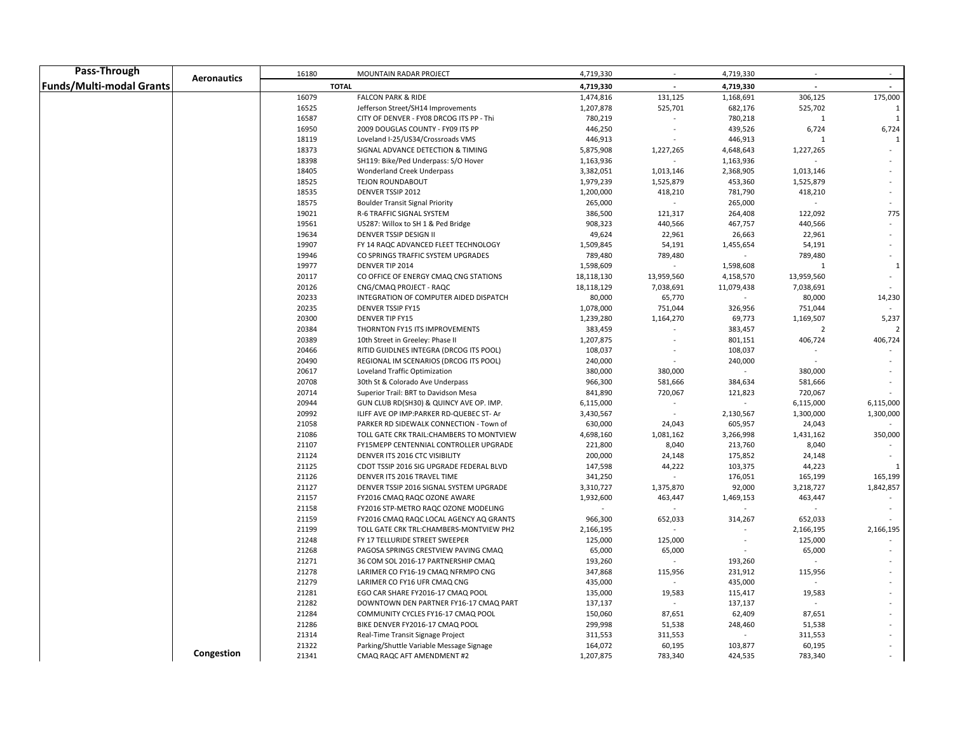| Pass-Through             |                    | 16180          | <b>MOUNTAIN RADAR PROJECT</b>                                      | 4,719,330               | $\sim$            | 4,719,330              | $\sim$         | $\sim$                  |
|--------------------------|--------------------|----------------|--------------------------------------------------------------------|-------------------------|-------------------|------------------------|----------------|-------------------------|
| Funds/Multi-modal Grants | <b>Aeronautics</b> |                | <b>TOTAL</b>                                                       | 4,719,330               |                   | 4,719,330              | $\mathbf{r}$   |                         |
|                          |                    | 16079          | <b>FALCON PARK &amp; RIDE</b>                                      | 1,474,816               | 131,125           | 1,168,691              | 306,125        | 175,000                 |
|                          |                    | 16525          | Jefferson Street/SH14 Improvements                                 | 1,207,878               | 525,701           | 682,176                | 525,702        |                         |
|                          |                    | 16587          | CITY OF DENVER - FY08 DRCOG ITS PP - Thi                           | 780,219                 |                   | 780,218                | $\mathbf{1}$   | 1                       |
|                          |                    | 16950          | 2009 DOUGLAS COUNTY - FY09 ITS PP                                  | 446,250                 |                   | 439,526                | 6,724          | 6,724                   |
|                          |                    | 18119          | Loveland I-25/US34/Crossroads VMS                                  | 446,913                 |                   | 446,913                |                | 1                       |
|                          |                    | 18373          | SIGNAL ADVANCE DETECTION & TIMING                                  | 5,875,908               | 1,227,265         | 4,648,643              | 1,227,265      |                         |
|                          |                    | 18398          | SH119: Bike/Ped Underpass: S/O Hover                               | 1,163,936               |                   | 1,163,936              |                |                         |
|                          |                    | 18405          | Wonderland Creek Underpass                                         | 3,382,051               | 1,013,146         | 2,368,905              | 1,013,146      |                         |
|                          |                    | 18525          | TEJON ROUNDABOUT                                                   | 1,979,239               | 1,525,879         | 453,360                | 1,525,879      |                         |
|                          |                    | 18535          | DENVER TSSIP 2012                                                  | 1,200,000               | 418,210           | 781,790                | 418,210        |                         |
|                          |                    | 18575          | <b>Boulder Transit Signal Priority</b>                             | 265,000                 |                   | 265,000                |                |                         |
|                          |                    | 19021          | R-6 TRAFFIC SIGNAL SYSTEM                                          | 386,500                 | 121,317           | 264,408                | 122,092        | 775                     |
|                          |                    | 19561          | US287: Willox to SH 1 & Ped Bridge                                 | 908,323                 | 440,566           | 467,757                | 440,566        |                         |
|                          |                    | 19634          | DENVER TSSIP DESIGN II                                             | 49,624                  | 22,961            | 26,663                 | 22,961         |                         |
|                          |                    | 19907          | FY 14 RAQC ADVANCED FLEET TECHNOLOGY                               | 1,509,845               | 54,191            | 1,455,654              | 54,191         |                         |
|                          |                    | 19946          | CO SPRINGS TRAFFIC SYSTEM UPGRADES                                 | 789,480                 | 789,480           |                        | 789,480        |                         |
|                          |                    | 19977          | DENVER TIP 2014                                                    |                         |                   |                        | - 1            | $\overline{1}$          |
|                          |                    | 20117          | CO OFFICE OF ENERGY CMAQ CNG STATIONS                              | 1,598,609<br>18,118,130 | 13,959,560        | 1,598,608<br>4,158,570 | 13,959,560     |                         |
|                          |                    | 20126          |                                                                    |                         |                   |                        |                |                         |
|                          |                    | 20233          | CNG/CMAQ PROJECT - RAQC                                            | 18,118,129              | 7,038,691         | 11,079,438             | 7,038,691      |                         |
|                          |                    | 20235          | INTEGRATION OF COMPUTER AIDED DISPATCH<br><b>DENVER TSSIP FY15</b> | 80,000                  | 65,770<br>751,044 |                        | 80,000         | 14,230                  |
|                          |                    |                |                                                                    | 1,078,000               |                   | 326,956                | 751,044        |                         |
|                          |                    | 20300          | <b>DENVER TIP FY15</b>                                             | 1,239,280               | 1,164,270         | 69,773                 | 1,169,507      | 5,237<br>$\overline{2}$ |
|                          |                    | 20384<br>20389 | THORNTON FY15 ITS IMPROVEMENTS                                     | 383,459                 |                   | 383,457                | $\overline{2}$ |                         |
|                          |                    |                | 10th Street in Greeley: Phase II                                   | 1,207,875               |                   | 801,151                | 406,724        | 406,724                 |
|                          |                    | 20466          | RITID GUIDLNES INTEGRA (DRCOG ITS POOL)                            | 108,037                 |                   | 108,037                |                |                         |
|                          |                    | 20490          | REGIONAL IM SCENARIOS (DRCOG ITS POOL)                             | 240,000                 |                   | 240,000                |                |                         |
|                          |                    | 20617          | Loveland Traffic Optimization                                      | 380,000                 | 380,000           | $\sim$                 | 380,000        |                         |
|                          |                    | 20708          | 30th St & Colorado Ave Underpass                                   | 966,300                 | 581,666           | 384,634                | 581,666        |                         |
|                          |                    | 20714          | Superior Trail: BRT to Davidson Mesa                               | 841,890                 | 720,067           | 121,823                | 720,067        |                         |
|                          |                    | 20944          | GUN CLUB RD(SH30) & QUINCY AVE OP. IMP.                            | 6,115,000               |                   |                        | 6,115,000      | 6,115,000               |
|                          |                    | 20992          | ILIFF AVE OP IMP:PARKER RD-QUEBEC ST- Ar                           | 3,430,567               |                   | 2,130,567              | 1,300,000      | 1,300,000               |
|                          |                    | 21058          | PARKER RD SIDEWALK CONNECTION - Town of                            | 630,000                 | 24,043            | 605,957                | 24,043         |                         |
|                          |                    | 21086          | TOLL GATE CRK TRAIL: CHAMBERS TO MONTVIEW                          | 4,698,160               | 1,081,162         | 3,266,998              | 1,431,162      | 350,000                 |
|                          |                    | 21107          | FY15MEPP CENTENNIAL CONTROLLER UPGRADE                             | 221,800                 | 8,040             | 213,760                | 8,040          |                         |
|                          |                    | 21124          | DENVER ITS 2016 CTC VISIBILITY                                     | 200,000                 | 24,148            | 175,852                | 24,148         |                         |
|                          |                    | 21125          | CDOT TSSIP 2016 SIG UPGRADE FEDERAL BLVD                           | 147,598                 | 44,222            | 103,375                | 44,223         | $\overline{1}$          |
|                          |                    | 21126          | DENVER ITS 2016 TRAVEL TIME                                        | 341,250                 |                   | 176,051                | 165,199        | 165,199                 |
|                          |                    | 21127          | DENVER TSSIP 2016 SIGNAL SYSTEM UPGRADE                            | 3,310,727               | 1,375,870         | 92,000                 | 3,218,727      | 1,842,857               |
|                          |                    | 21157          | FY2016 CMAQ RAQC OZONE AWARE                                       | 1,932,600               | 463,447           | 1,469,153              | 463,447        |                         |
|                          |                    | 21158          | FY2016 STP-METRO RAQC OZONE MODELING                               |                         |                   |                        |                |                         |
|                          |                    | 21159          | FY2016 CMAQ RAQC LOCAL AGENCY AQ GRANTS                            | 966,300                 | 652,033           | 314,267                | 652,033        |                         |
|                          |                    | 21199          | TOLL GATE CRK TRL:CHAMBERS-MONTVIEW PH2                            | 2,166,195               |                   |                        | 2,166,195      | 2,166,195               |
|                          |                    | 21248          | FY 17 TELLURIDE STREET SWEEPER                                     | 125,000                 | 125,000           |                        | 125,000        |                         |
|                          |                    | 21268          | PAGOSA SPRINGS CRESTVIEW PAVING CMAQ                               | 65,000                  | 65,000            |                        | 65,000         |                         |
|                          |                    | 21271          | 36 COM SOL 2016-17 PARTNERSHIP CMAQ                                | 193,260                 |                   | 193,260                |                |                         |
|                          |                    | 21278          | LARIMER CO FY16-19 CMAQ NFRMPO CNG                                 | 347,868                 | 115,956           | 231,912                | 115,956        |                         |
|                          |                    | 21279          | LARIMER CO FY16 UFR CMAQ CNG                                       | 435,000                 |                   | 435,000                |                |                         |
|                          |                    | 21281          | EGO CAR SHARE FY2016-17 CMAQ POOL                                  | 135,000                 | 19,583            | 115,417                | 19,583         |                         |
|                          |                    | 21282          | DOWNTOWN DEN PARTNER FY16-17 CMAQ PART                             | 137,137                 |                   | 137,137                |                |                         |
|                          |                    | 21284          | COMMUNITY CYCLES FY16-17 CMAQ POOL                                 | 150,060                 | 87,651            | 62,409                 | 87,651         |                         |
|                          |                    | 21286          | BIKE DENVER FY2016-17 CMAQ POOL                                    | 299,998                 | 51,538            | 248,460                | 51,538         |                         |
|                          |                    | 21314          | Real-Time Transit Signage Project                                  | 311,553                 | 311,553           |                        | 311,553        |                         |
|                          | Congestion         | 21322          | Parking/Shuttle Variable Message Signage                           | 164,072                 | 60,195            | 103,877                | 60,195         |                         |
|                          |                    | 21341          | CMAQ RAQC AFT AMENDMENT #2                                         | 1,207,875               | 783,340           | 424,535                | 783,340        |                         |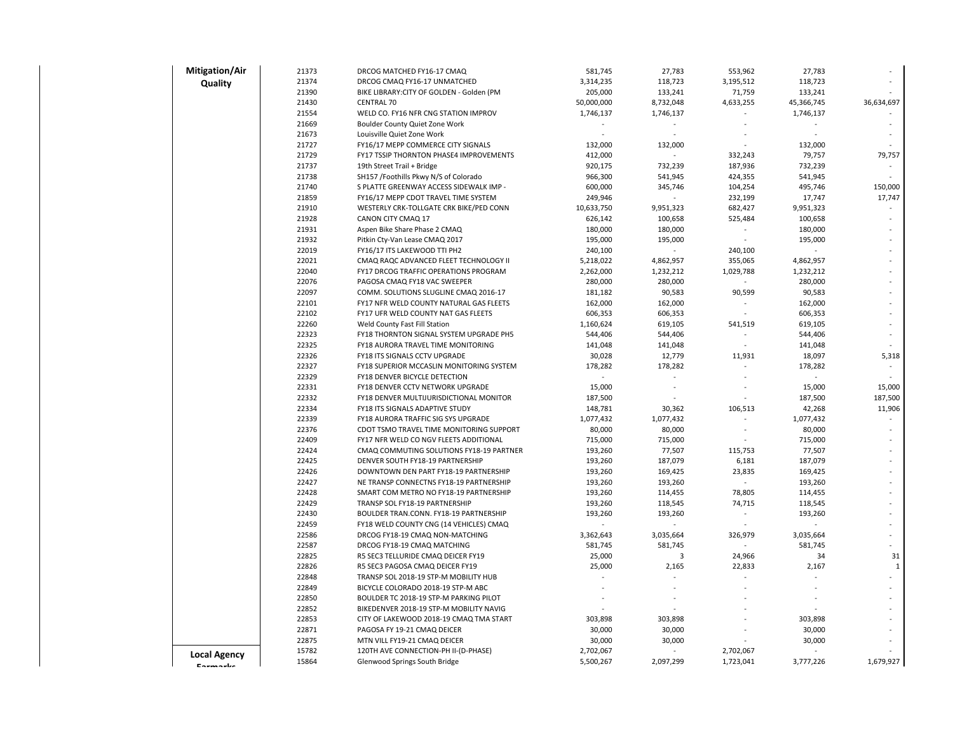| <b>Mitigation/Air</b> | 21373          | DRCOG MATCHED FY16-17 CMAQ                                                | 581,745    | 27,783    | 553,962                  | 27,783     |              |
|-----------------------|----------------|---------------------------------------------------------------------------|------------|-----------|--------------------------|------------|--------------|
| Quality               | 21374          | DRCOG CMAQ FY16-17 UNMATCHED                                              | 3,314,235  | 118,723   | 3,195,512                | 118,723    |              |
|                       | 21390          | BIKE LIBRARY: CITY OF GOLDEN - Golden (PM                                 | 205,000    | 133,241   | 71,759                   | 133,241    |              |
|                       | 21430          | <b>CENTRAL 70</b>                                                         | 50,000,000 | 8,732,048 | 4,633,255                | 45,366,745 | 36,634,697   |
|                       | 21554          | WELD CO. FY16 NFR CNG STATION IMPROV                                      | 1,746,137  | 1,746,137 |                          | 1,746,137  |              |
|                       | 21669          | Boulder County Quiet Zone Work                                            |            |           |                          |            |              |
|                       | 21673          | Louisville Quiet Zone Work                                                |            |           |                          |            |              |
|                       | 21727          | FY16/17 MEPP COMMERCE CITY SIGNALS                                        | 132,000    | 132,000   |                          | 132,000    |              |
|                       | 21729          | FY17 TSSIP THORNTON PHASE4 IMPROVEMENTS                                   | 412,000    |           | 332,243                  | 79,757     | 79,757       |
|                       | 21737          | 19th Street Trail + Bridge                                                | 920,175    | 732,239   | 187,936                  | 732,239    |              |
|                       | 21738          | SH157 /Foothills Pkwy N/S of Colorado                                     | 966,300    | 541,945   | 424,355                  | 541,945    |              |
|                       | 21740          | S PLATTE GREENWAY ACCESS SIDEWALK IMP -                                   | 600,000    | 345,746   | 104,254                  | 495,746    | 150,000      |
|                       | 21859          | FY16/17 MEPP CDOT TRAVEL TIME SYSTEM                                      | 249,946    |           | 232,199                  | 17,747     | 17,747       |
|                       | 21910          | WESTERLY CRK-TOLLGATE CRK BIKE/PED CONN                                   | 10,633,750 | 9,951,323 | 682,427                  | 9,951,323  |              |
|                       | 21928          | CANON CITY CMAQ 17                                                        | 626,142    | 100,658   | 525,484                  | 100,658    |              |
|                       | 21931          | Aspen Bike Share Phase 2 CMAQ                                             | 180,000    | 180,000   |                          | 180,000    |              |
|                       | 21932          | Pitkin Cty-Van Lease CMAQ 2017                                            | 195,000    | 195,000   |                          | 195,000    |              |
|                       | 22019          | FY16/17 ITS LAKEWOOD TTI PH2                                              | 240,100    |           | 240,100                  |            |              |
|                       | 22021          | CMAQ RAQC ADVANCED FLEET TECHNOLOGY II                                    | 5,218,022  | 4,862,957 | 355,065                  | 4,862,957  |              |
|                       | 22040          | FY17 DRCOG TRAFFIC OPERATIONS PROGRAM                                     | 2,262,000  | 1,232,212 | 1,029,788                | 1,232,212  |              |
|                       | 22076          | PAGOSA CMAQ FY18 VAC SWEEPER                                              | 280,000    | 280,000   |                          | 280,000    |              |
|                       | 22097          | COMM. SOLUTIONS SLUGLINE CMAQ 2016-17                                     | 181,182    | 90,583    | 90,599                   | 90,583     |              |
|                       | 22101          | FY17 NFR WELD COUNTY NATURAL GAS FLEETS                                   | 162,000    | 162,000   |                          | 162,000    |              |
|                       | 22102          | FY17 UFR WELD COUNTY NAT GAS FLEETS                                       | 606,353    | 606,353   |                          | 606,353    |              |
|                       | 22260          | Weld County Fast Fill Station                                             | 1,160,624  | 619,105   | 541,519                  | 619,105    |              |
|                       | 22323          | FY18 THORNTON SIGNAL SYSTEM UPGRADE PH5                                   | 544,406    | 544,406   |                          | 544,406    |              |
|                       | 22325          | FY18 AURORA TRAVEL TIME MONITORING                                        | 141,048    | 141,048   |                          | 141,048    |              |
|                       | 22326<br>22327 | FY18 ITS SIGNALS CCTV UPGRADE                                             | 30,028     | 12,779    | 11,931<br>$\sim$         | 18,097     | 5,318        |
|                       | 22329          | FY18 SUPERIOR MCCASLIN MONITORING SYSTEM<br>FY18 DENVER BICYCLE DETECTION | 178,282    | 178,282   |                          | 178,282    |              |
|                       | 22331          | FY18 DENVER CCTV NETWORK UPGRADE                                          | 15,000     |           |                          | 15,000     | 15,000       |
|                       | 22332          | FY18 DENVER MULTIJURISDICTIONAL MONITOR                                   | 187,500    |           |                          | 187,500    | 187,500      |
|                       | 22334          | FY18 ITS SIGNALS ADAPTIVE STUDY                                           | 148,781    | 30,362    | 106,513                  | 42,268     | 11,906       |
|                       | 22339          | FY18 AURORA TRAFFIC SIG SYS UPGRADE                                       | 1,077,432  | 1,077,432 | $\overline{\phantom{a}}$ | 1,077,432  |              |
|                       | 22376          | CDOT TSMO TRAVEL TIME MONITORING SUPPORT                                  | 80,000     | 80,000    |                          | 80,000     |              |
|                       | 22409          | FY17 NFR WELD CO NGV FLEETS ADDITIONAL                                    | 715,000    | 715,000   |                          | 715,000    |              |
|                       | 22424          | CMAQ COMMUTING SOLUTIONS FY18-19 PARTNER                                  | 193,260    | 77,507    | 115,753                  | 77,507     |              |
|                       | 22425          | DENVER SOUTH FY18-19 PARTNERSHIP                                          | 193,260    | 187,079   | 6,181                    | 187,079    |              |
|                       | 22426          | DOWNTOWN DEN PART FY18-19 PARTNERSHIP                                     | 193,260    | 169,425   | 23,835                   | 169,425    |              |
|                       | 22427          | NE TRANSP CONNECTNS FY18-19 PARTNERSHIP                                   | 193,260    | 193,260   |                          | 193,260    |              |
|                       | 22428          | SMART COM METRO NO FY18-19 PARTNERSHIP                                    | 193,260    | 114,455   | 78,805                   | 114,455    |              |
|                       | 22429          | TRANSP SOL FY18-19 PARTNERSHIP                                            | 193,260    | 118,545   | 74,715                   | 118,545    |              |
|                       | 22430          | BOULDER TRAN.CONN. FY18-19 PARTNERSHIP                                    | 193,260    | 193,260   |                          | 193,260    |              |
|                       | 22459          | FY18 WELD COUNTY CNG (14 VEHICLES) CMAQ                                   |            |           |                          |            |              |
|                       | 22586          | DRCOG FY18-19 CMAQ NON-MATCHING                                           | 3,362,643  | 3,035,664 | 326,979                  | 3,035,664  |              |
|                       | 22587          | DRCOG FY18-19 CMAQ MATCHING                                               | 581,745    | 581,745   |                          | 581,745    |              |
|                       | 22825          | R5 SEC3 TELLURIDE CMAQ DEICER FY19                                        | 25,000     | 3         | 24,966                   | 34         | 31           |
|                       | 22826          | R5 SEC3 PAGOSA CMAQ DEICER FY19                                           | 25,000     | 2,165     | 22,833                   | 2,167      | $\mathbf{1}$ |
|                       | 22848          | TRANSP SOL 2018-19 STP-M MOBILITY HUB                                     |            |           |                          |            |              |
|                       | 22849          | BICYCLE COLORADO 2018-19 STP-M ABC                                        |            |           |                          |            |              |
|                       | 22850          | BOULDER TC 2018-19 STP-M PARKING PILOT                                    |            |           |                          |            |              |
|                       | 22852          | BIKEDENVER 2018-19 STP-M MOBILITY NAVIG                                   |            |           |                          |            |              |
|                       | 22853          | CITY OF LAKEWOOD 2018-19 CMAQ TMA START                                   | 303,898    | 303,898   |                          | 303,898    |              |
|                       | 22871          | PAGOSA FY 19-21 CMAQ DEICER                                               | 30,000     | 30,000    |                          | 30,000     |              |
|                       | 22875          | MTN VILL FY19-21 CMAQ DEICER                                              | 30,000     | 30,000    |                          | 30,000     |              |
|                       |                |                                                                           |            |           |                          |            |              |
| <b>Local Agency</b>   | 15782          | 120TH AVE CONNECTION-PH II-(D-PHASE)                                      | 2,702,067  |           | 2,702,067                |            |              |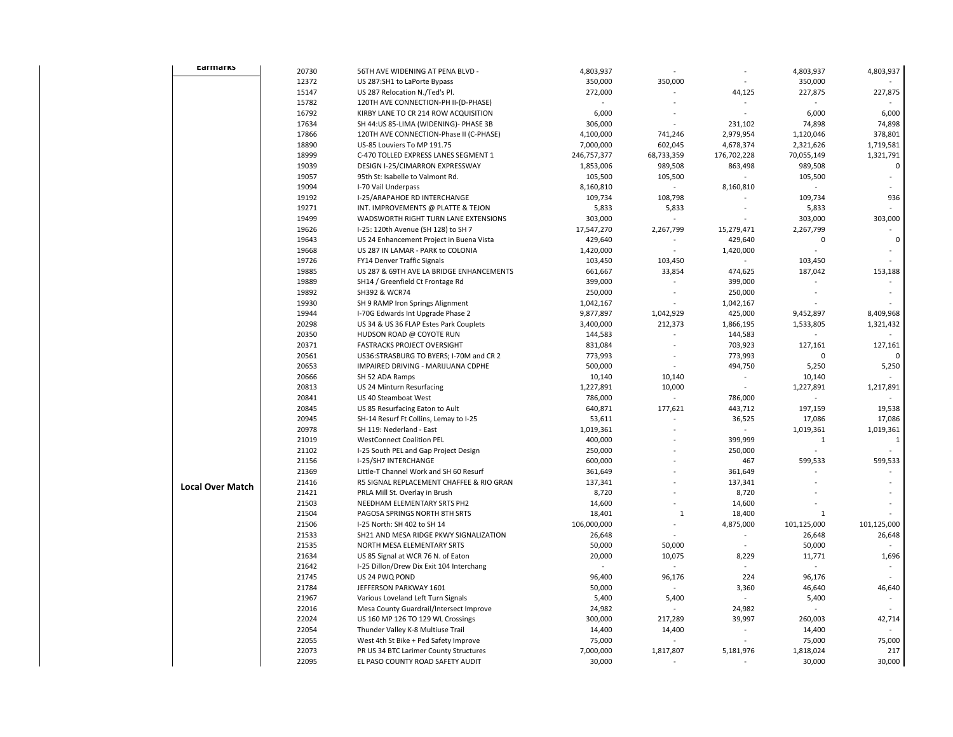| carmarks                | 20730 | 56TH AVE WIDENING AT PENA BLVD -         | 4,803,937   |                | $\overline{a}$           | 4,803,937    | 4,803,937    |
|-------------------------|-------|------------------------------------------|-------------|----------------|--------------------------|--------------|--------------|
|                         | 12372 | US 287:SH1 to LaPorte Bypass             | 350,000     | 350,000        |                          | 350,000      |              |
|                         | 15147 | US 287 Relocation N./Ted's Pl.           | 272,000     |                | 44,125                   | 227,875      | 227,875      |
|                         | 15782 | 120TH AVE CONNECTION-PH II-(D-PHASE)     |             |                |                          |              |              |
|                         | 16792 | KIRBY LANE TO CR 214 ROW ACQUISITION     | 6,000       |                |                          | 6,000        | 6,000        |
|                         | 17634 | SH 44:US 85-LIMA (WIDENING)- PHASE 3B    | 306,000     |                | 231,102                  | 74,898       | 74,898       |
|                         | 17866 | 120TH AVE CONNECTION-Phase II (C-PHASE)  | 4,100,000   | 741,246        | 2,979,954                | 1,120,046    | 378,801      |
|                         | 18890 | US-85 Louviers To MP 191.75              | 7,000,000   | 602,045        | 4,678,374                | 2,321,626    | 1,719,581    |
|                         | 18999 | C-470 TOLLED EXPRESS LANES SEGMENT 1     | 246,757,377 | 68,733,359     | 176,702,228              | 70,055,149   | 1,321,791    |
|                         | 19039 | DESIGN I-25/CIMARRON EXPRESSWAY          | 1,853,006   | 989,508        | 863,498                  | 989,508      | $\mathsf 0$  |
|                         | 19057 | 95th St: Isabelle to Valmont Rd.         | 105,500     | 105,500        |                          | 105,500      |              |
|                         | 19094 | I-70 Vail Underpass                      | 8,160,810   |                | 8,160,810                |              |              |
|                         | 19192 | I-25/ARAPAHOE RD INTERCHANGE             | 109,734     | 108,798        |                          | 109,734      | 936          |
|                         | 19271 | INT. IMPROVEMENTS @ PLATTE & TEJON       | 5,833       | 5,833          |                          | 5,833        |              |
|                         | 19499 | WADSWORTH RIGHT TURN LANE EXTENSIONS     | 303,000     |                |                          | 303,000      | 303,000      |
|                         | 19626 | I-25: 120th Avenue (SH 128) to SH 7      | 17,547,270  | 2,267,799      | 15,279,471               | 2,267,799    |              |
|                         | 19643 | US 24 Enhancement Project in Buena Vista | 429,640     |                | 429,640                  | $\mathbf 0$  | $\mathbf 0$  |
|                         | 19668 | US 287 IN LAMAR - PARK to COLONIA        | 1,420,000   | $\sim$         | 1,420,000                |              |              |
|                         | 19726 | FY14 Denver Traffic Signals              | 103,450     | 103,450        |                          | 103,450      |              |
|                         | 19885 | US 287 & 69TH AVE LA BRIDGE ENHANCEMENTS | 661,667     | 33,854         | 474,625                  | 187,042      | 153,188      |
|                         | 19889 | SH14 / Greenfield Ct Frontage Rd         | 399,000     |                | 399,000                  |              |              |
|                         | 19892 | SH392 & WCR74                            | 250,000     |                | 250,000                  |              |              |
|                         | 19930 | SH 9 RAMP Iron Springs Alignment         | 1,042,167   |                | 1,042,167                |              |              |
|                         | 19944 | I-70G Edwards Int Upgrade Phase 2        | 9,877,897   | 1,042,929      | 425,000                  | 9,452,897    | 8,409,968    |
|                         | 20298 | US 34 & US 36 FLAP Estes Park Couplets   | 3,400,000   | 212,373        | 1,866,195                | 1,533,805    | 1,321,432    |
|                         | 20350 | HUDSON ROAD @ COYOTE RUN                 | 144,583     |                | 144,583                  |              |              |
|                         | 20371 | <b>FASTRACKS PROJECT OVERSIGHT</b>       | 831,084     |                | 703,923                  | 127,161      | 127,161      |
|                         | 20561 | US36:STRASBURG TO BYERS; I-70M and CR 2  | 773,993     |                | 773,993                  | 0            |              |
|                         | 20653 | IMPAIRED DRIVING - MARIJUANA CDPHE       | 500,000     |                | 494,750                  | 5,250        | 5,250        |
|                         | 20666 | SH 52 ADA Ramps                          | 10,140      | 10,140         |                          | 10,140       |              |
|                         | 20813 | US 24 Minturn Resurfacing                | 1,227,891   | 10,000         | ÷,                       | 1,227,891    | 1,217,891    |
|                         | 20841 | US 40 Steamboat West                     | 786,000     |                | 786,000                  |              |              |
|                         | 20845 | US 85 Resurfacing Eaton to Ault          | 640,871     | 177,621        | 443,712                  | 197,159      | 19,538       |
|                         | 20945 | SH-14 Resurf Ft Collins, Lemay to I-25   | 53,611      |                | 36,525                   | 17,086       | 17,086       |
|                         | 20978 | SH 119: Nederland - East                 | 1,019,361   |                |                          | 1,019,361    | 1,019,361    |
|                         | 21019 | <b>WestConnect Coalition PEL</b>         | 400,000     |                | 399,999                  | $\mathbf{1}$ | $\mathbf{1}$ |
|                         | 21102 | I-25 South PEL and Gap Project Design    | 250,000     |                | 250,000                  |              |              |
|                         | 21156 | I-25/SH7 INTERCHANGE                     | 600,000     |                | 467                      | 599,533      | 599,533      |
|                         | 21369 | Little-T Channel Work and SH 60 Resurf   | 361,649     |                | 361,649                  |              | $\sim$       |
| <b>Local Over Match</b> | 21416 | R5 SIGNAL REPLACEMENT CHAFFEE & RIO GRAN | 137,341     |                | 137,341                  |              |              |
|                         | 21421 | PRLA Mill St. Overlay in Brush           | 8,720       |                | 8,720                    |              |              |
|                         | 21503 | NEEDHAM ELEMENTARY SRTS PH2              | 14,600      |                | 14,600                   |              |              |
|                         | 21504 | PAGOSA SPRINGS NORTH 8TH SRTS            | 18,401      | 1              | 18,400                   | 1            |              |
|                         | 21506 | I-25 North: SH 402 to SH 14              | 106,000,000 |                | 4,875,000                | 101,125,000  | 101,125,000  |
|                         | 21533 | SH21 AND MESA RIDGE PKWY SIGNALIZATION   | 26,648      |                |                          | 26,648       | 26,648       |
|                         | 21535 | NORTH MESA ELEMENTARY SRTS               | 50,000      | 50,000         |                          | 50,000       |              |
|                         | 21634 | US 85 Signal at WCR 76 N. of Eaton       | 20,000      | 10,075         | 8,229                    | 11,771       | 1,696        |
|                         | 21642 | I-25 Dillon/Drew Dix Exit 104 Interchang |             |                |                          |              |              |
|                         | 21745 | US 24 PWQ POND                           | 96,400      | 96,176         | 224                      | 96,176       |              |
|                         | 21784 | JEFFERSON PARKWAY 1601                   | 50,000      |                | 3,360                    | 46,640       | 46,640       |
|                         | 21967 | Various Loveland Left Turn Signals       | 5,400       | 5,400          | $\bar{\phantom{a}}$      | 5,400        |              |
|                         | 22016 | Mesa County Guardrail/Intersect Improve  | 24,982      |                | 24,982                   |              |              |
|                         | 22024 | US 160 MP 126 TO 129 WL Crossings        | 300,000     | 217,289        | 39,997                   | 260,003      | 42,714       |
|                         | 22054 | Thunder Valley K-8 Multiuse Trail        | 14,400      | 14,400         | $\overline{\phantom{a}}$ | 14,400       |              |
|                         | 22055 | West 4th St Bike + Ped Safety Improve    | 75,000      |                |                          | 75,000       | 75,000       |
|                         | 22073 | PR US 34 BTC Larimer County Structures   | 7,000,000   | 1,817,807      | 5,181,976                | 1,818,024    | 217          |
|                         | 22095 | EL PASO COUNTY ROAD SAFETY AUDIT         | 30,000      | $\overline{a}$ | ÷.                       | 30,000       | 30,000       |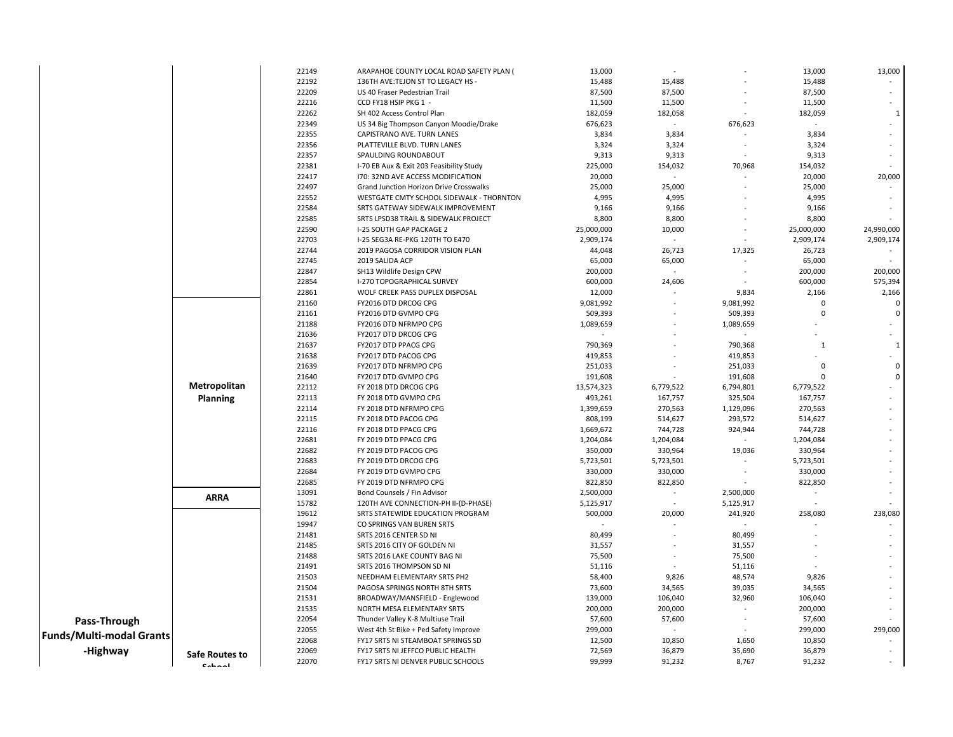|                          |                 | 22149 | ARAPAHOE COUNTY LOCAL ROAD SAFETY PLAN ( | 13,000     |           |           | 13,000       | 13,000         |
|--------------------------|-----------------|-------|------------------------------------------|------------|-----------|-----------|--------------|----------------|
|                          |                 | 22192 | 136TH AVE: TEJON ST TO LEGACY HS -       | 15,488     | 15,488    |           | 15,488       |                |
|                          |                 | 22209 | US 40 Fraser Pedestrian Trail            | 87,500     | 87,500    |           | 87,500       |                |
|                          |                 | 22216 | CCD FY18 HSIP PKG 1                      | 11,500     | 11,500    |           | 11,500       |                |
|                          |                 | 22262 | SH 402 Access Control Plan               | 182,059    | 182,058   |           | 182,059      | $\overline{1}$ |
|                          |                 | 22349 | US 34 Big Thompson Canyon Moodie/Drake   | 676,623    | $\sim$    | 676,623   | $\sim$       |                |
|                          |                 | 22355 | CAPISTRANO AVE. TURN LANES               | 3,834      | 3,834     |           | 3,834        |                |
|                          |                 | 22356 | PLATTEVILLE BLVD. TURN LANES             | 3,324      | 3,324     |           | 3,324        |                |
|                          |                 | 22357 | SPAULDING ROUNDABOUT                     | 9,313      | 9,313     |           | 9,313        |                |
|                          |                 | 22381 | I-70 EB Aux & Exit 203 Feasibility Study | 225,000    | 154,032   | 70,968    | 154,032      |                |
|                          |                 | 22417 | 170: 32ND AVE ACCESS MODIFICATION        | 20,000     |           |           | 20,000       | 20,000         |
|                          |                 | 22497 | Grand Junction Horizon Drive Crosswalks  | 25,000     | 25,000    |           | 25,000       |                |
|                          |                 | 22552 | WESTGATE CMTY SCHOOL SIDEWALK - THORNTON | 4,995      | 4,995     |           | 4,995        |                |
|                          |                 | 22584 | SRTS GATEWAY SIDEWALK IMPROVEMENT        | 9,166      | 9,166     |           | 9,166        |                |
|                          |                 | 22585 | SRTS LPSD38 TRAIL & SIDEWALK PROJECT     | 8,800      | 8,800     |           | 8,800        |                |
|                          |                 | 22590 | I-25 SOUTH GAP PACKAGE 2                 | 25,000,000 | 10,000    |           | 25,000,000   | 24,990,000     |
|                          |                 | 22703 | I-25 SEG3A RE-PKG 120TH TO E470          | 2,909,174  | $\sim$    |           | 2,909,174    | 2,909,174      |
|                          |                 | 22744 | 2019 PAGOSA CORRIDOR VISION PLAN         | 44,048     | 26,723    | 17,325    | 26,723       |                |
|                          |                 | 22745 | 2019 SALIDA ACP                          | 65,000     | 65,000    |           | 65,000       |                |
|                          |                 | 22847 | SH13 Wildlife Design CPW                 | 200,000    |           |           | 200,000      | 200,000        |
|                          |                 | 22854 | I-270 TOPOGRAPHICAL SURVEY               | 600,000    | 24,606    |           | 600,000      | 575,394        |
|                          |                 | 22861 | WOLF CREEK PASS DUPLEX DISPOSAL          | 12,000     |           | 9,834     | 2,166        | 2,166          |
|                          |                 | 21160 | FY2016 DTD DRCOG CPG                     | 9,081,992  |           | 9,081,992 | $\Omega$     | $\Omega$       |
|                          |                 | 21161 | FY2016 DTD GVMPO CPG                     | 509,393    |           | 509,393   | $\Omega$     | 0              |
|                          |                 | 21188 | FY2016 DTD NFRMPO CPG                    | 1,089,659  |           | 1,089,659 |              |                |
|                          |                 | 21636 | FY2017 DTD DRCOG CPG                     |            |           |           |              |                |
|                          |                 | 21637 | FY2017 DTD PPACG CPG                     | 790,369    |           | 790,368   | $\mathbf{1}$ | $\mathbf{1}$   |
|                          |                 | 21638 | FY2017 DTD PACOG CPG                     | 419,853    |           | 419,853   |              |                |
|                          |                 | 21639 | FY2017 DTD NFRMPO CPG                    | 251,033    |           | 251,033   | $\Omega$     | 0              |
|                          |                 | 21640 | FY2017 DTD GVMPO CPG                     | 191,608    |           | 191,608   |              | $\mathbf 0$    |
|                          | Metropolitan    | 22112 | FY 2018 DTD DRCOG CPG                    | 13,574,323 | 6,779,522 | 6,794,801 | 6,779,522    |                |
|                          | <b>Planning</b> | 22113 | FY 2018 DTD GVMPO CPG                    | 493,261    | 167,757   | 325,504   | 167,757      |                |
|                          |                 | 22114 | FY 2018 DTD NFRMPO CPG                   | 1,399,659  | 270,563   | 1,129,096 | 270,563      |                |
|                          |                 | 22115 | FY 2018 DTD PACOG CPG                    | 808,199    | 514,627   | 293,572   | 514,627      |                |
|                          |                 | 22116 | FY 2018 DTD PPACG CPG                    | 1,669,672  | 744,728   | 924,944   | 744,728      |                |
|                          |                 | 22681 | FY 2019 DTD PPACG CPG                    | 1,204,084  | 1,204,084 |           | 1,204,084    |                |
|                          |                 | 22682 | FY 2019 DTD PACOG CPG                    | 350,000    | 330,964   | 19,036    | 330,964      |                |
|                          |                 | 22683 | FY 2019 DTD DRCOG CPG                    | 5,723,501  | 5,723,501 |           | 5,723,501    |                |
|                          |                 | 22684 | FY 2019 DTD GVMPO CPG                    | 330,000    | 330,000   |           | 330,000      |                |
|                          |                 | 22685 | FY 2019 DTD NFRMPO CPG                   | 822,850    | 822,850   |           | 822,850      |                |
|                          |                 | 13091 | Bond Counsels / Fin Advisor              | 2,500,000  | $\sim$    | 2,500,000 |              |                |
|                          | <b>ARRA</b>     | 15782 | 120TH AVE CONNECTION-PH II-(D-PHASE)     | 5,125,917  |           | 5,125,917 |              |                |
|                          |                 | 19612 | SRTS STATEWIDE EDUCATION PROGRAM         | 500,000    | 20,000    | 241,920   | 258,080      | 238,080        |
|                          |                 | 19947 | CO SPRINGS VAN BUREN SRTS                |            |           | $\sim$    |              |                |
|                          |                 | 21481 | SRTS 2016 CENTER SD NI                   | 80,499     |           | 80,499    |              |                |
|                          |                 | 21485 | SRTS 2016 CITY OF GOLDEN NI              | 31,557     |           | 31,557    |              |                |
|                          |                 | 21488 | SRTS 2016 LAKE COUNTY BAG NI             | 75,500     |           | 75,500    |              |                |
|                          |                 | 21491 | SRTS 2016 THOMPSON SD NI                 | 51,116     |           | 51,116    |              |                |
|                          |                 | 21503 | NEEDHAM ELEMENTARY SRTS PH2              | 58,400     | 9,826     | 48,574    | 9,826        |                |
|                          |                 | 21504 | PAGOSA SPRINGS NORTH 8TH SRTS            | 73,600     | 34,565    | 39,035    | 34,565       |                |
|                          |                 | 21531 | BROADWAY/MANSFIELD - Englewood           | 139,000    | 106,040   | 32,960    | 106,040      |                |
|                          |                 | 21535 | NORTH MESA ELEMENTARY SRTS               | 200,000    | 200,000   |           | 200,000      |                |
| Pass-Through             |                 | 22054 | Thunder Valley K-8 Multiuse Trail        | 57,600     | 57,600    |           | 57,600       |                |
|                          |                 | 22055 | West 4th St Bike + Ped Safety Improve    | 299,000    | ÷         |           | 299,000      | 299,000        |
| Funds/Multi-modal Grants |                 | 22068 | FY17 SRTS NI STEAMBOAT SPRINGS SD        | 12,500     | 10,850    | 1,650     | 10,850       |                |
| -Highway                 |                 | 22069 | FY17 SRTS NI JEFFCO PUBLIC HEALTH        | 72,569     | 36,879    | 35,690    | 36,879       |                |
|                          | Safe Routes to  | 22070 | FY17 SRTS NI DENVER PUBLIC SCHOOLS       | 99,999     | 91,232    | 8,767     | 91,232       |                |
|                          | Cohool          |       |                                          |            |           |           |              |                |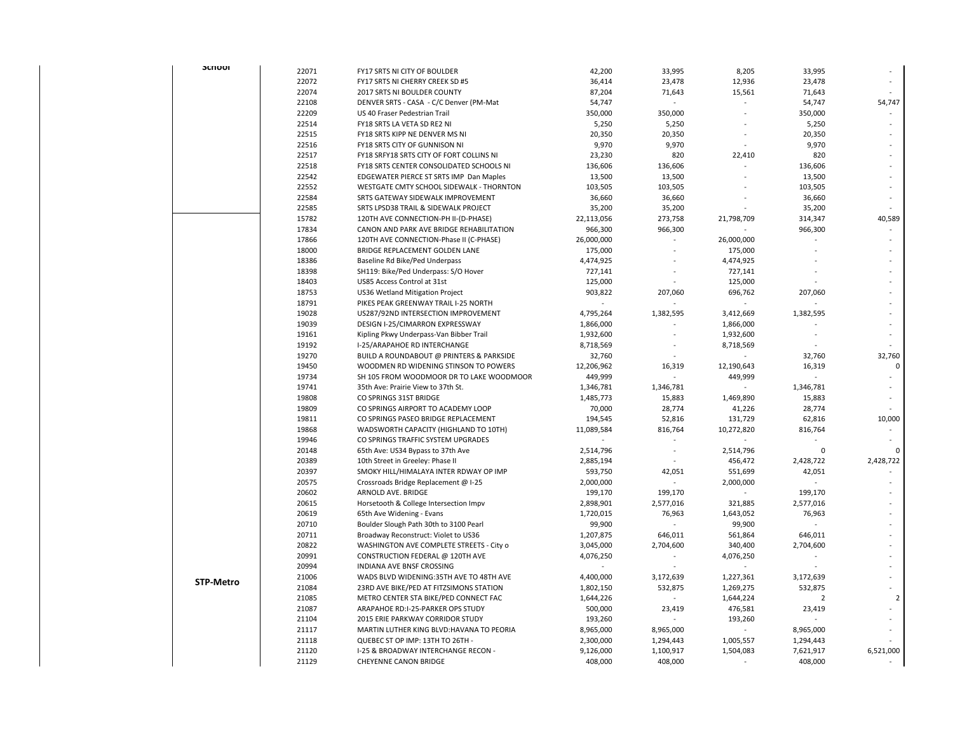| <b>SCILOOI</b>   |       |                                          |            |                           |            |                |                |
|------------------|-------|------------------------------------------|------------|---------------------------|------------|----------------|----------------|
|                  | 22071 | FY17 SRTS NI CITY OF BOULDER             | 42,200     | 33,995                    | 8,205      | 33,995         |                |
|                  | 22072 | FY17 SRTS NI CHERRY CREEK SD #5          | 36,414     | 23,478                    | 12,936     | 23,478         |                |
|                  | 22074 | 2017 SRTS NI BOULDER COUNTY              | 87,204     | 71,643                    | 15,561     | 71,643         |                |
|                  | 22108 | DENVER SRTS - CASA - C/C Denver (PM-Mat  | 54,747     | ÷,                        |            | 54,747         | 54,747         |
|                  | 22209 | US 40 Fraser Pedestrian Trail            | 350,000    | 350,000                   |            | 350,000        |                |
|                  | 22514 | FY18 SRTS LA VETA SD RE2 NI              | 5,250      | 5,250                     |            | 5,250          |                |
|                  | 22515 | FY18 SRTS KIPP NE DENVER MS NI           | 20,350     | 20,350                    |            | 20,350         |                |
|                  | 22516 | FY18 SRTS CITY OF GUNNISON NI            | 9,970      | 9,970                     |            | 9,970          |                |
|                  | 22517 | FY18 SRFY18 SRTS CITY OF FORT COLLINS NI | 23,230     | 820                       | 22,410     | 820            |                |
|                  | 22518 | FY18 SRTS CENTER CONSOLIDATED SCHOOLS NI | 136,606    | 136,606                   |            | 136,606        |                |
|                  | 22542 | EDGEWATER PIERCE ST SRTS IMP Dan Maples  | 13,500     | 13,500                    |            | 13,500         |                |
|                  | 22552 | WESTGATE CMTY SCHOOL SIDEWALK - THORNTON | 103,505    | 103,505                   |            | 103,505        |                |
|                  | 22584 | SRTS GATEWAY SIDEWALK IMPROVEMENT        | 36,660     | 36,660                    |            | 36,660         |                |
|                  | 22585 | SRTS LPSD38 TRAIL & SIDEWALK PROJECT     | 35,200     | 35,200                    |            | 35,200         |                |
|                  | 15782 | 120TH AVE CONNECTION-PH II-(D-PHASE)     | 22,113,056 | 273,758                   | 21,798,709 | 314,347        | 40,589         |
|                  | 17834 | CANON AND PARK AVE BRIDGE REHABILITATION | 966,300    | 966,300                   |            | 966,300        |                |
|                  | 17866 | 120TH AVE CONNECTION-Phase II (C-PHASE)  | 26,000,000 | ÷,                        | 26,000,000 |                |                |
|                  | 18000 | BRIDGE REPLACEMENT GOLDEN LANE           | 175,000    |                           | 175,000    |                |                |
|                  | 18386 | Baseline Rd Bike/Ped Underpass           | 4,474,925  |                           | 4,474,925  |                |                |
|                  | 18398 | SH119: Bike/Ped Underpass: S/O Hover     | 727,141    |                           | 727,141    |                |                |
|                  | 18403 | US85 Access Control at 31st              | 125,000    |                           | 125,000    |                |                |
|                  | 18753 | US36 Wetland Mitigation Project          | 903,822    | 207,060                   | 696,762    | 207,060        |                |
|                  | 18791 | PIKES PEAK GREENWAY TRAIL I-25 NORTH     |            |                           |            |                |                |
|                  | 19028 | US287/92ND INTERSECTION IMPROVEMENT      | 4,795,264  | 1,382,595                 | 3,412,669  | 1,382,595      |                |
|                  | 19039 | DESIGN I-25/CIMARRON EXPRESSWAY          | 1,866,000  | L.                        | 1,866,000  |                |                |
|                  | 19161 | Kipling Pkwy Underpass-Van Bibber Trail  | 1,932,600  |                           | 1,932,600  |                |                |
|                  | 19192 | I-25/ARAPAHOE RD INTERCHANGE             | 8,718,569  |                           | 8,718,569  |                |                |
|                  | 19270 | BUILD A ROUNDABOUT @ PRINTERS & PARKSIDE | 32,760     |                           |            | 32,760         | 32,760         |
|                  | 19450 | WOODMEN RD WIDENING STINSON TO POWERS    | 12,206,962 | 16,319                    | 12,190,643 | 16,319         | $\mathbf 0$    |
|                  | 19734 | SH 105 FROM WOODMOOR DR TO LAKE WOODMOOR | 449,999    |                           | 449,999    |                |                |
|                  | 19741 | 35th Ave: Prairie View to 37th St.       | 1,346,781  | 1,346,781                 |            | 1,346,781      |                |
|                  | 19808 | CO SPRINGS 31ST BRIDGE                   | 1,485,773  | 15,883                    | 1,469,890  | 15,883         |                |
|                  | 19809 | CO SPRINGS AIRPORT TO ACADEMY LOOP       | 70,000     | 28,774                    | 41,226     | 28,774         |                |
|                  | 19811 | CO SPRINGS PASEO BRIDGE REPLACEMENT      | 194,545    | 52,816                    | 131,729    | 62,816         | 10,000         |
|                  | 19868 | WADSWORTH CAPACITY (HIGHLAND TO 10TH)    | 11,089,584 | 816,764                   | 10,272,820 | 816,764        |                |
|                  | 19946 | CO SPRINGS TRAFFIC SYSTEM UPGRADES       |            |                           |            |                |                |
|                  | 20148 | 65th Ave: US34 Bypass to 37th Ave        | 2,514,796  | $\sim$                    | 2,514,796  | 0              | $\Omega$       |
|                  | 20389 | 10th Street in Greeley: Phase II         | 2,885,194  |                           | 456,472    | 2,428,722      | 2,428,722      |
|                  | 20397 | SMOKY HILL/HIMALAYA INTER RDWAY OP IMP   | 593,750    | 42,051                    | 551,699    | 42,051         |                |
|                  | 20575 | Crossroads Bridge Replacement @ I-25     | 2,000,000  |                           | 2,000,000  |                |                |
|                  | 20602 | ARNOLD AVE. BRIDGE                       | 199,170    | 199,170                   |            | 199,170        |                |
|                  | 20615 | Horsetooth & College Intersection Impv   | 2,898,901  | 2,577,016                 | 321,885    | 2,577,016      |                |
|                  | 20619 | 65th Ave Widening - Evans                | 1,720,015  | 76,963                    | 1,643,052  | 76,963         |                |
|                  | 20710 | Boulder Slough Path 30th to 3100 Pearl   | 99,900     |                           | 99,900     |                |                |
|                  | 20711 | Broadway Reconstruct: Violet to US36     | 1,207,875  | 646,011                   | 561,864    | 646,011        |                |
|                  | 20822 | WASHINGTON AVE COMPLETE STREETS - City o | 3,045,000  | 2,704,600                 | 340,400    | 2,704,600      |                |
|                  | 20991 | CONSTRUCTION FEDERAL @ 120TH AVE         | 4,076,250  |                           | 4,076,250  |                |                |
|                  | 20994 | INDIANA AVE BNSF CROSSING                |            |                           |            |                |                |
|                  | 21006 |                                          |            |                           |            |                | ÷.             |
| <b>STP-Metro</b> |       | WADS BLVD WIDENING:35TH AVE TO 48TH AVE  | 4,400,000  | 3,172,639                 | 1,227,361  | 3,172,639      |                |
|                  | 21084 | 23RD AVE BIKE/PED AT FITZSIMONS STATION  | 1,802,150  | 532,875<br>$\blacksquare$ | 1,269,275  | 532,875        | $\overline{2}$ |
|                  | 21085 | METRO CENTER STA BIKE/PED CONNECT FAC    | 1,644,226  |                           | 1,644,224  | $\overline{2}$ |                |
|                  | 21087 | ARAPAHOE RD:I-25-PARKER OPS STUDY        | 500,000    | 23,419                    | 476,581    | 23,419         |                |
|                  | 21104 | 2015 ERIE PARKWAY CORRIDOR STUDY         | 193,260    |                           | 193,260    |                |                |
|                  | 21117 | MARTIN LUTHER KING BLVD:HAVANA TO PEORIA | 8,965,000  | 8,965,000                 |            | 8,965,000      |                |
|                  | 21118 | QUEBEC ST OP IMP: 13TH TO 26TH -         | 2,300,000  | 1,294,443                 | 1,005,557  | 1,294,443      |                |
|                  | 21120 | I-25 & BROADWAY INTERCHANGE RECON -      | 9,126,000  | 1,100,917                 | 1,504,083  | 7,621,917      | 6,521,000      |
|                  | 21129 | CHEYENNE CANON BRIDGE                    | 408,000    | 408,000                   |            | 408,000        |                |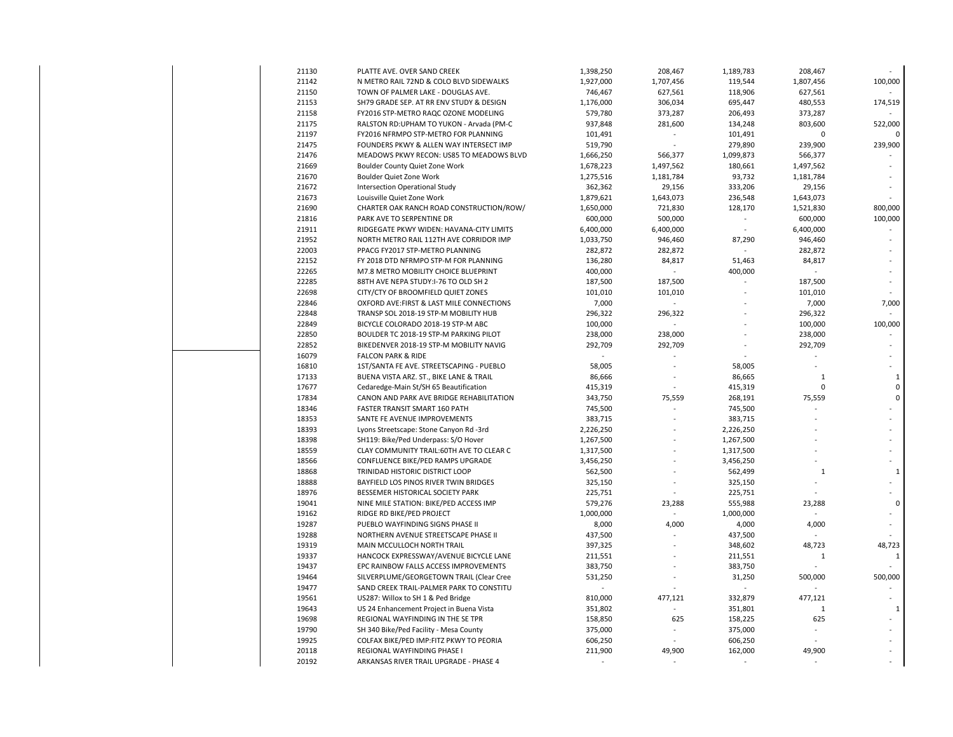| 21130 | PLATTE AVE. OVER SAND CREEK               | 1,398,250 | 208,467        | 1,189,783 | 208,467      |              |
|-------|-------------------------------------------|-----------|----------------|-----------|--------------|--------------|
| 21142 | N METRO RAIL 72ND & COLO BLVD SIDEWALKS   | 1,927,000 | 1,707,456      | 119,544   | 1,807,456    | 100,000      |
| 21150 | TOWN OF PALMER LAKE - DOUGLAS AVE.        | 746,467   | 627,561        | 118,906   | 627,561      |              |
| 21153 | SH79 GRADE SEP. AT RR ENV STUDY & DESIGN  | 1,176,000 | 306,034        | 695,447   | 480,553      | 174,519      |
| 21158 | FY2016 STP-METRO RAQC OZONE MODELING      | 579,780   | 373,287        | 206,493   | 373,287      |              |
| 21175 | RALSTON RD:UPHAM TO YUKON - Arvada (PM-C  | 937,848   | 281,600        | 134,248   | 803,600      | 522,000      |
| 21197 | FY2016 NFRMPO STP-METRO FOR PLANNING      | 101,491   | ÷,             | 101,491   | 0            | 0            |
| 21475 | FOUNDERS PKWY & ALLEN WAY INTERSECT IMP   | 519,790   |                | 279,890   | 239,900      | 239,900      |
| 21476 | MEADOWS PKWY RECON: US85 TO MEADOWS BLVD  | 1,666,250 | 566,377        | 1,099,873 | 566,377      |              |
| 21669 | Boulder County Quiet Zone Work            | 1,678,223 | 1,497,562      | 180,661   | 1,497,562    |              |
| 21670 | Boulder Quiet Zone Work                   | 1,275,516 | 1,181,784      | 93,732    | 1,181,784    |              |
| 21672 | Intersection Operational Study            | 362,362   | 29,156         | 333,206   | 29,156       |              |
| 21673 | Louisville Quiet Zone Work                | 1,879,621 | 1,643,073      | 236,548   | 1,643,073    |              |
| 21690 | CHARTER OAK RANCH ROAD CONSTRUCTION/ROW/  | 1,650,000 | 721,830        | 128,170   | 1,521,830    | 800,000      |
| 21816 | PARK AVE TO SERPENTINE DR                 | 600,000   | 500,000        |           | 600,000      | 100,000      |
| 21911 | RIDGEGATE PKWY WIDEN: HAVANA-CITY LIMITS  | 6,400,000 | 6,400,000      |           | 6,400,000    |              |
| 21952 | NORTH METRO RAIL 112TH AVE CORRIDOR IMP   | 1,033,750 | 946,460        | 87,290    | 946,460      |              |
| 22003 | PPACG FY2017 STP-METRO PLANNING           | 282,872   | 282,872        |           | 282,872      |              |
| 22152 | FY 2018 DTD NFRMPO STP-M FOR PLANNING     | 136,280   | 84,817         | 51,463    | 84,817       |              |
| 22265 | M7.8 METRO MOBILITY CHOICE BLUEPRINT      | 400,000   |                | 400,000   |              |              |
| 22285 | 88TH AVE NEPA STUDY:I-76 TO OLD SH 2      | 187,500   | 187,500        |           | 187,500      |              |
| 22698 | CITY/CTY OF BROOMFIELD QUIET ZONES        | 101,010   | 101,010        |           | 101,010      |              |
| 22846 | OXFORD AVE: FIRST & LAST MILE CONNECTIONS | 7,000     |                |           | 7,000        | 7,000        |
| 22848 | TRANSP SOL 2018-19 STP-M MOBILITY HUB     | 296,322   | 296,322        |           | 296,322      |              |
| 22849 | BICYCLE COLORADO 2018-19 STP-M ABC        | 100,000   |                |           | 100,000      | 100,000      |
| 22850 | BOULDER TC 2018-19 STP-M PARKING PILOT    | 238,000   | 238,000        |           | 238,000      |              |
| 22852 | BIKEDENVER 2018-19 STP-M MOBILITY NAVIG   | 292,709   | 292,709        |           | 292,709      |              |
| 16079 | <b>FALCON PARK &amp; RIDE</b>             |           | $\overline{a}$ |           |              |              |
| 16810 | 1ST/SANTA FE AVE. STREETSCAPING - PUEBLO  | 58,005    |                | 58,005    |              |              |
| 17133 | BUENA VISTA ARZ. ST., BIKE LANE & TRAIL   | 86,666    |                | 86,665    | $\mathbf{1}$ | $\mathbf{1}$ |
| 17677 | Cedaredge-Main St/SH 65 Beautification    | 415,319   |                | 415,319   | $\mathbf 0$  | $\mathbf 0$  |
| 17834 | CANON AND PARK AVE BRIDGE REHABILITATION  | 343,750   | 75,559         | 268,191   | 75,559       | $\pmb{0}$    |
| 18346 | <b>FASTER TRANSIT SMART 160 PATH</b>      | 745,500   | ÷,             | 745,500   |              |              |
| 18353 | SANTE FE AVENUE IMPROVEMENTS              | 383,715   |                | 383,715   |              |              |
| 18393 | Lyons Streetscape: Stone Canyon Rd -3rd   | 2,226,250 |                | 2,226,250 |              |              |
| 18398 | SH119: Bike/Ped Underpass: S/O Hover      | 1,267,500 | $\overline{a}$ | 1,267,500 |              |              |
| 18559 | CLAY COMMUNITY TRAIL:60TH AVE TO CLEAR C  | 1,317,500 |                | 1,317,500 |              |              |
| 18566 | CONFLUENCE BIKE/PED RAMPS UPGRADE         | 3,456,250 |                | 3,456,250 |              |              |
| 18868 | TRINIDAD HISTORIC DISTRICT LOOP           | 562,500   |                | 562,499   | $\mathbf 1$  | $\mathbf 1$  |
| 18888 | BAYFIELD LOS PINOS RIVER TWIN BRIDGES     | 325,150   |                | 325,150   |              |              |
| 18976 | BESSEMER HISTORICAL SOCIETY PARK          | 225,751   |                | 225,751   |              |              |
| 19041 | NINE MILE STATION: BIKE/PED ACCESS IMP    | 579,276   | 23,288         | 555,988   | 23,288       | 0            |
| 19162 | RIDGE RD BIKE/PED PROJECT                 | 1,000,000 |                | 1,000,000 |              |              |
| 19287 | PUEBLO WAYFINDING SIGNS PHASE II          | 8,000     | 4,000          | 4,000     | 4,000        |              |
| 19288 | NORTHERN AVENUE STREETSCAPE PHASE II      | 437,500   |                | 437,500   |              |              |
| 19319 | MAIN MCCULLOCH NORTH TRAIL                | 397,325   |                | 348,602   | 48,723       | 48,723       |
| 19337 | HANCOCK EXPRESSWAY/AVENUE BICYCLE LANE    | 211,551   |                | 211,551   | $\mathbf 1$  | $\mathbf 1$  |
| 19437 | EPC RAINBOW FALLS ACCESS IMPROVEMENTS     | 383,750   |                | 383,750   |              |              |
| 19464 | SILVERPLUME/GEORGETOWN TRAIL (Clear Cree  | 531,250   |                | 31,250    | 500,000      | 500,000      |
| 19477 | SAND CREEK TRAIL-PALMER PARK TO CONSTITU  |           |                |           |              |              |
| 19561 | US287: Willox to SH 1 & Ped Bridge        | 810,000   | 477,121        | 332,879   | 477,121      |              |
| 19643 | US 24 Enhancement Project in Buena Vista  | 351,802   |                | 351,801   | $\mathbf 1$  | $\mathbf 1$  |
| 19698 | REGIONAL WAYFINDING IN THE SE TPR         | 158,850   | 625            | 158,225   | 625          |              |
| 19790 | SH 340 Bike/Ped Facility - Mesa County    | 375,000   | $\overline{a}$ | 375,000   |              |              |
| 19925 | COLFAX BIKE/PED IMP:FITZ PKWY TO PEORIA   | 606,250   |                | 606,250   |              |              |
| 20118 | REGIONAL WAYFINDING PHASE I               | 211,900   | 49,900         | 162,000   | 49,900       |              |
| 20192 | ARKANSAS RIVER TRAIL UPGRADE - PHASE 4    |           |                |           |              |              |
|       |                                           |           |                |           |              |              |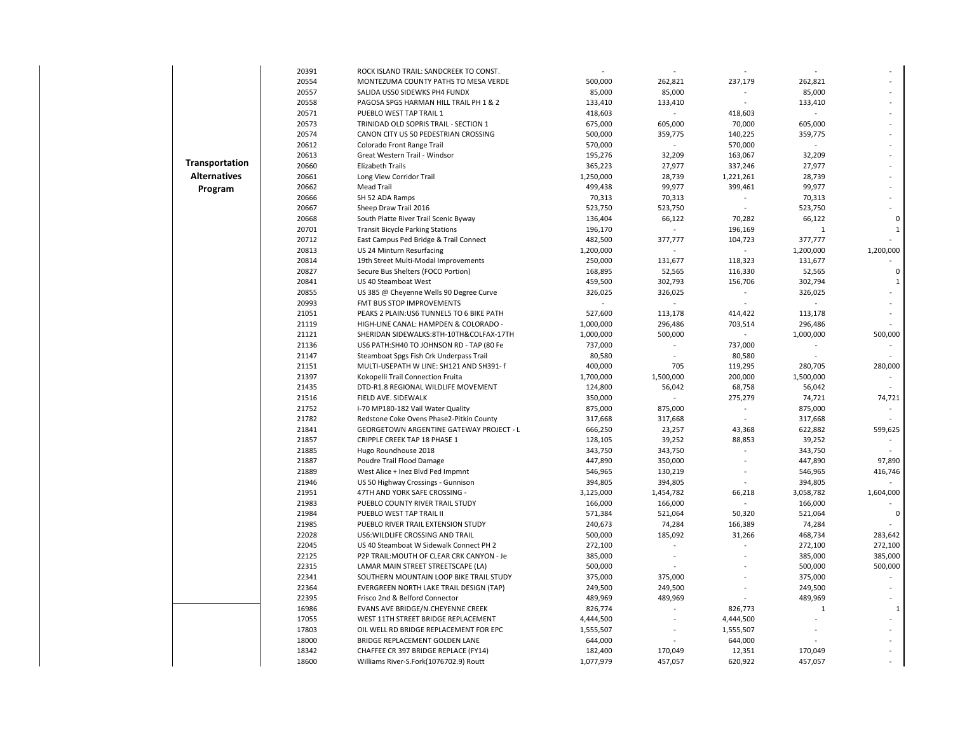|                       | 20391 | ROCK ISLAND TRAIL: SANDCREEK TO CONST.          |           |           |           |              |              |
|-----------------------|-------|-------------------------------------------------|-----------|-----------|-----------|--------------|--------------|
|                       | 20554 | MONTEZUMA COUNTY PATHS TO MESA VERDE            | 500,000   | 262,821   | 237,179   | 262,821      |              |
|                       | 20557 | SALIDA US50 SIDEWKS PH4 FUNDX                   | 85,000    | 85,000    |           | 85,000       |              |
|                       | 20558 | PAGOSA SPGS HARMAN HILL TRAIL PH 1 & 2          | 133,410   | 133,410   | $\omega$  | 133,410      |              |
|                       | 20571 | PUEBLO WEST TAP TRAIL 1                         | 418,603   | $\sim$    | 418,603   |              |              |
|                       | 20573 | TRINIDAD OLD SOPRIS TRAIL - SECTION 1           | 675,000   | 605,000   | 70,000    | 605,000      |              |
|                       | 20574 | CANON CITY US 50 PEDESTRIAN CROSSING            | 500,000   | 359,775   | 140,225   | 359,775      |              |
|                       | 20612 | Colorado Front Range Trail                      | 570,000   | $\sim$    | 570,000   |              |              |
|                       | 20613 | Great Western Trail - Windsor                   | 195,276   | 32,209    | 163,067   | 32,209       |              |
| <b>Transportation</b> | 20660 | Elizabeth Trails                                | 365,223   | 27,977    | 337,246   | 27,977       |              |
| <b>Alternatives</b>   | 20661 | Long View Corridor Trail                        | 1,250,000 | 28,739    | 1,221,261 | 28,739       |              |
| Program               | 20662 | <b>Mead Trail</b>                               | 499,438   | 99,977    | 399,461   | 99,977       |              |
|                       | 20666 | SH 52 ADA Ramps                                 | 70,313    | 70,313    |           | 70,313       |              |
|                       | 20667 | Sheep Draw Trail 2016                           | 523,750   | 523,750   | $\sim$    | 523,750      |              |
|                       | 20668 | South Platte River Trail Scenic Byway           | 136,404   | 66,122    | 70,282    | 66,122       | $\Omega$     |
|                       | 20701 | <b>Transit Bicycle Parking Stations</b>         | 196,170   | $\sim$    | 196,169   | $\mathbf{1}$ | $\mathbf{1}$ |
|                       | 20712 | East Campus Ped Bridge & Trail Connect          | 482,500   | 377,777   | 104,723   | 377,777      |              |
|                       | 20813 | US 24 Minturn Resurfacing                       | 1,200,000 |           |           | 1,200,000    | 1,200,000    |
|                       | 20814 | 19th Street Multi-Modal Improvements            | 250,000   | 131,677   | 118,323   | 131,677      |              |
|                       | 20827 | Secure Bus Shelters (FOCO Portion)              | 168,895   | 52,565    | 116,330   | 52,565       | $\Omega$     |
|                       | 20841 | US 40 Steamboat West                            | 459,500   | 302,793   | 156,706   | 302,794      | 1            |
|                       | 20855 | US 385 @ Cheyenne Wells 90 Degree Curve         | 326,025   | 326,025   | $\sim$    | 326,025      |              |
|                       | 20993 | FMT BUS STOP IMPROVEMENTS                       |           | $\sim$    |           |              |              |
|                       | 21051 | PEAKS 2 PLAIN: US6 TUNNEL5 TO 6 BIKE PATH       | 527,600   | 113,178   | 414,422   | 113,178      |              |
|                       | 21119 | HIGH-LINE CANAL: HAMPDEN & COLORADO -           | 1,000,000 | 296,486   | 703,514   | 296,486      |              |
|                       | 21121 | SHERIDAN SIDEWALKS:8TH-10TH&COLFAX-17TH         | 1,000,000 | 500,000   | $\sim$    | 1,000,000    | 500,000      |
|                       | 21136 | US6 PATH:SH40 TO JOHNSON RD - TAP (80 Fe        | 737,000   | $\omega$  | 737,000   |              |              |
|                       | 21147 | Steamboat Spgs Fish Crk Underpass Trail         | 80,580    |           | 80,580    |              |              |
|                       | 21151 | MULTI-USEPATH W LINE: SH121 AND SH391- f        | 400,000   | 705       | 119,295   | 280,705      | 280,000      |
|                       | 21397 | Kokopelli Trail Connection Fruita               | 1,700,000 | 1,500,000 | 200,000   | 1,500,000    | $\sim$       |
|                       | 21435 | DTD-R1.8 REGIONAL WILDLIFE MOVEMENT             | 124,800   | 56,042    | 68,758    | 56,042       |              |
|                       | 21516 | FIELD AVE. SIDEWALK                             | 350,000   |           | 275,279   | 74,721       | 74,721       |
|                       | 21752 | I-70 MP180-182 Vail Water Quality               | 875,000   | 875,000   | $\sim$    | 875,000      | $\sim$       |
|                       | 21782 | Redstone Coke Ovens Phase2-Pitkin County        | 317,668   | 317,668   |           | 317,668      |              |
|                       | 21841 | <b>GEORGETOWN ARGENTINE GATEWAY PROJECT - L</b> | 666,250   | 23,257    | 43,368    | 622,882      | 599,625      |
|                       | 21857 | CRIPPLE CREEK TAP 18 PHASE 1                    | 128,105   | 39,252    | 88,853    | 39,252       | $\sim$       |
|                       | 21885 | Hugo Roundhouse 2018                            | 343,750   | 343,750   |           | 343,750      |              |
|                       | 21887 | Poudre Trail Flood Damage                       | 447,890   | 350,000   |           | 447,890      | 97,890       |
|                       | 21889 | West Alice + Inez Blvd Ped Impmnt               | 546,965   | 130,219   |           | 546,965      | 416,746      |
|                       | 21946 | US 50 Highway Crossings - Gunnison              | 394,805   | 394,805   |           | 394,805      |              |
|                       | 21951 | 47TH AND YORK SAFE CROSSING -                   | 3,125,000 | 1,454,782 | 66,218    | 3,058,782    | 1,604,000    |
|                       | 21983 | PUEBLO COUNTY RIVER TRAIL STUDY                 | 166,000   | 166,000   | $\omega$  | 166,000      |              |
|                       | 21984 | PUEBLO WEST TAP TRAIL II                        | 571,384   | 521,064   | 50,320    | 521,064      | 0            |
|                       | 21985 | PUEBLO RIVER TRAIL EXTENSION STUDY              | 240,673   | 74,284    | 166,389   | 74,284       |              |
|                       | 22028 | US6: WILDLIFE CROSSING AND TRAIL                | 500,000   | 185,092   | 31,266    | 468,734      | 283,642      |
|                       | 22045 | US 40 Steamboat W Sidewalk Connect PH 2         | 272,100   | $\sim$    | $\sim$    | 272,100      | 272,100      |
|                       | 22125 | P2P TRAIL: MOUTH OF CLEAR CRK CANYON - Je       | 385,000   |           |           | 385,000      | 385,000      |
|                       | 22315 | LAMAR MAIN STREET STREETSCAPE (LA)              | 500,000   |           |           | 500,000      | 500,000      |
|                       | 22341 | SOUTHERN MOUNTAIN LOOP BIKE TRAIL STUDY         | 375,000   | 375,000   |           | 375,000      |              |
|                       | 22364 | EVERGREEN NORTH LAKE TRAIL DESIGN (TAP)         | 249,500   | 249,500   |           | 249,500      |              |
|                       | 22395 | Frisco 2nd & Belford Connector                  | 489,969   | 489,969   |           | 489,969      |              |
|                       | 16986 | EVANS AVE BRIDGE/N.CHEYENNE CREEK               | 826,774   |           | 826,773   | 1            | 1            |
|                       | 17055 | WEST 11TH STREET BRIDGE REPLACEMENT             | 4,444,500 | $\sim$    | 4,444,500 |              |              |
|                       | 17803 | OIL WELL RD BRIDGE REPLACEMENT FOR EPC          | 1,555,507 |           | 1,555,507 |              |              |
|                       | 18000 | BRIDGE REPLACEMENT GOLDEN LANE                  | 644,000   |           | 644,000   |              |              |
|                       | 18342 | CHAFFEE CR 397 BRIDGE REPLACE (FY14)            | 182,400   | 170,049   | 12,351    | 170,049      |              |
|                       | 18600 | Williams River-S.Fork(1076702.9) Routt          | 1,077,979 | 457,057   | 620,922   | 457,057      |              |
|                       |       |                                                 |           |           |           |              |              |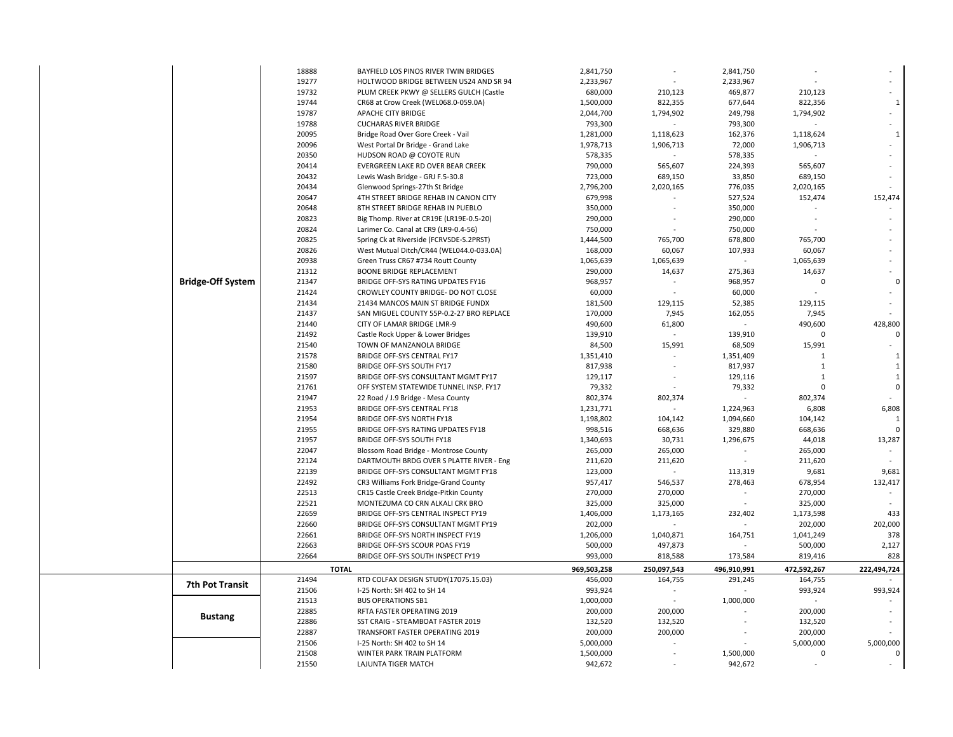|                          | 18888 | BAYFIELD LOS PINOS RIVER TWIN BRIDGES    | 2,841,750   | $\sim$         | 2,841,750   |              |              |
|--------------------------|-------|------------------------------------------|-------------|----------------|-------------|--------------|--------------|
|                          | 19277 | HOLTWOOD BRIDGE BETWEEN US24 AND SR 94   | 2,233,967   |                | 2,233,967   |              |              |
|                          | 19732 | PLUM CREEK PKWY @ SELLERS GULCH (Castle  | 680,000     | 210,123        | 469,877     | 210,123      |              |
|                          | 19744 | CR68 at Crow Creek (WEL068.0-059.0A)     | 1,500,000   | 822,355        | 677,644     | 822,356      | $\mathbf{1}$ |
|                          | 19787 | APACHE CITY BRIDGE                       | 2,044,700   | 1,794,902      | 249,798     | 1,794,902    |              |
|                          | 19788 | <b>CUCHARAS RIVER BRIDGE</b>             | 793,300     |                | 793,300     |              |              |
|                          | 20095 | Bridge Road Over Gore Creek - Vail       | 1,281,000   | 1,118,623      | 162,376     | 1,118,624    |              |
|                          | 20096 | West Portal Dr Bridge - Grand Lake       | 1,978,713   | 1,906,713      | 72,000      | 1,906,713    |              |
|                          | 20350 | HUDSON ROAD @ COYOTE RUN                 | 578,335     |                | 578,335     |              |              |
|                          | 20414 | EVERGREEN LAKE RD OVER BEAR CREEK        | 790,000     | 565,607        | 224,393     | 565,607      |              |
|                          | 20432 | Lewis Wash Bridge - GRJ F.5-30.8         | 723,000     | 689,150        | 33,850      | 689,150      |              |
|                          | 20434 | Glenwood Springs-27th St Bridge          | 2,796,200   | 2,020,165      | 776,035     | 2,020,165    |              |
|                          | 20647 | 4TH STREET BRIDGE REHAB IN CANON CITY    | 679,998     |                | 527,524     | 152,474      | 152,474      |
|                          | 20648 | 8TH STREET BRIDGE REHAB IN PUEBLO        | 350,000     |                | 350,000     |              |              |
|                          | 20823 | Big Thomp. River at CR19E (LR19E-0.5-20) | 290,000     |                | 290,000     |              |              |
|                          | 20824 | Larimer Co. Canal at CR9 (LR9-0.4-56)    | 750,000     |                | 750,000     |              |              |
|                          | 20825 | Spring Ck at Riverside (FCRVSDE-S.2PRST) | 1,444,500   | 765,700        | 678,800     | 765,700      |              |
|                          | 20826 | West Mutual Ditch/CR44 (WEL044.0-033.0A) | 168,000     | 60,067         | 107,933     | 60,067       |              |
|                          | 20938 | Green Truss CR67 #734 Routt County       | 1,065,639   | 1,065,639      |             | 1,065,639    |              |
|                          | 21312 | <b>BOONE BRIDGE REPLACEMENT</b>          | 290,000     | 14,637         | 275,363     | 14,637       |              |
| <b>Bridge-Off System</b> | 21347 | BRIDGE OFF-SYS RATING UPDATES FY16       | 968,957     |                | 968,957     | $\mathbf 0$  | $\Omega$     |
|                          | 21424 | CROWLEY COUNTY BRIDGE- DO NOT CLOSE      | 60,000      |                | 60,000      |              |              |
|                          | 21434 | 21434 MANCOS MAIN ST BRIDGE FUNDX        | 181,500     | 129,115        | 52,385      | 129,115      |              |
|                          | 21437 | SAN MIGUEL COUNTY 55P-0.2-27 BRO REPLACE | 170,000     | 7,945          | 162,055     | 7,945        |              |
|                          | 21440 | CITY OF LAMAR BRIDGE LMR-9               | 490,600     | 61,800         |             | 490,600      | 428,800      |
|                          | 21492 | Castle Rock Upper & Lower Bridges        | 139,910     |                | 139,910     | $\mathbf 0$  | $\Omega$     |
|                          | 21540 | TOWN OF MANZANOLA BRIDGE                 | 84,500      | 15,991         | 68,509      | 15,991       |              |
|                          | 21578 | <b>BRIDGE OFF-SYS CENTRAL FY17</b>       | 1,351,410   |                | 1,351,409   | $\mathbf{1}$ | $\mathbf{1}$ |
|                          | 21580 | BRIDGE OFF-SYS SOUTH FY17                | 817,938     |                | 817,937     | $\mathbf{1}$ | 1            |
|                          | 21597 | BRIDGE OFF-SYS CONSULTANT MGMT FY17      | 129,117     | $\sim$         | 129,116     | $\mathbf{1}$ | $\mathbf{1}$ |
|                          | 21761 | OFF SYSTEM STATEWIDE TUNNEL INSP. FY17   | 79,332      |                | 79,332      | $\mathbf 0$  | $\Omega$     |
|                          | 21947 | 22 Road / J.9 Bridge - Mesa County       | 802,374     | 802,374        |             | 802,374      |              |
|                          | 21953 | BRIDGE OFF-SYS CENTRAL FY18              | 1,231,771   | $\blacksquare$ | 1,224,963   | 6,808        | 6,808        |
|                          | 21954 | <b>BRIDGE OFF-SYS NORTH FY18</b>         | 1,198,802   | 104,142        | 1,094,660   | 104,142      | 1            |
|                          | 21955 | BRIDGE OFF-SYS RATING UPDATES FY18       | 998,516     | 668,636        | 329,880     | 668,636      | $\Omega$     |
|                          | 21957 | BRIDGE OFF-SYS SOUTH FY18                | 1,340,693   | 30,731         | 1,296,675   | 44,018       | 13,287       |
|                          | 22047 | Blossom Road Bridge - Montrose County    | 265,000     | 265,000        |             | 265,000      |              |
|                          | 22124 | DARTMOUTH BRDG OVER S PLATTE RIVER - Eng | 211,620     | 211,620        |             | 211,620      |              |
|                          | 22139 | BRIDGE OFF-SYS CONSULTANT MGMT FY18      | 123,000     |                | 113,319     | 9,681        | 9,681        |
|                          | 22492 | CR3 Williams Fork Bridge-Grand County    | 957,417     | 546,537        | 278,463     | 678,954      | 132,417      |
|                          | 22513 | CR15 Castle Creek Bridge-Pitkin County   | 270,000     | 270,000        |             | 270,000      |              |
|                          | 22521 | MONTEZUMA CO CRN ALKALI CRK BRO          | 325,000     | 325,000        |             | 325,000      |              |
|                          | 22659 | BRIDGE OFF-SYS CENTRAL INSPECT FY19      | 1,406,000   | 1,173,165      | 232,402     | 1,173,598    | 433          |
|                          | 22660 | BRIDGE OFF-SYS CONSULTANT MGMT FY19      | 202,000     |                |             | 202,000      | 202,000      |
|                          | 22661 | BRIDGE OFF-SYS NORTH INSPECT FY19        | 1,206,000   | 1,040,871      | 164,751     | 1,041,249    | 378          |
|                          | 22663 | BRIDGE OFF-SYS SCOUR POAS FY19           | 500,000     | 497,873        |             | 500,000      | 2,127        |
|                          | 22664 | BRIDGE OFF-SYS SOUTH INSPECT FY19        | 993,000     | 818,588        | 173,584     | 819,416      | 828          |
|                          |       | <b>TOTAL</b>                             | 969,503,258 | 250,097,543    | 496,910,991 | 472,592,267  | 222,494,724  |
|                          | 21494 | RTD COLFAX DESIGN STUDY(17075.15.03)     | 456,000     | 164,755        | 291,245     | 164,755      |              |
| <b>7th Pot Transit</b>   | 21506 | I-25 North: SH 402 to SH 14              | 993,924     |                |             | 993,924      | 993,924      |
|                          | 21513 | <b>BUS OPERATIONS SB1</b>                | 1,000,000   |                | 1,000,000   |              |              |
|                          | 22885 | RFTA FASTER OPERATING 2019               | 200,000     | 200,000        |             | 200,000      |              |
| <b>Bustang</b>           | 22886 | SST CRAIG - STEAMBOAT FASTER 2019        | 132,520     | 132,520        |             | 132,520      |              |
|                          | 22887 | TRANSFORT FASTER OPERATING 2019          | 200,000     | 200,000        |             | 200,000      |              |
|                          | 21506 | I-25 North: SH 402 to SH 14              | 5,000,000   |                |             | 5,000,000    | 5,000,000    |
|                          | 21508 | WINTER PARK TRAIN PLATFORM               | 1,500,000   |                | 1,500,000   | $\mathbf 0$  | 0            |
|                          | 21550 | LAJUNTA TIGER MATCH                      | 942,672     |                | 942,672     |              |              |
|                          |       |                                          |             |                |             |              |              |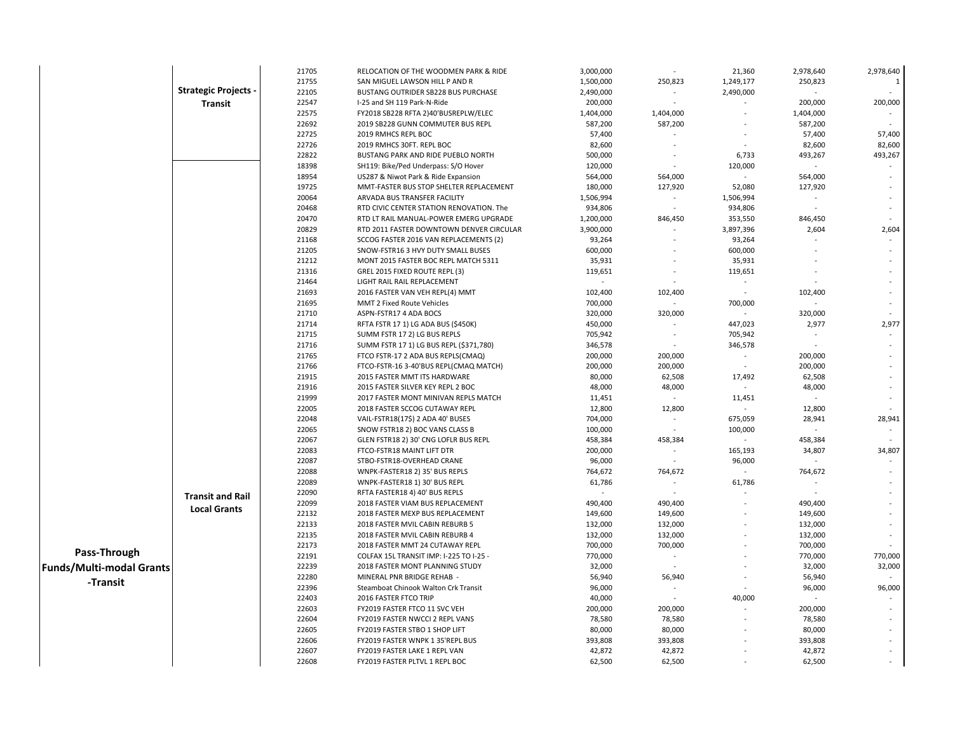|                                 |                           | 21705 | RELOCATION OF THE WOODMEN PARK & RIDE    | 3,000,000 |                | 21,360    | 2,978,640 | 2,978,640      |
|---------------------------------|---------------------------|-------|------------------------------------------|-----------|----------------|-----------|-----------|----------------|
|                                 |                           | 21755 | SAN MIGUEL LAWSON HILL P AND R           | 1,500,000 | 250,823        | 1,249,177 | 250,823   | $\overline{1}$ |
|                                 | <b>Strategic Projects</b> | 22105 | BUSTANG OUTRIDER SB228 BUS PURCHASE      | 2,490,000 |                | 2,490,000 |           |                |
|                                 | Transit                   | 22547 | I-25 and SH 119 Park-N-Ride              | 200,000   | $\sim$         |           | 200,000   | 200,000        |
|                                 |                           | 22575 | FY2018 SB228 RFTA 2)40'BUSREPLW/ELEC     | 1,404,000 | 1,404,000      |           | 1,404,000 |                |
|                                 |                           | 22692 | 2019 SB228 GUNN COMMUTER BUS REPL        | 587,200   | 587,200        |           | 587,200   |                |
|                                 |                           | 22725 | 2019 RMHCS REPL BOC                      | 57,400    |                |           | 57,400    | 57,400         |
|                                 |                           | 22726 | 2019 RMHCS 30FT. REPL BOC                | 82,600    |                |           | 82,600    | 82,600         |
|                                 |                           | 22822 | BUSTANG PARK AND RIDE PUEBLO NORTH       | 500,000   |                | 6,733     | 493,267   | 493,267        |
|                                 |                           | 18398 | SH119: Bike/Ped Underpass: S/O Hover     | 120,000   |                | 120,000   | $\sim$    |                |
|                                 |                           | 18954 | US287 & Niwot Park & Ride Expansion      | 564,000   | 564,000        |           | 564,000   |                |
|                                 |                           | 19725 | MMT-FASTER BUS STOP SHELTER REPLACEMENT  | 180,000   | 127,920        | 52,080    | 127,920   |                |
|                                 |                           | 20064 | ARVADA BUS TRANSFER FACILITY             | 1,506,994 | $\blacksquare$ | 1,506,994 | $\sim$    |                |
|                                 |                           | 20468 | RTD CIVIC CENTER STATION RENOVATION. The | 934,806   |                | 934,806   |           |                |
|                                 |                           | 20470 | RTD LT RAIL MANUAL-POWER EMERG UPGRADE   | 1,200,000 | 846,450        | 353,550   | 846,450   |                |
|                                 |                           | 20829 | RTD 2011 FASTER DOWNTOWN DENVER CIRCULAR | 3,900,000 |                | 3,897,396 | 2,604     | 2,604          |
|                                 |                           | 21168 | SCCOG FASTER 2016 VAN REPLACEMENTS (2)   |           |                |           |           |                |
|                                 |                           | 21205 | SNOW-FSTR16 3 HVY DUTY SMALL BUSES       | 93,264    |                | 93,264    |           |                |
|                                 |                           | 21212 |                                          | 600,000   |                | 600,000   |           |                |
|                                 |                           |       | MONT 2015 FASTER BOC REPL MATCH 5311     | 35,931    |                | 35,931    |           |                |
|                                 |                           | 21316 | GREL 2015 FIXED ROUTE REPL (3)           | 119,651   |                | 119,651   |           |                |
|                                 |                           | 21464 | LIGHT RAIL RAIL REPLACEMENT              |           |                |           |           |                |
|                                 |                           | 21693 | 2016 FASTER VAN VEH REPL(4) MMT          | 102,400   | 102,400        |           | 102,400   |                |
|                                 |                           | 21695 | MMT 2 Fixed Route Vehicles               | 700,000   |                | 700,000   |           |                |
|                                 |                           | 21710 | ASPN-FSTR17 4 ADA BOCS                   | 320,000   | 320,000        |           | 320,000   |                |
|                                 |                           | 21714 | RFTA FSTR 17 1) LG ADA BUS (\$450K)      | 450,000   |                | 447,023   | 2,977     | 2,977          |
|                                 |                           | 21715 | SUMM FSTR 17 2) LG BUS REPLS             | 705,942   | $\sim$         | 705,942   | $\sim$    |                |
|                                 |                           | 21716 | SUMM FSTR 17 1) LG BUS REPL (\$371,780)  | 346,578   |                | 346,578   |           |                |
|                                 |                           | 21765 | FTCO FSTR-17 2 ADA BUS REPLS(CMAQ)       | 200,000   | 200,000        | $\sim$    | 200,000   |                |
|                                 |                           | 21766 | FTCO-FSTR-16 3-40'BUS REPL(CMAQ MATCH)   | 200,000   | 200,000        | $\sim$    | 200,000   |                |
|                                 |                           | 21915 | 2015 FASTER MMT ITS HARDWARE             | 80,000    | 62,508         | 17,492    | 62,508    |                |
|                                 |                           | 21916 | 2015 FASTER SILVER KEY REPL 2 BOC        | 48,000    | 48,000         |           | 48,000    |                |
|                                 |                           | 21999 | 2017 FASTER MONT MINIVAN REPLS MATCH     | 11,451    |                | 11,451    |           |                |
|                                 |                           | 22005 | 2018 FASTER SCCOG CUTAWAY REPL           | 12,800    | 12,800         | $\sim$    | 12,800    |                |
|                                 |                           | 22048 | VAIL-FSTR18(17\$) 2 ADA 40' BUSES        | 704,000   |                | 675,059   | 28,941    | 28,941         |
|                                 |                           | 22065 | SNOW FSTR18 2) BOC VANS CLASS B          | 100,000   | $\sim$         | 100,000   |           |                |
|                                 |                           | 22067 | GLEN FSTR18 2) 30' CNG LOFLR BUS REPL    | 458,384   | 458,384        | $\sim$    | 458,384   |                |
|                                 |                           | 22083 | FTCO-FSTR18 MAINT LIFT DTR               | 200,000   | $\blacksquare$ | 165,193   | 34,807    | 34,807         |
|                                 |                           | 22087 | STBO-FSTR18-OVERHEAD CRANE               | 96,000    | $\sim$         | 96,000    | ÷.        |                |
|                                 |                           | 22088 | WNPK-FASTER18 2) 35' BUS REPLS           | 764,672   | 764,672        | $\sim$    | 764,672   |                |
|                                 |                           | 22089 | WNPK-FASTER18 1) 30' BUS REPL            | 61,786    | ÷.             | 61,786    | $\sim$    |                |
|                                 | <b>Transit and Rail</b>   | 22090 | RFTA FASTER18 4) 40' BUS REPLS           |           |                |           | $\sim$    |                |
|                                 |                           | 22099 | 2018 FASTER VIAM BUS REPLACEMENT         | 490,400   | 490,400        |           | 490,400   |                |
|                                 | <b>Local Grants</b>       | 22132 | 2018 FASTER MEXP BUS REPLACEMENT         | 149,600   | 149,600        |           | 149,600   |                |
|                                 |                           | 22133 | 2018 FASTER MVIL CABIN REBURB 5          | 132,000   | 132,000        |           | 132,000   |                |
|                                 |                           | 22135 | 2018 FASTER MVIL CABIN REBURB 4          | 132,000   | 132,000        |           | 132,000   |                |
|                                 |                           | 22173 | 2018 FASTER MMT 24 CUTAWAY REPL          | 700,000   | 700,000        |           | 700,000   |                |
| Pass-Through                    |                           | 22191 | COLFAX 15L TRANSIT IMP: I-225 TO I-25 -  | 770,000   |                |           | 770,000   | 770,000        |
| <b>Funds/Multi-modal Grants</b> |                           | 22239 | 2018 FASTER MONT PLANNING STUDY          | 32,000    |                |           | 32,000    | 32,000         |
|                                 |                           | 22280 | MINERAL PNR BRIDGE REHAB -               | 56,940    | 56,940         |           | 56,940    |                |
| -Transit                        |                           | 22396 | Steamboat Chinook Walton Crk Transit     | 96,000    |                |           | 96,000    | 96,000         |
|                                 |                           | 22403 | 2016 FASTER FTCO TRIP                    | 40,000    |                | 40,000    |           |                |
|                                 |                           | 22603 | FY2019 FASTER FTCO 11 SVC VEH            | 200,000   | 200,000        |           | 200,000   |                |
|                                 |                           | 22604 | FY2019 FASTER NWCCI 2 REPL VANS          | 78,580    | 78,580         |           | 78,580    |                |
|                                 |                           | 22605 | FY2019 FASTER STBO 1 SHOP LIFT           | 80,000    | 80,000         |           | 80,000    |                |
|                                 |                           | 22606 | FY2019 FASTER WNPK 1 35'REPL BUS         | 393,808   | 393,808        |           | 393,808   |                |
|                                 |                           | 22607 | FY2019 FASTER LAKE 1 REPL VAN            | 42,872    | 42,872         |           | 42,872    |                |
|                                 |                           | 22608 | FY2019 FASTER PLTVL 1 REPL BOC           | 62,500    | 62,500         |           | 62,500    |                |
|                                 |                           |       |                                          |           |                |           |           |                |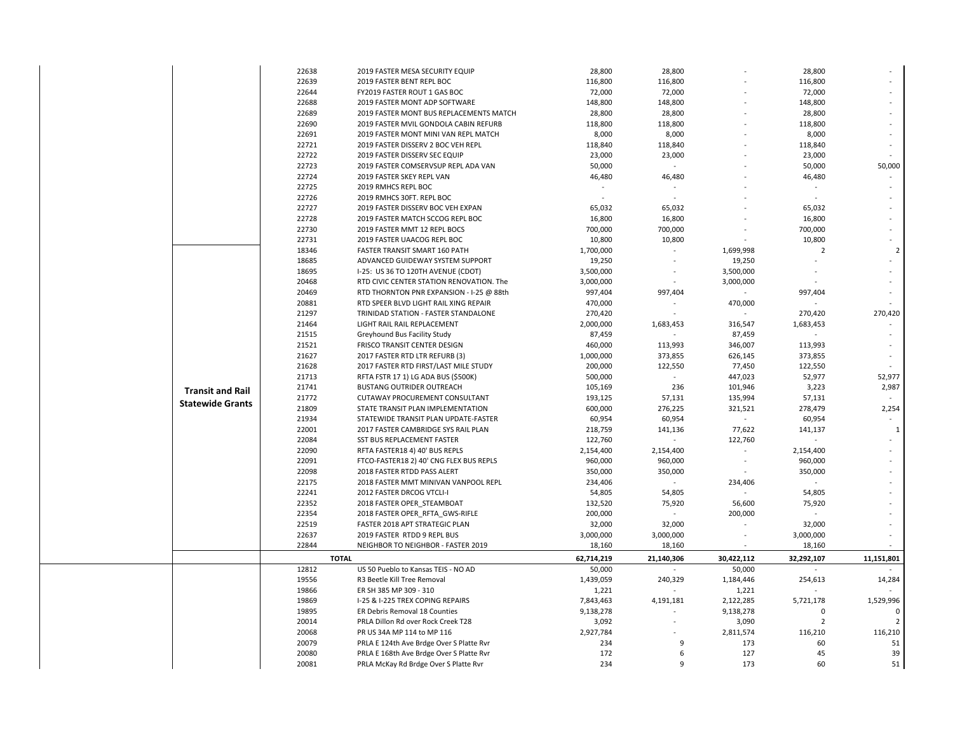|                         | 22638 | 2019 FASTER MESA SECURITY EQUIP                     | 28,800               | 28,800     |                      | 28,800         |                         |
|-------------------------|-------|-----------------------------------------------------|----------------------|------------|----------------------|----------------|-------------------------|
|                         | 22639 | 2019 FASTER BENT REPL BOC                           | 116,800              | 116,800    |                      | 116,800        |                         |
|                         | 22644 | FY2019 FASTER ROUT 1 GAS BOC                        | 72,000               | 72,000     |                      | 72,000         |                         |
|                         | 22688 | 2019 FASTER MONT ADP SOFTWARE                       | 148,800              | 148,800    |                      | 148,800        |                         |
|                         | 22689 | 2019 FASTER MONT BUS REPLACEMENTS MATCH             | 28,800               | 28,800     |                      | 28,800         |                         |
|                         | 22690 | 2019 FASTER MVIL GONDOLA CABIN REFURB               | 118,800              | 118,800    |                      | 118,800        |                         |
|                         | 22691 | 2019 FASTER MONT MINI VAN REPL MATCH                | 8,000                | 8,000      |                      | 8,000          |                         |
|                         | 22721 | 2019 FASTER DISSERV 2 BOC VEH REPL                  | 118,840              | 118,840    |                      | 118,840        |                         |
|                         | 22722 | 2019 FASTER DISSERV SEC EQUIP                       | 23,000               | 23,000     |                      | 23,000         |                         |
|                         | 22723 | 2019 FASTER COMSERVSUP REPL ADA VAN                 | 50,000               | $\sim$     |                      | 50,000         | 50,000                  |
|                         | 22724 | 2019 FASTER SKEY REPL VAN                           | 46,480               | 46,480     |                      | 46,480         |                         |
|                         | 22725 | 2019 RMHCS REPL BOC                                 |                      |            |                      |                |                         |
|                         | 22726 | 2019 RMHCS 30FT. REPL BOC                           |                      |            |                      |                |                         |
|                         | 22727 | 2019 FASTER DISSERV BOC VEH EXPAN                   | 65,032               | 65,032     |                      | 65,032         |                         |
|                         | 22728 | 2019 FASTER MATCH SCCOG REPL BOC                    | 16,800               | 16,800     |                      | 16,800         |                         |
|                         | 22730 | 2019 FASTER MMT 12 REPL BOCS                        | 700,000              | 700,000    |                      | 700,000        |                         |
|                         | 22731 | 2019 FASTER UAACOG REPL BOC                         | 10,800               | 10,800     |                      | 10,800         |                         |
|                         | 18346 | FASTER TRANSIT SMART 160 PATH                       | 1,700,000            |            | 1,699,998            | $\overline{2}$ |                         |
|                         | 18685 | ADVANCED GUIDEWAY SYSTEM SUPPORT                    | 19,250               |            | 19,250               |                |                         |
|                         | 18695 | I-25: US 36 TO 120TH AVENUE (CDOT)                  | 3,500,000            |            | 3,500,000            |                |                         |
|                         | 20468 | RTD CIVIC CENTER STATION RENOVATION. The            | 3,000,000            |            | 3,000,000            |                |                         |
|                         | 20469 | RTD THORNTON PNR EXPANSION - I-25 @ 88th            | 997,404              | 997,404    |                      | 997,404        |                         |
|                         | 20881 | RTD SPEER BLVD LIGHT RAIL XING REPAIR               | 470,000              |            | 470,000              |                |                         |
|                         | 21297 | TRINIDAD STATION - FASTER STANDALONE                | 270,420              |            |                      | 270,420        | 270,420                 |
|                         | 21464 | LIGHT RAIL RAIL REPLACEMENT                         | 2,000,000            | 1,683,453  | 316,547              | 1,683,453      |                         |
|                         | 21515 | Greyhound Bus Facility Study                        | 87,459               |            | 87,459               |                |                         |
|                         | 21521 | FRISCO TRANSIT CENTER DESIGN                        | 460,000              | 113,993    | 346,007              | 113,993        |                         |
|                         | 21627 | 2017 FASTER RTD LTR REFURB (3)                      | 1,000,000            | 373,855    | 626,145              | 373,855        |                         |
|                         | 21628 | 2017 FASTER RTD FIRST/LAST MILE STUDY               | 200,000              | 122,550    | 77,450               | 122,550        |                         |
|                         | 21713 | RFTA FSTR 17 1) LG ADA BUS (\$500K)                 | 500,000              | ÷.         | 447,023              | 52,977         | 52,977                  |
|                         | 21741 | <b>BUSTANG OUTRIDER OUTREACH</b>                    | 105,169              | 236        | 101,946              | 3,223          | 2,987                   |
| <b>Transit and Rail</b> | 21772 | CUTAWAY PROCUREMENT CONSULTANT                      | 193,125              | 57,131     | 135,994              | 57,131         |                         |
| <b>Statewide Grants</b> | 21809 | STATE TRANSIT PLAN IMPLEMENTATION                   | 600,000              | 276,225    | 321,521              | 278,479        | 2,254                   |
|                         | 21934 | STATEWIDE TRANSIT PLAN UPDATE-FASTER                | 60,954               | 60,954     |                      | 60,954         |                         |
|                         | 22001 | 2017 FASTER CAMBRIDGE SYS RAIL PLAN                 | 218,759              | 141,136    | 77,622               | 141,137        | $\mathbf{1}$            |
|                         | 22084 | SST BUS REPLACEMENT FASTER                          | 122,760              |            | 122,760              |                |                         |
|                         | 22090 | RFTA FASTER18 4) 40' BUS REPLS                      | 2,154,400            | 2,154,400  |                      | 2,154,400      |                         |
|                         | 22091 | FTCO-FASTER18 2) 40' CNG FLEX BUS REPLS             | 960,000              | 960,000    |                      | 960,000        |                         |
|                         | 22098 | 2018 FASTER RTDD PASS ALERT                         | 350,000              | 350,000    |                      | 350,000        |                         |
|                         | 22175 | 2018 FASTER MMT MINIVAN VANPOOL REPL                | 234,406              |            | 234,406              |                |                         |
|                         | 22241 | 2012 FASTER DRCOG VTCLI-I                           | 54,805               | 54,805     |                      | 54,805         |                         |
|                         | 22352 | 2018 FASTER OPER STEAMBOAT                          | 132,520              | 75,920     | 56,600               | 75,920         |                         |
|                         | 22354 | 2018 FASTER OPER_RFTA_GWS-RIFLE                     | 200,000              |            | 200,000              |                |                         |
|                         | 22519 | FASTER 2018 APT STRATEGIC PLAN                      | 32,000               | 32,000     |                      | 32,000         |                         |
|                         | 22637 | 2019 FASTER RTDD 9 REPL BUS                         | 3,000,000            | 3,000,000  |                      | 3,000,000      |                         |
|                         | 22844 | NEIGHBOR TO NEIGHBOR - FASTER 2019                  | 18,160               | 18,160     |                      | 18,160         |                         |
|                         |       |                                                     |                      |            |                      |                |                         |
|                         | 12812 | <b>TOTAL</b><br>US 50 Pueblo to Kansas TEIS - NO AD | 62,714,219<br>50,000 | 21,140,306 | 30,422,112<br>50,000 | 32,292,107     | 11,151,801              |
|                         | 19556 | R3 Beetle Kill Tree Removal                         | 1,439,059            | 240,329    | 1,184,446            | 254,613        | 14,284                  |
|                         | 19866 | ER SH 385 MP 309 - 310                              | 1,221                |            | 1,221                |                |                         |
|                         | 19869 | I-25 & I-225 TREX COPING REPAIRS                    | 7,843,463            | 4,191,181  | 2,122,285            | 5,721,178      | 1,529,996               |
|                         | 19895 | ER Debris Removal 18 Counties                       |                      |            | 9,138,278            | $\Omega$       |                         |
|                         | 20014 | PRLA Dillon Rd over Rock Creek T28                  | 9,138,278            |            |                      | $\overline{2}$ | $\overline{\mathbf{z}}$ |
|                         | 20068 |                                                     | 3,092                |            | 3,090                |                | 116,210                 |
|                         | 20079 | PR US 34A MP 114 to MP 116                          | 2,927,784            |            | 2,811,574            | 116,210        |                         |
|                         |       | PRLA E 124th Ave Brdge Over S Platte Rvr            | 234                  | 9          | 173                  | 60             | 51                      |
|                         | 20080 | PRLA E 168th Ave Brdge Over S Platte Rvr            | 172                  | 6          | 127                  | 45             | 39                      |
|                         | 20081 | PRLA McKay Rd Brdge Over S Platte Rvr               | 234                  | 9          | 173                  | 60             | 51                      |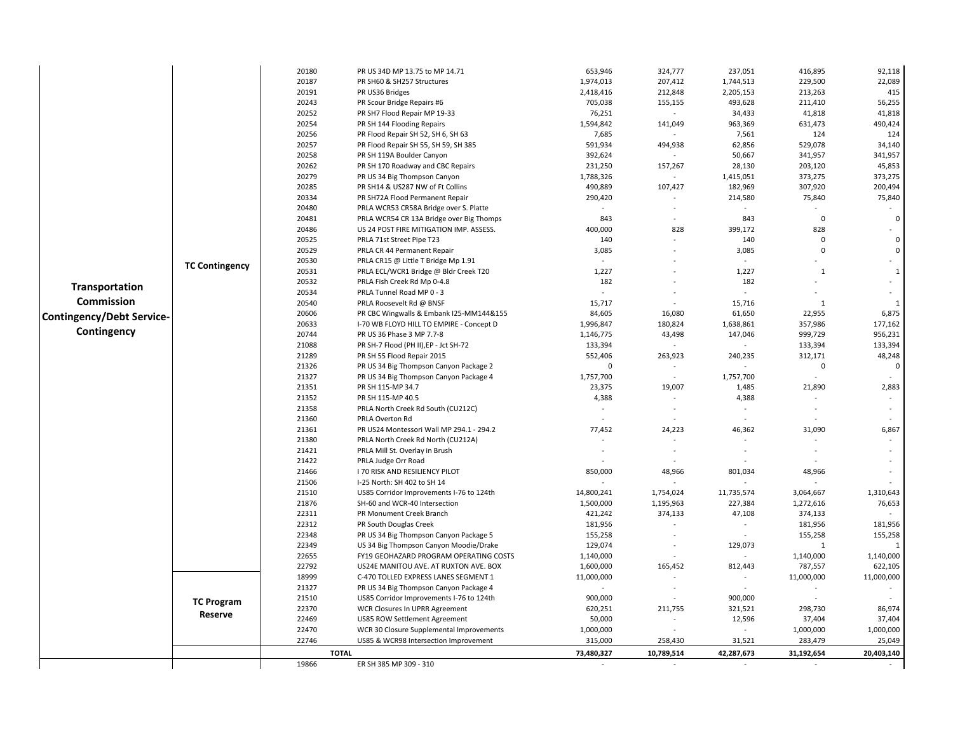| 22,089<br>20187<br>PR SH60 & SH257 Structures<br>1,974,013<br>207,412<br>1,744,513<br>229,500<br>415<br>20191<br>2,418,416<br>212,848<br>2,205,153<br>213,263<br>PR US36 Bridges<br>56,255<br>20243<br>PR Scour Bridge Repairs #6<br>705,038<br>493,628<br>211,410<br>155,155<br>20252<br>41,818<br>PR SH7 Flood Repair MP 19-33<br>76,251<br>34,433<br>41,818<br>$\sim$<br>20254<br>490,424<br>PR SH 144 Flooding Repairs<br>1,594,842<br>963,369<br>631,473<br>141,049<br>20256<br>124<br>PR Flood Repair SH 52, SH 6, SH 63<br>7,685<br>7,561<br>124<br>20257<br>34,140<br>PR Flood Repair SH 55, SH 59, SH 385<br>591,934<br>494,938<br>62,856<br>529,078<br>20258<br>341,957<br>PR SH 119A Boulder Canyon<br>392,624<br>50,667<br>341,957<br>20262<br>PR SH 170 Roadway and CBC Repairs<br>231,250<br>157,267<br>28,130<br>203,120<br>45,853<br>20279<br>1,788,326<br>373,275<br>373,275<br>PR US 34 Big Thompson Canyon<br>1,415,051<br>200,494<br>20285<br>PR SH14 & US287 NW of Ft Collins<br>490,889<br>107,427<br>182,969<br>307,920<br>75,840<br>20334<br>PR SH72A Flood Permanent Repair<br>290,420<br>214,580<br>75,840<br>20480<br>PRLA WCR53 CR58A Bridge over S. Platte<br>20481<br>843<br>843<br>$\overline{0}$<br>$\mathsf 0$<br>PRLA WCR54 CR 13A Bridge over Big Thomps<br>÷<br>828<br>828<br>20486<br>US 24 POST FIRE MITIGATION IMP. ASSESS.<br>400,000<br>399,172<br>$\sim$<br>20525<br>$\overline{0}$<br>PRLA 71st Street Pipe T23<br>140<br>140<br>$\mathbf 0$<br>$\pmb{0}$<br>$\Omega$<br>20529<br>PRLA CR 44 Permanent Repair<br>3,085<br>3,085<br>20530<br>PRLA CR15 @ Little T Bridge Mp 1.91<br>$\mathbf{r}$<br>÷.<br>$\sim$<br><b>TC Contingency</b><br>1,227<br>1,227<br>20531<br>PRLA ECL/WCR1 Bridge @ Bldr Creek T20<br>$\mathbf{1}$<br>$\mathbf{1}$<br>20532<br>182<br>182<br>PRLA Fish Creek Rd Mp 0-4.8<br>Transportation<br>20534<br>PRLA Tunnel Road MP 0 - 3<br>$\sim$<br>$\overline{\phantom{a}}$<br><b>Commission</b><br>20540<br>15,717<br>15,716<br>PRLA Roosevelt Rd @ BNSF<br>$\mathbf{1}$<br>-1<br>20606<br>6,875<br>PR CBC Wingwalls & Embank I25-MM144&155<br>84,605<br>16,080<br>61,650<br>22,955<br><b>Contingency/Debt Service-</b><br>177,162<br>20633<br>I-70 WB FLOYD HILL TO EMPIRE - Concept D<br>180,824<br>1,638,861<br>357,986<br>1,996,847<br>Contingency<br>20744<br>956,231<br>1,146,775<br>43,498<br>147,046<br>999,729<br>PR US 36 Phase 3 MP 7.7-8<br>133,394<br>21088<br>PR SH-7 Flood (PH II), EP - Jct SH-72<br>133,394<br>133,394<br>263,923<br>312,171<br>48,248<br>21289<br>PR SH 55 Flood Repair 2015<br>552,406<br>240,235<br>21326<br>$\Omega$<br>$\mathsf 0$<br>PR US 34 Big Thompson Canyon Package 2<br>0<br>$\blacksquare$<br>21327<br>PR US 34 Big Thompson Canyon Package 4<br>1,757,700<br>1,757,700<br>$\overline{\phantom{a}}$<br>$\sim$<br>21351<br>23,375<br>2,883<br>PR SH 115-MP 34.7<br>19,007<br>1,485<br>21,890<br>21352<br>PR SH 115-MP 40.5<br>4,388<br>4,388<br>21358<br>PRLA North Creek Rd South (CU212C)<br>$\sim$<br>$\overline{\phantom{a}}$<br>$\sim$<br>$\sim$<br>21360<br>PRLA Overton Rd<br>24,223<br>31,090<br>21361<br>PR US24 Montessori Wall MP 294.1 - 294.2<br>77,452<br>46,362<br>6,867<br>21380<br>PRLA North Creek Rd North (CU212A)<br>21421<br>PRLA Mill St. Overlay in Brush<br>21422<br>PRLA Judge Orr Road<br>21466<br>850,000<br>801,034<br>I 70 RISK AND RESILIENCY PILOT<br>48,966<br>48,966<br>21506<br>I-25 North: SH 402 to SH 14<br>21510<br>14,800,241<br>1,754,024<br>11,735,574<br>3,064,667<br>1,310,643<br>US85 Corridor Improvements I-76 to 124th<br>21876<br>76,653<br>SH-60 and WCR-40 Intersection<br>1,500,000<br>1,195,963<br>227,384<br>1,272,616<br>22311<br>PR Monument Creek Branch<br>421,242<br>374,133<br>47,108<br>374,133<br>22312<br>181,956<br>PR South Douglas Creek<br>181,956<br>181,956<br>$\overline{\phantom{a}}$<br>22348<br>155,258<br>155,258<br>PR US 34 Big Thompson Canyon Package 5<br>155,258<br>$\bar{\phantom{a}}$<br>22349<br>US 34 Big Thompson Canyon Moodie/Drake<br>129,074<br>129,073<br>1<br>22655<br>1,140,000<br>FY19 GEOHAZARD PROGRAM OPERATING COSTS<br>1,140,000<br>1,140,000<br>22792<br>US24E MANITOU AVE. AT RUXTON AVE. BOX<br>165,452<br>812,443<br>622,105<br>1,600,000<br>787,557<br>11,000,000<br>18999<br>C-470 TOLLED EXPRESS LANES SEGMENT 1<br>11,000,000<br>11,000,000<br>÷<br>$\overline{\phantom{a}}$<br>21327<br>PR US 34 Big Thompson Canyon Package 4<br>21510<br>US85 Corridor Improvements I-76 to 124th<br>900,000<br>900,000<br><b>TC Program</b><br>22370<br>WCR Closures In UPRR Agreement<br>211,755<br>321,521<br>298,730<br>86,974<br>620,251<br>Reserve<br>22469<br>37,404<br>US85 ROW Settlement Agreement<br>50,000<br>12,596<br>37,404<br>22470<br>1,000,000<br>WCR 30 Closure Supplemental Improvements<br>1,000,000<br>1,000,000<br>$\sim$<br>25,049<br>22746<br>US85 & WCR98 Intersection Improvement<br>315,000<br>258,430<br>31,521<br>283,479<br><b>TOTAL</b><br>73,480,327<br>10,789,514<br>42,287,673<br>31,192,654<br>20,403,140 |  | 20180 | PR US 34D MP 13.75 to MP 14.71 | 653,946 | 324,777 | 237,051 | 416,895 | 92,118 |
|-----------------------------------------------------------------------------------------------------------------------------------------------------------------------------------------------------------------------------------------------------------------------------------------------------------------------------------------------------------------------------------------------------------------------------------------------------------------------------------------------------------------------------------------------------------------------------------------------------------------------------------------------------------------------------------------------------------------------------------------------------------------------------------------------------------------------------------------------------------------------------------------------------------------------------------------------------------------------------------------------------------------------------------------------------------------------------------------------------------------------------------------------------------------------------------------------------------------------------------------------------------------------------------------------------------------------------------------------------------------------------------------------------------------------------------------------------------------------------------------------------------------------------------------------------------------------------------------------------------------------------------------------------------------------------------------------------------------------------------------------------------------------------------------------------------------------------------------------------------------------------------------------------------------------------------------------------------------------------------------------------------------------------------------------------------------------------------------------------------------------------------------------------------------------------------------------------------------------------------------------------------------------------------------------------------------------------------------------------------------------------------------------------------------------------------------------------------------------------------------------------------------------------------------------------------------------------------------------------------------------------------------------------------------------------------------------------------------------------------------------------------------------------------------------------------------------------------------------------------------------------------------------------------------------------------------------------------------------------------------------------------------------------------------------------------------------------------------------------------------------------------------------------------------------------------------------------------------------------------------------------------------------------------------------------------------------------------------------------------------------------------------------------------------------------------------------------------------------------------------------------------------------------------------------------------------------------------------------------------------------------------------------------------------------------------------------------------------------------------------------------------------------------------------------------------------------------------------------------------------------------------------------------------------------------------------------------------------------------------------------------------------------------------------------------------------------------------------------------------------------------------------------------------------------------------------------------------------------------------------------------------------------------------------------------------------------------------------------------------------------------------------------------------------------------------------------------------------------------------------------------------------------------------------------------------------------------------------------------------------------------------------------------------------------------------------------------------------------------------------------------------------------------------------------------------------------------------------------------------------------------------------------------------------------------------------------------------------------------------------------------------------------------------------------------------|--|-------|--------------------------------|---------|---------|---------|---------|--------|
|                                                                                                                                                                                                                                                                                                                                                                                                                                                                                                                                                                                                                                                                                                                                                                                                                                                                                                                                                                                                                                                                                                                                                                                                                                                                                                                                                                                                                                                                                                                                                                                                                                                                                                                                                                                                                                                                                                                                                                                                                                                                                                                                                                                                                                                                                                                                                                                                                                                                                                                                                                                                                                                                                                                                                                                                                                                                                                                                                                                                                                                                                                                                                                                                                                                                                                                                                                                                                                                                                                                                                                                                                                                                                                                                                                                                                                                                                                                                                                                                                                                                                                                                                                                                                                                                                                                                                                                                                                                                                                                                                                                                                                                                                                                                                                                                                                                                                                                                                                                                                                                           |  |       |                                |         |         |         |         |        |
|                                                                                                                                                                                                                                                                                                                                                                                                                                                                                                                                                                                                                                                                                                                                                                                                                                                                                                                                                                                                                                                                                                                                                                                                                                                                                                                                                                                                                                                                                                                                                                                                                                                                                                                                                                                                                                                                                                                                                                                                                                                                                                                                                                                                                                                                                                                                                                                                                                                                                                                                                                                                                                                                                                                                                                                                                                                                                                                                                                                                                                                                                                                                                                                                                                                                                                                                                                                                                                                                                                                                                                                                                                                                                                                                                                                                                                                                                                                                                                                                                                                                                                                                                                                                                                                                                                                                                                                                                                                                                                                                                                                                                                                                                                                                                                                                                                                                                                                                                                                                                                                           |  |       |                                |         |         |         |         |        |
|                                                                                                                                                                                                                                                                                                                                                                                                                                                                                                                                                                                                                                                                                                                                                                                                                                                                                                                                                                                                                                                                                                                                                                                                                                                                                                                                                                                                                                                                                                                                                                                                                                                                                                                                                                                                                                                                                                                                                                                                                                                                                                                                                                                                                                                                                                                                                                                                                                                                                                                                                                                                                                                                                                                                                                                                                                                                                                                                                                                                                                                                                                                                                                                                                                                                                                                                                                                                                                                                                                                                                                                                                                                                                                                                                                                                                                                                                                                                                                                                                                                                                                                                                                                                                                                                                                                                                                                                                                                                                                                                                                                                                                                                                                                                                                                                                                                                                                                                                                                                                                                           |  |       |                                |         |         |         |         |        |
|                                                                                                                                                                                                                                                                                                                                                                                                                                                                                                                                                                                                                                                                                                                                                                                                                                                                                                                                                                                                                                                                                                                                                                                                                                                                                                                                                                                                                                                                                                                                                                                                                                                                                                                                                                                                                                                                                                                                                                                                                                                                                                                                                                                                                                                                                                                                                                                                                                                                                                                                                                                                                                                                                                                                                                                                                                                                                                                                                                                                                                                                                                                                                                                                                                                                                                                                                                                                                                                                                                                                                                                                                                                                                                                                                                                                                                                                                                                                                                                                                                                                                                                                                                                                                                                                                                                                                                                                                                                                                                                                                                                                                                                                                                                                                                                                                                                                                                                                                                                                                                                           |  |       |                                |         |         |         |         |        |
|                                                                                                                                                                                                                                                                                                                                                                                                                                                                                                                                                                                                                                                                                                                                                                                                                                                                                                                                                                                                                                                                                                                                                                                                                                                                                                                                                                                                                                                                                                                                                                                                                                                                                                                                                                                                                                                                                                                                                                                                                                                                                                                                                                                                                                                                                                                                                                                                                                                                                                                                                                                                                                                                                                                                                                                                                                                                                                                                                                                                                                                                                                                                                                                                                                                                                                                                                                                                                                                                                                                                                                                                                                                                                                                                                                                                                                                                                                                                                                                                                                                                                                                                                                                                                                                                                                                                                                                                                                                                                                                                                                                                                                                                                                                                                                                                                                                                                                                                                                                                                                                           |  |       |                                |         |         |         |         |        |
|                                                                                                                                                                                                                                                                                                                                                                                                                                                                                                                                                                                                                                                                                                                                                                                                                                                                                                                                                                                                                                                                                                                                                                                                                                                                                                                                                                                                                                                                                                                                                                                                                                                                                                                                                                                                                                                                                                                                                                                                                                                                                                                                                                                                                                                                                                                                                                                                                                                                                                                                                                                                                                                                                                                                                                                                                                                                                                                                                                                                                                                                                                                                                                                                                                                                                                                                                                                                                                                                                                                                                                                                                                                                                                                                                                                                                                                                                                                                                                                                                                                                                                                                                                                                                                                                                                                                                                                                                                                                                                                                                                                                                                                                                                                                                                                                                                                                                                                                                                                                                                                           |  |       |                                |         |         |         |         |        |
|                                                                                                                                                                                                                                                                                                                                                                                                                                                                                                                                                                                                                                                                                                                                                                                                                                                                                                                                                                                                                                                                                                                                                                                                                                                                                                                                                                                                                                                                                                                                                                                                                                                                                                                                                                                                                                                                                                                                                                                                                                                                                                                                                                                                                                                                                                                                                                                                                                                                                                                                                                                                                                                                                                                                                                                                                                                                                                                                                                                                                                                                                                                                                                                                                                                                                                                                                                                                                                                                                                                                                                                                                                                                                                                                                                                                                                                                                                                                                                                                                                                                                                                                                                                                                                                                                                                                                                                                                                                                                                                                                                                                                                                                                                                                                                                                                                                                                                                                                                                                                                                           |  |       |                                |         |         |         |         |        |
|                                                                                                                                                                                                                                                                                                                                                                                                                                                                                                                                                                                                                                                                                                                                                                                                                                                                                                                                                                                                                                                                                                                                                                                                                                                                                                                                                                                                                                                                                                                                                                                                                                                                                                                                                                                                                                                                                                                                                                                                                                                                                                                                                                                                                                                                                                                                                                                                                                                                                                                                                                                                                                                                                                                                                                                                                                                                                                                                                                                                                                                                                                                                                                                                                                                                                                                                                                                                                                                                                                                                                                                                                                                                                                                                                                                                                                                                                                                                                                                                                                                                                                                                                                                                                                                                                                                                                                                                                                                                                                                                                                                                                                                                                                                                                                                                                                                                                                                                                                                                                                                           |  |       |                                |         |         |         |         |        |
|                                                                                                                                                                                                                                                                                                                                                                                                                                                                                                                                                                                                                                                                                                                                                                                                                                                                                                                                                                                                                                                                                                                                                                                                                                                                                                                                                                                                                                                                                                                                                                                                                                                                                                                                                                                                                                                                                                                                                                                                                                                                                                                                                                                                                                                                                                                                                                                                                                                                                                                                                                                                                                                                                                                                                                                                                                                                                                                                                                                                                                                                                                                                                                                                                                                                                                                                                                                                                                                                                                                                                                                                                                                                                                                                                                                                                                                                                                                                                                                                                                                                                                                                                                                                                                                                                                                                                                                                                                                                                                                                                                                                                                                                                                                                                                                                                                                                                                                                                                                                                                                           |  |       |                                |         |         |         |         |        |
|                                                                                                                                                                                                                                                                                                                                                                                                                                                                                                                                                                                                                                                                                                                                                                                                                                                                                                                                                                                                                                                                                                                                                                                                                                                                                                                                                                                                                                                                                                                                                                                                                                                                                                                                                                                                                                                                                                                                                                                                                                                                                                                                                                                                                                                                                                                                                                                                                                                                                                                                                                                                                                                                                                                                                                                                                                                                                                                                                                                                                                                                                                                                                                                                                                                                                                                                                                                                                                                                                                                                                                                                                                                                                                                                                                                                                                                                                                                                                                                                                                                                                                                                                                                                                                                                                                                                                                                                                                                                                                                                                                                                                                                                                                                                                                                                                                                                                                                                                                                                                                                           |  |       |                                |         |         |         |         |        |
|                                                                                                                                                                                                                                                                                                                                                                                                                                                                                                                                                                                                                                                                                                                                                                                                                                                                                                                                                                                                                                                                                                                                                                                                                                                                                                                                                                                                                                                                                                                                                                                                                                                                                                                                                                                                                                                                                                                                                                                                                                                                                                                                                                                                                                                                                                                                                                                                                                                                                                                                                                                                                                                                                                                                                                                                                                                                                                                                                                                                                                                                                                                                                                                                                                                                                                                                                                                                                                                                                                                                                                                                                                                                                                                                                                                                                                                                                                                                                                                                                                                                                                                                                                                                                                                                                                                                                                                                                                                                                                                                                                                                                                                                                                                                                                                                                                                                                                                                                                                                                                                           |  |       |                                |         |         |         |         |        |
|                                                                                                                                                                                                                                                                                                                                                                                                                                                                                                                                                                                                                                                                                                                                                                                                                                                                                                                                                                                                                                                                                                                                                                                                                                                                                                                                                                                                                                                                                                                                                                                                                                                                                                                                                                                                                                                                                                                                                                                                                                                                                                                                                                                                                                                                                                                                                                                                                                                                                                                                                                                                                                                                                                                                                                                                                                                                                                                                                                                                                                                                                                                                                                                                                                                                                                                                                                                                                                                                                                                                                                                                                                                                                                                                                                                                                                                                                                                                                                                                                                                                                                                                                                                                                                                                                                                                                                                                                                                                                                                                                                                                                                                                                                                                                                                                                                                                                                                                                                                                                                                           |  |       |                                |         |         |         |         |        |
|                                                                                                                                                                                                                                                                                                                                                                                                                                                                                                                                                                                                                                                                                                                                                                                                                                                                                                                                                                                                                                                                                                                                                                                                                                                                                                                                                                                                                                                                                                                                                                                                                                                                                                                                                                                                                                                                                                                                                                                                                                                                                                                                                                                                                                                                                                                                                                                                                                                                                                                                                                                                                                                                                                                                                                                                                                                                                                                                                                                                                                                                                                                                                                                                                                                                                                                                                                                                                                                                                                                                                                                                                                                                                                                                                                                                                                                                                                                                                                                                                                                                                                                                                                                                                                                                                                                                                                                                                                                                                                                                                                                                                                                                                                                                                                                                                                                                                                                                                                                                                                                           |  |       |                                |         |         |         |         |        |
|                                                                                                                                                                                                                                                                                                                                                                                                                                                                                                                                                                                                                                                                                                                                                                                                                                                                                                                                                                                                                                                                                                                                                                                                                                                                                                                                                                                                                                                                                                                                                                                                                                                                                                                                                                                                                                                                                                                                                                                                                                                                                                                                                                                                                                                                                                                                                                                                                                                                                                                                                                                                                                                                                                                                                                                                                                                                                                                                                                                                                                                                                                                                                                                                                                                                                                                                                                                                                                                                                                                                                                                                                                                                                                                                                                                                                                                                                                                                                                                                                                                                                                                                                                                                                                                                                                                                                                                                                                                                                                                                                                                                                                                                                                                                                                                                                                                                                                                                                                                                                                                           |  |       |                                |         |         |         |         |        |
|                                                                                                                                                                                                                                                                                                                                                                                                                                                                                                                                                                                                                                                                                                                                                                                                                                                                                                                                                                                                                                                                                                                                                                                                                                                                                                                                                                                                                                                                                                                                                                                                                                                                                                                                                                                                                                                                                                                                                                                                                                                                                                                                                                                                                                                                                                                                                                                                                                                                                                                                                                                                                                                                                                                                                                                                                                                                                                                                                                                                                                                                                                                                                                                                                                                                                                                                                                                                                                                                                                                                                                                                                                                                                                                                                                                                                                                                                                                                                                                                                                                                                                                                                                                                                                                                                                                                                                                                                                                                                                                                                                                                                                                                                                                                                                                                                                                                                                                                                                                                                                                           |  |       |                                |         |         |         |         |        |
|                                                                                                                                                                                                                                                                                                                                                                                                                                                                                                                                                                                                                                                                                                                                                                                                                                                                                                                                                                                                                                                                                                                                                                                                                                                                                                                                                                                                                                                                                                                                                                                                                                                                                                                                                                                                                                                                                                                                                                                                                                                                                                                                                                                                                                                                                                                                                                                                                                                                                                                                                                                                                                                                                                                                                                                                                                                                                                                                                                                                                                                                                                                                                                                                                                                                                                                                                                                                                                                                                                                                                                                                                                                                                                                                                                                                                                                                                                                                                                                                                                                                                                                                                                                                                                                                                                                                                                                                                                                                                                                                                                                                                                                                                                                                                                                                                                                                                                                                                                                                                                                           |  |       |                                |         |         |         |         |        |
|                                                                                                                                                                                                                                                                                                                                                                                                                                                                                                                                                                                                                                                                                                                                                                                                                                                                                                                                                                                                                                                                                                                                                                                                                                                                                                                                                                                                                                                                                                                                                                                                                                                                                                                                                                                                                                                                                                                                                                                                                                                                                                                                                                                                                                                                                                                                                                                                                                                                                                                                                                                                                                                                                                                                                                                                                                                                                                                                                                                                                                                                                                                                                                                                                                                                                                                                                                                                                                                                                                                                                                                                                                                                                                                                                                                                                                                                                                                                                                                                                                                                                                                                                                                                                                                                                                                                                                                                                                                                                                                                                                                                                                                                                                                                                                                                                                                                                                                                                                                                                                                           |  |       |                                |         |         |         |         |        |
|                                                                                                                                                                                                                                                                                                                                                                                                                                                                                                                                                                                                                                                                                                                                                                                                                                                                                                                                                                                                                                                                                                                                                                                                                                                                                                                                                                                                                                                                                                                                                                                                                                                                                                                                                                                                                                                                                                                                                                                                                                                                                                                                                                                                                                                                                                                                                                                                                                                                                                                                                                                                                                                                                                                                                                                                                                                                                                                                                                                                                                                                                                                                                                                                                                                                                                                                                                                                                                                                                                                                                                                                                                                                                                                                                                                                                                                                                                                                                                                                                                                                                                                                                                                                                                                                                                                                                                                                                                                                                                                                                                                                                                                                                                                                                                                                                                                                                                                                                                                                                                                           |  |       |                                |         |         |         |         |        |
|                                                                                                                                                                                                                                                                                                                                                                                                                                                                                                                                                                                                                                                                                                                                                                                                                                                                                                                                                                                                                                                                                                                                                                                                                                                                                                                                                                                                                                                                                                                                                                                                                                                                                                                                                                                                                                                                                                                                                                                                                                                                                                                                                                                                                                                                                                                                                                                                                                                                                                                                                                                                                                                                                                                                                                                                                                                                                                                                                                                                                                                                                                                                                                                                                                                                                                                                                                                                                                                                                                                                                                                                                                                                                                                                                                                                                                                                                                                                                                                                                                                                                                                                                                                                                                                                                                                                                                                                                                                                                                                                                                                                                                                                                                                                                                                                                                                                                                                                                                                                                                                           |  |       |                                |         |         |         |         |        |
|                                                                                                                                                                                                                                                                                                                                                                                                                                                                                                                                                                                                                                                                                                                                                                                                                                                                                                                                                                                                                                                                                                                                                                                                                                                                                                                                                                                                                                                                                                                                                                                                                                                                                                                                                                                                                                                                                                                                                                                                                                                                                                                                                                                                                                                                                                                                                                                                                                                                                                                                                                                                                                                                                                                                                                                                                                                                                                                                                                                                                                                                                                                                                                                                                                                                                                                                                                                                                                                                                                                                                                                                                                                                                                                                                                                                                                                                                                                                                                                                                                                                                                                                                                                                                                                                                                                                                                                                                                                                                                                                                                                                                                                                                                                                                                                                                                                                                                                                                                                                                                                           |  |       |                                |         |         |         |         |        |
|                                                                                                                                                                                                                                                                                                                                                                                                                                                                                                                                                                                                                                                                                                                                                                                                                                                                                                                                                                                                                                                                                                                                                                                                                                                                                                                                                                                                                                                                                                                                                                                                                                                                                                                                                                                                                                                                                                                                                                                                                                                                                                                                                                                                                                                                                                                                                                                                                                                                                                                                                                                                                                                                                                                                                                                                                                                                                                                                                                                                                                                                                                                                                                                                                                                                                                                                                                                                                                                                                                                                                                                                                                                                                                                                                                                                                                                                                                                                                                                                                                                                                                                                                                                                                                                                                                                                                                                                                                                                                                                                                                                                                                                                                                                                                                                                                                                                                                                                                                                                                                                           |  |       |                                |         |         |         |         |        |
|                                                                                                                                                                                                                                                                                                                                                                                                                                                                                                                                                                                                                                                                                                                                                                                                                                                                                                                                                                                                                                                                                                                                                                                                                                                                                                                                                                                                                                                                                                                                                                                                                                                                                                                                                                                                                                                                                                                                                                                                                                                                                                                                                                                                                                                                                                                                                                                                                                                                                                                                                                                                                                                                                                                                                                                                                                                                                                                                                                                                                                                                                                                                                                                                                                                                                                                                                                                                                                                                                                                                                                                                                                                                                                                                                                                                                                                                                                                                                                                                                                                                                                                                                                                                                                                                                                                                                                                                                                                                                                                                                                                                                                                                                                                                                                                                                                                                                                                                                                                                                                                           |  |       |                                |         |         |         |         |        |
|                                                                                                                                                                                                                                                                                                                                                                                                                                                                                                                                                                                                                                                                                                                                                                                                                                                                                                                                                                                                                                                                                                                                                                                                                                                                                                                                                                                                                                                                                                                                                                                                                                                                                                                                                                                                                                                                                                                                                                                                                                                                                                                                                                                                                                                                                                                                                                                                                                                                                                                                                                                                                                                                                                                                                                                                                                                                                                                                                                                                                                                                                                                                                                                                                                                                                                                                                                                                                                                                                                                                                                                                                                                                                                                                                                                                                                                                                                                                                                                                                                                                                                                                                                                                                                                                                                                                                                                                                                                                                                                                                                                                                                                                                                                                                                                                                                                                                                                                                                                                                                                           |  |       |                                |         |         |         |         |        |
|                                                                                                                                                                                                                                                                                                                                                                                                                                                                                                                                                                                                                                                                                                                                                                                                                                                                                                                                                                                                                                                                                                                                                                                                                                                                                                                                                                                                                                                                                                                                                                                                                                                                                                                                                                                                                                                                                                                                                                                                                                                                                                                                                                                                                                                                                                                                                                                                                                                                                                                                                                                                                                                                                                                                                                                                                                                                                                                                                                                                                                                                                                                                                                                                                                                                                                                                                                                                                                                                                                                                                                                                                                                                                                                                                                                                                                                                                                                                                                                                                                                                                                                                                                                                                                                                                                                                                                                                                                                                                                                                                                                                                                                                                                                                                                                                                                                                                                                                                                                                                                                           |  |       |                                |         |         |         |         |        |
|                                                                                                                                                                                                                                                                                                                                                                                                                                                                                                                                                                                                                                                                                                                                                                                                                                                                                                                                                                                                                                                                                                                                                                                                                                                                                                                                                                                                                                                                                                                                                                                                                                                                                                                                                                                                                                                                                                                                                                                                                                                                                                                                                                                                                                                                                                                                                                                                                                                                                                                                                                                                                                                                                                                                                                                                                                                                                                                                                                                                                                                                                                                                                                                                                                                                                                                                                                                                                                                                                                                                                                                                                                                                                                                                                                                                                                                                                                                                                                                                                                                                                                                                                                                                                                                                                                                                                                                                                                                                                                                                                                                                                                                                                                                                                                                                                                                                                                                                                                                                                                                           |  |       |                                |         |         |         |         |        |
|                                                                                                                                                                                                                                                                                                                                                                                                                                                                                                                                                                                                                                                                                                                                                                                                                                                                                                                                                                                                                                                                                                                                                                                                                                                                                                                                                                                                                                                                                                                                                                                                                                                                                                                                                                                                                                                                                                                                                                                                                                                                                                                                                                                                                                                                                                                                                                                                                                                                                                                                                                                                                                                                                                                                                                                                                                                                                                                                                                                                                                                                                                                                                                                                                                                                                                                                                                                                                                                                                                                                                                                                                                                                                                                                                                                                                                                                                                                                                                                                                                                                                                                                                                                                                                                                                                                                                                                                                                                                                                                                                                                                                                                                                                                                                                                                                                                                                                                                                                                                                                                           |  |       |                                |         |         |         |         |        |
|                                                                                                                                                                                                                                                                                                                                                                                                                                                                                                                                                                                                                                                                                                                                                                                                                                                                                                                                                                                                                                                                                                                                                                                                                                                                                                                                                                                                                                                                                                                                                                                                                                                                                                                                                                                                                                                                                                                                                                                                                                                                                                                                                                                                                                                                                                                                                                                                                                                                                                                                                                                                                                                                                                                                                                                                                                                                                                                                                                                                                                                                                                                                                                                                                                                                                                                                                                                                                                                                                                                                                                                                                                                                                                                                                                                                                                                                                                                                                                                                                                                                                                                                                                                                                                                                                                                                                                                                                                                                                                                                                                                                                                                                                                                                                                                                                                                                                                                                                                                                                                                           |  |       |                                |         |         |         |         |        |
|                                                                                                                                                                                                                                                                                                                                                                                                                                                                                                                                                                                                                                                                                                                                                                                                                                                                                                                                                                                                                                                                                                                                                                                                                                                                                                                                                                                                                                                                                                                                                                                                                                                                                                                                                                                                                                                                                                                                                                                                                                                                                                                                                                                                                                                                                                                                                                                                                                                                                                                                                                                                                                                                                                                                                                                                                                                                                                                                                                                                                                                                                                                                                                                                                                                                                                                                                                                                                                                                                                                                                                                                                                                                                                                                                                                                                                                                                                                                                                                                                                                                                                                                                                                                                                                                                                                                                                                                                                                                                                                                                                                                                                                                                                                                                                                                                                                                                                                                                                                                                                                           |  |       |                                |         |         |         |         |        |
|                                                                                                                                                                                                                                                                                                                                                                                                                                                                                                                                                                                                                                                                                                                                                                                                                                                                                                                                                                                                                                                                                                                                                                                                                                                                                                                                                                                                                                                                                                                                                                                                                                                                                                                                                                                                                                                                                                                                                                                                                                                                                                                                                                                                                                                                                                                                                                                                                                                                                                                                                                                                                                                                                                                                                                                                                                                                                                                                                                                                                                                                                                                                                                                                                                                                                                                                                                                                                                                                                                                                                                                                                                                                                                                                                                                                                                                                                                                                                                                                                                                                                                                                                                                                                                                                                                                                                                                                                                                                                                                                                                                                                                                                                                                                                                                                                                                                                                                                                                                                                                                           |  |       |                                |         |         |         |         |        |
|                                                                                                                                                                                                                                                                                                                                                                                                                                                                                                                                                                                                                                                                                                                                                                                                                                                                                                                                                                                                                                                                                                                                                                                                                                                                                                                                                                                                                                                                                                                                                                                                                                                                                                                                                                                                                                                                                                                                                                                                                                                                                                                                                                                                                                                                                                                                                                                                                                                                                                                                                                                                                                                                                                                                                                                                                                                                                                                                                                                                                                                                                                                                                                                                                                                                                                                                                                                                                                                                                                                                                                                                                                                                                                                                                                                                                                                                                                                                                                                                                                                                                                                                                                                                                                                                                                                                                                                                                                                                                                                                                                                                                                                                                                                                                                                                                                                                                                                                                                                                                                                           |  |       |                                |         |         |         |         |        |
|                                                                                                                                                                                                                                                                                                                                                                                                                                                                                                                                                                                                                                                                                                                                                                                                                                                                                                                                                                                                                                                                                                                                                                                                                                                                                                                                                                                                                                                                                                                                                                                                                                                                                                                                                                                                                                                                                                                                                                                                                                                                                                                                                                                                                                                                                                                                                                                                                                                                                                                                                                                                                                                                                                                                                                                                                                                                                                                                                                                                                                                                                                                                                                                                                                                                                                                                                                                                                                                                                                                                                                                                                                                                                                                                                                                                                                                                                                                                                                                                                                                                                                                                                                                                                                                                                                                                                                                                                                                                                                                                                                                                                                                                                                                                                                                                                                                                                                                                                                                                                                                           |  |       |                                |         |         |         |         |        |
|                                                                                                                                                                                                                                                                                                                                                                                                                                                                                                                                                                                                                                                                                                                                                                                                                                                                                                                                                                                                                                                                                                                                                                                                                                                                                                                                                                                                                                                                                                                                                                                                                                                                                                                                                                                                                                                                                                                                                                                                                                                                                                                                                                                                                                                                                                                                                                                                                                                                                                                                                                                                                                                                                                                                                                                                                                                                                                                                                                                                                                                                                                                                                                                                                                                                                                                                                                                                                                                                                                                                                                                                                                                                                                                                                                                                                                                                                                                                                                                                                                                                                                                                                                                                                                                                                                                                                                                                                                                                                                                                                                                                                                                                                                                                                                                                                                                                                                                                                                                                                                                           |  |       |                                |         |         |         |         |        |
|                                                                                                                                                                                                                                                                                                                                                                                                                                                                                                                                                                                                                                                                                                                                                                                                                                                                                                                                                                                                                                                                                                                                                                                                                                                                                                                                                                                                                                                                                                                                                                                                                                                                                                                                                                                                                                                                                                                                                                                                                                                                                                                                                                                                                                                                                                                                                                                                                                                                                                                                                                                                                                                                                                                                                                                                                                                                                                                                                                                                                                                                                                                                                                                                                                                                                                                                                                                                                                                                                                                                                                                                                                                                                                                                                                                                                                                                                                                                                                                                                                                                                                                                                                                                                                                                                                                                                                                                                                                                                                                                                                                                                                                                                                                                                                                                                                                                                                                                                                                                                                                           |  |       |                                |         |         |         |         |        |
|                                                                                                                                                                                                                                                                                                                                                                                                                                                                                                                                                                                                                                                                                                                                                                                                                                                                                                                                                                                                                                                                                                                                                                                                                                                                                                                                                                                                                                                                                                                                                                                                                                                                                                                                                                                                                                                                                                                                                                                                                                                                                                                                                                                                                                                                                                                                                                                                                                                                                                                                                                                                                                                                                                                                                                                                                                                                                                                                                                                                                                                                                                                                                                                                                                                                                                                                                                                                                                                                                                                                                                                                                                                                                                                                                                                                                                                                                                                                                                                                                                                                                                                                                                                                                                                                                                                                                                                                                                                                                                                                                                                                                                                                                                                                                                                                                                                                                                                                                                                                                                                           |  |       |                                |         |         |         |         |        |
|                                                                                                                                                                                                                                                                                                                                                                                                                                                                                                                                                                                                                                                                                                                                                                                                                                                                                                                                                                                                                                                                                                                                                                                                                                                                                                                                                                                                                                                                                                                                                                                                                                                                                                                                                                                                                                                                                                                                                                                                                                                                                                                                                                                                                                                                                                                                                                                                                                                                                                                                                                                                                                                                                                                                                                                                                                                                                                                                                                                                                                                                                                                                                                                                                                                                                                                                                                                                                                                                                                                                                                                                                                                                                                                                                                                                                                                                                                                                                                                                                                                                                                                                                                                                                                                                                                                                                                                                                                                                                                                                                                                                                                                                                                                                                                                                                                                                                                                                                                                                                                                           |  |       |                                |         |         |         |         |        |
|                                                                                                                                                                                                                                                                                                                                                                                                                                                                                                                                                                                                                                                                                                                                                                                                                                                                                                                                                                                                                                                                                                                                                                                                                                                                                                                                                                                                                                                                                                                                                                                                                                                                                                                                                                                                                                                                                                                                                                                                                                                                                                                                                                                                                                                                                                                                                                                                                                                                                                                                                                                                                                                                                                                                                                                                                                                                                                                                                                                                                                                                                                                                                                                                                                                                                                                                                                                                                                                                                                                                                                                                                                                                                                                                                                                                                                                                                                                                                                                                                                                                                                                                                                                                                                                                                                                                                                                                                                                                                                                                                                                                                                                                                                                                                                                                                                                                                                                                                                                                                                                           |  |       |                                |         |         |         |         |        |
|                                                                                                                                                                                                                                                                                                                                                                                                                                                                                                                                                                                                                                                                                                                                                                                                                                                                                                                                                                                                                                                                                                                                                                                                                                                                                                                                                                                                                                                                                                                                                                                                                                                                                                                                                                                                                                                                                                                                                                                                                                                                                                                                                                                                                                                                                                                                                                                                                                                                                                                                                                                                                                                                                                                                                                                                                                                                                                                                                                                                                                                                                                                                                                                                                                                                                                                                                                                                                                                                                                                                                                                                                                                                                                                                                                                                                                                                                                                                                                                                                                                                                                                                                                                                                                                                                                                                                                                                                                                                                                                                                                                                                                                                                                                                                                                                                                                                                                                                                                                                                                                           |  |       |                                |         |         |         |         |        |
|                                                                                                                                                                                                                                                                                                                                                                                                                                                                                                                                                                                                                                                                                                                                                                                                                                                                                                                                                                                                                                                                                                                                                                                                                                                                                                                                                                                                                                                                                                                                                                                                                                                                                                                                                                                                                                                                                                                                                                                                                                                                                                                                                                                                                                                                                                                                                                                                                                                                                                                                                                                                                                                                                                                                                                                                                                                                                                                                                                                                                                                                                                                                                                                                                                                                                                                                                                                                                                                                                                                                                                                                                                                                                                                                                                                                                                                                                                                                                                                                                                                                                                                                                                                                                                                                                                                                                                                                                                                                                                                                                                                                                                                                                                                                                                                                                                                                                                                                                                                                                                                           |  |       |                                |         |         |         |         |        |
|                                                                                                                                                                                                                                                                                                                                                                                                                                                                                                                                                                                                                                                                                                                                                                                                                                                                                                                                                                                                                                                                                                                                                                                                                                                                                                                                                                                                                                                                                                                                                                                                                                                                                                                                                                                                                                                                                                                                                                                                                                                                                                                                                                                                                                                                                                                                                                                                                                                                                                                                                                                                                                                                                                                                                                                                                                                                                                                                                                                                                                                                                                                                                                                                                                                                                                                                                                                                                                                                                                                                                                                                                                                                                                                                                                                                                                                                                                                                                                                                                                                                                                                                                                                                                                                                                                                                                                                                                                                                                                                                                                                                                                                                                                                                                                                                                                                                                                                                                                                                                                                           |  |       |                                |         |         |         |         |        |
|                                                                                                                                                                                                                                                                                                                                                                                                                                                                                                                                                                                                                                                                                                                                                                                                                                                                                                                                                                                                                                                                                                                                                                                                                                                                                                                                                                                                                                                                                                                                                                                                                                                                                                                                                                                                                                                                                                                                                                                                                                                                                                                                                                                                                                                                                                                                                                                                                                                                                                                                                                                                                                                                                                                                                                                                                                                                                                                                                                                                                                                                                                                                                                                                                                                                                                                                                                                                                                                                                                                                                                                                                                                                                                                                                                                                                                                                                                                                                                                                                                                                                                                                                                                                                                                                                                                                                                                                                                                                                                                                                                                                                                                                                                                                                                                                                                                                                                                                                                                                                                                           |  |       |                                |         |         |         |         |        |
|                                                                                                                                                                                                                                                                                                                                                                                                                                                                                                                                                                                                                                                                                                                                                                                                                                                                                                                                                                                                                                                                                                                                                                                                                                                                                                                                                                                                                                                                                                                                                                                                                                                                                                                                                                                                                                                                                                                                                                                                                                                                                                                                                                                                                                                                                                                                                                                                                                                                                                                                                                                                                                                                                                                                                                                                                                                                                                                                                                                                                                                                                                                                                                                                                                                                                                                                                                                                                                                                                                                                                                                                                                                                                                                                                                                                                                                                                                                                                                                                                                                                                                                                                                                                                                                                                                                                                                                                                                                                                                                                                                                                                                                                                                                                                                                                                                                                                                                                                                                                                                                           |  |       |                                |         |         |         |         |        |
|                                                                                                                                                                                                                                                                                                                                                                                                                                                                                                                                                                                                                                                                                                                                                                                                                                                                                                                                                                                                                                                                                                                                                                                                                                                                                                                                                                                                                                                                                                                                                                                                                                                                                                                                                                                                                                                                                                                                                                                                                                                                                                                                                                                                                                                                                                                                                                                                                                                                                                                                                                                                                                                                                                                                                                                                                                                                                                                                                                                                                                                                                                                                                                                                                                                                                                                                                                                                                                                                                                                                                                                                                                                                                                                                                                                                                                                                                                                                                                                                                                                                                                                                                                                                                                                                                                                                                                                                                                                                                                                                                                                                                                                                                                                                                                                                                                                                                                                                                                                                                                                           |  |       |                                |         |         |         |         |        |
|                                                                                                                                                                                                                                                                                                                                                                                                                                                                                                                                                                                                                                                                                                                                                                                                                                                                                                                                                                                                                                                                                                                                                                                                                                                                                                                                                                                                                                                                                                                                                                                                                                                                                                                                                                                                                                                                                                                                                                                                                                                                                                                                                                                                                                                                                                                                                                                                                                                                                                                                                                                                                                                                                                                                                                                                                                                                                                                                                                                                                                                                                                                                                                                                                                                                                                                                                                                                                                                                                                                                                                                                                                                                                                                                                                                                                                                                                                                                                                                                                                                                                                                                                                                                                                                                                                                                                                                                                                                                                                                                                                                                                                                                                                                                                                                                                                                                                                                                                                                                                                                           |  |       |                                |         |         |         |         |        |
|                                                                                                                                                                                                                                                                                                                                                                                                                                                                                                                                                                                                                                                                                                                                                                                                                                                                                                                                                                                                                                                                                                                                                                                                                                                                                                                                                                                                                                                                                                                                                                                                                                                                                                                                                                                                                                                                                                                                                                                                                                                                                                                                                                                                                                                                                                                                                                                                                                                                                                                                                                                                                                                                                                                                                                                                                                                                                                                                                                                                                                                                                                                                                                                                                                                                                                                                                                                                                                                                                                                                                                                                                                                                                                                                                                                                                                                                                                                                                                                                                                                                                                                                                                                                                                                                                                                                                                                                                                                                                                                                                                                                                                                                                                                                                                                                                                                                                                                                                                                                                                                           |  |       |                                |         |         |         |         |        |
|                                                                                                                                                                                                                                                                                                                                                                                                                                                                                                                                                                                                                                                                                                                                                                                                                                                                                                                                                                                                                                                                                                                                                                                                                                                                                                                                                                                                                                                                                                                                                                                                                                                                                                                                                                                                                                                                                                                                                                                                                                                                                                                                                                                                                                                                                                                                                                                                                                                                                                                                                                                                                                                                                                                                                                                                                                                                                                                                                                                                                                                                                                                                                                                                                                                                                                                                                                                                                                                                                                                                                                                                                                                                                                                                                                                                                                                                                                                                                                                                                                                                                                                                                                                                                                                                                                                                                                                                                                                                                                                                                                                                                                                                                                                                                                                                                                                                                                                                                                                                                                                           |  |       |                                |         |         |         |         |        |
|                                                                                                                                                                                                                                                                                                                                                                                                                                                                                                                                                                                                                                                                                                                                                                                                                                                                                                                                                                                                                                                                                                                                                                                                                                                                                                                                                                                                                                                                                                                                                                                                                                                                                                                                                                                                                                                                                                                                                                                                                                                                                                                                                                                                                                                                                                                                                                                                                                                                                                                                                                                                                                                                                                                                                                                                                                                                                                                                                                                                                                                                                                                                                                                                                                                                                                                                                                                                                                                                                                                                                                                                                                                                                                                                                                                                                                                                                                                                                                                                                                                                                                                                                                                                                                                                                                                                                                                                                                                                                                                                                                                                                                                                                                                                                                                                                                                                                                                                                                                                                                                           |  |       |                                |         |         |         |         |        |
|                                                                                                                                                                                                                                                                                                                                                                                                                                                                                                                                                                                                                                                                                                                                                                                                                                                                                                                                                                                                                                                                                                                                                                                                                                                                                                                                                                                                                                                                                                                                                                                                                                                                                                                                                                                                                                                                                                                                                                                                                                                                                                                                                                                                                                                                                                                                                                                                                                                                                                                                                                                                                                                                                                                                                                                                                                                                                                                                                                                                                                                                                                                                                                                                                                                                                                                                                                                                                                                                                                                                                                                                                                                                                                                                                                                                                                                                                                                                                                                                                                                                                                                                                                                                                                                                                                                                                                                                                                                                                                                                                                                                                                                                                                                                                                                                                                                                                                                                                                                                                                                           |  |       |                                |         |         |         |         |        |
|                                                                                                                                                                                                                                                                                                                                                                                                                                                                                                                                                                                                                                                                                                                                                                                                                                                                                                                                                                                                                                                                                                                                                                                                                                                                                                                                                                                                                                                                                                                                                                                                                                                                                                                                                                                                                                                                                                                                                                                                                                                                                                                                                                                                                                                                                                                                                                                                                                                                                                                                                                                                                                                                                                                                                                                                                                                                                                                                                                                                                                                                                                                                                                                                                                                                                                                                                                                                                                                                                                                                                                                                                                                                                                                                                                                                                                                                                                                                                                                                                                                                                                                                                                                                                                                                                                                                                                                                                                                                                                                                                                                                                                                                                                                                                                                                                                                                                                                                                                                                                                                           |  |       |                                |         |         |         |         |        |
|                                                                                                                                                                                                                                                                                                                                                                                                                                                                                                                                                                                                                                                                                                                                                                                                                                                                                                                                                                                                                                                                                                                                                                                                                                                                                                                                                                                                                                                                                                                                                                                                                                                                                                                                                                                                                                                                                                                                                                                                                                                                                                                                                                                                                                                                                                                                                                                                                                                                                                                                                                                                                                                                                                                                                                                                                                                                                                                                                                                                                                                                                                                                                                                                                                                                                                                                                                                                                                                                                                                                                                                                                                                                                                                                                                                                                                                                                                                                                                                                                                                                                                                                                                                                                                                                                                                                                                                                                                                                                                                                                                                                                                                                                                                                                                                                                                                                                                                                                                                                                                                           |  |       |                                |         |         |         |         |        |
|                                                                                                                                                                                                                                                                                                                                                                                                                                                                                                                                                                                                                                                                                                                                                                                                                                                                                                                                                                                                                                                                                                                                                                                                                                                                                                                                                                                                                                                                                                                                                                                                                                                                                                                                                                                                                                                                                                                                                                                                                                                                                                                                                                                                                                                                                                                                                                                                                                                                                                                                                                                                                                                                                                                                                                                                                                                                                                                                                                                                                                                                                                                                                                                                                                                                                                                                                                                                                                                                                                                                                                                                                                                                                                                                                                                                                                                                                                                                                                                                                                                                                                                                                                                                                                                                                                                                                                                                                                                                                                                                                                                                                                                                                                                                                                                                                                                                                                                                                                                                                                                           |  |       |                                |         |         |         |         |        |
|                                                                                                                                                                                                                                                                                                                                                                                                                                                                                                                                                                                                                                                                                                                                                                                                                                                                                                                                                                                                                                                                                                                                                                                                                                                                                                                                                                                                                                                                                                                                                                                                                                                                                                                                                                                                                                                                                                                                                                                                                                                                                                                                                                                                                                                                                                                                                                                                                                                                                                                                                                                                                                                                                                                                                                                                                                                                                                                                                                                                                                                                                                                                                                                                                                                                                                                                                                                                                                                                                                                                                                                                                                                                                                                                                                                                                                                                                                                                                                                                                                                                                                                                                                                                                                                                                                                                                                                                                                                                                                                                                                                                                                                                                                                                                                                                                                                                                                                                                                                                                                                           |  |       |                                |         |         |         |         |        |
|                                                                                                                                                                                                                                                                                                                                                                                                                                                                                                                                                                                                                                                                                                                                                                                                                                                                                                                                                                                                                                                                                                                                                                                                                                                                                                                                                                                                                                                                                                                                                                                                                                                                                                                                                                                                                                                                                                                                                                                                                                                                                                                                                                                                                                                                                                                                                                                                                                                                                                                                                                                                                                                                                                                                                                                                                                                                                                                                                                                                                                                                                                                                                                                                                                                                                                                                                                                                                                                                                                                                                                                                                                                                                                                                                                                                                                                                                                                                                                                                                                                                                                                                                                                                                                                                                                                                                                                                                                                                                                                                                                                                                                                                                                                                                                                                                                                                                                                                                                                                                                                           |  |       |                                |         |         |         |         |        |
|                                                                                                                                                                                                                                                                                                                                                                                                                                                                                                                                                                                                                                                                                                                                                                                                                                                                                                                                                                                                                                                                                                                                                                                                                                                                                                                                                                                                                                                                                                                                                                                                                                                                                                                                                                                                                                                                                                                                                                                                                                                                                                                                                                                                                                                                                                                                                                                                                                                                                                                                                                                                                                                                                                                                                                                                                                                                                                                                                                                                                                                                                                                                                                                                                                                                                                                                                                                                                                                                                                                                                                                                                                                                                                                                                                                                                                                                                                                                                                                                                                                                                                                                                                                                                                                                                                                                                                                                                                                                                                                                                                                                                                                                                                                                                                                                                                                                                                                                                                                                                                                           |  |       |                                |         |         |         |         |        |
|                                                                                                                                                                                                                                                                                                                                                                                                                                                                                                                                                                                                                                                                                                                                                                                                                                                                                                                                                                                                                                                                                                                                                                                                                                                                                                                                                                                                                                                                                                                                                                                                                                                                                                                                                                                                                                                                                                                                                                                                                                                                                                                                                                                                                                                                                                                                                                                                                                                                                                                                                                                                                                                                                                                                                                                                                                                                                                                                                                                                                                                                                                                                                                                                                                                                                                                                                                                                                                                                                                                                                                                                                                                                                                                                                                                                                                                                                                                                                                                                                                                                                                                                                                                                                                                                                                                                                                                                                                                                                                                                                                                                                                                                                                                                                                                                                                                                                                                                                                                                                                                           |  |       |                                |         |         |         |         |        |
|                                                                                                                                                                                                                                                                                                                                                                                                                                                                                                                                                                                                                                                                                                                                                                                                                                                                                                                                                                                                                                                                                                                                                                                                                                                                                                                                                                                                                                                                                                                                                                                                                                                                                                                                                                                                                                                                                                                                                                                                                                                                                                                                                                                                                                                                                                                                                                                                                                                                                                                                                                                                                                                                                                                                                                                                                                                                                                                                                                                                                                                                                                                                                                                                                                                                                                                                                                                                                                                                                                                                                                                                                                                                                                                                                                                                                                                                                                                                                                                                                                                                                                                                                                                                                                                                                                                                                                                                                                                                                                                                                                                                                                                                                                                                                                                                                                                                                                                                                                                                                                                           |  |       |                                |         |         |         |         |        |
|                                                                                                                                                                                                                                                                                                                                                                                                                                                                                                                                                                                                                                                                                                                                                                                                                                                                                                                                                                                                                                                                                                                                                                                                                                                                                                                                                                                                                                                                                                                                                                                                                                                                                                                                                                                                                                                                                                                                                                                                                                                                                                                                                                                                                                                                                                                                                                                                                                                                                                                                                                                                                                                                                                                                                                                                                                                                                                                                                                                                                                                                                                                                                                                                                                                                                                                                                                                                                                                                                                                                                                                                                                                                                                                                                                                                                                                                                                                                                                                                                                                                                                                                                                                                                                                                                                                                                                                                                                                                                                                                                                                                                                                                                                                                                                                                                                                                                                                                                                                                                                                           |  | 19866 | ER SH 385 MP 309 - 310         |         |         |         |         |        |